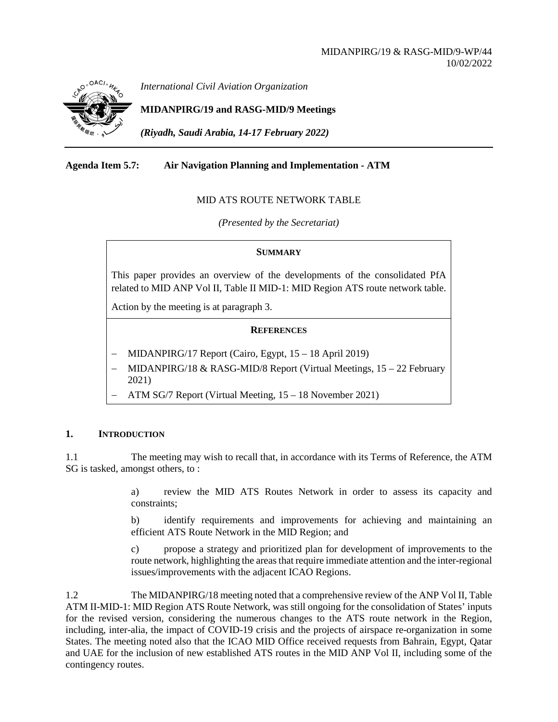

*International Civil Aviation Organization*

**MIDANPIRG/19 and RASG-MID/9 Meetings**

*(Riyadh, Saudi Arabia, 14-17 February 2022)*

## **Agenda Item 5.7: Air Navigation Planning and Implementation - ATM**

## MID ATS ROUTE NETWORK TABLE

*(Presented by the Secretariat)*

## **SUMMARY**

This paper provides an overview of the developments of the consolidated PfA related to MID ANP Vol II, Table II MID-1: MID Region ATS route network table.

Action by the meeting is at paragraph 3.

## **REFERENCES**

- − MIDANPIRG/17 Report (Cairo, Egypt, 15 18 April 2019)
- − MIDANPIRG/18 & RASG-MID/8 Report (Virtual Meetings, 15 22 February 2021)
- − ATM SG/7 Report (Virtual Meeting, 15 18 November 2021)

## **1. INTRODUCTION**

1.1 The meeting may wish to recall that, in accordance with its Terms of Reference, the ATM SG is tasked, amongst others, to :

> a) review the MID ATS Routes Network in order to assess its capacity and constraints;

> b) identify requirements and improvements for achieving and maintaining an efficient ATS Route Network in the MID Region; and

> c) propose a strategy and prioritized plan for development of improvements to the route network, highlighting the areas that require immediate attention and the inter-regional issues/improvements with the adjacent ICAO Regions.

1.2 The MIDANPIRG/18 meeting noted that a comprehensive review of the ANP Vol II, Table ATM II-MID-1: MID Region ATS Route Network, was still ongoing for the consolidation of States' inputs for the revised version, considering the numerous changes to the ATS route network in the Region, including, inter-alia, the impact of COVID-19 crisis and the projects of airspace re-organization in some States. The meeting noted also that the ICAO MID Office received requests from Bahrain, Egypt, Qatar and UAE for the inclusion of new established ATS routes in the MID ANP Vol II, including some of the contingency routes.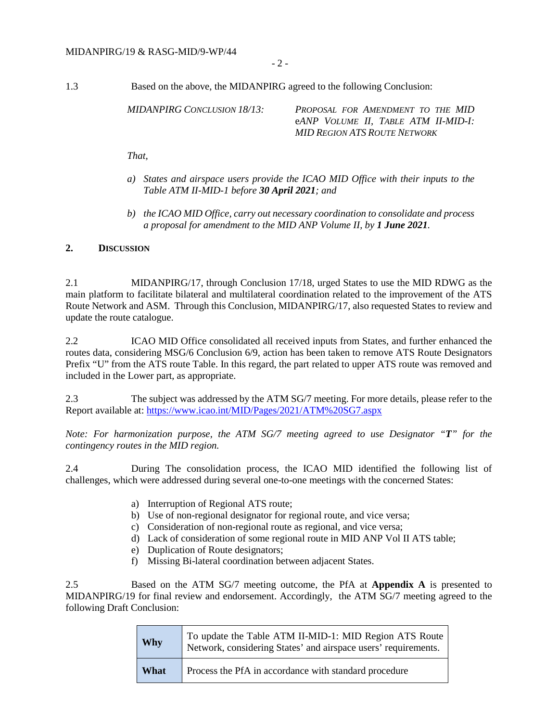- 2 -

1.3 Based on the above, the MIDANPIRG agreed to the following Conclusion:

*MIDANPIRG CONCLUSION 18/13: PROPOSAL FOR AMENDMENT TO THE MID* e*ANP VOLUME II, TABLE ATM II-MID-I: MID REGION ATS ROUTE NETWORK* 

*That,* 

- *a) States and airspace users provide the ICAO MID Office with their inputs to the Table ATM II-MID-1 before 30 April 2021; and*
- *b) the ICAO MID Office, carry out necessary coordination to consolidate and process a proposal for amendment to the MID ANP Volume II, by 1 June 2021.*

## **2. DISCUSSION**

2.1 MIDANPIRG/17, through Conclusion 17/18, urged States to use the MID RDWG as the main platform to facilitate bilateral and multilateral coordination related to the improvement of the ATS Route Network and ASM. Through this Conclusion, MIDANPIRG/17, also requested States to review and update the route catalogue.

2.2 ICAO MID Office consolidated all received inputs from States, and further enhanced the routes data, considering MSG/6 Conclusion 6/9, action has been taken to remove ATS Route Designators Prefix "U" from the ATS route Table. In this regard, the part related to upper ATS route was removed and included in the Lower part, as appropriate.

2.3 The subject was addressed by the ATM SG/7 meeting. For more details, please refer to the Report available at:<https://www.icao.int/MID/Pages/2021/ATM%20SG7.aspx>

*Note: For harmonization purpose, the ATM SG/7 meeting agreed to use Designator "T" for the contingency routes in the MID region.*

2.4 During The consolidation process, the ICAO MID identified the following list of challenges, which were addressed during several one-to-one meetings with the concerned States:

- a) Interruption of Regional ATS route;
- b) Use of non-regional designator for regional route, and vice versa;
- c) Consideration of non-regional route as regional, and vice versa;
- d) Lack of consideration of some regional route in MID ANP Vol II ATS table;
- e) Duplication of Route designators;
- f) Missing Bi-lateral coordination between adjacent States.

2.5 Based on the ATM SG/7 meeting outcome, the PfA at **Appendix A** is presented to MIDANPIRG/19 for final review and endorsement. Accordingly, the ATM SG/7 meeting agreed to the following Draft Conclusion:

| Why  | To update the Table ATM II-MID-1: MID Region ATS Route<br>Network, considering States' and airspace users' requirements. |
|------|--------------------------------------------------------------------------------------------------------------------------|
| What | Process the PfA in accordance with standard procedure                                                                    |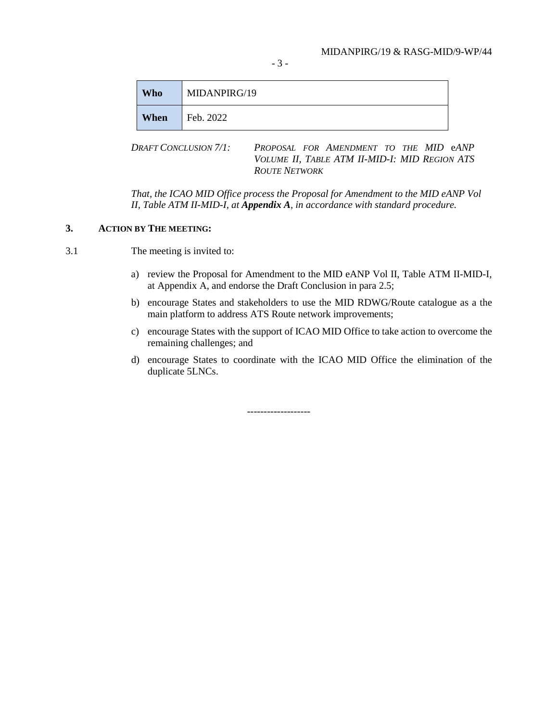- 3 -

| <b>Who</b> | MIDANPIRG/19 |
|------------|--------------|
| When       | Feb. 2022    |

*DRAFT CONCLUSION 7/1: PROPOSAL FOR AMENDMENT TO THE MID* e*ANP VOLUME II, TABLE ATM II-MID-I: MID REGION ATS ROUTE NETWORK* 

*That, the ICAO MID Office process the Proposal for Amendment to the MID eANP Vol II, Table ATM II-MID-I, at Appendix A, in accordance with standard procedure.*

## **3. ACTION BY THE MEETING:**

3.1 The meeting is invited to:

- a) review the Proposal for Amendment to the MID eANP Vol II, Table ATM II-MID-I, at Appendix A, and endorse the Draft Conclusion in para 2.5;
- b) encourage States and stakeholders to use the MID RDWG/Route catalogue as a the main platform to address ATS Route network improvements;
- c) encourage States with the support of ICAO MID Office to take action to overcome the remaining challenges; and
- d) encourage States to coordinate with the ICAO MID Office the elimination of the duplicate 5LNCs.

-------------------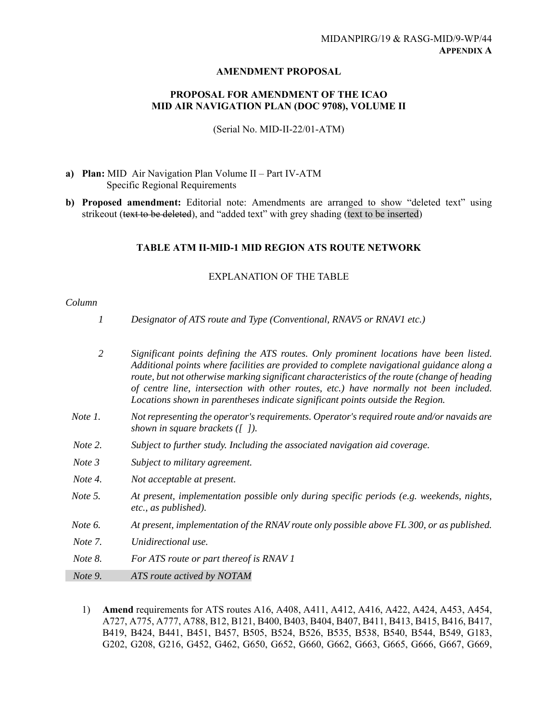## **AMENDMENT PROPOSAL**

## **PROPOSAL FOR AMENDMENT OF THE ICAO MID AIR NAVIGATION PLAN (DOC 9708), VOLUME II**

(Serial No. MID-II-22/01-ATM)

- **a) Plan:** MID Air Navigation Plan Volume II Part IV-ATM Specific Regional Requirements
- **b) Proposed amendment:** Editorial note: Amendments are arranged to show "deleted text" using strikeout (text to be deleted), and "added text" with grey shading (text to be inserted)

## **TABLE ATM II-MID-1 MID REGION ATS ROUTE NETWORK**

## EXPLANATION OF THE TABLE

## *Column*

| 1              | Designator of ATS route and Type (Conventional, RNAV5 or RNAV1 etc.)                                                                                                                                                                                                                                                                                                                                                                                            |
|----------------|-----------------------------------------------------------------------------------------------------------------------------------------------------------------------------------------------------------------------------------------------------------------------------------------------------------------------------------------------------------------------------------------------------------------------------------------------------------------|
| $\overline{2}$ | Significant points defining the ATS routes. Only prominent locations have been listed.<br>Additional points where facilities are provided to complete navigational guidance along a<br>route, but not otherwise marking significant characteristics of the route (change of heading<br>of centre line, intersection with other routes, etc.) have normally not been included.<br>Locations shown in parentheses indicate significant points outside the Region. |
| Note 1.        | Not representing the operator's requirements. Operator's required route and/or navaids are<br>shown in square brackets $(1)$ .                                                                                                                                                                                                                                                                                                                                  |
| Note 2.        | Subject to further study. Including the associated navigation aid coverage.                                                                                                                                                                                                                                                                                                                                                                                     |
| Note 3         | Subject to military agreement.                                                                                                                                                                                                                                                                                                                                                                                                                                  |
| Note 4.        | Not acceptable at present.                                                                                                                                                                                                                                                                                                                                                                                                                                      |
| Note 5.        | At present, implementation possible only during specific periods (e.g. weekends, nights,<br>etc., as published).                                                                                                                                                                                                                                                                                                                                                |
| Note 6.        | At present, implementation of the RNAV route only possible above FL 300, or as published.                                                                                                                                                                                                                                                                                                                                                                       |
| Note 7.        | Unidirectional use.                                                                                                                                                                                                                                                                                                                                                                                                                                             |
| Note 8.        | For ATS route or part thereof is RNAV 1                                                                                                                                                                                                                                                                                                                                                                                                                         |
| Note 9.        | ATS route actived by NOTAM                                                                                                                                                                                                                                                                                                                                                                                                                                      |

1) **Amend** requirements for ATS routes A16, A408, A411, A412, A416, A422, A424, A453, A454, A727, A775, A777, A788, B12, B121, B400, B403, B404, B407, B411, B413, B415, B416, B417, B419, B424, B441, B451, B457, B505, B524, B526, B535, B538, B540, B544, B549, G183, G202, G208, G216, G452, G462, G650, G652, G660, G662, G663, G665, G666, G667, G669,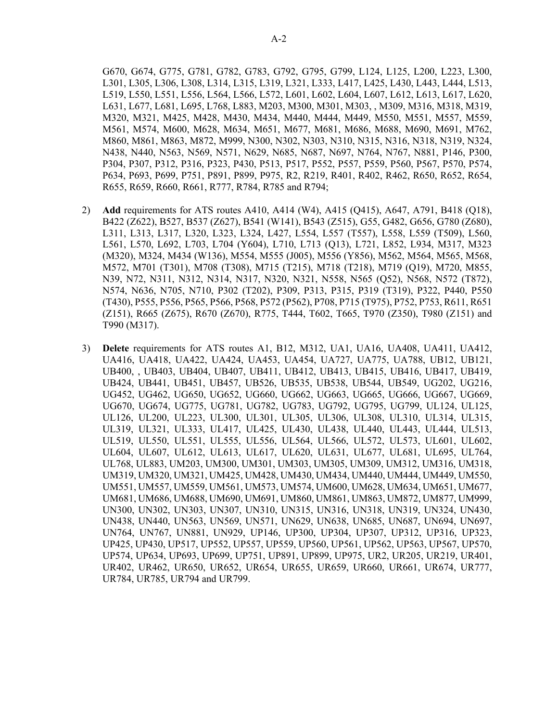G670, G674, G775, G781, G782, G783, G792, G795, G799, L124, L125, L200, L223, L300, L301, L305, L306, L308, L314, L315, L319, L321, L333, L417, L425, L430, L443, L444, L513, L519, L550, L551, L556, L564, L566, L572, L601, L602, L604, L607, L612, L613, L617, L620, L631, L677, L681, L695, L768, L883, M203, M300, M301, M303, , M309, M316, M318, M319, M320, M321, M425, M428, M430, M434, M440, M444, M449, M550, M551, M557, M559, M561, M574, M600, M628, M634, M651, M677, M681, M686, M688, M690, M691, M762, M860, M861, M863, M872, M999, N300, N302, N303, N310, N315, N316, N318, N319, N324, N438, N440, N563, N569, N571, N629, N685, N687, N697, N764, N767, N881, P146, P300, P304, P307, P312, P316, P323, P430, P513, P517, P552, P557, P559, P560, P567, P570, P574, P634, P693, P699, P751, P891, P899, P975, R2, R219, R401, R402, R462, R650, R652, R654, R655, R659, R660, R661, R777, R784, R785 and R794;

- 2) **Add** requirements for ATS routes A410, A414 (W4), A415 (Q415), A647, A791, B418 (Q18), B422 (Z622), B527, B537 (Z627), B541 (W141), B543 (Z515), G55, G482, G656, G780 (Z680), L311, L313, L317, L320, L323, L324, L427, L554, L557 (T557), L558, L559 (T509), L560, L561, L570, L692, L703, L704 (Y604), L710, L713 (Q13), L721, L852, L934, M317, M323 (M320), M324, M434 (W136), M554, M555 (J005), M556 (Y856), M562, M564, M565, M568, M572, M701 (T301), M708 (T308), M715 (T215), M718 (T218), M719 (Q19), M720, M855, N39, N72, N311, N312, N314, N317, N320, N321, N558, N565 (Q52), N568, N572 (T872), N574, N636, N705, N710, P302 (T202), P309, P313, P315, P319 (T319), P322, P440, P550 (T430), P555, P556, P565, P566, P568, P572 (P562), P708, P715 (T975), P752, P753, R611, R651 (Z151), R665 (Z675), R670 (Z670), R775, T444, T602, T665, T970 (Z350), T980 (Z151) and T990 (M317).
- 3) **Delete** requirements for ATS routes A1, B12, M312, UA1, UA16, UA408, UA411, UA412, UA416, UA418, UA422, UA424, UA453, UA454, UA727, UA775, UA788, UB12, UB121, UB400, , UB403, UB404, UB407, UB411, UB412, UB413, UB415, UB416, UB417, UB419, UB424, UB441, UB451, UB457, UB526, UB535, UB538, UB544, UB549, UG202, UG216, UG452, UG462, UG650, UG652, UG660, UG662, UG663, UG665, UG666, UG667, UG669, UG670, UG674, UG775, UG781, UG782, UG783, UG792, UG795, UG799, UL124, UL125, UL126, UL200, UL223, UL300, UL301, UL305, UL306, UL308, UL310, UL314, UL315, UL319, UL321, UL333, UL417, UL425, UL430, UL438, UL440, UL443, UL444, UL513, UL519, UL550, UL551, UL555, UL556, UL564, UL566, UL572, UL573, UL601, UL602, UL604, UL607, UL612, UL613, UL617, UL620, UL631, UL677, UL681, UL695, UL764, UL768, UL883, UM203, UM300, UM301, UM303, UM305, UM309, UM312, UM316, UM318, UM319, UM320, UM321, UM425, UM428, UM430, UM434, UM440, UM444, UM449, UM550, UM551, UM557, UM559, UM561, UM573, UM574, UM600, UM628, UM634, UM651, UM677, UM681, UM686, UM688, UM690, UM691, UM860, UM861, UM863, UM872, UM877, UM999, UN300, UN302, UN303, UN307, UN310, UN315, UN316, UN318, UN319, UN324, UN430, UN438, UN440, UN563, UN569, UN571, UN629, UN638, UN685, UN687, UN694, UN697, UN764, UN767, UN881, UN929, UP146, UP300, UP304, UP307, UP312, UP316, UP323, UP425, UP430, UP517, UP552, UP557, UP559, UP560, UP561, UP562, UP563, UP567, UP570, UP574, UP634, UP693, UP699, UP751, UP891, UP899, UP975, UR2, UR205, UR219, UR401, UR402, UR462, UR650, UR652, UR654, UR655, UR659, UR660, UR661, UR674, UR777, UR784, UR785, UR794 and UR799.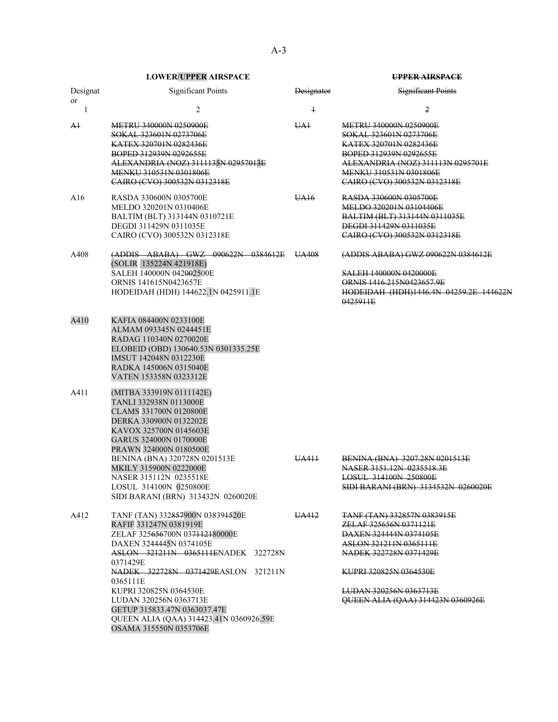| Designat<br>or | <b>Significant Points</b>                                                                                                                                                                                                                                                                                                                                                                                                    | <b>Designator</b> | Significant Points                                                                                                                                                                                                                                                  |
|----------------|------------------------------------------------------------------------------------------------------------------------------------------------------------------------------------------------------------------------------------------------------------------------------------------------------------------------------------------------------------------------------------------------------------------------------|-------------------|---------------------------------------------------------------------------------------------------------------------------------------------------------------------------------------------------------------------------------------------------------------------|
| 1              | $\overline{c}$                                                                                                                                                                                                                                                                                                                                                                                                               | $\ddagger$        | 2                                                                                                                                                                                                                                                                   |
| Ał             | <b>METRU 340000N 0250900E</b><br>SOKAL 323601N 0273706E<br>KATEX 320701N 0282436E<br>BOPED 312939N 0292655E<br>ALEXANDRIA (NOZ) 3111135N 02957013E<br>MENKU 310531N 0301806E<br>CAIRO (CVO) 300532N 0312318E                                                                                                                                                                                                                 | UA <sub>1</sub>   | <b>METRU 340000N 0250900E</b><br>SOKAL 323601N 0273706E<br>KATEX 320701N 0282436E<br>BOPED 312939N 0292655E<br>ALEXANDRIA (NOZ) 311113N 0295701E<br><b>MENKU 310531N 0301806E</b><br>CAIRO (CVO) 300532N 0312318E                                                   |
| A16            | RASDA 330600N 0305700E<br>MELDO 320201N 0310406E<br>BALTIM (BLT) 313144N 0310721E<br>DEGDI 311429N 0311035E<br>CAIRO (CVO) 300532N 0312318E                                                                                                                                                                                                                                                                                  | UA16              | RASDA 330600N 0305700E<br>MELDO 320201N 03104406E<br><b>BALTIM (BLT) 313144N 0311035E</b><br><b>DEGDI 311429N 0311035E</b><br>CAIRO (CVO) 300532N 0312318E                                                                                                          |
| A408           | $(ADDIS - ABABA)$ GWZ $090622N$ 0384612E<br>(SOLIR 135224N 421918E)<br>SALEH 140000N 042002500E<br><b>ORNIS 141615N0423657E</b><br>HODEIDAH (HDH) 144622.1N 0425911.1E                                                                                                                                                                                                                                                       | UA408             | (ADDIS ABABA) GWZ 090622N 0384612E<br><b>SALEH 140000N 0420000E</b><br>ORNIS 1416.215N0423657.9E<br>HODEIDAH (HDH)1446.4N 04259.2E 144622N<br>0425911E                                                                                                              |
| A410           | KAFIA 084400N 0233100E<br>ALMAM 093345N 0244451E<br>RADAG 110340N 0270020E<br>ELOBEID (OBD) 130640.53N 0301335.25E<br>IMSUT 142048N 0312230E<br>RADKA 145006N 0315040E<br>VATEN 153358N 0323312E                                                                                                                                                                                                                             |                   |                                                                                                                                                                                                                                                                     |
| A411           | (MITBA 333919N 0111142E)<br>TANLI 332938N 0113000E<br>CLAMS 331700N 0120800E<br>DERKA 330900N 0132202E<br>KAVOX 325700N 0145603E<br>GARUS 324000N 0170000E<br>PRAWN 324000N 0180500E<br>BENINA (BNA) 320728N 0201513E<br>MKILY 315900N 0222000E<br>NASER 315112N 0235518E<br>LOSUL 314100N 0250800E                                                                                                                          | UA411             | <b>BENINA (BNA) 3207.28N 0201513E</b><br>NASER 3151.12N 0235518.3E<br><b>LOSUL 314100N 250800E</b><br>SIDI BARANI (BRN) 3134532N 0260020E                                                                                                                           |
| A412           | SIDI BARANI (BRN) 313432N 0260020E<br>TANF (TAN) 332857900N 038391520E<br>RAFIF 331247N 0381919E<br>ZELAF 325656700N 037112180000E<br>DAXEN 3244445N 0374105E<br>ASLON 321211N 0365111ENADEK 322728N<br>0371429E<br>NADEK 322728N 0371429EASLON 321211N<br>0365111E<br>KUPRI 320825N 0364530E<br>LUDAN 320256N 0363713E<br>GETUP 315833.47N 0363037.47E<br>QUEEN ALIA (QAA) 314423.41N 0360926.59E<br>OSAMA 315550N 0353706E | UA412             | <b>TANE (TAN) 332857N 0383915E</b><br><del>ZELAF 325656N 0371121E</del><br><b>DAXEN 324444N 0374105E</b><br>ASLON 321211N 0365111E<br>NADEK 322728N 0371429E<br><b>KUPRI 320825N 0364530E</b><br><b>LUDAN 320256N 0363713E</b><br>QUEEN ALIA (QAA) 314423N 0360926E |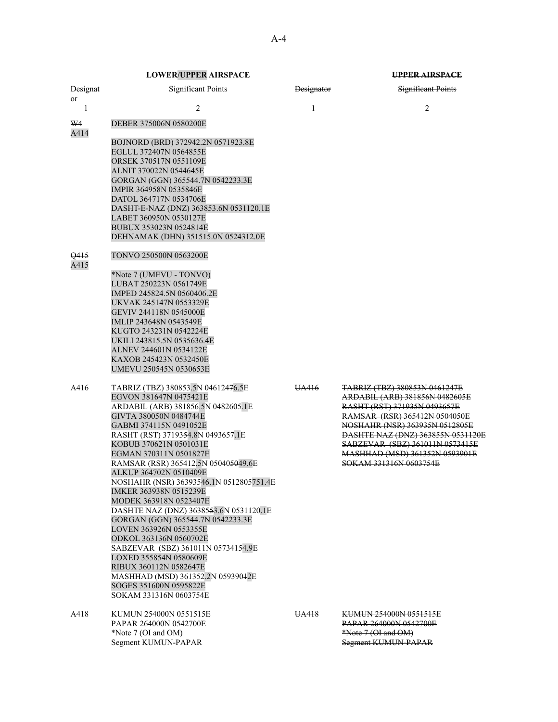Significant Points Designator Significant Points 1  $2$   $1$   $2$ DEBER 375006N 0580200E BOJNORD (BRD) 372942.2N 0571923.8E EGLUL 372407N 0564855E ORSEK 370517N 0551109E ALNIT 370022N 0544645E GORGAN (GGN) 365544.7N 0542233.3E IMPIR 364958N 0535846E DATOL 364717N 0534706E DASHT-E-NAZ (DNZ) 363853.6N 0531120.1E LABET 360950N 0530127E BUBUX 353023N 0524814E DEHNAMAK (DHN) 351515.0N 0524312.0E TONVO 250500N 0563200E \*Note 7 (UMEVU - TONVO) LUBAT 250223N 0561749E IMPED 245824.5N 0560406.2E

A416 TABRIZ (TBZ) 380853.5N 04612476.5E UA416 TABRIZ (TBZ) 380853N 0461247E EGVON 381647N 0475421E<br>ARDABIL (ARB) 381856.5N 0482605.1E<br>RASHT (RST) 371935N 0493657E ARDABIL (ARB) 381856.5N 0482605.1E GIVTA 380050N 0484744E **RAMSAR** (RSR) 365412N 0504050E GABMI 374115N 0491052E NOSHAHR (NSR) 363935N 0512805E RASHT (RST) 3719354.8N 0493657.1E DASHTE NAZ (DNZ) 363855N 0531120E KOBUB 370621N 0501031E SABZEVAR (SBZ) 361011N 0573415E EGMAN 370311N 0501827E MASHHAD (MSD) 361352N 0593901E RAMSAR (RSR) 365412.5N 050405049.6E ALKUP 364702N 0510409E NOSHAHR (NSR) 36393546.1N 0512805751.4E IMKER 363938N 0515239E MODEK 363918N 0523407E DASHTE NAZ (DNZ) 3638553.6N 0531120.1E GORGAN (GGN) 365544.7N 0542233.3E LOVEN 363926N 0553355E ODKOL 363136N 0560702E SABZEVAR (SBZ) 361011N 05734154.9E LOXED 355854N 0580609E RIBUX 360112N 0582647E

A418 KUMUN 254000N 0551515E UA418 KUMUN 254000N 0551515E PAPAR 264000N 0542700E PAPAR 264000N 0542700E \*Note 7 (OI and OM)  $*$ Note 7 (OI and OM) Segment KUMUN-PAPAR Segment KUMUN-PAPAR

## **LOWER/UPPER AIRSPACE UPPER AIRSPACE**

Designat or

W4 A414

- 
- **Q415**

A415

UKVAK 245147N 0553329E GEVIV 244118N 0545000E IMLIP 243648N 0543549E KUGTO 243231N 0542224E UKILI 243815.5N 0535636.4E ALNEV 244601N 0534122E KAXOB 245423N 0532450E UMEVU 250545N 0530653E

MASHHAD (MSD) 361352.2N 05939012E SOGES 351600N 0595822E

SOKAM 331316N 0603754E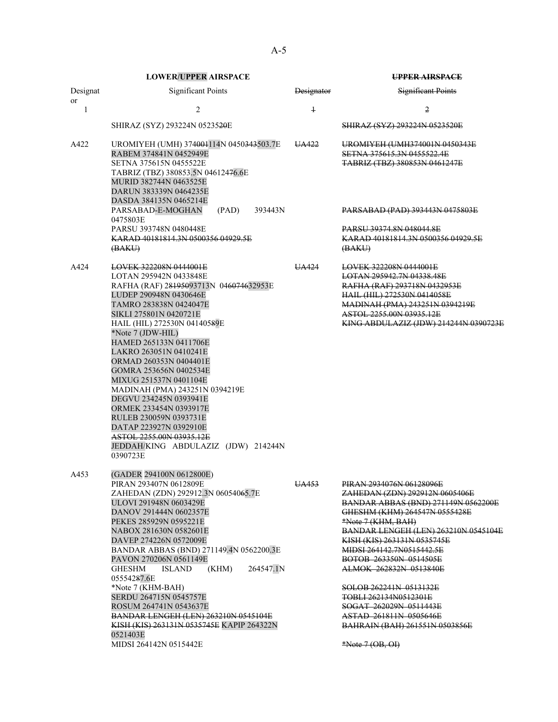|                | <b>LOWER/UPPER AIRSPACE</b>                                                                                                                                                                                                                                                                                                                                                                                                                                                                                                                                                                     |                              | <b>UPPER AIRSPACE</b>                                                                                                                                                                                                                                                                                                                                                                                                                                                                         |
|----------------|-------------------------------------------------------------------------------------------------------------------------------------------------------------------------------------------------------------------------------------------------------------------------------------------------------------------------------------------------------------------------------------------------------------------------------------------------------------------------------------------------------------------------------------------------------------------------------------------------|------------------------------|-----------------------------------------------------------------------------------------------------------------------------------------------------------------------------------------------------------------------------------------------------------------------------------------------------------------------------------------------------------------------------------------------------------------------------------------------------------------------------------------------|
| Designat<br>or | <b>Significant Points</b>                                                                                                                                                                                                                                                                                                                                                                                                                                                                                                                                                                       | <b>Designator</b>            | <b>Significant Points</b>                                                                                                                                                                                                                                                                                                                                                                                                                                                                     |
| 1              | $\overline{2}$                                                                                                                                                                                                                                                                                                                                                                                                                                                                                                                                                                                  | $\overline{1}$               | 2                                                                                                                                                                                                                                                                                                                                                                                                                                                                                             |
|                | SHIRAZ (SYZ) 293224N 05235 <del>20</del> E                                                                                                                                                                                                                                                                                                                                                                                                                                                                                                                                                      |                              | SHIRAZ (SYZ) 293224N 0523520E                                                                                                                                                                                                                                                                                                                                                                                                                                                                 |
| A422           | UROMIYEH (UMH) 374004114N 0450343503.7E<br>RABEM 374841N 0452949E<br>SETNA 375615N 0455522E<br>TABRIZ (TBZ) 380853.5N 04612476.6E<br>MURID 382744N 0463525E<br>DARUN 383339N 0464235E<br>DASDA 384135N 0465214E                                                                                                                                                                                                                                                                                                                                                                                 | UA422                        | UROMIYEH (UMH374001N 0450343E<br>SETNA 375615.3N 0455522.4E<br>TABRIZ (TBZ) 380853N 0461247E                                                                                                                                                                                                                                                                                                                                                                                                  |
|                | PARSABAD-E-MOGHAN<br>(PAD)<br>393443N<br>0475803E                                                                                                                                                                                                                                                                                                                                                                                                                                                                                                                                               |                              | PARSABAD (PAD) 393443N 0475803E                                                                                                                                                                                                                                                                                                                                                                                                                                                               |
|                | PARSU 393748N 0480448E<br>KARAD 40181814.3N 0500356 04929.5E<br>(BAKU)                                                                                                                                                                                                                                                                                                                                                                                                                                                                                                                          |                              | PARSU 39374.8N 048044.8E<br>KARAD 40181814.3N 0500356 04929.5E<br>(BAKU)                                                                                                                                                                                                                                                                                                                                                                                                                      |
| A424           | <b>LOVEK 322208N 0444001E</b><br>LOTAN 295942N 0433848E<br>RAFHA (RAF) 28195093713N 046074632953E<br>LUDEP 290948N 0430646E<br>TAMRO 283838N 0424047E<br>SIKLI 275801N 0420721E<br>HAIL (HIL) 272530N 04140589E<br>*Note 7 (JDW-HIL)<br>HAMED 265133N 0411706E<br>LAKRO 263051N 0410241E<br>ORMAD 260353N 0404401E<br>GOMRA 253656N 0402534E<br>MIXUG 251537N 0401104E<br>MADINAH (PMA) 243251N 0394219E<br>DEGVU 234245N 0393941E<br>ORMEK 233454N 0393917E<br>RULEB 230059N 0393731E<br>DATAP 223927N 0392910E<br>ASTOL 2255.00N 03935.12E<br>JEDDAH/KING ABDULAZIZ (JDW) 214244N<br>0390723E | UA424                        | <b>LOVEK 322208N 0444001E</b><br>LOTAN 295942.7N 04338.48E<br>RAFHA (RAF) 293718N 0432953E<br>HAIL (HIL) 272530N 0414058E<br>MADINAH (PMA) 243251N 0394219E<br>ASTOL 2255.00N 03935.12E<br>KING ABDULAZIZ (JDW) 214244N 0390723E                                                                                                                                                                                                                                                              |
| A453           | (GADER 294100N 0612800E)<br>PIRAN 293407N 0612809E<br>ZAHEDAN (ZDN) 292912.3N 06054065.7E<br>ULOVI 291948N 0603429E<br>DANOV 291444N 0602357E<br>PEKES 285929N 0595221E<br>NABOX 281630N 0582601E<br>DAVEP 274226N 0572009E<br>BANDAR ABBAS (BND) 271149.4N 0562200.3E<br>PAVON 270206N 0561149E<br><b>GHESHM</b><br><b>ISLAND</b><br>(KHM)<br>264547.1N<br>05554287.6E<br>*Note 7 (KHM-BAH)<br>SERDU 264715N 0545757E<br>ROSUM 264741N 0543637E<br><b>BANDAR LENGEH (LEN) 263210N 0545104E</b><br>KISH (KIS) 263131N 0535745E KAPIP 264322N<br>0521403E<br>MIDSI 264142N 0515442E              | TTA AFT<br><del>u/1433</del> | PIRAN 2934076N 06128096E<br>ZAHEDAN (ZDN) 292912N 0605406E<br><b>BANDAR ABBAS (BND) 271149N 0562200E</b><br>GHESHM (KHM) 264547N 0555428E<br>*Note 7 (KHM, BAH)<br>BANDAR LENGEH (LEN) 263210N 0545104E<br>KISH (KIS) 263131N 0535745E<br>MIDSI 264142.7N0515442.5E<br><b>BOTOB 263350N 0514505E</b><br>ALMOK 262832N 0513840E<br>SOLOB 262241N 0513132E<br>TOBLI 262134N0512301E<br>SOGAT 262029N 0511443E<br>ASTAD 261811N 0505646E<br>BAHRAIN (BAH) 261551N 0503856E<br>$*Note 7 (OB, OH)$ |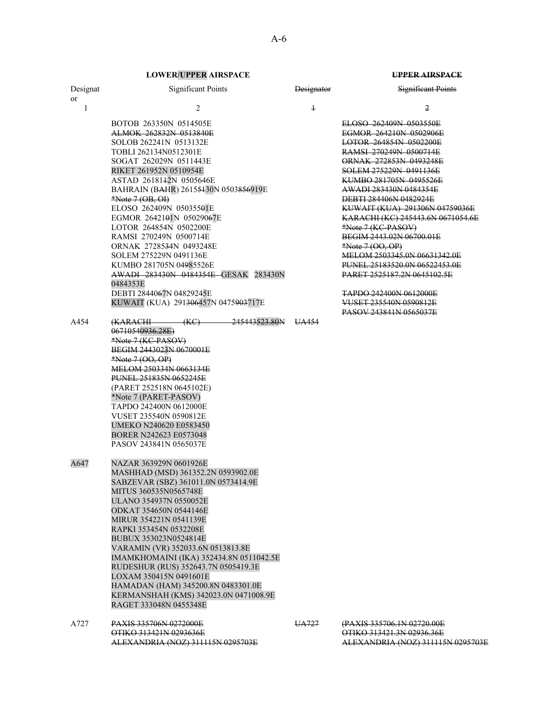| Designat<br><sub>or</sub> | <b>Significant Points</b>                                                                                                                                                                                                                                                                                                                                                                                                                                                                                                                                                                                                                | <b>Designator</b> | <b>Significant Points</b>                                                                                                                                                                                                                                                                                                                                                                                                                                                                                                                                                                                |
|---------------------------|------------------------------------------------------------------------------------------------------------------------------------------------------------------------------------------------------------------------------------------------------------------------------------------------------------------------------------------------------------------------------------------------------------------------------------------------------------------------------------------------------------------------------------------------------------------------------------------------------------------------------------------|-------------------|----------------------------------------------------------------------------------------------------------------------------------------------------------------------------------------------------------------------------------------------------------------------------------------------------------------------------------------------------------------------------------------------------------------------------------------------------------------------------------------------------------------------------------------------------------------------------------------------------------|
| $\mathbf{1}$              | 2                                                                                                                                                                                                                                                                                                                                                                                                                                                                                                                                                                                                                                        | $\ddagger$        | 2                                                                                                                                                                                                                                                                                                                                                                                                                                                                                                                                                                                                        |
| A454                      | BOTOB 263350N 0514505E<br>ALMOK 262832N 0513840E<br>SOLOB 262241N 0513132E<br>TOBLI 262134N0512301E<br>SOGAT 262029N 0511443E<br>RIKET 261952N 0510954E<br>ASTAD 2618142N 0505646E<br>BAHRAIN (BAHR) 26155430N 0503856919E<br>$*Note 7 (OB, OH)$<br>ELOSO 262409N 05035501E<br>EGMOR 2642101N 05029067E<br>LOTOR 264854N 0502200E<br>RAMSI 270249N 0500714E<br>ORNAK 2728534N 0493248E<br>SOLEM 275229N 0491136E<br>KUMBO 281705N 04985526E<br>AWADI 283430N 0484354E GESAK 283430N<br>0484353E<br>DEBTI 2844067N 04829245E<br>KUWAIT (KUA) 291306457N 0475903717E<br>245443523.80N<br>(KC)<br><del>(KARACHI -</del><br>06710540936.28E) | UA454             | ELOSO 262409N 0503550E<br>EGMOR 264210N 0502906E<br>LOTOR 264854N 0502200E<br>RAMSI 270249N 0500714E<br><b>ORNAK 272853N 0493248E</b><br>SOLEM 275229N 0491136E<br>KUMBO 281705N 0495526E<br><del>AWADI 283430N 0484354E</del><br><b>DEBTI 284406N 0482924E</b><br>KUWAIT (KUA) 291306N 04759036E<br>KARACHI (KC) 245443.6N 0671054.6E<br>*Note 7 (KC-PASOV)<br>BEGIM 2443.02N 06700.01E<br>*Note 7 (OO, OP)<br>MELOM 2503345.0N 06631342.0E<br>PUNEL 25183520.0N 06522453.0E<br>PARET 2525187.2N 0645102.5E<br><b>TAPDO 242400N 0612000E</b><br><b>VUSET 235540N 0590812E</b><br>PASOV 243841N 0565037E |
|                           | *Note 7 (KC-PASOV)<br>BEGIM 2443023N 0670001E<br>*Note 7 (OO, OP)<br>MELOM 250334N 0663134E<br><b>PUNEL 251835N 0652245E</b><br>(PARET 252518N 0645102E)<br>*Note 7 (PARET-PASOV)<br>TAPDO 242400N 0612000E<br>VUSET 235540N 0590812E<br>UMEKO N240620 E0583450<br>BORER N242623 E0573048<br>PASOV 243841N 0565037E                                                                                                                                                                                                                                                                                                                      |                   |                                                                                                                                                                                                                                                                                                                                                                                                                                                                                                                                                                                                          |
| A647                      | NAZAR 363929N 0601926E<br>MASHHAD (MSD) 361352.2N 0593902.0E<br>SABZEVAR (SBZ) 361011.0N 0573414.9E<br>MITUS 360535N0565748E<br>ULANO 354937N 0550052E<br>ODKAT 354650N 0544146E<br><b>MIRUR 354221N 0541139E</b><br>RAPKI 353454N 0532208E<br>BUBUX 353023N0524814E<br>VARAMIN (VR) 352033.6N 0513813.8E<br>IMAMKHOMAINI (IKA) 352434.8N 0511042.5E<br>RUDESHUR (RUS) 352643.7N 0505419.3E<br>LOXAM 350415N 0491601E<br>HAMADAN (HAM) 345200.8N 0483301.0E<br>KERMANSHAH (KMS) 342023.0N 0471008.9E<br>RAGET 333048N 0455348E                                                                                                           |                   |                                                                                                                                                                                                                                                                                                                                                                                                                                                                                                                                                                                                          |
| A727                      | PAXIS 335706N 0272000E<br>OTIKO 313421N 0293636E<br>ALEXANDRIA (NOZ) 311115N 0295703E                                                                                                                                                                                                                                                                                                                                                                                                                                                                                                                                                    | UA727             | (PAXIS 335706.1N 02720.00E<br>OTIKO 313421.3N 02936.36E<br>ALEXANDRIA (NOZ) 311115N 0295703E                                                                                                                                                                                                                                                                                                                                                                                                                                                                                                             |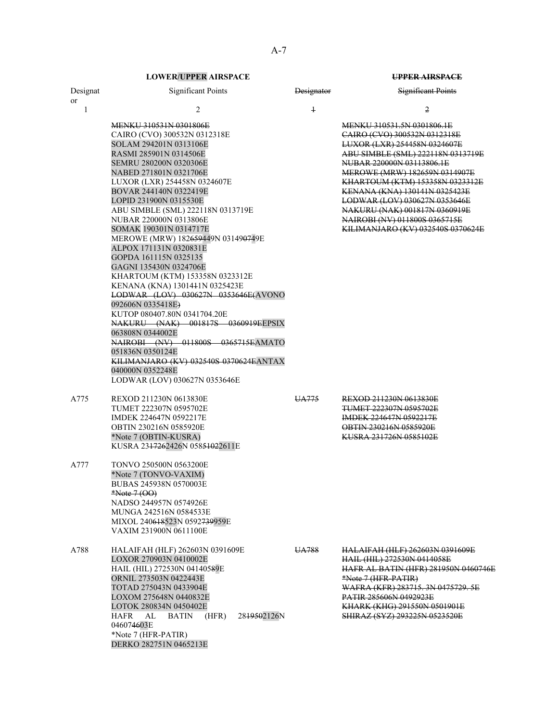**LOWER/UPPER AIRSPACE UPPER AIRSPACE** 

| Designat             | <b>Significant Points</b>                                                                                                                                                                                                                                                                                                                                                                                                                                                                                                                                                                                                                                                                                                                                                                                                                                                                             | Designator              | <b>Significant Points</b>                                                                                                                                                                                                                                                                                                                                                                                                                |
|----------------------|-------------------------------------------------------------------------------------------------------------------------------------------------------------------------------------------------------------------------------------------------------------------------------------------------------------------------------------------------------------------------------------------------------------------------------------------------------------------------------------------------------------------------------------------------------------------------------------------------------------------------------------------------------------------------------------------------------------------------------------------------------------------------------------------------------------------------------------------------------------------------------------------------------|-------------------------|------------------------------------------------------------------------------------------------------------------------------------------------------------------------------------------------------------------------------------------------------------------------------------------------------------------------------------------------------------------------------------------------------------------------------------------|
| or                   |                                                                                                                                                                                                                                                                                                                                                                                                                                                                                                                                                                                                                                                                                                                                                                                                                                                                                                       |                         |                                                                                                                                                                                                                                                                                                                                                                                                                                          |
| $\mathbf{1}$<br>A775 | $\overline{c}$<br><b>MENKU 310531N 0301806E</b><br>CAIRO (CVO) 300532N 0312318E<br>SOLAM 294201N 0313106E<br>RASMI 285901N 0314506E<br>SEMRU 280200N 0320306E<br>NABED 271801N 0321706E<br>LUXOR (LXR) 254458N 0324607E<br>BOVAR 244140N 0322419E<br>LOPID 231900N 0315530E<br>ABU SIMBLE (SML) 222118N 0313719E<br>NUBAR 220000N 0313806E<br>SOMAK 190301N 0314717E<br>MEROWE (MRW) 182659449N 031490749E<br>ALPOX 171131N 0320831E<br>GOPDA 161115N 0325135<br>GAGNI 135430N 0324706E<br>KHARTOUM (KTM) 153358N 0323312E<br>KENANA (KNA) 1301441N 0325423E<br>LODWAR (LOV) 030627N 0353646E(AVONO<br>092606N 0335418E)<br>KUTOP 080407.80N 0341704.20E<br>NAKURU (NAK) 001817S 0360919EEPSIX<br>063808N 0344002E<br>NAIROBI (NV) 011800S 0365715EAMATO<br>051836N 0350124E<br>KILIMANJARO (KV) 032540S 0370624EANTAX<br>040000N 0352248E<br>LODWAR (LOV) 030627N 0353646E<br>REXOD 211230N 0613830E | $\overline{1}$<br>UA775 | 2<br>MENKU 310531.5N 0301806.1E<br>CAIRO (CVO) 300532N 0312318E<br>LUXOR (LXR) 254458N 0324607E<br>ABU SIMBLE (SML) 222118N 0313719E<br>NUBAR 220000N 03113806.1E<br>MEROWE (MRW) 182659N 0314907E<br>KHARTOUM (KTM) 153358N 0323312E<br>KENANA (KNA) 130141N 0325423E<br>LODWAR (LOV) 030627N 0353646E<br>NAKURU (NAK) 001817N 0360919E<br>NAIROBI (NV) 011800S 0365715E<br>KILIMANJARO (KV) 032540S 0370624E<br>REXOD 211230N 0613830E |
| A777                 | TUMET 222307N 0595702E<br>IMDEK 224647N 0592217E<br>OBTIN 230216N 0585920E<br>*Note 7 (OBTIN-KUSRA)<br>KUSRA 2317262426N 05851022611E<br><b>TONVO 250500N 0563200E</b>                                                                                                                                                                                                                                                                                                                                                                                                                                                                                                                                                                                                                                                                                                                                |                         | <b>TUMET 222307N 0595702E</b><br>IMDEK 224647N 0592217E<br>OBTIN 230216N 0585920E<br>KUSRA 231726N 0585102E                                                                                                                                                                                                                                                                                                                              |
|                      | *Note 7 (TONVO-VAXIM)<br><b>BUBAS 245938N 0570003E</b><br>*Note 7 (OO)<br>NADSO 244957N 0574926E<br>MUNGA 242516N 0584533E<br>MIXOL 240618523N 0592739959E<br>VAXIM 231900N 0611100E                                                                                                                                                                                                                                                                                                                                                                                                                                                                                                                                                                                                                                                                                                                  |                         |                                                                                                                                                                                                                                                                                                                                                                                                                                          |
| A788                 | HALAIFAH (HLF) 262603N 0391609E<br>LOXOR 270903N 0410002E<br>HAIL (HIL) 272530N 04140589E<br>ORNIL 273503N 0422443E<br>TOTAD 275043N 0433904E<br>LOXOM 275648N 0440832E<br>LOTOK 280834N 0450402E<br>2819502126N<br>HAFR<br>AL<br>BATIN<br>(HFR)<br>046074603E<br>*Note 7 (HFR-PATIR)<br>DERKO 282751N 0465213E                                                                                                                                                                                                                                                                                                                                                                                                                                                                                                                                                                                       | UA788                   | <b>HALAIFAH (HLF) 262603N 0391609E</b><br>HAIL (HIL) 272530N 0414058E<br><b>HAFR AL BATIN (HFR) 281950N 0460746E</b><br>*Note 7 (HFR-PATIR)<br>WAFRA (KFR) 283715. 3N 0475729. 5E<br><b>PATIR 285606N 0492923E</b><br>KHARK (KHG) 291550N 0501901E<br>SHIRAZ (SYZ) 293225N 0523520E                                                                                                                                                      |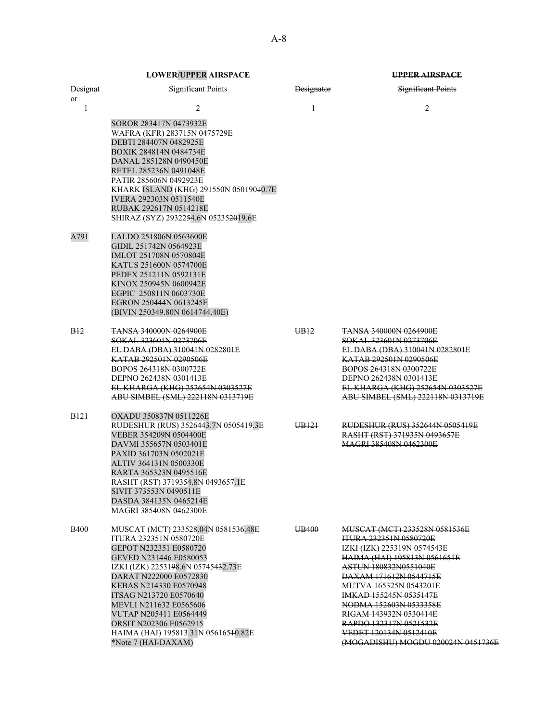| Designat<br><sub>or</sub> | <b>Significant Points</b>                                                                                                                                                                                                                                                                                                                                                                       | <b>Designator</b> | Significant Points                                                                                                                                                                                                                                                                                                                                                                            |
|---------------------------|-------------------------------------------------------------------------------------------------------------------------------------------------------------------------------------------------------------------------------------------------------------------------------------------------------------------------------------------------------------------------------------------------|-------------------|-----------------------------------------------------------------------------------------------------------------------------------------------------------------------------------------------------------------------------------------------------------------------------------------------------------------------------------------------------------------------------------------------|
| 1                         | 2                                                                                                                                                                                                                                                                                                                                                                                               | $\ddagger$        | 2                                                                                                                                                                                                                                                                                                                                                                                             |
|                           | SOROR 283417N 0473932E<br>WAFRA (KFR) 283715N 0475729E<br>DEBTI 284407N 0482925E<br>BOXIK 284814N 0484734E<br>DANAL 285128N 0490450E<br>RETEL 285236N 0491048E<br>PATIR 285606N 0492923E<br>KHARK ISLAND (KHG) 291550N 05019040.7E<br><b>IVERA 292303N 0511540E</b><br>RUBAK 292617N 0514218E<br>SHIRAZ (SYZ) 2932254.6N 052352019.6E                                                           |                   |                                                                                                                                                                                                                                                                                                                                                                                               |
| A791                      | LALDO 251806N 0563600E<br>GIDIL 251742N 0564923E<br>IMLOT 251708N 0570804E<br>KATUS 251600N 0574700E<br>PEDEX 251211N 0592131E<br>KINOX 250945N 0600942E<br>EGPIC 250811N 0603730E<br>EGRON 250444N 0613245E<br>(BIVIN 250349.80N 0614744.40E)                                                                                                                                                  |                   |                                                                                                                                                                                                                                                                                                                                                                                               |
| <b>B</b> <sub>12</sub>    | <del>TANSA 340000N 0264900E</del><br>SOKAL 323601N 0273706E<br>EL DABA (DBA) 310041N 0282801E<br>KATAB 292501N 0290506E<br>BOPOS 264318N 0300722E<br><b>DEPNO 262438N 0301413E</b><br>EL KHARGA (KHG) 252654N 0303527E<br>ABU SIMBEL (SML) 222118N 0313719E                                                                                                                                     | UB <sub>12</sub>  | <b>TANSA 340000N 0264900E</b><br>SOKAL 323601N 0273706E<br>EL DABA (DBA) 310041N 0282801E<br>KATAB 292501N 0290506E<br>BOPOS 264318N 0300722E<br><b>DEPNO 262438N 0301413E</b><br>EL KHARGA (KHG) 252654N 0303527E<br>ABU SIMBEL (SML) 222118N 0313719E                                                                                                                                       |
| <b>B121</b>               | OXADU 350837N 0511226E<br>RUDESHUR (RUS) 3526443.7N 0505419.3E<br>VEBER 354209N 0504400E<br>DAVMI 355657N 0503401E<br>PAXID 361703N 0502021E<br>ALTIV 364131N 0500330E<br>RARTA 365323N 0495516E<br>RASHT (RST) 3719354.8N 0493657.1E<br>SIVIT 373553N 0490511E<br>DASDA 384135N 0465214E<br>MAGRI 385408N 0462300E                                                                             | UB <sub>121</sub> | <b>RUDESHUR (RUS) 352644N 0505419E</b><br>RASHT (RST) 371935N 0493657E<br>MAGRI 385408N 0462300E                                                                                                                                                                                                                                                                                              |
| <b>B400</b>               | MUSCAT (MCT) 233528.04N 0581536.48E<br><b>ITURA 232351N 0580720E</b><br>GEPOT N232351 E0580720<br>GEVED N231446 E0580053<br>IZKI (IZK) 2253198.6N 05745432.73E<br>DARAT N222000 E0572830<br>KEBAS N214330 E0570948<br>ITSAG N213720 E0570640<br>MEVLI N211632 E0565606<br><b>VUTAP N205411 E0564449</b><br>ORSIT N202306 E0562915<br>HAIMA (HAI) 195813.31N 05616540.82E<br>*Note 7 (HAI-DAXAM) | UB400             | MUSCAT (MCT) 233528N 0581536E<br><b>ITURA 232351N 0580720E</b><br>IZKI (IZK) 225319N 0574543E<br>HAIMA (HAI) 195813N 0561651E<br><del>ASTUN 180832N0551040E</del><br>DAXAM 171612N 0544715E<br>MUTVA 165325N 0543201E<br>IMKAD 155245N 0535147E<br>NODMA 152603N 0533358E<br>RIGAM 143932N 0530414E<br>RAPDO 132317N 0521532E<br>VEDET 120134N 0512410E<br>(MOGADISHU) MOGDU 020024N 0451736E |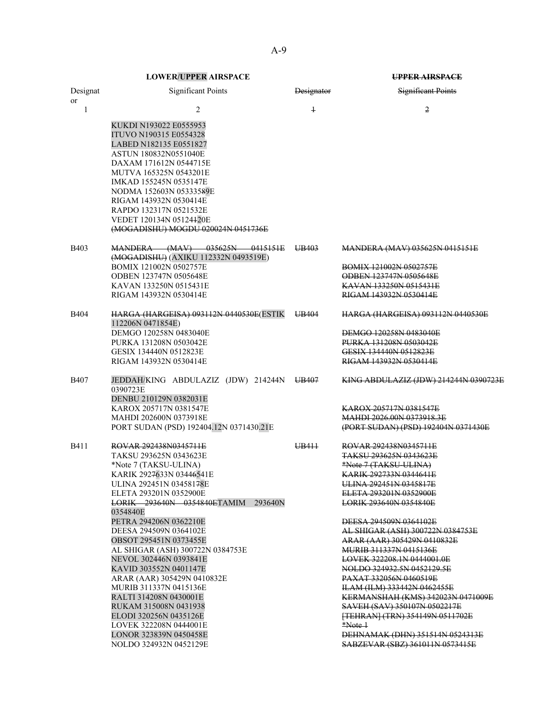| Designat<br>or | <b>Significant Points</b>                                      | <b>Designator</b> | <b>Significant Points</b>                                       |
|----------------|----------------------------------------------------------------|-------------------|-----------------------------------------------------------------|
| 1              | 2                                                              | $\ddagger$        | $\overline{2}$                                                  |
|                | KUKDI N193022 E0555953                                         |                   |                                                                 |
|                | ITUVO N190315 E0554328                                         |                   |                                                                 |
|                | LABED N182135 E0551827<br>ASTUN 180832N0551040E                |                   |                                                                 |
|                | DAXAM 171612N 0544715E                                         |                   |                                                                 |
|                | MUTVA 165325N 0543201E                                         |                   |                                                                 |
|                | IMKAD 155245N 0535147E                                         |                   |                                                                 |
|                | NODMA 152603N 05333589E                                        |                   |                                                                 |
|                | RIGAM 143932N 0530414E<br>RAPDO 132317N 0521532E               |                   |                                                                 |
|                | VEDET 120134N 05124420E                                        |                   |                                                                 |
|                | (MOGADISHU) MOGDU 020024N 0451736E                             |                   |                                                                 |
| <b>B403</b>    | MANDERA (MAV) 035625N 0415151E                                 | UB403             | <b>MANDERA (MAV) 035625N 0415151E</b>                           |
|                | (MOGADISHU) (AXIKU 112332N 0493519E)<br>BOMIX 121002N 0502757E |                   | <b>BOMIX 121002N 0502757E</b>                                   |
|                | ODBEN 123747N 0505648E                                         |                   | ODBEN 123747N 0505648E                                          |
|                | KAVAN 133250N 0515431E                                         |                   | KAVAN 133250N 0515431E                                          |
|                | RIGAM 143932N 0530414E                                         |                   | RIGAM 143932N 0530414E                                          |
| B404           | HARGA (HARGEISA) 093112N 0440530E (ESTIK<br>112206N 0471854E)  | UB404             | <b>HARGA (HARGEISA) 093112N 0440530E</b>                        |
|                | DEMGO 120258N 0483040E                                         |                   | DEMGO 120258N 0483040E                                          |
|                | PURKA 131208N 0503042E                                         |                   | PURKA 131208N 0503042E                                          |
|                | GESIX 134440N 0512823E<br>RIGAM 143932N 0530414E               |                   | GESIX 134440N 0512823E<br>RIGAM 143932N 0530414E                |
|                |                                                                |                   |                                                                 |
| <b>B407</b>    | JEDDAH/KING ABDULAZIZ (JDW) 214244N UB407<br>0390723E          |                   | KING ABDULAZIZ (JDW) 214244N 0390723E                           |
|                | DENBU 210129N 0382031E                                         |                   |                                                                 |
|                | KAROX 205717N 0381547E<br>MAHDI 202600N 0373918E               |                   | KAROX 205717N 0381547E<br>MAHDI 2026,00N 0373918.3E             |
|                | PORT SUDAN (PSD) 192404.12N 0371430.21E                        |                   | (PORT SUDAN) (PSD) 192404N 0371430E                             |
|                |                                                                |                   |                                                                 |
| <b>B411</b>    | ROVAR 292438N0345711E                                          | UB411             | ROVAR 292438N0345711E                                           |
|                | TAKSU 293625N 0343623E<br>*Note 7 (TAKSU-ULINA)                |                   | <del>TAKSU 293625N 0343623E</del><br>*Note 7 (TAKSU-ULINA)      |
|                | KARIK 2927633N 03446541E                                       |                   | KARIK 292733N 0344641E                                          |
|                | ULINA 292451N 03458178E                                        |                   | ULINA 292451N 0345817E                                          |
|                | ELETA 293201N 0352900E                                         |                   | ELETA 293201N 0352900E                                          |
|                | <b>LORIK 293640N 0354840ETAMIM 293640N</b><br>0354840E         |                   | <b>LORIK 293640N 0354840E</b>                                   |
|                | PETRA 294206N 0362210E                                         |                   | DEESA 294509N 0364102E                                          |
|                | DEESA 294509N 0364102E                                         |                   | AL SHIGAR (ASH) 300722N 0384753E                                |
|                | OBSOT 295451N 0373455E                                         |                   | ARAR (AAR) 305429N 0410832E                                     |
|                | AL SHIGAR (ASH) 300722N 0384753E<br>NEVOL 302446N 0393841E     |                   | <b>MURIB 311337N 0415136E</b><br>LOVEK 322208.1N 0444001.0E     |
|                | KAVID 303552N 0401147E                                         |                   | NOLDO 324932.5N 0452129.5E                                      |
|                | ARAR (AAR) 305429N 0410832E                                    |                   | PAXAT 332056N 0460519E                                          |
|                | MURIB 311337N 0415136E                                         |                   | <b>ILAM (ILM) 333442N 0462455E</b>                              |
|                | RALTI 314208N 0430001E                                         |                   | KERMANSHAH (KMS) 342023N 0471009E                               |
|                | RUKAM 315008N 0431938<br>ELODI 320256N 0435126E                |                   | SAVEH (SAV) 350107N 0502217E<br>[TEHRAN] (TRN) 354149N 0511702E |
|                | LOVEK 322208N 0444001E                                         |                   | *Note 1                                                         |
|                | LONOR 323839N 0450458E                                         |                   | DEHNAMAK (DHN) 351514N 0524313E                                 |
|                | NOLDO 324932N 0452129E                                         |                   | <b>SABZEVAR (SBZ) 361011N 0573415E</b>                          |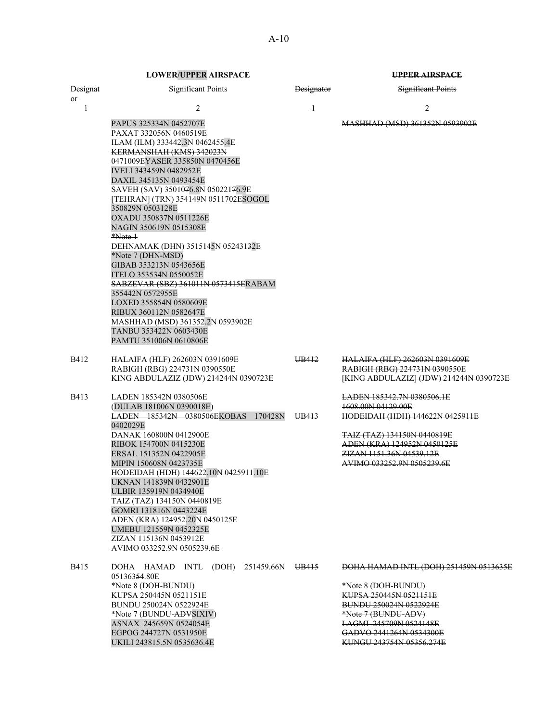|                | <b>LOWER/UPPER AIRSPACE</b>                                                                                                                                                                                                                                                                                                                                                                                                                                                                                                                                                                                                                                                                         |                   | <b>UPPER AIRSPACE</b>                                                                                                                                                                                                            |
|----------------|-----------------------------------------------------------------------------------------------------------------------------------------------------------------------------------------------------------------------------------------------------------------------------------------------------------------------------------------------------------------------------------------------------------------------------------------------------------------------------------------------------------------------------------------------------------------------------------------------------------------------------------------------------------------------------------------------------|-------------------|----------------------------------------------------------------------------------------------------------------------------------------------------------------------------------------------------------------------------------|
| Designat<br>or | <b>Significant Points</b>                                                                                                                                                                                                                                                                                                                                                                                                                                                                                                                                                                                                                                                                           | <b>Designator</b> | <b>Significant Points</b>                                                                                                                                                                                                        |
| 1              | 2                                                                                                                                                                                                                                                                                                                                                                                                                                                                                                                                                                                                                                                                                                   | $\ddagger$        | 2                                                                                                                                                                                                                                |
|                | PAPUS 325334N 0452707E<br>PAXAT 332056N 0460519E<br>ILAM (ILM) 333442.3N 0462455.4E<br>KERMANSHAH (KMS) 342023N<br>0471009EYASER 335850N 0470456E<br><b>IVELI 343459N 0482952E</b><br>DAXIL 345135N 0493454E<br>SAVEH (SAV) 3501076.8N 05022176.9E<br>[TEHRAN] (TRN) 354149N 0511702ESOGOL<br>350829N 0503128E<br>OXADU 350837N 0511226E<br>NAGIN 350619N 0515308E<br>*Note 1<br>DEHNAMAK (DHN) 3515145N 05243132E<br>*Note 7 (DHN-MSD)<br>GIBAB 353213N 0543656E<br>ITELO 353534N 0550052E<br>SABZEVAR (SBZ) 361011N 0573415ERABAM<br>355442N 0572955E<br>LOXED 355854N 0580609E<br>RIBUX 360112N 0582647E<br>MASHHAD (MSD) 361352.2N 0593902E<br>TANBU 353422N 0603430E<br>PAMTU 351006N 0610806E |                   | MASHHAD (MSD) 361352N 0593902E                                                                                                                                                                                                   |
| B412           | HALAIFA (HLF) 262603N 0391609E<br>RABIGH (RBG) 224731N 0390550E<br>KING ABDULAZIZ (JDW) 214244N 0390723E                                                                                                                                                                                                                                                                                                                                                                                                                                                                                                                                                                                            | UB412             | <b>HALAIFA (HLF) 262603N 0391609E</b><br>RABIGH (RBG) 224731N 0390550E<br>[KING ABDULAZIZ] (JDW) 214244N 0390723E                                                                                                                |
| <b>B413</b>    | LADEN 185342N 0380506E<br>(DULAB 181006N 0390018E)<br><b>LADEN 185342N 0380506EKOBAS 170428N</b><br>0402029E<br>DANAK 160800N 0412900E<br>RIBOK 154700N 0415230E<br>ERSAL 151352N 0422905E<br>MIPIN 150608N 0423735E<br>HODEIDAH (HDH) 144622.10N 0425911.10E<br>UKNAN 141839N 0432901E<br>ULBIR 135919N 0434940E<br>TAIZ (TAZ) 134150N 0440819E<br>GOMRI 131816N 0443224E<br>ADEN (KRA) 124952.20N 0450125E<br>UMEBU 121559N 0452325E<br>ZIZAN 115136N 0453912E<br>AVIMO 033252.9N 0505239.6E                                                                                                                                                                                                      | UB413             | <u>LADEN 185342.7N 0380506.1E</u><br>1608.00N 04129.00E<br>HODEIDAH (HDH) 144622N 0425911E<br>TAIZ (TAZ) 134150N 0440819E<br>ADEN (KRA) 124952N 0450125E<br><b>ZIZAN 1151.36N 04539.12E</b><br>AVIMO 033252.9N 0505239.6E        |
| <b>B415</b>    | DOHA HAMAD INTL (DOH) 251459.66N UB415<br>05136354.80E<br>*Note 8 (DOH-BUNDU)<br>KUPSA 250445N 0521151E<br>BUNDU 250024N 0522924E<br>*Note 7 (BUNDU-ADYSIXIV)<br>ASNAX 245659N 0524054E<br>EGPOG 244727N 0531950E<br>UKILI 243815.5N 0535636.4E                                                                                                                                                                                                                                                                                                                                                                                                                                                     |                   | <b>DOHA HAMAD INTL (DOH) 251459N 0513635E</b><br>*Note 8 (DOH-BUNDU)<br>KUPSA 250445N 0521151E<br>BUNDU 250024N 0522924E<br>*Note 7 (BUNDU-ADV)<br>LAGMI 245709N 0524148E<br>GADVO 2441264N 0534300E<br>KUNGU 243754N 05356.274E |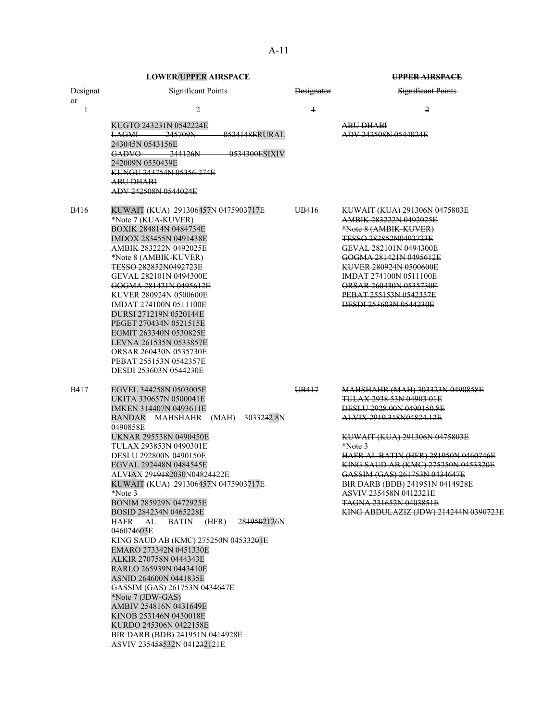**LOWER/UPPER AIRSPACE UPPER AIRSPACE** Designat or Significant Points **Designator** Designator Significant Points 1  $2$   $1$   $2$ KUGTO 243231N 0542224E ABU DHABI LAGMI 245709N 0524148ERURAL 243045N 0543156E ADV 242508N 0544024E GADVO 244126N 0534300ESIXIV 242009N 0550439E KUNGU 243754N 05356.274E ABU DHABI ADV 242508N 0544024E B416 KUWAIT (KUA) 291306457N 0475903717E UB416 KUWAIT (KUA) 291306N 0475803E \*Note 7 (KUA-KUVER)  $\overline{AB}$  AMBIK 283222N 0492025E BOXIK 284814N 0484734E \*Note 8 (AMBIK-KUVER) IMDOX 283455N 0491438E TESSO 282852N0492723E AMBIK 283222N 0492025E GEVAL 282101N 0494300E \*Note 8 (AMBIK-KUVER) GOGMA 281421N 0495612E TESSO 282852N0492723E<br>GEVAL 282101N 0494300E<br>KUVER 274100N 0511100E GEVAL 282101N 0494300E<br>
GOGMA 281421N 0495612E<br>
ORSAR 260430N 0535730E GOGMA 281421N 0495612E<br>
KUVER 280924N 0500600E<br>
PEBAT 255153N 0542357E KUVER 280924N 0500600E IMDAT 274100N 0511100E DESDI 253603N 0544230E DURSI 271219N 0520144E PEGET 270434N 0521515E EGMIT 263340N 0530825E LEVNA 261535N 0533857E ORSAR 260430N 0535730E PEBAT 255153N 0542357E DESDI 253603N 0544230E B417 EGVEL 344258N 0503005E UB417 MAHSHAHR (MAH) 303323N 0490858E UKITA 330657N 0500041E<br>TULAX 2938 53N 04939 01E<br>TUKEN 314407N 0493611E IMKEN 314407N 0493611E BANDAR MAHSHAHR (MAH) 3033232.8N 0490858E<br>UKNAR 295538N 0490450E ALVIX 2919.318N04824.12E KUWAIT (KUA) 291306N 0475803E<br>\*Note 3 TULAX 293853N 0490301E DESLU 292800N 0490150E HAFR AL BATIN (HFR) 281950N 0460746E EGVAL 292448N 0484545E KING SAUD AB (KMC) 275250N 0453320E ALVIAX 29<del>1918</del>2030N04824<del>1</del>22E GASSIM (GAS) 261753N 0434647E KUWAIT (KUA) 291<del>306</del>457N 0475<del>903</del>717E BIR DARB (BDB) 241951N 0414928E \*Note 3 ASVIV 235458N 0412321E BONIM 285929N 0472925E TAGNA 231652N 0403851E BOSID 284234N 0465228E **KING ABDULAZIZ (JDW) 214244N 0390723E** HAFR AL BATIN (HFR) 2819502126N 046074603E KING SAUD AB (KMC) 275250N 04533201E EMARO 273342N 0451330E ALKIR 270758N 0444343E RARLO 265939N 0443410E ASNID 264600N 0441835E GASSIM (GAS) 261753N 0434647E \*Note 7 (JDW-GAS) AMBIV 254816N 0431649E KINOB 253146N 0430018E KURDO 245306N 0422158E BIR DARB (BDB) 241951N 0414928E

ASVIV 235458532N 041232121E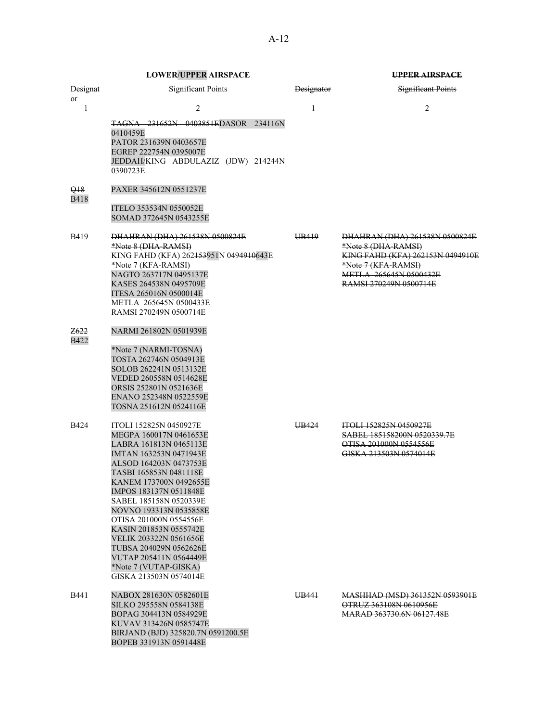|                                | <b>LOWER/UPPER AIRSPACE</b>                                                                                                                                                                                                                                                                                                                                                                                                                           |            | UPPER AIRSPACE                                                                                                                                                              |
|--------------------------------|-------------------------------------------------------------------------------------------------------------------------------------------------------------------------------------------------------------------------------------------------------------------------------------------------------------------------------------------------------------------------------------------------------------------------------------------------------|------------|-----------------------------------------------------------------------------------------------------------------------------------------------------------------------------|
| Designat<br><b>or</b>          | <b>Significant Points</b>                                                                                                                                                                                                                                                                                                                                                                                                                             | Designator | <b>Significant Points</b>                                                                                                                                                   |
| 1                              | 2<br>TAGNA 231652N 0403851EDASOR 234116N<br>0410459E<br>PATOR 231639N 0403657E<br>EGREP 222754N 0395007E<br>JEDDAH/KING ABDULAZIZ (JDW) 214244N<br>0390723E                                                                                                                                                                                                                                                                                           | $\ddagger$ | 2                                                                                                                                                                           |
| <del>Q18</del><br><b>B418</b>  | PAXER 345612N 0551237E<br>ITELO 353534N 0550052E<br>SOMAD 372645N 0543255E                                                                                                                                                                                                                                                                                                                                                                            |            |                                                                                                                                                                             |
| B419                           | DHAHRAN (DHA) 261538N 0500824E<br>*Note 8 (DHA-RAMSI)<br>KING FAHD (KFA) 262 <del>153</del> 951N 0494 <del>910</del> 643E<br>*Note 7 (KFA-RAMSI)<br>NAGTO 263717N 0495137E<br>KASES 264538N 0495709E<br>ITESA 265016N 0500014E<br>METLA 265645N 0500433E<br>RAMSI 270249N 0500714E                                                                                                                                                                    | UB419      | DHAHRAN (DHA) 261538N 0500824E<br>*Note 8 (DHA-RAMSI)<br>KING FAHD (KFA) 262153N 0494910E<br>*Note 7 (KFA-RAMSI)<br><b>METLA 265645N 0500432E</b><br>RAMSI 270249N 0500714E |
| <del>Z622</del><br><b>B422</b> | NARMI 261802N 0501939E<br>*Note 7 (NARMI-TOSNA)<br>TOSTA 262746N 0504913E<br>SOLOB 262241N 0513132E<br>VEDED 260558N 0514628E<br>ORSIS 252801N 0521636E<br>ENANO 252348N 0522559E<br>TOSNA 251612N 0524116E                                                                                                                                                                                                                                           |            |                                                                                                                                                                             |
| <b>B424</b>                    | ITOLI 152825N 0450927E<br>MEGPA 160017N 0461653E<br>LABRA 161813N 0465113E<br>IMTAN 163253N 0471943E<br>ALSOD 164203N 0473753E<br>TASBI 165853N 0481118E<br>KANEM 173700N 0492655E<br>IMPOS 183137N 0511848E<br>SABEL 185158N 0520339E<br>NOVNO 193313N 0535858E<br>OTISA 201000N 0554556E<br>KASIN 201853N 0555742E<br>VELIK 203322N 0561656E<br>TUBSA 204029N 0562626E<br>VUTAP 205411N 0564449E<br>*Note 7 (VUTAP-GISKA)<br>GISKA 213503N 0574014E | UB424      | <b>ITOLI 152825N 0450927E</b><br>SABEL 185158200N 0520339.7E<br>OTISA 201000N 0554556E<br>GISKA 213503N 0574014E                                                            |
| <b>B441</b>                    | NABOX 281630N 0582601E<br>SILKO 295558N 0584138E<br>BOPAG 304413N 0584929E<br>KUVAV 313426N 0585747E<br>BIRJAND (BJD) 325820.7N 0591200.5E<br>BOPEB 331913N 0591448E                                                                                                                                                                                                                                                                                  | UB441      | MASHHAD (MSD) 361352N 0593901E<br>OTRUZ 363108N 0610956E<br><b>MARAD 363730.6N 06127.48E</b>                                                                                |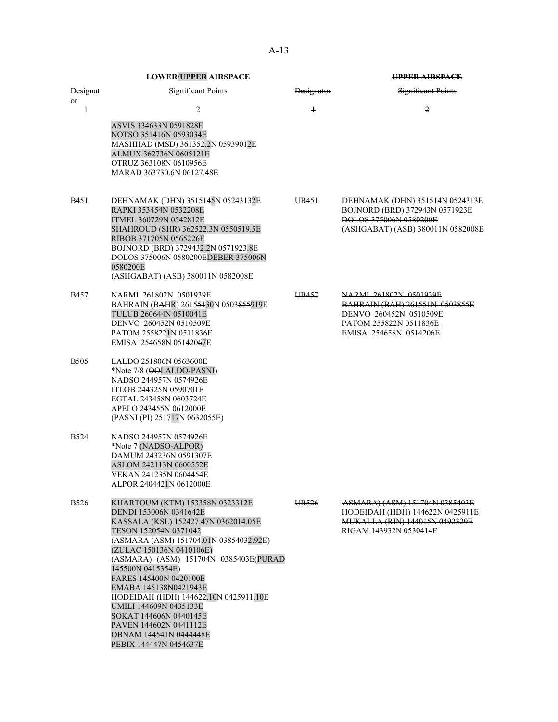|                | <b>LOWER/UPPER AIRSPACE</b>                                                                                                                                                                                                                                                                                                                                                                                                                                        |                   | <b>UPPER AIRSPACE</b>                                                                                                                         |
|----------------|--------------------------------------------------------------------------------------------------------------------------------------------------------------------------------------------------------------------------------------------------------------------------------------------------------------------------------------------------------------------------------------------------------------------------------------------------------------------|-------------------|-----------------------------------------------------------------------------------------------------------------------------------------------|
| Designat       | <b>Significant Points</b>                                                                                                                                                                                                                                                                                                                                                                                                                                          | Designator        | <b>Significant Points</b>                                                                                                                     |
| <b>or</b><br>1 | $\overline{2}$<br>ASVIS 334633N 0591828E<br>NOTSO 351416N 0593034E<br>MASHHAD (MSD) 361352.2N 05939042E<br>ALMUX 362736N 0605121E<br>OTRUZ 363108N 0610956E<br>MARAD 363730.6N 06127.48E                                                                                                                                                                                                                                                                           | $\overline{1}$    | 2                                                                                                                                             |
| B451           | DEHNAMAK (DHN) 3515145N 05243132E<br>RAPKI 353454N 0532208E<br>ITMEL 360729N 0542812E<br>SHAHROUD (SHR) 362522.3N 0550519.5E<br>RIBOB 371705N 0565226E<br>BOJNORD (BRD) 3729432.2N 0571923.8E<br><b>DOLOS 375006N 0580200EDEBER 375006N</b><br>0580200E<br>(ASHGABAT) (ASB) 380011N 0582008E                                                                                                                                                                       | UB451             | DEHNAMAK (DHN) 351514N 0524313E<br>BOJNORD (BRD) 372943N 0571923E<br>DOLOS 375006N 0580200E<br>(ASHGABAT) (ASB) 380011N 0582008E              |
| B457           | NARMI 261802N 0501939E<br>BAHRAIN (BAHR) 26155430N 0503855919E<br>TULUB 260644N 0510041E<br>DENVO 260452N 0510509E<br>PATOM 2558221N 0511836E<br>EMISA 254658N 05142067E                                                                                                                                                                                                                                                                                           | UB457             | NARMI 261802N 0501939E<br>BAHRAIN (BAH) 261551N 0503855E<br>DENVO 260452N 0510509E<br>PATOM 255822N 0511836E<br><b>EMISA 254658N 0514206E</b> |
| <b>B505</b>    | LALDO 251806N 0563600E<br>*Note 7/8 (OOLALDO-PASNI)<br>NADSO 244957N 0574926E<br>ITLOB 244325N 0590701E<br>EGTAL 243458N 0603724E<br>APELO 243455N 0612000E<br>(PASNI (PI) 251717N 0632055E)                                                                                                                                                                                                                                                                       |                   |                                                                                                                                               |
| <b>B524</b>    | NADSO 244957N 0574926E<br>*Note 7 (NADSO-ALPOR)<br>DAMUM 243236N 0591307E<br>ASLOM 242113N 0600552E<br>VEKAN 241235N 0604454E<br>ALPOR 2404421N 0612000E                                                                                                                                                                                                                                                                                                           |                   |                                                                                                                                               |
| <b>B526</b>    | KHARTOUM (KTM) 153358N 0323312E<br>DENDI 153006N 0341642E<br>KASSALA (KSL) 152427.47N 0362014.05E<br>TESON 152054N 0371042<br>(ASMARA (ASM) 151704.01N 03854032.92E)<br>(ZULAC 150136N 0410106E)<br>(ASMARA) (ASM) 151704N 0385403E(PURAD<br>145500N 0415354E)<br>FARES 145400N 0420100E<br>EMABA 145138N0421943E<br>HODEIDAH (HDH) 144622.10N 0425911.10E<br>UMILI 144609N 0435133E<br>SOKAT 144606N 0440145E<br>PAVEN 144602N 0441112E<br>OBNAM 144541N 0444448E | UB <sub>526</sub> | <del>ASMARA) (ASM) 151704N 0385403E</del><br>HODEIDAH (HDH) 144622N 0425911E<br>MUKALLA (RIN) 144015N 0492329E<br>RIGAM 143932N 0530414E      |

PEBIX 144447N 0454637E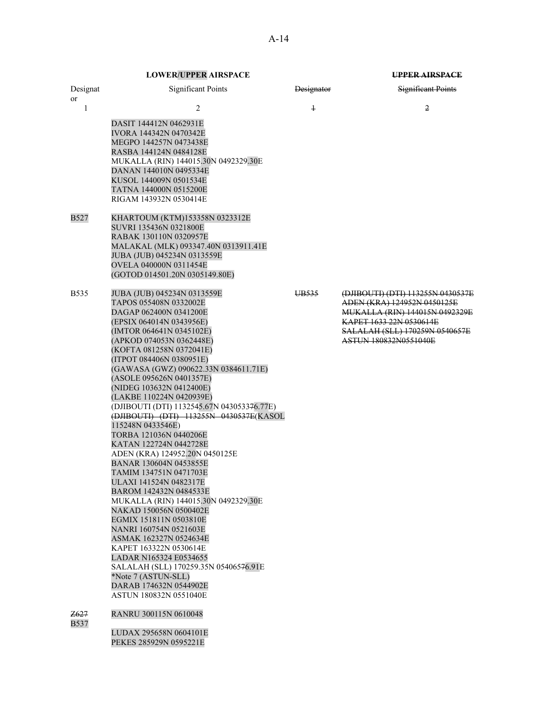|                     | <b>LOWER/UPPER AIRSPACE</b>                                                                                                                                                                                                                                                                                                                                                                                                                                                                                                                                                                                                                                                                                                                                                                                                                                                                                                                                                                  |                   | <b>UPPER AIRSPACE</b>                                                                                                                                                                           |
|---------------------|----------------------------------------------------------------------------------------------------------------------------------------------------------------------------------------------------------------------------------------------------------------------------------------------------------------------------------------------------------------------------------------------------------------------------------------------------------------------------------------------------------------------------------------------------------------------------------------------------------------------------------------------------------------------------------------------------------------------------------------------------------------------------------------------------------------------------------------------------------------------------------------------------------------------------------------------------------------------------------------------|-------------------|-------------------------------------------------------------------------------------------------------------------------------------------------------------------------------------------------|
| Designat<br>or      | <b>Significant Points</b>                                                                                                                                                                                                                                                                                                                                                                                                                                                                                                                                                                                                                                                                                                                                                                                                                                                                                                                                                                    | Designator        | Significant Points                                                                                                                                                                              |
| 1                   | 2<br>DASIT 144412N 0462931E<br>IVORA 144342N 0470342E<br>MEGPO 144257N 0473438E<br>RASBA 144124N 0484128E<br>MUKALLA (RIN) 144015.30N 0492329.30E<br>DANAN 144010N 0495334E<br>KUSOL 144009N 0501534E<br>TATNA 144000N 0515200E<br>RIGAM 143932N 0530414E                                                                                                                                                                                                                                                                                                                                                                                                                                                                                                                                                                                                                                                                                                                                    | $\ddagger$        | $\overline{2}$                                                                                                                                                                                  |
| B527                | KHARTOUM (KTM)153358N 0323312E<br>SUVRI 135436N 0321800E<br>RABAK 130110N 0320957E<br>MALAKAL (MLK) 093347.40N 0313911.41E<br>JUBA (JUB) 045234N 0313559E<br>OVELA 040000N 0311454E<br>(GOTOD 014501.20N 0305149.80E)                                                                                                                                                                                                                                                                                                                                                                                                                                                                                                                                                                                                                                                                                                                                                                        |                   |                                                                                                                                                                                                 |
| <b>B535</b>         | JUBA (JUB) 045234N 0313559E<br>TAPOS 055408N 0332002E<br>DAGAP 062400N 0341200E<br>(EPSIX 064014N 0343956E)<br>(IMTOR 064641N 0345102E)<br>(APKOD 074053N 0362448E)<br>(KOFTA 081258N 0372041E)<br>(ITPOT 084406N 0380951E)<br>(GAWASA (GWZ) 090622.33N 0384611.71E)<br>(ASOLE 095626N 0401357E)<br>(NIDEG 103632N 0412400E)<br>(LAKBE 110224N 0420939E)<br>(DJIBOUTI (DTI) 1132545.67N 043053376.77E)<br>(DJIBOUTI) (DTI) 113255N 0430537E(KASOL<br>115248N 0433546E)<br>TORBA 121036N 0440206E<br>KATAN 122724N 0442728E<br>ADEN (KRA) 124952.20N 0450125E<br>BANAR 130604N 0453855E<br>TAMIM 134751N 0471703E<br>ULAXI 141524N 0482317E<br>BAROM 142432N 0484533E<br>MUKALLA (RIN) 144015.30N 0492329.30E<br>NAKAD 150056N 0500402E<br>EGMIX 151811N 0503810E<br>NANRI 160754N 0521603E<br>ASMAK 162327N 0524634E<br>KAPET 163322N 0530614E<br>LADAR N165324 E0534655<br>SALALAH (SLL) 170259.35N 05406576.91E<br>*Note 7 (ASTUN-SLL)<br>DARAB 174632N 0544902E<br>ASTUN 180832N 0551040E | UB <sub>535</sub> | (DJIBOUTI) (DTI) 113255N 0430537E<br>ADEN (KRA) 124952N 0450125E<br><b>MUKALLA (RIN) 144015N 0492329E</b><br>KAPET 1633 22N 0530614E<br>SALALAH (SLL) 170259N 0540657E<br>ASTUN 180832N0551040E |
| Z627<br><b>B537</b> | RANRU 300115N 0610048<br>LUDAX 295658N 0604101E<br>PEKES 285929N 0595221E                                                                                                                                                                                                                                                                                                                                                                                                                                                                                                                                                                                                                                                                                                                                                                                                                                                                                                                    |                   |                                                                                                                                                                                                 |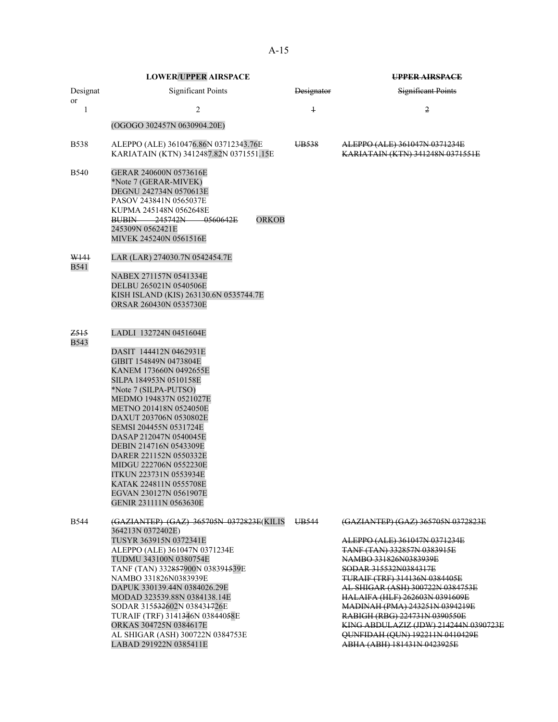|                                 | <b>LOWER/UPPER AIRSPACE</b>                                                                                                                                                                                                                                                                                                                                                                                                                                                                   |                   | <b>UPPER AIRSPACE</b>                                                                                                                                                                                                                                                                                                                                                                                                                            |
|---------------------------------|-----------------------------------------------------------------------------------------------------------------------------------------------------------------------------------------------------------------------------------------------------------------------------------------------------------------------------------------------------------------------------------------------------------------------------------------------------------------------------------------------|-------------------|--------------------------------------------------------------------------------------------------------------------------------------------------------------------------------------------------------------------------------------------------------------------------------------------------------------------------------------------------------------------------------------------------------------------------------------------------|
| Designat                        | <b>Significant Points</b>                                                                                                                                                                                                                                                                                                                                                                                                                                                                     | <b>Designator</b> | <b>Significant Points</b>                                                                                                                                                                                                                                                                                                                                                                                                                        |
| or<br>1                         | $\overline{2}$                                                                                                                                                                                                                                                                                                                                                                                                                                                                                | $\overline{1}$    | $\overline{2}$                                                                                                                                                                                                                                                                                                                                                                                                                                   |
|                                 | (OGOGO 302457N 0630904.20E)                                                                                                                                                                                                                                                                                                                                                                                                                                                                   |                   |                                                                                                                                                                                                                                                                                                                                                                                                                                                  |
| <b>B538</b>                     | ALEPPO (ALE) 3610476.86N 03712343.76E<br>KARIATAIN (KTN) 3412487.82N 0371551.15E                                                                                                                                                                                                                                                                                                                                                                                                              | UB <sub>538</sub> | ALEPPO (ALE) 361047N 0371234E<br>KARIATAIN (KTN) 341248N 0371551E                                                                                                                                                                                                                                                                                                                                                                                |
| B540                            | GERAR 240600N 0573616E<br>*Note 7 (GERAR-MIVEK)<br>DEGNU 242734N 0570613E<br>PASOV 243841N 0565037E<br>KUPMA 245148N 0562648E<br><b>ORKOB</b><br>BUBIN 245742N<br>-0560642E<br>245309N 0562421E<br>MIVEK 245240N 0561516E                                                                                                                                                                                                                                                                     |                   |                                                                                                                                                                                                                                                                                                                                                                                                                                                  |
| W141<br><b>B541</b>             | LAR (LAR) 274030.7N 0542454.7E<br>NABEX 271157N 0541334E<br>DELBU 265021N 0540506E<br>KISH ISLAND (KIS) 263130.6N 0535744.7E<br>ORSAR 260430N 0535730E                                                                                                                                                                                                                                                                                                                                        |                   |                                                                                                                                                                                                                                                                                                                                                                                                                                                  |
| Z <sub>515</sub><br><b>B543</b> | LADLI 132724N 0451604E<br>DASIT 144412N 0462931E<br>GIBIT 154849N 0473804E<br>KANEM 173660N 0492655E<br>SILPA 184953N 0510158E<br>*Note 7 (SILPA-PUTSO)<br>MEDMO 194837N 0521027E<br>METNO 201418N 0524050E<br>DAXUT 203706N 0530802E<br>SEMSI 204455N 0531724E<br>DASAP 212047N 0540045E<br><b>DEBIN 214716N 0543309E</b><br>DARER 221152N 0550332E<br>MIDGU 222706N 0552230E<br><b>ITKUN 223731N 0553934E</b><br>KATAK 224811N 0555708E<br>EGVAN 230127N 0561907E<br>GENIR 231111N 0563630E |                   |                                                                                                                                                                                                                                                                                                                                                                                                                                                  |
| B544                            | (GAZIANTEP) (GAZ) 365705N 0372823E(KILIS<br>364213N 0372402E)<br>TUSYR 363915N 0372341E<br>ALEPPO (ALE) 361047N 0371234E<br>TUDMU 343100N 0380754E<br>TANF (TAN) 332857900N 038391539E<br>NAMBO 331826N0383939E<br>DAPUK 330139.44N 0384026.29E<br>MODAD 323539.88N 0384138.14E<br>SODAR 315532602N 038431726E<br>TURAIF (TRF) 3141346N 03844058E<br>ORKAS 304725N 0384617E<br>AL SHIGAR (ASH) 300722N 0384753E<br>LABAD 291922N 0385411E                                                     | UB544             | (GAZIANTEP) (GAZ) 365705N 0372823E<br>ALEPPO (ALE) 361047N 0371234E<br>TANF (TAN) 332857N 0383915E<br>NAMBO 331826N0383939E<br>SODAR 315532N0384317E<br>TURAIF (TRF) 314136N 0384405E<br>AL SHIGAR (ASH) 300722N 0384753E<br><b>HALAIFA (HLF) 262603N 0391609E</b><br>MADINAH (PMA) 243251N 0394219E<br>RABIGH (RBG) 224731N 0390550E<br>KING ABDULAZIZ (JDW) 214244N 0390723E<br>QUNFIDAH (QUN) 192211N 0410429E<br>ABHA (ABH) 181431N 0423925E |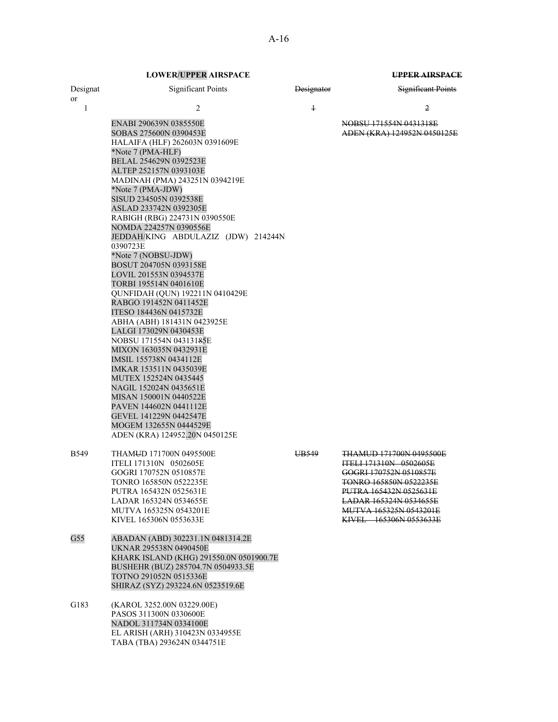| Designat<br><sub>or</sub> | <b>Significant Points</b>                                                                                                                                                                                                                                                                                                                                                                                                                                                                                                                                                                                                                                                                                                                                                                                                                                                                                                                       | <b>Designator</b> | <b>Significant Points</b>                                                                                                                                                                                                                 |
|---------------------------|-------------------------------------------------------------------------------------------------------------------------------------------------------------------------------------------------------------------------------------------------------------------------------------------------------------------------------------------------------------------------------------------------------------------------------------------------------------------------------------------------------------------------------------------------------------------------------------------------------------------------------------------------------------------------------------------------------------------------------------------------------------------------------------------------------------------------------------------------------------------------------------------------------------------------------------------------|-------------------|-------------------------------------------------------------------------------------------------------------------------------------------------------------------------------------------------------------------------------------------|
| $\mathbf{1}$              | 2                                                                                                                                                                                                                                                                                                                                                                                                                                                                                                                                                                                                                                                                                                                                                                                                                                                                                                                                               | $\ddagger$        | 2                                                                                                                                                                                                                                         |
|                           | ENABI 290639N 0385550E<br>SOBAS 275600N 0390453E<br>HALAIFA (HLF) 262603N 0391609E<br>*Note 7 (PMA-HLF)<br>BELAL 254629N 0392523E<br>ALTEP 252157N 0393103E<br>MADINAH (PMA) 243251N 0394219E<br>*Note 7 (PMA-JDW)<br>SISUD 234505N 0392538E<br>ASLAD 233742N 0392305E<br>RABIGH (RBG) 224731N 0390550E<br>NOMDA 224257N 0390556E<br>JEDDAH/KING ABDULAZIZ (JDW) 214244N<br>0390723E<br>*Note 7 (NOBSU-JDW)<br>BOSUT 204705N 0393158E<br>LOVIL 201553N 0394537E<br>TORBI 195514N 0401610E<br>QUNFIDAH (QUN) 192211N 0410429E<br>RABGO 191452N 0411452E<br>ITESO 184436N 0415732E<br>ABHA (ABH) 181431N 0423925E<br>LALGI 173029N 0430453E<br>NOBSU 171554N 04313185E<br>MIXON 163035N 0432931E<br>IMSIL 155738N 0434112E<br>IMKAR 153511N 0435039E<br>MUTEX 152524N 0435445<br>NAGIL 152024N 0435651E<br>MISAN 150001N 0440522E<br>PAVEN 144602N 0441112E<br>GEVEL 141229N 0442547E<br>MOGEM 132655N 0444529E<br>ADEN (KRA) 124952.20N 0450125E |                   | NOBSU 171554N 0431318E<br>ADEN (KRA) 124952N 0450125E                                                                                                                                                                                     |
| <b>B549</b>               | THAMUD 171700N 0495500E<br>ITELI 171310N 0502605E<br>GOGRI 170752N 0510857E<br>TONRO 165850N 0522235E<br>PUTRA 165432N 0525631E<br>LADAR 165324N 0534655E<br>MUTVA 165325N 0543201E<br>KIVEL 165306N 0553633E                                                                                                                                                                                                                                                                                                                                                                                                                                                                                                                                                                                                                                                                                                                                   | UB549             | <b>THAMUD 171700N 0495500E</b><br><b>ITELI 171310N 0502605E</b><br>GOGRI 170752N 0510857E<br>TONRO 165850N 0522235E<br>PUTRA 165432N 0525631E<br><b>LADAR 165324N 0534655E</b><br><b>MUTVA 165325N 0543201E</b><br>KIVEL 165306N 0553633E |
| G55                       | ABADAN (ABD) 302231.1N 0481314.2E<br>UKNAR 295538N 0490450E<br>KHARK ISLAND (KHG) 291550.0N 0501900.7E<br>BUSHEHR (BUZ) 285704.7N 0504933.5E<br>TOTNO 291052N 0515336E<br>SHIRAZ (SYZ) 293224.6N 0523519.6E                                                                                                                                                                                                                                                                                                                                                                                                                                                                                                                                                                                                                                                                                                                                     |                   |                                                                                                                                                                                                                                           |
| G183                      | (KAROL 3252.00N 03229.00E)<br>PASOS 311300N 0330600E<br>NADOL 311734N 0334100E<br>EL ARISH (ARH) 310423N 0334955E<br>TABA (TBA) 293624N 0344751E                                                                                                                                                                                                                                                                                                                                                                                                                                                                                                                                                                                                                                                                                                                                                                                                |                   |                                                                                                                                                                                                                                           |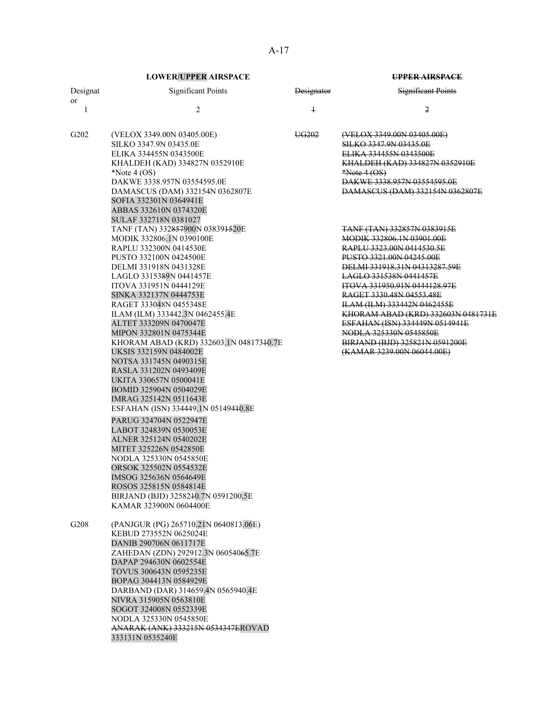| Designat<br>or | <b>Significant Points</b>                                                                                                                                                                                                                                                                                                                                                                                                                                                                                                                                                                                                                                                                                                                                                                                                                                                 | <b>Designator</b> | <b>Significant Points</b>                                                                                                                                                                                                                                                                                                                                                                                                                                          |
|----------------|---------------------------------------------------------------------------------------------------------------------------------------------------------------------------------------------------------------------------------------------------------------------------------------------------------------------------------------------------------------------------------------------------------------------------------------------------------------------------------------------------------------------------------------------------------------------------------------------------------------------------------------------------------------------------------------------------------------------------------------------------------------------------------------------------------------------------------------------------------------------------|-------------------|--------------------------------------------------------------------------------------------------------------------------------------------------------------------------------------------------------------------------------------------------------------------------------------------------------------------------------------------------------------------------------------------------------------------------------------------------------------------|
| 1              | 2                                                                                                                                                                                                                                                                                                                                                                                                                                                                                                                                                                                                                                                                                                                                                                                                                                                                         | $\ddagger$        | 2                                                                                                                                                                                                                                                                                                                                                                                                                                                                  |
| G202           | (VELOX 3349.00N 03405.00E)<br>SILKO 3347.9N 03435.0E<br>ELIKA 334455N 0343500E<br>KHALDEH (KAD) 334827N 0352910E<br>*Note $4$ (OS)<br>DAKWE 3338.957N 03554595.0E<br>DAMASCUS (DAM) 332154N 0362807E<br>SOFIA 332301N 0364941E<br>ABBAS 332610N 0374320E<br>SULAF 332718N 0381027                                                                                                                                                                                                                                                                                                                                                                                                                                                                                                                                                                                         | UG <sub>202</sub> | (VELOX 3349.00N 03405.00E)<br><b>SILKO 3347.9N 03435.0E</b><br>ELIKA 334455N 0343500E<br>KHALDEH (KAD) 334827N 0352910E<br>$*Note 4 (OS)$<br>DAKWE 3338.957N 03554595.0E<br>DAMASCUS (DAM) 332154N 0362807E                                                                                                                                                                                                                                                        |
|                | TANF (TAN) 332857900N 038391520E<br>MODIK 332806.1N 0390100E<br>RAPLU 332300N 0414530E<br>PUSTO 332100N 0424500E<br>DELMI 331918N 0431328E<br>LAGLO 3315389N 0441457E<br>ITOVA 331951N 0444129E<br>SINKA 332137N 0444753E<br>RAGET 333048N 0455348E<br>ILAM (ILM) 333442.3N 0462455.4E<br>ALTET 333209N 0470047E<br>MIPON 332801N 0475344E<br>KHORAM ABAD (KRD) 332603.1N 04817340.7E<br>UKSIS 332159N 0484002E<br>NOTSA 331745N 0490315E<br>RASLA 331202N 0493409E<br>UKITA 330657N 0500041E<br>BOMID 325904N 0504029E<br>IMRAG 325142N 0511643E<br>ESFAHAN (ISN) 334449.1N 05149440.8E<br>PARUG 324704N 0522947E<br>LABOT 324839N 0530053E<br>ALNER 325124N 0540202E<br>MITET 325226N 0542850E<br>NODLA 325330N 0545850E<br>ORSOK 325502N 0554532E<br>IMSOG 325636N 0564649E<br>ROSOS 325815N 0584814E<br>BIRJAND (BJD) 3258240.7N 0591200.5E<br>KAMAR 323900N 0604400E |                   | <b>TANE (TAN) 332857N 0383915E</b><br><b>MODIK 332806.1N 03901.00E</b><br>RAPLU 3323.00N 0414530.5E<br>PUSTO 3321.00N 04245.00E<br>DELMI 331918.31N 04313287.59E<br>LAGLO 331538N 0441457E<br>ITOVA 331950.91N 0444128.97E<br>RAGET 3330.48N 04553.48E<br>ILAM (ILM) 333442N 0462455E<br><del>KHORAM ABAD (KRD) 332603N 0481731E</del><br>ESFAHAN (ISN) 334449N 0514941E<br>NODLA 325330N 0545850E<br>BIRJAND (BJD) 325821N 0591200E<br>(KAMAR 3239.00N 06044.00E) |
| G208           | (PANJGUR (PG) 265710.21N 0640813.06E)<br>KEBUD 273552N 0625024E<br>DANIB 290706N 0611717E<br>ZAHEDAN (ZDN) 292912.3N 06054065.7E<br>DAPAP 294630N 0602554E<br>TOVUS 300643N 0595235E<br>BOPAG 304413N 0584929E<br>DARBAND (DAR) 314659.4N 0565940.4E<br>NIVRA 315905N 0563810E<br>SOGOT 324008N 0552339E<br>NODLA 325330N 0545850E<br>ANARAK (ANK) 333215N 0534347EROVAD<br>333131N 0535240E                                                                                                                                                                                                                                                                                                                                                                                                                                                                              |                   |                                                                                                                                                                                                                                                                                                                                                                                                                                                                    |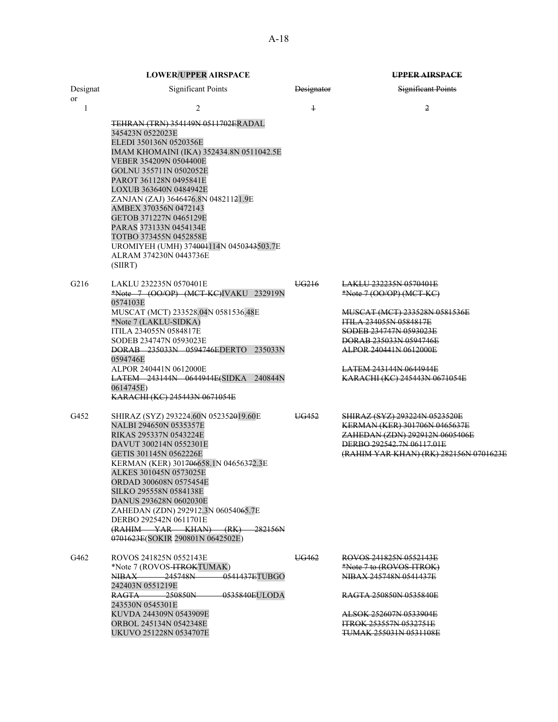|                  | <b>LOWER/UPPER AIRSPACE</b>                                                                                                                                                                                                                                                                                                                                                                                                                                                                 |                   | UPPER AIRSPACE                                                                                                                                                                                                                                                         |
|------------------|---------------------------------------------------------------------------------------------------------------------------------------------------------------------------------------------------------------------------------------------------------------------------------------------------------------------------------------------------------------------------------------------------------------------------------------------------------------------------------------------|-------------------|------------------------------------------------------------------------------------------------------------------------------------------------------------------------------------------------------------------------------------------------------------------------|
| Designat<br>or   | <b>Significant Points</b>                                                                                                                                                                                                                                                                                                                                                                                                                                                                   | Designator        | <b>Significant Points</b>                                                                                                                                                                                                                                              |
| 1                | $\overline{c}$<br><b>TEHRAN (TRN) 354149N 0511702ERADAL</b><br>345423N 0522023E<br>ELEDI 350136N 0520356E<br>IMAM KHOMAINI (IKA) 352434.8N 0511042.5E<br>VEBER 354209N 0504400E<br>GOLNU 355711N 0502052E<br>PAROT 361128N 0495841E<br>LOXUB 363640N 0484942E<br>ZANJAN (ZAJ) 3646476.8N 04821121.9E<br>AMBEX 370356N 0472143<br>GETOB 371227N 0465129E<br>PARAS 373133N 0454134E<br>TOTBO 373455N 0452858E<br>UROMIYEH (UMH) 374004114N 0450343503.7E<br>ALRAM 374230N 0443736E<br>(SIIRT) | $\overline{1}$    | 2                                                                                                                                                                                                                                                                      |
| G <sub>216</sub> | LAKLU 232235N 0570401E<br>*Note 7 (OO/OP) (MCT-KC)IVAKU 232919N<br>0574103E<br>MUSCAT (MCT) 233528.04N 0581536.48E<br>*Note 7 (LAKLU-SIDKA)<br><b>ITILA 234055N 0584817E</b><br>SODEB 234747N 0593023E<br>DORAB 235033N 0594746EDERTO 235033N<br>0594746E<br>ALPOR 240441N 0612000E<br>LATEM 243144N 0644944E(SIDKA 240844N<br>0614745E)<br>KARACHI (KC) 245443N 0671054E                                                                                                                   | UG <sub>216</sub> | <u>LAKLU 232235N 0570401E</u><br>$*Note 7 (OO/OP) (MCT-KC)$<br>MUSCAT (MCT) 233528N 0581536E<br><u>ITILA 234055N 0584817E</u><br>SODEB 234747N 0593023E<br>DORAB 235033N 0594746E<br>ALPOR 240441N 0612000E<br>LATEM 243144N 0644944E<br>KARACHI (KC) 245443N 0671054E |
| G452             | SHIRAZ (SYZ) 293224.60N 052352019.60E<br>NALBI 294650N 0535357E<br>RIKAS 295337N 0543224E<br>DAVUT 300214N 0552301E<br>GETIS 301145N 0562226E<br>KERMAN (KER) 301706658.1N 04656372.3E<br>ALKES 301045N 0573025E<br>ORDAD 300608N 0575454E<br>SILKO 295558N 0584138E<br>DANUS 293628N 0602030E<br>ZAHEDAN (ZDN) 292912.3N 06054065.7E<br>DERBO 292542N 0611701E<br>(RAHIM YAR KHAN) (RK)<br>-282156N<br>0701623E(SOKIR 290801N 0642502E)                                                    | UG452             | SHIRAZ (SYZ) 293224N 0523520E<br>KERMAN (KER) 301706N 0465637E<br>ZAHEDAN (ZDN) 292912N 0605406E<br>DERBO 292542.7N 06117.01E<br>(RAHIM YAR KHAN) (RK) 282156N 0701623E                                                                                                |
| G462             | ROVOS 241825N 0552143E<br>*Note 7 (ROVOS- <del>ITROK</del> TUMAK)<br>NIBAX 245748N 0541437ETUBGO<br>242403N 0551219E<br>$RAGTA$ 250850N<br>0535840EULODA<br>243530N 0545301E<br>KUVDA 244309N 0543909E<br>ORBOL 245134N 0542348E<br>UKUVO 251228N 0534707E                                                                                                                                                                                                                                  | UG462             | ROVOS 241825N 0552143E<br>*Note 7 to (ROVOS-ITROK)<br>NIBAX 245748N 0541437E<br>RAGTA 250850N 0535840E<br>ALSOK 252607N 0533904E<br><b>ITROK 253557N 0532751E</b><br><b>TUMAK 255031N 0531108E</b>                                                                     |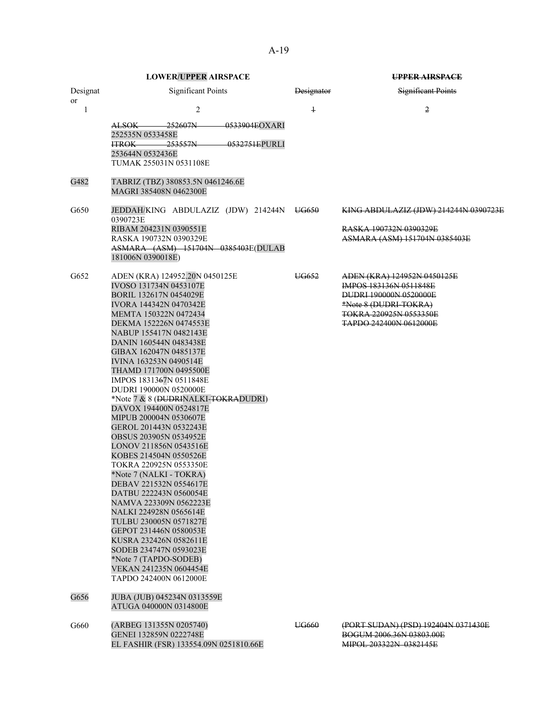|          | <b>LOWER/UPPER AIRSPACE</b>                                                                                                                                                                                                                                                                                                                                                                                                                                                                                                                                                                                                                                                                                                                                                                                                                                                                                        |            | <b>UPPER AIRSPACE</b>                                                                                                                                                      |
|----------|--------------------------------------------------------------------------------------------------------------------------------------------------------------------------------------------------------------------------------------------------------------------------------------------------------------------------------------------------------------------------------------------------------------------------------------------------------------------------------------------------------------------------------------------------------------------------------------------------------------------------------------------------------------------------------------------------------------------------------------------------------------------------------------------------------------------------------------------------------------------------------------------------------------------|------------|----------------------------------------------------------------------------------------------------------------------------------------------------------------------------|
| Designat | <b>Significant Points</b>                                                                                                                                                                                                                                                                                                                                                                                                                                                                                                                                                                                                                                                                                                                                                                                                                                                                                          | Designator | <b>Significant Points</b>                                                                                                                                                  |
| or<br>1  | $\overline{2}$                                                                                                                                                                                                                                                                                                                                                                                                                                                                                                                                                                                                                                                                                                                                                                                                                                                                                                     | $\ddagger$ | $\overline{2}$                                                                                                                                                             |
|          | 0533904EOXARI<br>252607N<br>ALSOK—<br>252535N 0533458E<br><del>253557N</del><br>0532751EPURLI<br><b>ITROK</b><br>253644N 0532436E<br>TUMAK 255031N 0531108E                                                                                                                                                                                                                                                                                                                                                                                                                                                                                                                                                                                                                                                                                                                                                        |            |                                                                                                                                                                            |
| G482     | TABRIZ (TBZ) 380853.5N 0461246.6E<br>MAGRI 385408N 0462300E                                                                                                                                                                                                                                                                                                                                                                                                                                                                                                                                                                                                                                                                                                                                                                                                                                                        |            |                                                                                                                                                                            |
| G650     | JEDDAH/KING ABDULAZIZ (JDW) 214244N UG650<br>0390723E                                                                                                                                                                                                                                                                                                                                                                                                                                                                                                                                                                                                                                                                                                                                                                                                                                                              |            | KING ABDULAZIZ (JDW) 214244N 0390723E                                                                                                                                      |
|          | RIBAM 204231N 0390551E<br>RASKA 190732N 0390329E<br>ASMARA (ASM) 151704N 0385403E(DULAB<br>181006N 0390018E)                                                                                                                                                                                                                                                                                                                                                                                                                                                                                                                                                                                                                                                                                                                                                                                                       |            | RASKA 190732N 0390329E<br>ASMARA (ASM) 151704N 0385403E                                                                                                                    |
| G652     | ADEN (KRA) 124952.20N 0450125E<br>IVOSO 131734N 0453107E<br>BORIL 132617N 0454029E<br>IVORA 144342N 0470342E<br>MEMTA 150322N 0472434<br>DEKMA 152226N 0474553E<br>NABUP 155417N 0482143E<br>DANIN 160544N 0483438E<br>GIBAX 162047N 0485137E<br>IVINA 163253N 0490514E<br>THAMD 171700N 0495500E<br>IMPOS 1831367N 0511848E<br>DUDRI 190000N 0520000E<br>*Note 7 & 8 (DUDRINALKI-TOKRADUDRI)<br>DAVOX 194400N 0524817E<br>MIPUB 200004N 0530607E<br>GEROL 201443N 0532243E<br><b>OBSUS 203905N 0534952E</b><br>LONOV 211856N 0543516E<br>KOBES 214504N 0550526E<br>TOKRA 220925N 0553350E<br>*Note 7 (NALKI - TOKRA)<br>DEBAV 221532N 0554617E<br>DATBU 222243N 0560054E<br>NAMVA 223309N 0562223E<br>NALKI 224928N 0565614E<br>TULBU 230005N 0571827E<br>GEPOT 231446N 0580053E<br>KUSRA 232426N 0582611E<br>SODEB 234747N 0593023E<br>*Note 7 (TAPDO-SODEB)<br>VEKAN 241235N 0604454E<br>TAPDO 242400N 0612000E | UG652      | ADEN (KRA) 124952N 0450125E<br><b>IMPOS 183136N 0511848E</b><br>DUDRI 190000N 0520000E<br>*Note 8 (DUDRI-TOKRA)<br>TOKRA 220925N 0553350E<br><b>TAPDO 242400N 0612000E</b> |
| G656     | JUBA (JUB) 045234N 0313559E<br>ATUGA 040000N 0314800E                                                                                                                                                                                                                                                                                                                                                                                                                                                                                                                                                                                                                                                                                                                                                                                                                                                              |            |                                                                                                                                                                            |
| G660     | (ARBEG 131355N 0205740)<br>GENEI 132859N 0222748E<br>EL FASHIR (FSR) 133554.09N 0251810.66E                                                                                                                                                                                                                                                                                                                                                                                                                                                                                                                                                                                                                                                                                                                                                                                                                        | UG660      | (PORT SUDAN) (PSD) 192404N 0371430E<br>BOGUM 2006.36N 03803.00E<br>MIPOL 203322N 0382145E                                                                                  |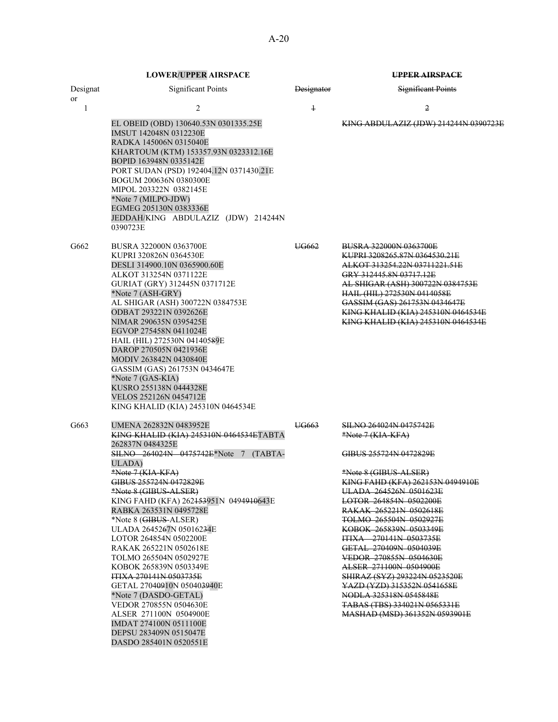|          | <b>LOWER/UPPER AIRSPACE</b>                                                                                                                                                                                                                                                                                                                                                                                                                                                                                                                                                                                                                                                                           |            | UPPER AIRSPACE                                                                                                                                                                                                                                                                                                                                                                                                                                                                                                                                                      |
|----------|-------------------------------------------------------------------------------------------------------------------------------------------------------------------------------------------------------------------------------------------------------------------------------------------------------------------------------------------------------------------------------------------------------------------------------------------------------------------------------------------------------------------------------------------------------------------------------------------------------------------------------------------------------------------------------------------------------|------------|---------------------------------------------------------------------------------------------------------------------------------------------------------------------------------------------------------------------------------------------------------------------------------------------------------------------------------------------------------------------------------------------------------------------------------------------------------------------------------------------------------------------------------------------------------------------|
| Designat | <b>Significant Points</b>                                                                                                                                                                                                                                                                                                                                                                                                                                                                                                                                                                                                                                                                             | Designator | Significant Points                                                                                                                                                                                                                                                                                                                                                                                                                                                                                                                                                  |
| or<br>1  | $\overline{2}$                                                                                                                                                                                                                                                                                                                                                                                                                                                                                                                                                                                                                                                                                        | $\ddagger$ | $\overline{2}$                                                                                                                                                                                                                                                                                                                                                                                                                                                                                                                                                      |
|          | EL OBEID (OBD) 130640.53N 0301335.25E<br>IMSUT 142048N 0312230E<br>RADKA 145006N 0315040E<br>KHARTOUM (KTM) 153357.93N 0323312.16E<br>BOPID 163948N 0335142E<br>PORT SUDAN (PSD) 192404.12N 0371430.21E<br>BOGUM 200636N 0380300E<br>MIPOL 203322N 0382145E<br>*Note 7 (MILPO-JDW)<br>EGMEG 205130N 0383336E<br>JEDDAH/KING ABDULAZIZ (JDW) 214244N<br>0390723E                                                                                                                                                                                                                                                                                                                                       |            | KING ABDULAZIZ (JDW) 214244N 0390723E                                                                                                                                                                                                                                                                                                                                                                                                                                                                                                                               |
| G662     | <b>BUSRA 322000N 0363700E</b><br>KUPRI 320826N 0364530E<br>DESLI 314900.10N 0365900.60E<br>ALKOT 313254N 0371122E<br>GURIAT (GRY) 312445N 0371712E<br>*Note 7 (ASH-GRY)<br>AL SHIGAR (ASH) 300722N 0384753E<br>ODBAT 293221N 0392626E<br>NIMAR 290635N 0395425E<br>EGVOP 275458N 0411024E<br>HAIL (HIL) 272530N 04140589E<br>DAROP 270505N 0421936E<br>MODIV 263842N 0430840E<br>GASSIM (GAS) 261753N 0434647E<br>*Note 7 (GAS-KIA)<br>KUSRO 255138N 0444328E<br>VELOS 252126N 0454712E<br>KING KHALID (KIA) 245310N 0464534E                                                                                                                                                                         | UG662      | <b>BUSRA 322000N 0363700E</b><br>KUPRI 3208265.87N 0364530.21E<br>ALKOT 313254.22N 03711221.51E<br>GRY 312445.8N 03717.12E<br>AL SHIGAR (ASH) 300722N 0384753E<br>HAIL (HIL) 272530N 0414058E<br>GASSIM (GAS) 261753N 0434647E<br>KING KHALID (KIA) 245310N 0464534E<br>KING KHALID (KIA) 245310N 0464534E                                                                                                                                                                                                                                                          |
| G663     | UMENA 262832N 0483952E<br>KING KHALID (KIA) 245310N 0464534ETABTA<br>262837N 0484325E<br>SILNO 264024N 0475742E*Note 7 (TABTA-<br>ULADA)<br>*Note 7 (KIA-KFA)<br>GIBUS 255724N 0472829E<br>*Note 8 (GIBUS-ALSER)<br>KING FAHD (KFA) 262 <del>153</del> 951N 0494 <del>9106</del> 43E<br>RABKA 263531N 0495728E<br>*Note 8 (GIBUS-ALSER)<br>ULADA 2645267N 05016234E<br>LOTOR 264854N 0502200E<br>RAKAK 265221N 0502618E<br>TOLMO 265504N 0502927E<br>KOBOK 265839N 0503349E<br><b>ITIXA 270141N 0503735E</b><br>GETAL 27040910N 050403940E<br>*Note 7 (DASDO-GETAL)<br>VEDOR 270855N 0504630E<br>ALSER 271100N 0504900E<br>IMDAT 274100N 0511100E<br>DEPSU 283409N 0515047E<br>DASDO 285401N 0520551E | UG663      | <u>SILNO 264024N 0475742E</u><br>*Note 7 (KIA-KFA)<br>GIBUS 255724N 0472829E<br>*Note 8 (GIBUS-ALSER)<br>KING FAHD (KFA) 262153N 0494910E<br>ULADA 264526N 0501623E<br><b>LOTOR 264854N 0502200E</b><br><b>RAKAK 265221N 0502618E</b><br>TOLMO 265504N 0502927E<br>KOBOK 265839N 0503349E<br><b>ITIXA</b> 270141N 0503735E<br>GETAL 270409N 0504039E<br>VEDOR 270855N 0504630E<br>ALSER 271100N 0504900E<br>SHIRAZ (SYZ) 293224N 0523520E<br>YAZD (YZD) 315352N 0541658E<br>NODLA 325318N 0545848E<br>TABAS (TBS) 334021N 0565331E<br>MASHAD (MSD) 361352N 0593901E |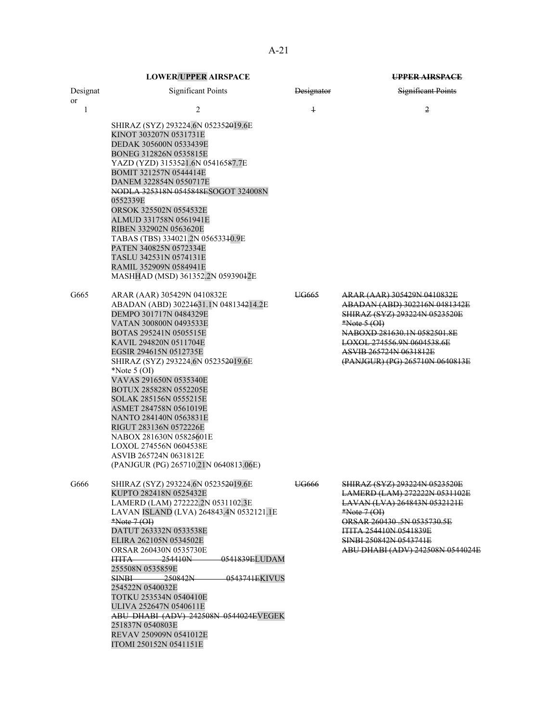| Designat<br>or | <b>Significant Points</b>                                                                                                                                                                                                                                                                                                                                                                                                                                                                                                                                  | <b>Designator</b> | Significant Points                                                                                                                                                                                                                             |
|----------------|------------------------------------------------------------------------------------------------------------------------------------------------------------------------------------------------------------------------------------------------------------------------------------------------------------------------------------------------------------------------------------------------------------------------------------------------------------------------------------------------------------------------------------------------------------|-------------------|------------------------------------------------------------------------------------------------------------------------------------------------------------------------------------------------------------------------------------------------|
| 1              | 2                                                                                                                                                                                                                                                                                                                                                                                                                                                                                                                                                          | $\overline{1}$    | 2                                                                                                                                                                                                                                              |
|                | SHIRAZ (SYZ) 293224.6N 052352019.6E<br>KINOT 303207N 0531731E<br>DEDAK 305600N 0533439E<br>BONEG 312826N 0535815E<br>YAZD (YZD) 3153521.6N 05416587.7E<br>BOMIT 321257N 0544414E<br>DANEM 322854N 0550717E<br>NODLA 325318N 0545848ESOGOT 324008N<br>0552339E<br>ORSOK 325502N 0554532E<br>ALMUD 331758N 0561941E<br>RIBEN 332902N 0563620E<br>TABAS (TBS) 334021.2N 05653340.9E<br>PATEN 340825N 0572334E<br>TASLU 342531N 0574131E<br>RAMIL 352909N 0584941E<br>MASHHAD (MSD) 361352.2N 05939042E                                                        |                   |                                                                                                                                                                                                                                                |
| G665           | ARAR (AAR) 305429N 0410832E<br>ABADAN (ABD) 30224631.1N 048134214.2E<br>DEMPO 301717N 0484329E<br>VATAN 300800N 0493533E<br>BOTAS 295241N 0505515E<br>KAVIL 294820N 0511704E<br>EGSIR 294615N 0512735E<br>SHIRAZ (SYZ) 293224.6N 052352019.6E<br>*Note $5(OI)$<br>VAVAS 291650N 0535340E<br>BOTUX 285828N 0552205E<br>SOLAK 285156N 0555215E<br>ASMET 284758N 0561019E<br>NANTO 284140N 0563831E<br>RIGUT 283136N 0572226E<br>NABOX 281630N 05825601E<br>LOXOL 274556N 0604538E<br>ASVIB 265724N 0631812E<br>(PANJGUR (PG) 265710.21N 0640813.06E)         | UG665             | ARAR (AAR) 305429N 0410832E<br>ABADAN (ABD) 302216N 0481342E<br>SHIRAZ (SYZ) 293224N 0523520E<br>$*Note 5 (OH)$<br>NABOXD 281630.1N 0582501.8E<br>LOXOL 274556.9N 0604538.6E<br>ASVIB 265724N 0631812E<br>(PANJGUR) (PG) 265710N 0640813E      |
| G666           | SHIRAZ (SYZ) 293224.6N 052352019.6E<br>KUPTO 282418N 0525432E<br>LAMERD (LAM) 272222.2N 0531102.3E<br>LAVAN ISLAND (LVA) 264843.4N 0532121.1E<br>$*Note 7 (OH)$<br>DATUT 263332N 0533538E<br>ELIRA 262105N 0534502E<br>ORSAR 260430N 0535730E<br>0541839ELUDAM<br><b>ITITA 254410N</b><br>255508N 0535859E<br>$-250842N$<br><del>-0543741E</del> KIVUS<br>SINBI —<br>254522N 0540032E<br>TOTKU 253534N 0540410E<br>ULIVA 252647N 0540611E<br>ABU DHABI (ADV) 242508N 0544024EVEGEK<br>251837N 0540803E<br>REVAV 250909N 0541012E<br>ITOMI 250152N 0541151E | UG666             | SHIRAZ (SYZ) 293224N 0523520E<br>LAMERD (LAM) 272222N 0531102E<br>LAVAN (LVA) 264843N 0532121E<br>$*Note 7 (OI)$<br>ORSAR 260430 .5N 0535730.5E<br>ITITA 254410N 0541839E<br><b>SINBI 250842N 0543741E</b><br>ABU DHABI (ADV) 242508N 0544024E |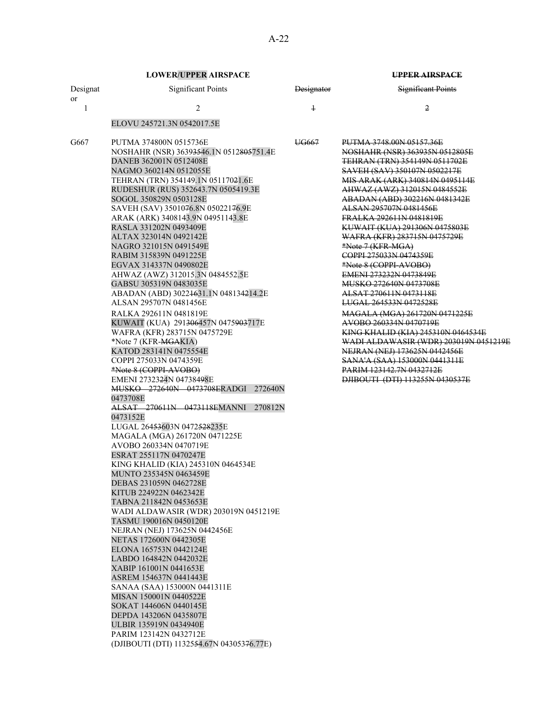| Designat              | <b>Significant Points</b>                                                                                                                                                                                                                                                                                                                                                                                                                                                                                                                                                                                                                                                                                                                                                                                                                                      | Designator | <b>Significant Points</b>                                                                                                                                                                                                                                                                                                                                                                                                                                                                                                                                                                                                                                                                                                          |
|-----------------------|----------------------------------------------------------------------------------------------------------------------------------------------------------------------------------------------------------------------------------------------------------------------------------------------------------------------------------------------------------------------------------------------------------------------------------------------------------------------------------------------------------------------------------------------------------------------------------------------------------------------------------------------------------------------------------------------------------------------------------------------------------------------------------------------------------------------------------------------------------------|------------|------------------------------------------------------------------------------------------------------------------------------------------------------------------------------------------------------------------------------------------------------------------------------------------------------------------------------------------------------------------------------------------------------------------------------------------------------------------------------------------------------------------------------------------------------------------------------------------------------------------------------------------------------------------------------------------------------------------------------------|
| 1                     | 2                                                                                                                                                                                                                                                                                                                                                                                                                                                                                                                                                                                                                                                                                                                                                                                                                                                              | $\ddagger$ | 2                                                                                                                                                                                                                                                                                                                                                                                                                                                                                                                                                                                                                                                                                                                                  |
|                       |                                                                                                                                                                                                                                                                                                                                                                                                                                                                                                                                                                                                                                                                                                                                                                                                                                                                |            |                                                                                                                                                                                                                                                                                                                                                                                                                                                                                                                                                                                                                                                                                                                                    |
| <sub>or</sub><br>G667 | ELOVU 245721.3N 0542017.5E<br>PUTMA 374800N 0515736E<br>NOSHAHR (NSR) 36393546.1N 0512805751.4E<br>DANEB 362001N 0512408E<br>NAGMO 360214N 0512055E<br>TEHRAN (TRN) 354149.1N 05117021.6E<br>RUDESHUR (RUS) 352643.7N 0505419.3E<br>SOGOL 350829N 0503128E<br>SAVEH (SAV) 3501076.8N 05022176.9E<br>ARAK (ARK) 3408143.9N 04951143.8E<br>RASLA 331202N 0493409E<br>ALTAX 323014N 0492142E<br>NAGRO 321015N 0491549E<br>RABIM 315839N 0491225E<br>EGVAX 314337N 0490802E<br>AHWAZ (AWZ) 312015.3N 0484552.5E<br>GABSU 305319N 0483035E<br>ABADAN (ABD) 30224631.1N 048134214.2E<br>ALSAN 295707N 0481456E<br>RALKA 292611N 0481819E<br>KUWAIT (KUA) 291 <del>306</del> 457N 0475 <del>903</del> 717E<br>WAFRA (KFR) 283715N 0475729E<br>*Note 7 (KFR- <del>MGA</del> KIA)<br>KATOD 283141N 0475554E                                                             | UG667      | PUTMA 3748.00N 05157.36E<br>NOSHAHR (NSR) 363935N 0512805E<br>TEHRAN (TRN) 354149N 0511702E<br>SAVEH (SAV) 350107N 0502217E<br>MIS ARAK (ARK) 340814N 0495114E<br>AHWAZ (AWZ) 312015N 0484552E<br>ABADAN (ABD) 302216N 0481342E<br>ALSAN 295707N 0481456E<br>FRALKA 292611N 0481819E<br>KUWAIT (KUA) 291306N 0475803E<br>WAFRA (KFR) 283715N 0475729E<br>*Note 7 (KFR-MGA)<br>COPPI 275033N 0474359E<br>*Note 8 (COPPI-AVOBO)<br>EMENI 273232N 0473849E<br><del>MUSKO 272640N 0473708E</del><br>ALSAT 270611N 0473118E<br>LUGAL 264533N 0472528E<br>MAGALA (MGA) 261720N 0471225E<br>AVOBO 260334N 0470719E<br><b>KING KHALID (KIA) 245310N 0464534E</b><br>WADI ALDAWASIR (WDR) 203019N 0451219E<br>NEJRAN (NEJ) 173625N 0442456E |
|                       | COPPI 275033N 0474359E<br>*Note 8 (COPPI-AVOBO)<br>EMENI 2732324N 04738498E<br>MUSKO 272640N 0473708ERADGI 272640N<br>0473708E<br>ALSAT 270611N 0473118EMANNI<br>270812N<br>0473152E<br>LUGAL 264 <del>53</del> 603N 0472 <del>528</del> 235E<br>MAGALA (MGA) 261720N 0471225E<br>AVOBO 260334N 0470719E<br>ESRAT 255117N 0470247E<br>KING KHALID (KIA) 245310N 0464534E<br>MUNTO 235345N 0463459E<br>DEBAS 231059N 0462728E<br>KITUB 224922N 0462342E<br>TABNA 211842N 0453653E<br>WADI ALDAWASIR (WDR) 203019N 0451219E<br>TASMU 190016N 0450120E<br>NEJRAN (NEJ) 173625N 0442456E<br>NETAS 172600N 0442305E<br>ELONA 165753N 0442124E<br>LABDO 164842N 0442032E<br>XABIP 161001N 0441653E<br>ASREM 154637N 0441443E<br>SANAA (SAA) 153000N 0441311E<br>MISAN 150001N 0440522E<br>SOKAT 144606N 0440145E<br>DEPDA 143206N 0435807E<br>ULBIR 135919N 0434940E |            | SANA'A (SAA) 153000N 0441311E<br><b>PARIM 123142.7N 0432712E</b><br>DJIBOUTI (DTI) 113255N 0430537E                                                                                                                                                                                                                                                                                                                                                                                                                                                                                                                                                                                                                                |
|                       | PARIM 123142N 0432712E<br>(DJIBOUTI (DTI) 1132554.67N 04305376.77E)                                                                                                                                                                                                                                                                                                                                                                                                                                                                                                                                                                                                                                                                                                                                                                                            |            |                                                                                                                                                                                                                                                                                                                                                                                                                                                                                                                                                                                                                                                                                                                                    |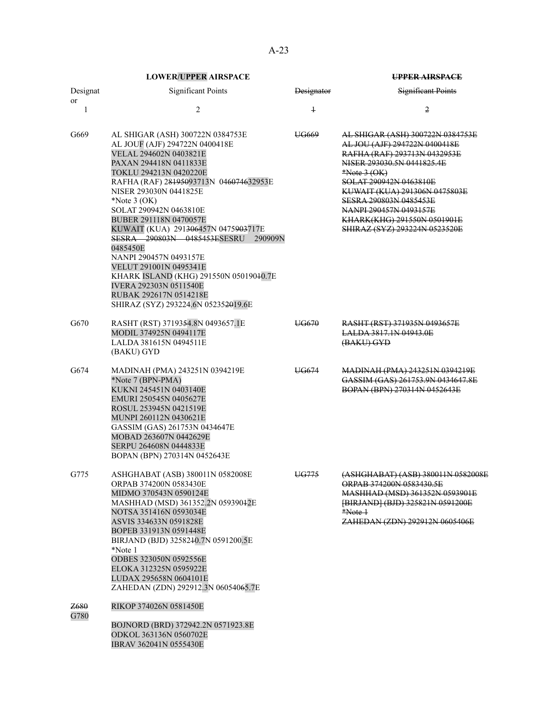| Designat<br>or | <b>Significant Points</b>                                                                                                                                                                                                                                                                                                                                                                                                                                                                                                                                                                                                | Designator     | <b>Significant Points</b>                                                                                                                                                                                                                                                                                                               |
|----------------|--------------------------------------------------------------------------------------------------------------------------------------------------------------------------------------------------------------------------------------------------------------------------------------------------------------------------------------------------------------------------------------------------------------------------------------------------------------------------------------------------------------------------------------------------------------------------------------------------------------------------|----------------|-----------------------------------------------------------------------------------------------------------------------------------------------------------------------------------------------------------------------------------------------------------------------------------------------------------------------------------------|
| 1              | $\mathbf{2}$                                                                                                                                                                                                                                                                                                                                                                                                                                                                                                                                                                                                             | $\overline{1}$ | 2                                                                                                                                                                                                                                                                                                                                       |
| G669           | AL SHIGAR (ASH) 300722N 0384753E<br>AL JOUF (AJF) 294722N 0400418E<br>VELAL 294602N 0403821E<br>PAXAN 294418N 0411833E<br>TOKLU 294213N 0420220E<br>RAFHA (RAF) 28195093713N 046074632953E<br>NISER 293030N 0441825E<br>*Note $3$ (OK)<br>SOLAT 290942N 0463810E<br>BUBER 291118N 0470057E<br>KUWAIT (KUA) 291 <del>3064</del> 57N 0475 <del>903</del> 717E<br><b>SESRA 290803N 0485453ESESRU</b><br>290909N<br>0485450E<br>NANPI 290457N 0493157E<br>VELUT 291001N 0495341E<br>KHARK ISLAND (KHG) 291550N 05019040.7E<br><b>IVERA 292303N 0511540E</b><br>RUBAK 292617N 0514218E<br>SHIRAZ (SYZ) 293224.6N 052352019.6E | UG669          | <u>AL SHIGAR (ASH) 300722N 0384753E</u><br>AL JOU (AJF) 294722N 0400418E<br>RAFHA (RAF) 293713N 0432953E<br>NISER 293030.5N 0441825.4E<br>$*Note 3 (OK)$<br>SOLAT 290942N 0463810E<br>KUWAIT (KUA) 291306N 0475803E<br>SESRA 290803N 0485453E<br>NANPI 290457N 0493157E<br>KHARK(KHG) 291550N 0501901E<br>SHIRAZ (SYZ) 293224N 0523520E |
| G670           | RASHT (RST) 3719354.8N 0493657.1E<br>MODIL 374925N 0494117E<br>LALDA 381615N 0494511E<br>(BAKU) GYD                                                                                                                                                                                                                                                                                                                                                                                                                                                                                                                      | UG670          | RASHT (RST) 371935N 0493657E<br>LALDA 3817.1N 04943.0E<br>(BAKU) GYD                                                                                                                                                                                                                                                                    |
| G674           | MADINAH (PMA) 243251N 0394219E<br>*Note 7 (BPN-PMA)<br>KUKNI 245451N 0403140E<br>EMURI 250545N 0405627E<br>ROSUL 253945N 0421519E<br>MUNPI 260112N 0430621E<br>GASSIM (GAS) 261753N 0434647E<br>MOBAD 263607N 0442629E<br>SERPU 264608N 0444833E<br>BOPAN (BPN) 270314N 0452643E                                                                                                                                                                                                                                                                                                                                         | UG674          | MADINAH (PMA) 243251N 0394219E<br>GASSIM (GAS) 261753.9N 0434647.8E<br>BOPAN (BPN) 270314N 0452643E                                                                                                                                                                                                                                     |
| G775           | ASHGHABAT (ASB) 380011N 0582008E<br>ORPAB 374200N 0583430E<br>MIDMO 370543N 0590124E<br>MASHHAD (MSD) 361352.2N 05939042E<br>NOTSA 351416N 0593034E<br>ASVIS 334633N 0591828E<br>BOPEB 331913N 0591448E<br>BIRJAND (BJD) 3258240.7N 0591200.5E<br>*Note 1<br><b>ODBES 323050N 0592556E</b><br>ELOKA 312325N 0595922E<br>LUDAX 295658N 0604101E<br>ZAHEDAN (ZDN) 292912.3N 06054065.7E                                                                                                                                                                                                                                    | UG775          | (ASHGHABAT) (ASB) 380011N 0582008E<br>ORPAB 374200N 0583430.5E<br>MASHHAD (MSD) 361352N 0593901E<br>[BIRJAND] (BJD) 325821N 0591200E<br>$*Note1$<br>ZAHEDAN (ZDN) 292912N 0605406E                                                                                                                                                      |
| Z680<br>G780   | RIKOP 374026N 0581450E<br>BOJNORD (BRD) 372942.2N 0571923.8E<br>ODKOL 363136N 0560702E<br>IBRAV 362041N 0555430E                                                                                                                                                                                                                                                                                                                                                                                                                                                                                                         |                |                                                                                                                                                                                                                                                                                                                                         |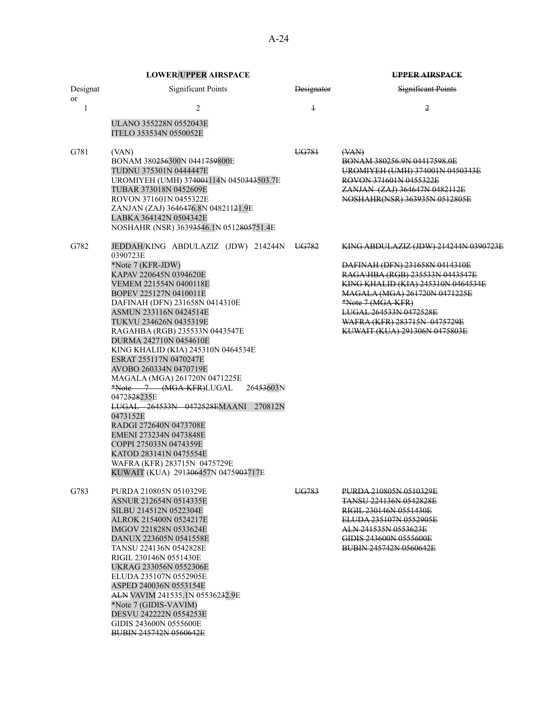|                | <b>LOWER/UPPER AIRSPACE</b>                                                                                                                                                                                                                                                                                                                                                                                                                                                                                                                                                                                                                                                                                                                          |                   | <b>UPPER AIRSPACE</b>                                                                                                                                                                                                                                                                             |
|----------------|------------------------------------------------------------------------------------------------------------------------------------------------------------------------------------------------------------------------------------------------------------------------------------------------------------------------------------------------------------------------------------------------------------------------------------------------------------------------------------------------------------------------------------------------------------------------------------------------------------------------------------------------------------------------------------------------------------------------------------------------------|-------------------|---------------------------------------------------------------------------------------------------------------------------------------------------------------------------------------------------------------------------------------------------------------------------------------------------|
| Designat<br>or | <b>Significant Points</b>                                                                                                                                                                                                                                                                                                                                                                                                                                                                                                                                                                                                                                                                                                                            | <b>Designator</b> | <b>Significant Points</b>                                                                                                                                                                                                                                                                         |
| 1              | 2                                                                                                                                                                                                                                                                                                                                                                                                                                                                                                                                                                                                                                                                                                                                                    | $\ddagger$        | 2                                                                                                                                                                                                                                                                                                 |
|                | ULANO 355228N 0552043E<br>ITELO 353534N 0550052E                                                                                                                                                                                                                                                                                                                                                                                                                                                                                                                                                                                                                                                                                                     |                   |                                                                                                                                                                                                                                                                                                   |
| G781           | (VAN)<br>BONAM 380256300N 0441759800E<br>TUDNU 375301N 0444447E<br>UROMIYEH (UMH) 374004114N 0450343503.7E<br>TUBAR 373018N 0452609E<br>ROVON 371601N 0455322E<br>ZANJAN (ZAJ) 3646476.8N 04821121.9E<br>LABKA 364142N 0504342E<br>NOSHAHR (NSR) 36393546.1N 0512805751.4E                                                                                                                                                                                                                                                                                                                                                                                                                                                                           | UG781             | $($ VAN $)$<br>BONAM 380256.9N 04417598.0E<br>UROMIYEH (UMH) 374001N 0450343E<br>ROVON 371601N 0455322E<br>ZANJAN (ZAJ) 364647N 0482112E<br>NOSHAHR(NSR) 363935N 0512805E                                                                                                                         |
| G782           | JEDDAH/KING ABDULAZIZ (JDW) 214244N<br>0390723E<br>*Note 7 (KFR-JDW)<br>KAPAV 220645N 0394620E<br>VEMEM 221554N 0400118E<br>BOPEV 225127N 0410011E<br>DAFINAH (DFN) 231658N 0414310E<br>ASMUN 233116N 0424514E<br>TUKVU 234626N 0435319E<br>RAGAHBA (RGB) 235533N 0443547E<br>DURMA 242710N 0454610E<br>KING KHALID (KIA) 245310N 0464534E<br>ESRAT 255117N 0470247E<br>AVOBO 260334N 0470719E<br>MAGALA (MGA) 261720N 0471225E<br>*Note 7 (MGA-KFR)LUGAL<br>26453603N<br>0472528235E<br>LUGAL 264533N 0472528EMAANI<br>270812N<br>0473152E<br>RADGI 272640N 0473708E<br>EMENI 273234N 0473848E<br>COPPI 275033N 0474359E<br>KATOD 283141N 0475554E<br>WAFRA (KFR) 283715N 0475729E<br>KUWAIT (KUA) 291 <del>306</del> 457N 0475 <del>903</del> 717E | UG782             | KING ABDULAZIZ (JDW) 214244N 0390723E<br>DAFINAH (DFN) 231658N 0414310E<br>RAGA\HBA (RGB) 235533N 0443547E<br>KING KHALID (KIA) 245310N 0464534E<br>MAGALA (MGA) 261720N 0471225E<br>*Note 7 (MGA-KFR)<br>LUGAL 264533N 0472528E<br>WAFRA (KFR) 283715N 0475729E<br>KUWAIT (KUA) 291306N 0475803E |
| G783           | PURDA 210805N 0510329E<br>ASNUR 212654N 0514335E<br>SILBU 214512N 0522304E<br>ALROK 215400N 0524217E<br>IMGOV 221828N 0533624E<br>DANUX 223605N 0541558E<br><b>TANSU 224136N 0542828E</b><br>RIGIL 230146N 0551430E<br>UKRAG 233056N 0552306E<br>ELUDA 235107N 0552905E<br>ASPED 240036N 0553154E<br>ALN VAVIM 241535.1N 05536232.9E<br>*Note 7 (GIDIS-VAVIM)<br>DESVU 242222N 0554253E<br>GIDIS 243600N 0555600E<br><b>BUBIN 245742N 0560642E</b>                                                                                                                                                                                                                                                                                                   | UG783             | PURDA 210805N 0510329E<br><b>TANSU 224136N 0542828E</b><br>RIGIL 230146N 0551430E<br>ELUDA 235107N 0552905E<br>ALN 241535N 0553623E<br>GIDIS 243600N 0555600E<br><b>BUBIN 245742N 0560642E</b>                                                                                                    |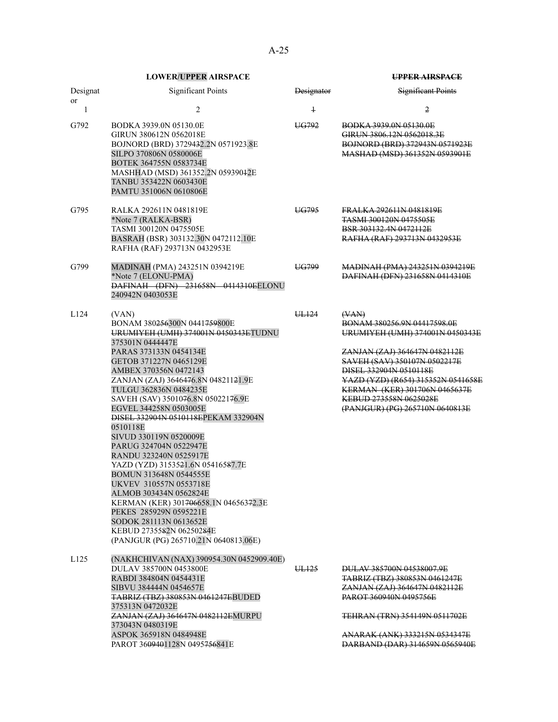| Designat | <b>Significant Points</b>                                                                                                                                                                                                                                                                                                                                                                                                                                                                                                                                                                                                                                                                                                             | Designator | <b>Significant Points</b>                                                                                                                                                                                                                                                                              |
|----------|---------------------------------------------------------------------------------------------------------------------------------------------------------------------------------------------------------------------------------------------------------------------------------------------------------------------------------------------------------------------------------------------------------------------------------------------------------------------------------------------------------------------------------------------------------------------------------------------------------------------------------------------------------------------------------------------------------------------------------------|------------|--------------------------------------------------------------------------------------------------------------------------------------------------------------------------------------------------------------------------------------------------------------------------------------------------------|
| or<br>1  | 2                                                                                                                                                                                                                                                                                                                                                                                                                                                                                                                                                                                                                                                                                                                                     | $\ddagger$ | 2                                                                                                                                                                                                                                                                                                      |
| G792     | BODKA 3939.0N 05130.0E<br>GIRUN 380612N 0562018E<br>BOJNORD (BRD) 3729432.2N 0571923.8E<br>SILPO 370806N 0580006E<br>BOTEK 364755N 0583734E<br>MASHHAD (MSD) 361352.2N 05939042E<br>TANBU 353422N 0603430E<br>PAMTU 351006N 0610806E                                                                                                                                                                                                                                                                                                                                                                                                                                                                                                  | UG792      | BODKA 3939.0N 05130.0E<br>GIRUN 3806.12N 0562018.3E<br>BOJNORD (BRD) 372943N 0571923E<br>MASHAD (MSD) 361352N 0593901E                                                                                                                                                                                 |
| G795     | RALKA 292611N 0481819E<br>*Note 7 (RALKA-BSR)<br>TASMI 300120N 0475505E<br>BASRAH (BSR) 303132.30N 0472112.10E<br>RAFHA (RAF) 293713N 0432953E                                                                                                                                                                                                                                                                                                                                                                                                                                                                                                                                                                                        | UG795      | FRALKA 292611N 0481819E<br><b>TASMI 300120N 0475505E</b><br>BSR 303132.4N 0472112E<br>RAFHA (RAF) 293713N 0432953E                                                                                                                                                                                     |
| G799     | MADINAH (PMA) 243251N 0394219E<br>*Note 7 (ELONU-PMA)<br>DAFINAH (DFN) 231658N 0414310EELONU<br>240942N 0403053E                                                                                                                                                                                                                                                                                                                                                                                                                                                                                                                                                                                                                      | UG799      | <b>MADINAH (PMA) 243251N 0394219E</b><br>DAFINAH (DFN) 231658N 0414310E                                                                                                                                                                                                                                |
| L124     | (VAN)<br>BONAM 380256300N 0441759800E<br>URUMIYEH (UMH) 374001N 0450343ETUDNU<br>375301N 0444447E<br>PARAS 373133N 0454134E<br>GETOB 371227N 0465129E<br>AMBEX 370356N 0472143<br>ZANJAN (ZAJ) 3646476.8N 04821121.9E<br>TULGU 362836N 0484235E<br>SAVEH (SAV) 3501076.8N 05022176.9E<br>EGVEL 344258N 0503005E<br>DISEL 332904N 0510118EPEKAM 332904N<br>0510118E<br>SIVUD 330119N 0520009E<br>PARUG 324704N 0522947E<br>RANDU 323240N 0525917E<br>YAZD (YZD) 3153521.6N 05416587.7E<br>BOMUN 313648N 0544555E<br>UKVEV 310557N 0553718E<br>ALMOB 303434N 0562824E<br>KERMAN (KER) 301706658.1N 04656372.3E<br>PEKES 285929N 0595221E<br>SODOK 281113N 0613652E<br>KEBUD 2735582N 06250284E<br>(PANJGUR (PG) 265710.21N 0640813.06E) | UL124      | (XAN)<br>BONAM 380256.9N 04417598.0E<br>URUMIYEH (UMH) 374001N 0450343E<br>ZANJAN (ZAJ) 364647N 0482112E<br>SAVEH (SAV) 350107N 0502217E<br>DISEL 332904N 0510118E<br>YAZD (YZD) (R654) 315352N 0541658E<br>KERMAN (KER) 301706N 0465637E<br>KEBUD 273558N 0625028E<br>(PANJGUR) (PG) 265710N 0640813E |
| L125     | (NAKHCHIVAN (NAX) 390954.30N 0452909.40E)<br>DULAV 385700N 0453800E<br>RABDI 384804N 0454431E<br>SIBVU 384444N 0454657E<br><b>TABRIZ (TBZ) 380853N 0461247EBUDED</b><br>375313N 0472032E                                                                                                                                                                                                                                                                                                                                                                                                                                                                                                                                              | UL125      | DULAV 385700N 04538007.9E<br>TABRIZ (TBZ) 380853N 0461247E<br>ZANJAN (ZAJ) 364647N 0482112E<br><b>PAROT 360940N 0495756E</b>                                                                                                                                                                           |
|          | ZANJAN (ZAJ) 364647N 0482112EMURPU<br>373043N 0480319E<br>ASPOK 365918N 0484948E<br>PAROT 3609401128N 0495756841E                                                                                                                                                                                                                                                                                                                                                                                                                                                                                                                                                                                                                     |            | TEHRAN (TRN) 354149N 0511702E<br><del>ANARAK (ANK) 333215N 0534347E</del><br>DARBAND (DAR) 314659N 0565940E                                                                                                                                                                                            |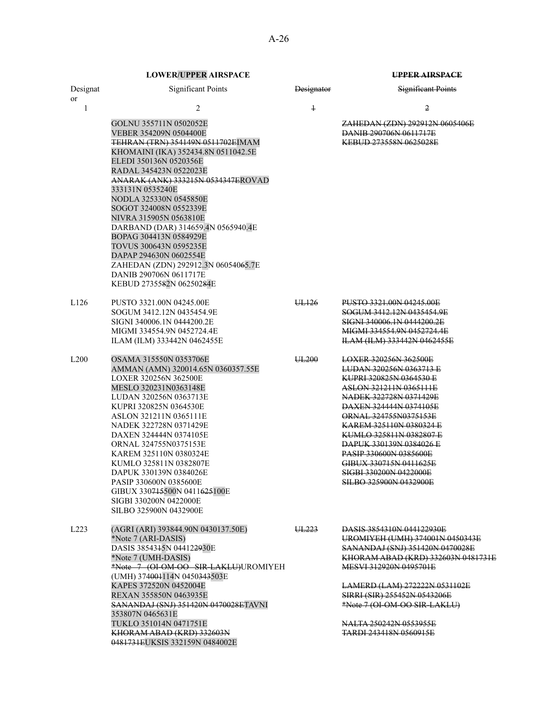# Significant Points Designator Significant Points 1  $2$   $1$   $2$ GOLNU 355711N 0502052E 2AHEDAN (ZDN) 292912N 0605406E VEBER 354209N 0504400E DANIB 290706N 0611717E TEHRAN (TRN) 354149N 0511702EIMAM KHOMAINI (IKA) 352434.8N 0511042.5E KEBUD 273558N 0625028E ANARAK (ANK) 333215N 0534347EROVAD

L126 PUSTO 3321.00N 04245.00E UL126 PUSTO 3321.00N 04245.00E SOGUM 3412.12N 0435454.9E SOGUM 3412.12N 0435454.9E SIGNI 340006.1N 0444200.2E<br>MIGMI 334554.9N 0452724.4E<br>MIGMI 334554.9N 0452724.4E MIGMI 334554.9N 0452724.4E MIGMI 334554.9N 0452724.4E ILAM (ILM) 333442N 0462455E

L200 OSAMA 315550N 0353706E UL200 LOXER 320256N 362500E AMMAN (AMN) 320014.65N 0360357.55E LUDAN 320256N 0363713 E LOXER 320256N 362500E KUPRI 320825N 0364530 E MESLO 320231N0363148E ASLON 321211N 0365111E LUDAN 320256N 0363713E NADEK 322728N 0371429E KUPRI 320825N 0364530E DAXEN 324444N 0374105E ASLON 321211N 0365111E **ORNAL 324755N0375153E** NADEK 322728N 0371429E KAREM 325110N 0380324 E DAXEN 324444N 0374105E<br>
ORNAL 324755N0375153E<br>
DAPUK 330139N 0384026 E ORNAL 324755N0375153E<br>
KAREM 325110N 0380324E<br>
PASIP 330600N 0385600E KAREM 325110N 0380324E<br>KUMLO 325811N 0382807E PASIP 330515N 0411625E KUMLO 325811N 0382807E DAPUK 330139N 0384026E SIGBI 330200N 0422000E PASIP 330600N 0385600E SILBO 325900N 0432900E GIBUX 330715500N 0411625100E SIGBI 330200N 0422000E SILBO 325900N 0432900E

L223 (AGRI (ARI) 393844.90N 0430137.50E) UL223 DASIS 3854310N 044122930E \*Note 7 (ARI-DASIS) UROMIYEH (UMH) 374001N 0450343E DASIS 3854315N 044122930E SANANDAJ (SNJ) 351420N 0470028E \*Note 7 (OI-OM-OO SIR-LAKLU)UROMIYEH (UMH) 374001114N 0450<del>343</del>503E<br>KAPES 372520N 0452004E REXAN 355850N 0463935E SIRRI (SIR) 255452N 0543206E SANANDAJ (SNJ) 351420N 0470028ETAVNI 353807N 0465631E TUKLO 351014N 0471751E NALTA 250242N 0553955E KHORAM ABAD (KRD) 332603N 0481731EUKSIS 332159N 0484002E

\*Note 7 (UMH-DASIS) KHORAM ABAD (KRD) 332603N 0481731E MESVI 312920N 0495701E

> LAMERD (LAM) 272222N 0531102E \*Note 7 (OI-OM-OO SIR-LAKLU)

TARDI 243418N 0560915E

ELEDI 350136N 0520356E RADAL 345423N 0522023E

DARBAND (DAR) 314659.4N 0565940.4E

ZAHEDAN (ZDN) 292912.3N 06054065.7E

333131N 0535240E

NODLA 325330N 0545850E SOGOT 324008N 0552339E NIVRA 315905N 0563810E

BOPAG 304413N 0584929E TOVUS 300643N 0595235E DAPAP 294630N 0602554E

 DANIB 290706N 0611717E KEBUD 2735582N 06250284E

Designat or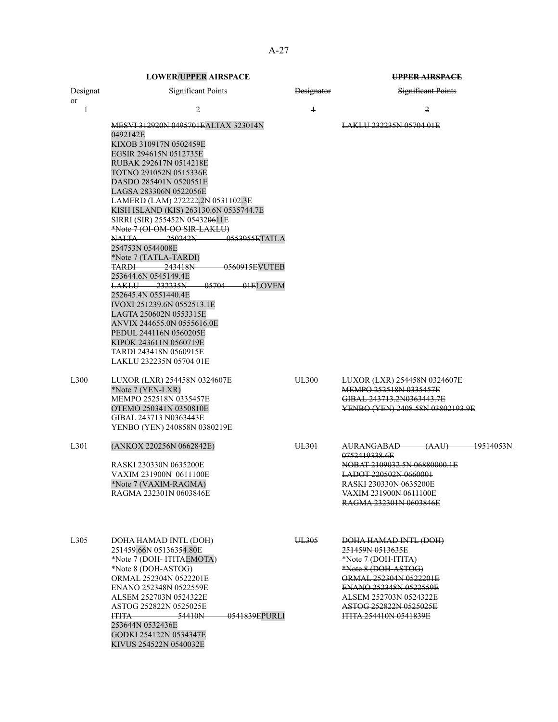| Designat          | <b>Significant Points</b>                                                                                                                                                                                                                                                                                                                                                                                                                                                                                                                                                                                                                                                                                                                                                                                  | <b>Designator</b> | <b>Significant Points</b>                                                                                                                                                                                                         |
|-------------------|------------------------------------------------------------------------------------------------------------------------------------------------------------------------------------------------------------------------------------------------------------------------------------------------------------------------------------------------------------------------------------------------------------------------------------------------------------------------------------------------------------------------------------------------------------------------------------------------------------------------------------------------------------------------------------------------------------------------------------------------------------------------------------------------------------|-------------------|-----------------------------------------------------------------------------------------------------------------------------------------------------------------------------------------------------------------------------------|
| or<br>1           | 2                                                                                                                                                                                                                                                                                                                                                                                                                                                                                                                                                                                                                                                                                                                                                                                                          | $\overline{1}$    | 2                                                                                                                                                                                                                                 |
|                   | <b>MESVI 312920N 0495701EALTAX 323014N</b><br>0492142E<br>KIXOB 310917N 0502459E<br>EGSIR 294615N 0512735E<br>RUBAK 292617N 0514218E<br>TOTNO 291052N 0515336E<br>DASDO 285401N 0520551E<br>LAGSA 283306N 0522056E<br>LAMERD (LAM) 272222.2N 0531102.3E<br>KISH ISLAND (KIS) 263130.6N 0535744.7E<br>SIRRI (SIR) 255452N 05432 <del>06</del> 11E<br>*Note 7 (OI-OM-OO SIR-LAKLU)<br>0553955ETATLA<br>NALTA —<br><del>250242N</del><br>254753N 0544008E<br>*Note 7 (TATLA-TARDI)<br><b>TARDI 243418N</b><br>0560915EVUTEB<br>253644.6N 0545149.4E<br>LAKLU 232235N<br>05704 01ELOVEM<br>252645.4N 0551440.4E<br>IVOXI 251239.6N 0552513.1E<br>LAGTA 250602N 0553315E<br>ANVIX 244655.0N 0555616.0E<br>PEDUL 244116N 0560205E<br>KIPOK 243611N 0560719E<br>TARDI 243418N 0560915E<br>LAKLU 232235N 05704 01E |                   | LAKLU 232235N 05704 01E                                                                                                                                                                                                           |
| L300              | LUXOR (LXR) 254458N 0324607E<br>*Note 7 (YEN-LXR)<br>MEMPO 252518N 0335457E<br>OTEMO 250341N 0350810E<br>GIBAL 243713 N0363443E<br>YENBO (YEN) 240858N 0380219E                                                                                                                                                                                                                                                                                                                                                                                                                                                                                                                                                                                                                                            | UL300             | LUXOR (LXR) 254458N 0324607E<br>MEMPO 252518N 0335457E<br>GIBAL 243713.2N0363443.7E<br>YENBO (YEN) 2408.58N 03802193.9E                                                                                                           |
| L301              | (ANKOX 220256N 0662842E)<br>RASKI 230330N 0635200E<br>VAXIM 231900N 0611100E<br>*Note 7 (VAXIM-RAGMA)<br>RAGMA 232301N 0603846E                                                                                                                                                                                                                                                                                                                                                                                                                                                                                                                                                                                                                                                                            | UL301             | <del>(AAU)</del><br><del>AURANGABAD-</del><br>19514053N<br>0752419338.6E<br>NOBAT 2109032.5N 06880000.1E<br>LADOT 220502N 0660001<br><b>RASKI 230330N 0635200E</b><br><del>VAXIM 231900N 0611100E</del><br>RAGMA 232301N 0603846E |
| L <sub>3</sub> 05 | DOHA HAMAD INTL (DOH)<br>251459.66N 05136354.80E<br>*Note 7 (DOH- ITITAEMOTA)<br>*Note 8 (DOH-ASTOG)<br>ORMAL 252304N 0522201E<br>ENANO 252348N 0522559E<br>ALSEM 252703N 0524322E<br>ASTOG 252822N 0525025E<br>0541839EPURLI<br><b>ITITA</b><br>–54410N<br>253644N 0532436E<br>GODKI 254122N 0534347E<br>KIVUS 254522N 0540032E                                                                                                                                                                                                                                                                                                                                                                                                                                                                           | UL305             | DOHA HAMAD INTL (DOH)<br>251459N 0513635E<br>*Note 7 (DOH-ITITA)<br>*Note 8 (DOH-ASTOG)<br>ORMAL 252304N 0522201E<br>ENANO 252348N 0522559E<br>ALSEM 252703N 0524322E<br>ASTOG 252822N 0525025E<br><b>HTTA 254410N 0541839E</b>   |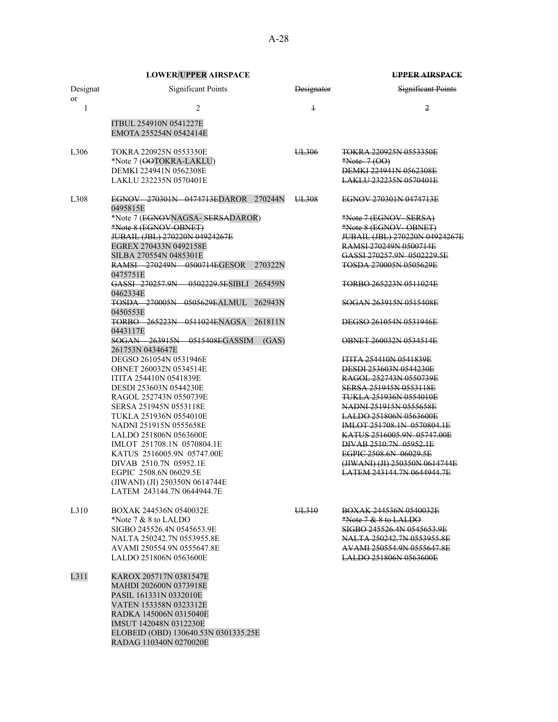|                       | <b>LOWER/UPPER AIRSPACE</b>                                                                                                                                                                                                                                                                                                                                                                                            |                   | UPPER AIRSPACE                                                                                                                                                                                                                                                                                                                                                                                     |
|-----------------------|------------------------------------------------------------------------------------------------------------------------------------------------------------------------------------------------------------------------------------------------------------------------------------------------------------------------------------------------------------------------------------------------------------------------|-------------------|----------------------------------------------------------------------------------------------------------------------------------------------------------------------------------------------------------------------------------------------------------------------------------------------------------------------------------------------------------------------------------------------------|
| Designat<br><b>or</b> | <b>Significant Points</b>                                                                                                                                                                                                                                                                                                                                                                                              | <b>Designator</b> | Significant Points                                                                                                                                                                                                                                                                                                                                                                                 |
| 1                     | 2                                                                                                                                                                                                                                                                                                                                                                                                                      | $\ddagger$        | 2                                                                                                                                                                                                                                                                                                                                                                                                  |
|                       | ITBUL 254910N 0541227E<br>EMOTA 255254N 0542414E                                                                                                                                                                                                                                                                                                                                                                       |                   |                                                                                                                                                                                                                                                                                                                                                                                                    |
| L <sub>306</sub>      | TOKRA 220925N 0553350E<br>*Note 7 (OOTOKRA-LAKLU)<br>DEMKI 224941N 0562308E<br>LAKLU 232235N 0570401E                                                                                                                                                                                                                                                                                                                  | UL306             | TOKRA 220925N 0553350E<br>*Note- $7(00)$<br>DEMKI 224941N 0562308E<br>LAKLU 232235N 0570401E                                                                                                                                                                                                                                                                                                       |
| L308                  | EGNOV 270301N 0474713EDAROR 270244N<br>0495815E                                                                                                                                                                                                                                                                                                                                                                        | UL308             | EGNOV 270301N 0474713E                                                                                                                                                                                                                                                                                                                                                                             |
|                       | *Note 7 (EGNOVNAGSA- SERSADAROR)<br>*Note 8 (EGNOV-OBNET)<br>JUBAIL (JBL) 270220N 04924267E<br>EGREX 270433N 0492158E<br>SILBA 270554N 0485301E<br>RAMSI 270249N 0500714EGESOR<br>270322N                                                                                                                                                                                                                              |                   | *Note 7 (EGNOV-SERSA)<br>*Note 8 (EGNOV-OBNET)<br>JUBAIL (JBL) 270220N 04924267E<br>RAMSI 270249N 0500714E<br>GASSI 270257.9N 0502229.5E<br><b>TOSDA 270005N 0505629E</b>                                                                                                                                                                                                                          |
|                       | 0475751E<br>GASSI 270257.9N 0502229.5ESIBLI<br>265459N<br>0462334E                                                                                                                                                                                                                                                                                                                                                     |                   | TORBO 265223N 0511024E                                                                                                                                                                                                                                                                                                                                                                             |
|                       | <b>TOSDA 270005N 0505629FALMUL</b><br>262943N<br>0450553E                                                                                                                                                                                                                                                                                                                                                              |                   | SOGAN 263915N 0515408E                                                                                                                                                                                                                                                                                                                                                                             |
|                       | TORBO 265223N 0511024ENAGSA<br>261811N<br>0443117E                                                                                                                                                                                                                                                                                                                                                                     |                   | DEGSO 261054N 0531946E                                                                                                                                                                                                                                                                                                                                                                             |
|                       | SOGAN 263915N 0515408EGASSIM<br>(GAS)<br>261753N 0434647E                                                                                                                                                                                                                                                                                                                                                              |                   | OBNET 260032N 0534514E                                                                                                                                                                                                                                                                                                                                                                             |
|                       | DEGSO 261054N 0531946E<br>OBNET 260032N 0534514E<br>ITITA 254410N 0541839E<br>DESDI 253603N 0544230E<br>RAGOL 252743N 0550739E<br>SERSA 251945N 0553118E<br>TUKLA 251936N 0554010E<br>NADNI 251915N 0555658E<br>LALDO 251806N 0563600E<br>IMLOT 251708.1N 0570804.1E<br>KATUS 2516005.9N 05747.00E<br>DIVAB 2510.7N 05952.1E<br>EGPIC 2508.6N 06029.5E<br>(JIWANI) (JI) 250350N 0614744E<br>LATEM 243144.7N 0644944.7E |                   | <b>ITITA 254410N 0541839E</b><br>DESDI 253603N 0544230E<br>RAGOL 252743N 0550739E<br>SERSA 251945N 0553118E<br><del>TUKLA 251936N 0554010E</del><br>NADNI 251915N 0555658E<br><b>LALDO 251806N 0563600E</b><br>IMLOT 251708.1N 0570804.1E<br>KATUS 2516005.9N 05747.00E<br>DIVAB 2510.7N 05952.1E<br>EGPIC 2508.6N 06029.5E<br>(JIWANI) (JI) 250350N 0614744E<br><b>LATEM 243144.7N 0644944.7E</b> |
| L310                  | BOXAK 244536N 0540032E<br>*Note $7 & 8$ to LALDO<br>SIGBO 245526.4N 0545653.9E<br>NALTA 250242.7N 0553955.8E<br>AVAMI 250554.9N 0555647.8E<br>LALDO 251806N 0563600E                                                                                                                                                                                                                                                   | UL310             | <b>BOXAK 244536N 0540032E</b><br>$*Note 7 & 8 & 6$ LALDO<br>SIGBO 245526.4N 0545653.9E<br>NALTA 250242.7N 0553955.8E<br>AVAMI 250554.9N 0555647.8E<br><b>LALDO 251806N 0563600E</b>                                                                                                                                                                                                                |
| L311                  | KAROX 205717N 0381547E<br>MAHDI 202600N 0373918E<br>PASIL 161331N 0332010E<br>VATEN 153358N 0323312E<br>RADKA 145006N 0315040E<br>IMSUT 142048N 0312230E<br>ELOBEID (OBD) 130640.53N 0301335.25E<br>RADAG 110340N 0270020E                                                                                                                                                                                             |                   |                                                                                                                                                                                                                                                                                                                                                                                                    |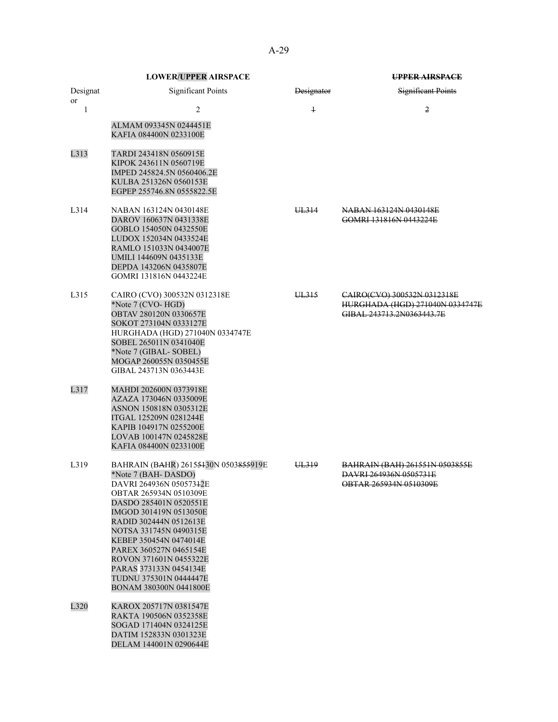|          | <b>LOWER/UPPER AIRSPACE</b>                                                                                                                                                                                                                                                                                                                                                                 |            | <b>UPPER AIRSPACE</b>                                                                       |
|----------|---------------------------------------------------------------------------------------------------------------------------------------------------------------------------------------------------------------------------------------------------------------------------------------------------------------------------------------------------------------------------------------------|------------|---------------------------------------------------------------------------------------------|
| Designat | <b>Significant Points</b>                                                                                                                                                                                                                                                                                                                                                                   | Designator | Significant Points                                                                          |
| or<br>1  | 2                                                                                                                                                                                                                                                                                                                                                                                           | $\ddagger$ | 2                                                                                           |
|          | ALMAM 093345N 0244451E<br>KAFIA 084400N 0233100E                                                                                                                                                                                                                                                                                                                                            |            |                                                                                             |
| L313     | TARDI 243418N 0560915E<br>KIPOK 243611N 0560719E<br>IMPED 245824.5N 0560406.2E<br>KULBA 251326N 0560153E<br>EGPEP 255746.8N 0555822.5E                                                                                                                                                                                                                                                      |            |                                                                                             |
| L314     | NABAN 163124N 0430148E<br>DAROV 160637N 0431338E<br>GOBLO 154050N 0432550E<br>LUDOX 152034N 0433524E<br>RAMLO 151033N 0434007E<br>UMILI 144609N 0435133E<br>DEPDA 143206N 0435807E<br>GOMRI 131816N 0443224E                                                                                                                                                                                | UL314      | NABAN 163124N 0430148E<br>GOMRI 131816N 0443224E                                            |
| L315     | CAIRO (CVO) 300532N 0312318E<br>*Note 7 (CVO-HGD)<br>OBTAV 280120N 0330657E<br>SOKOT 273104N 0333127E<br>HURGHADA (HGD) 271040N 0334747E<br>SOBEL 265011N 0341040E<br>*Note 7 (GIBAL-SOBEL)<br>MOGAP 260055N 0350455E<br>GIBAL 243713N 0363443E                                                                                                                                             | UL315      | CAIRO(CVO) 300532N 0312318E<br>HURGHADA (HGD) 271040N 0334747E<br>GIBAL 243713.2N0363443.7E |
| L317     | MAHDI 202600N 0373918E<br>AZAZA 173046N 0335009E<br>ASNON 150818N 0305312E<br>ITGAL 125209N 0281244E<br>KAPIB 104917N 0255200E<br>LOVAB 100147N 0245828E<br>KAFIA 084400N 0233100E                                                                                                                                                                                                          |            |                                                                                             |
| L319     | BAHRAIN (BAHR) 26155430N 0503855919E<br>*Note 7 (BAH-DASDO)<br>DAVRI 264936N 05057342E<br>OBTAR 265934N 0510309E<br>DASDO 285401N 0520551E<br>IMGOD 301419N 0513050E<br>RADID 302444N 0512613E<br>NOTSA 331745N 0490315E<br>KEBEP 350454N 0474014E<br>PAREX 360527N 0465154E<br>ROVON 371601N 0455322E<br>PARAS 373133N 0454134E<br><b>TUDNU 375301N 0444447E</b><br>BONAM 380300N 0441800E | UL319      | <u>BAHRAIN (BAH) 261551N 0503855E</u><br>DAVRI 264936N 0505731E<br>OBTAR 265934N 0510309E   |
| L320     | KAROX 205717N 0381547E<br>RAKTA 190506N 0352358E<br>SOGAD 171404N 0324125E<br>DATIM 152833N 0301323E<br>DELAM 144001N 0290644E                                                                                                                                                                                                                                                              |            |                                                                                             |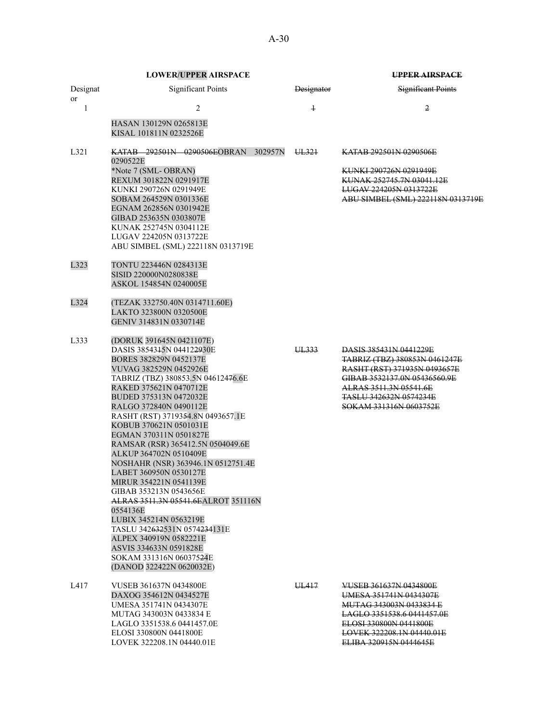|                | <b>LOWER/UPPER AIRSPACE</b>                                  |                   | <b>UPPER AIRSPACE</b>                                              |
|----------------|--------------------------------------------------------------|-------------------|--------------------------------------------------------------------|
| Designat<br>or | <b>Significant Points</b>                                    | <b>Designator</b> | <b>Significant Points</b>                                          |
| 1              | $\overline{2}$                                               | $\ddagger$        | 2                                                                  |
|                | HASAN 130129N 0265813E<br>KISAL 101811N 0232526E             |                   |                                                                    |
| L321           | <b>KATAB 292501N 0290506EOBRAN 302957N</b><br>0290522E       | UL321             | KATAB 292501N 0290506E                                             |
|                | *Note 7 (SML-OBRAN)<br>REXUM 301822N 0291917E                |                   | <b>KUNKI 290726N 0291949E</b><br>KUNAK 252745.7N 03041.12E         |
|                | KUNKI 290726N 0291949E<br>SOBAM 264529N 0301336E             |                   | <b>LUGAV 224205N 0313722E</b><br>ABU SIMBEL (SML) 222118N 0313719E |
|                | EGNAM 262856N 0301942E<br>GIBAD 253635N 0303807E             |                   |                                                                    |
|                | KUNAK 252745N 0304112E<br>LUGAV 224205N 0313722E             |                   |                                                                    |
|                | ABU SIMBEL (SML) 222118N 0313719E                            |                   |                                                                    |
| L323           | TONTU 223446N 0284313E                                       |                   |                                                                    |
|                | SISID 220000N0280838E<br>ASKOL 154854N 0240005E              |                   |                                                                    |
| L324           | (TEZAK 332750.40N 0314711.60E)                               |                   |                                                                    |
|                | LAKTO 323800N 0320500E<br>GENIV 314831N 0330714E             |                   |                                                                    |
| L333           | (DORUK 391645N 0421107E)                                     |                   |                                                                    |
|                | DASIS 3854315N 044122930E<br>BORES 382829N 0452137E          | UL333             | <b>DASIS 385431N 0441229E</b><br>TABRIZ (TBZ) 380853N 0461247E     |
|                | VUVAG 382529N 0452926E                                       |                   | RASHT (RST) 371935N 0493657E                                       |
|                | TABRIZ (TBZ) 380853.5N 04612476.6E<br>RAKED 375621N 0470712E |                   | GIBAB 3532137.0N 05436560.9E<br>ALRAS 3511.3N 05541.6E             |
|                | BUDED 375313N 0472032E                                       |                   | <b>TASLU 342632N 0574234E</b>                                      |
|                | RALGO 372840N 0490112E                                       |                   | SOKAM 331316N 0603752E                                             |
|                | RASHT (RST) 3719354.8N 0493657.1E                            |                   |                                                                    |
|                | KOBUB 370621N 0501031E<br>EGMAN 370311N 0501827E             |                   |                                                                    |
|                | RAMSAR (RSR) 365412.5N 0504049.6E                            |                   |                                                                    |
|                | ALKUP 364702N 0510409E                                       |                   |                                                                    |
|                | NOSHAHR (NSR) 363946.1N 0512751.4E                           |                   |                                                                    |
|                | LABET 360950N 0530127E<br>MIRUR 354221N 0541139E             |                   |                                                                    |
|                | GIBAB 353213N 0543656E                                       |                   |                                                                    |
|                | ALRAS 3511.3N 05541.6EALROT 351116N<br>0554136E              |                   |                                                                    |
|                | LUBIX 345214N 0563219E                                       |                   |                                                                    |
|                | TASLU 342632531N 0574234131E<br>ALPEX 340919N 0582221E       |                   |                                                                    |
|                | ASVIS 334633N 0591828E                                       |                   |                                                                    |
|                | SOKAM 331316N 06037524E                                      |                   |                                                                    |
|                | (DANOD 322422N 0620032E)                                     |                   |                                                                    |
| L417           | <b>VUSEB 361637N 0434800E</b>                                | UL417             | VUSEB 361637N 0434800E<br>UMESA 351741N 0434307E                   |
|                | DAXOG 354612N 0434527E<br>UMESA 351741N 0434307E             |                   | <b>MUTAG 343003N 0433834 E</b>                                     |
|                | MUTAG 343003N 0433834 E                                      |                   | LAGLO 3351538.6 0441457.0E                                         |
|                | LAGLO 3351538.6 0441457.0E                                   |                   | ELOSI 330800N 0441800E                                             |
|                | ELOSI 330800N 0441800E                                       |                   | LOVEK 322208.1N 04440.01E                                          |
|                | LOVEK 322208.1N 04440.01E                                    |                   | ELIBA 320915N 0444645E                                             |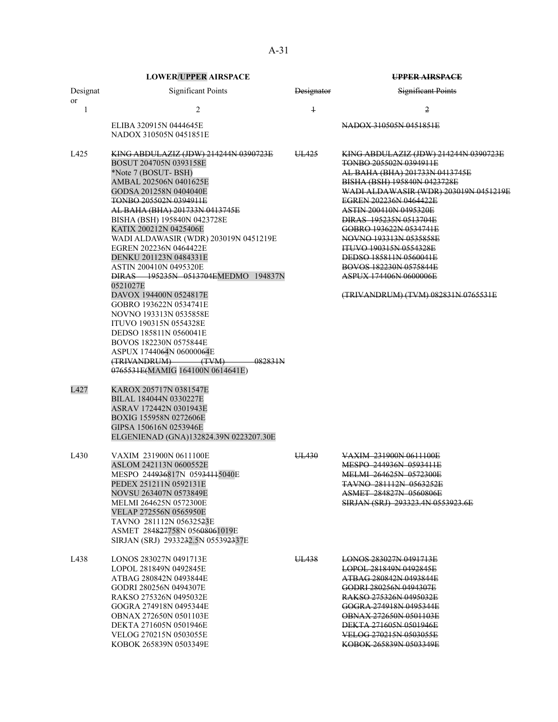|                | <b>LOWER/UPPER AIRSPACE</b>                                                                                                                                                                                                                                                                                                                                                                                                                                                                                  |                   | <b>UPPER AIRSPACE</b>                                                                                                                                                                                                                                                                                                                                                                                                                                                     |
|----------------|--------------------------------------------------------------------------------------------------------------------------------------------------------------------------------------------------------------------------------------------------------------------------------------------------------------------------------------------------------------------------------------------------------------------------------------------------------------------------------------------------------------|-------------------|---------------------------------------------------------------------------------------------------------------------------------------------------------------------------------------------------------------------------------------------------------------------------------------------------------------------------------------------------------------------------------------------------------------------------------------------------------------------------|
| Designat<br>or | <b>Significant Points</b>                                                                                                                                                                                                                                                                                                                                                                                                                                                                                    | <b>Designator</b> | Significant Points                                                                                                                                                                                                                                                                                                                                                                                                                                                        |
| 1              | 2                                                                                                                                                                                                                                                                                                                                                                                                                                                                                                            | $\ddagger$        | 2                                                                                                                                                                                                                                                                                                                                                                                                                                                                         |
|                | ELIBA 320915N 0444645E<br>NADOX 310505N 0451851E                                                                                                                                                                                                                                                                                                                                                                                                                                                             |                   | NADOX 310505N 0451851E                                                                                                                                                                                                                                                                                                                                                                                                                                                    |
| L425           | KING ABDULAZIZ (JDW) 214244N 0390723E<br>BOSUT 204705N 0393158E<br>*Note 7 (BOSUT-BSH)<br>AMBAL 202506N 0401625E<br>GODSA 201258N 0404040E<br><b>TONBO 205502N 0394911E</b><br>AL BAHA (BHA) 201733N 0413745E<br>BISHA (BSH) 195840N 0423728E<br>KATIX 200212N 0425406E<br>WADI ALDAWASIR (WDR) 203019N 0451219E<br>EGREN 202236N 0464422E<br>DENKU 201123N 0484331E<br><b>ASTIN 200410N 0495320E</b><br>DIRAS 195235N 0513704EMEDMO 194837N<br>0521027E<br>DAVOX 194400N 0524817E<br>GOBRO 193622N 0534741E | UL425             | KING ABDULAZIZ (JDW) 214244N 0390723E<br>TONBO 205502N 0394911E<br>AL BAHA (BHA) 201733N 0413745E<br>BISHA (BSH) 195840N 0423728E<br>WADI ALDAWASIR (WDR) 203019N 0451219E<br>EGREN 202236N 0464422E<br><b>ASTIN 200410N 0495320E</b><br>DIRAS 195235N 0513704E<br>GOBRO 193622N 0534741E<br>NOVNO 193313N 0535858E<br>ITUVO 190315N 0554328E<br>DEDSO 185811N 0560041E<br><b>BOVOS 182230N 0575844E</b><br>ASPUX 174406N 0600006E<br>(TRIVANDRUM) (TVM) 082831N 0765531E |
|                | NOVNO 193313N 0535858E<br><b>ITUVO 190315N 0554328E</b><br>DEDSO 185811N 0560041E<br>BOVOS 182230N 0575844E<br>ASPUX 1744064N 06000064E<br>(TRIVANDRUM) (TVM)<br>082831N<br>0765531E(MAMIG 164100N 0614641E)                                                                                                                                                                                                                                                                                                 |                   |                                                                                                                                                                                                                                                                                                                                                                                                                                                                           |
| L427           | KAROX 205717N 0381547E<br>BILAL 184044N 0330227E<br>ASRAV 172442N 0301943E<br>BOXIG 155958N 0272606E<br>GIPSA 150616N 0253946E<br>ELGENIENAD (GNA)132824.39N 0223207.30E                                                                                                                                                                                                                                                                                                                                     |                   |                                                                                                                                                                                                                                                                                                                                                                                                                                                                           |
| L430           | VAXIM 231900N 0611100E<br>ASLOM 242113N 0600552E<br>MESPO 244 <del>936</del> 817N 059 <del>3411</del> 5040E<br>PEDEX 251211N 0592131E<br>NOVSU 263407N 0573849E<br>MELMI 264625N 0572300E<br>VELAP 272556N 0565950E<br>TAVNO 281112N 056325 <del>2</del> 3E<br>ASMET 284827758N 05608061019E<br>SIRJAN (SRJ) 2933232.5N 055392337E                                                                                                                                                                           | UL430             | VAXIM 231900N 0611100E<br>MESPO 244936N 0593411E<br><b>MELMI 264625N 0572300E</b><br>TAVNO 281112N 0563252E<br><b>ASMET 284827N 0560806E</b><br>SIRJAN (SRJ) 293323.4N 0553923.6E                                                                                                                                                                                                                                                                                         |
| L438           | LONOS 283027N 0491713E<br>LOPOL 281849N 0492845E<br>ATBAG 280842N 0493844E<br>GODRI 280256N 0494307E<br>RAKSO 275326N 0495032E<br>GOGRA 274918N 0495344E<br><b>OBNAX 272650N 0501103E</b><br>DEKTA 271605N 0501946E<br>VELOG 270215N 0503055E<br>KOBOK 265839N 0503349E                                                                                                                                                                                                                                      | UL438             | LONOS 283027N 0491713E<br>LOPOL 281849N 0492845E<br>ATBAG 280842N 0493844E<br>GODRI 280256N 0494307E<br>RAKSO 275326N 0495032E<br>GOGRA 274918N 0495344E<br>OBNAX 272650N 0501103E<br>DEKTA 271605N 0501946E<br>VELOG 270215N 0503055E<br>KOBOK 265839N 0503349E                                                                                                                                                                                                          |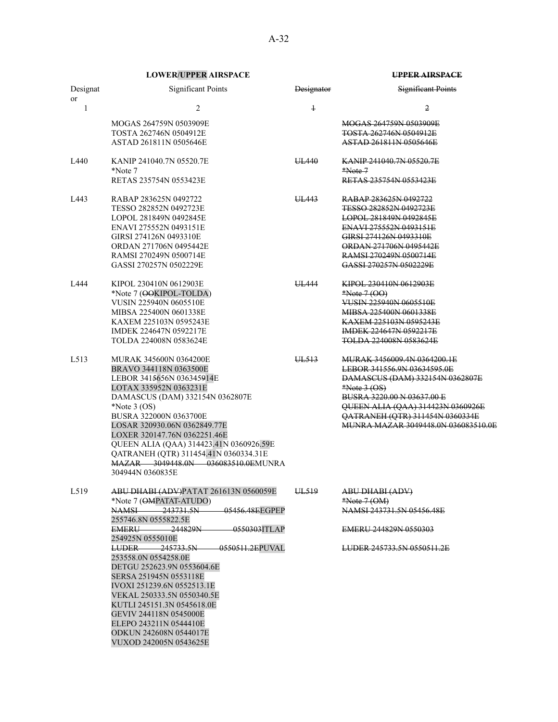| Designat<br><sub>or</sub> | <b>Significant Points</b>                                                   | <b>Designator</b> | <b>Significant Points</b>                    |
|---------------------------|-----------------------------------------------------------------------------|-------------------|----------------------------------------------|
| $\mathbf{1}$              | $\overline{2}$                                                              | $\ddagger$        | 2                                            |
|                           | MOGAS 264759N 0503909E                                                      |                   | MOGAS 264759N 0503909E                       |
|                           | TOSTA 262746N 0504912E                                                      |                   | <b>TOSTA 262746N 0504912E</b>                |
|                           | ASTAD 261811N 0505646E                                                      |                   | ASTAD 261811N 0505646E                       |
| L440                      | KANIP 241040.7N 05520.7E<br>*Note 7                                         | UL440             | <b>KANIP 241040.7N 05520.7E</b><br>$*Note.7$ |
|                           | RETAS 235754N 0553423E                                                      |                   | RETAS 235754N 0553423E                       |
| L443                      | RABAP 283625N 0492722                                                       | UL443             | RABAP 283625N 0492722                        |
|                           | TESSO 282852N 0492723E                                                      |                   | TESSO 282852N 0492723E                       |
|                           | LOPOL 281849N 0492845E                                                      |                   | LOPOL 281849N 0492845E                       |
|                           | ENAVI 275552N 0493151E                                                      |                   | ENAVI 275552N 0493151E                       |
|                           | GIRSI 274126N 0493310E                                                      |                   | GIRSI 274126N 0493310E                       |
|                           | ORDAN 271706N 0495442E                                                      |                   | ORDAN 271706N 0495442E                       |
|                           | RAMSI 270249N 0500714E                                                      |                   | RAMSI 270249N 0500714E                       |
|                           | GASSI 270257N 0502229E                                                      |                   | GASSI 270257N 0502229E                       |
| L444                      | KIPOL 230410N 0612903E                                                      | UL444             | KIPOL 230410N 0612903E                       |
|                           | *Note 7 (OOKIPOL-TOLDA)                                                     |                   | $*Note 7 (OO)$                               |
|                           | VUSIN 225940N 0605510E                                                      |                   | VUSIN 225940N 0605510E                       |
|                           | MIBSA 225400N 0601338E                                                      |                   | MIBSA 225400N 0601338E                       |
|                           | KAXEM 225103N 0595243E                                                      |                   | <b>KAXEM 225103N 0595243E</b>                |
|                           | IMDEK 224647N 0592217E                                                      |                   | <b>IMDEK 224647N 0592217E</b>                |
|                           | TOLDA 224008N 0583624E                                                      |                   | <b>TOLDA 224008N 0583624E</b>                |
| L513                      | MURAK 345600N 0364200E                                                      | UL <sub>513</sub> | <b>MURAK 3456009.4N 0364200.1E</b>           |
|                           | BRAVO 344118N 0363500E                                                      |                   | LEBOR 341556.9N 03634595.0E                  |
|                           | LEBOR 3415656N 036345914E                                                   |                   | DAMASCUS (DAM) 332154N 0362807E              |
|                           | LOTAX 335952N 0363231E                                                      |                   | $*Note 3 (OS)$                               |
|                           | DAMASCUS (DAM) 332154N 0362807E                                             |                   | BUSRA 3220.00 N 03637.00 E                   |
|                           | *Note $3$ (OS)                                                              |                   | QUEEN ALIA (QAA) 314423N 0360926E            |
|                           | BUSRA 322000N 0363700E                                                      |                   | QATRANEH (QTR) 311454N 0360334E              |
|                           | LOSAR 320930.06N 0362849.77E                                                |                   | MUNRA MAZAR 3049448.0N 036083510.0E          |
|                           | LOXER 320147.76N 0362251.46E                                                |                   |                                              |
|                           | QUEEN ALIA (QAA) 314423.41N 0360926.59E                                     |                   |                                              |
|                           | QATRANEH (QTR) 311454.41N 0360334.31E<br>MAZAR 3049448.0N 036083510.0EMUNRA |                   |                                              |
|                           | 304944N 0360835E                                                            |                   |                                              |
|                           |                                                                             |                   |                                              |
| L519                      | ABU DHABI (ADV)PATAT 261613N 0560059E                                       | UL519             | ABU DHABI (ADV)                              |
|                           | *Note 7 (OMPATAT-ATUDO)<br>05456.48EEGPEP<br>NAMSI 243731.5N                |                   | $*Note 7 (OM)$<br>NAMSI 243731.5N 05456.48E  |
|                           | 255746.8N 0555822.5E                                                        |                   |                                              |
|                           | –244829N–<br>0550303ITLAP<br><b>EMERU</b>                                   |                   | EMERU 244829N 0550303                        |
|                           | 254925N 0555010E                                                            |                   |                                              |
|                           | 245733.5N 0550511.2EPUVAL<br><b>LUDER</b><br>253558.0N 0554258.0E           |                   | LUDER 245733.5N 0550511.2E                   |
|                           | DETGU 252623.9N 0553604.6E                                                  |                   |                                              |
|                           | SERSA 251945N 0553118E                                                      |                   |                                              |
|                           | IVOXI 251239.6N 0552513.1E                                                  |                   |                                              |
|                           | VEKAL 250333.5N 0550340.5E                                                  |                   |                                              |
|                           | KUTLI 245151.3N 0545618.0E                                                  |                   |                                              |
|                           | GEVIV 244118N 0545000E                                                      |                   |                                              |
|                           | ELEPO 243211N 0544410E                                                      |                   |                                              |
|                           | ODKUN 242608N 0544017E                                                      |                   |                                              |
|                           | VUXOD 242005N 0543625E                                                      |                   |                                              |
|                           |                                                                             |                   |                                              |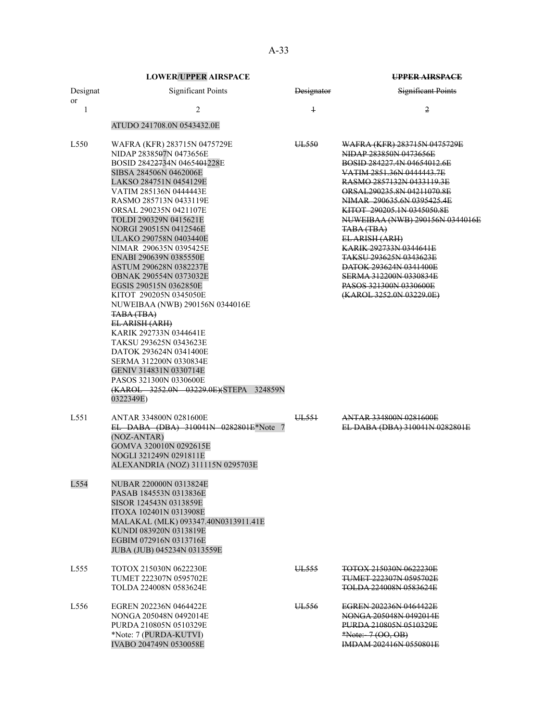|                  | <b>LOWER/UPPER AIRSPACE</b>                                                                                                                                                                                                                                                                                                                                                                                                                                                                                                                                                                                                                                                                                                                                            |                   | <b>UPPER AIRSPACE</b>                                                                                                                                                                                                                                                                                                                                                                                                                                                                     |
|------------------|------------------------------------------------------------------------------------------------------------------------------------------------------------------------------------------------------------------------------------------------------------------------------------------------------------------------------------------------------------------------------------------------------------------------------------------------------------------------------------------------------------------------------------------------------------------------------------------------------------------------------------------------------------------------------------------------------------------------------------------------------------------------|-------------------|-------------------------------------------------------------------------------------------------------------------------------------------------------------------------------------------------------------------------------------------------------------------------------------------------------------------------------------------------------------------------------------------------------------------------------------------------------------------------------------------|
| Designat<br>or   | <b>Significant Points</b>                                                                                                                                                                                                                                                                                                                                                                                                                                                                                                                                                                                                                                                                                                                                              | <b>Designator</b> | <b>Significant Points</b>                                                                                                                                                                                                                                                                                                                                                                                                                                                                 |
| 1                | $\overline{2}$                                                                                                                                                                                                                                                                                                                                                                                                                                                                                                                                                                                                                                                                                                                                                         | $\overline{1}$    | $\overline{2}$                                                                                                                                                                                                                                                                                                                                                                                                                                                                            |
|                  | ATUDO 241708.0N 0543432.0E                                                                                                                                                                                                                                                                                                                                                                                                                                                                                                                                                                                                                                                                                                                                             |                   |                                                                                                                                                                                                                                                                                                                                                                                                                                                                                           |
| L <sub>550</sub> | WAFRA (KFR) 283715N 0475729E<br>NIDAP 2838507N 0473656E<br>BOSID 2842 <del>27</del> 34N 0465401228E<br>SIBSA 284506N 0462006E<br>LAKSO 284751N 0454129E<br>VATIM 285136N 0444443E<br>RASMO 285713N 0433119E<br>ORSAL 290235N 0421107E<br>TOLDI 290329N 0415621E<br>NORGI 290515N 0412546E<br>ULAKO 290758N 0403440E<br>NIMAR 290635N 0395425E<br>ENABI 290639N 0385550E<br>ASTUM 290628N 0382237E<br>OBNAK 290554N 0373032E<br>EGSIS 290515N 0362850E<br>KITOT 290205N 0345050E<br>NUWEIBAA (NWB) 290156N 0344016E<br>TABA (TBA)<br>EL ARISH (ARH)<br>KARIK 292733N 0344641E<br>TAKSU 293625N 0343623E<br>DATOK 293624N 0341400E<br>SERMA 312200N 0330834E<br>GENIV 314831N 0330714E<br>PASOS 321300N 0330600E<br>(KAROL 3252.0N 03229.0E) (STEPA 324859N<br>0322349E) | UL <sub>550</sub> | <u> WAFRA (KFR) 283715N 0475729E</u><br>NIDAP 283850N 0473656E<br>BOSID 284227.4N 04654012.6E<br>VATIM 2851.36N 0444443.7E<br>RASMO 2857132N 0433119.3E<br>ORSAL290235.8N 04211070.8E<br>NIMAR 290635.6N 0395425.4E<br>KITOT 290205.1N 0345050.8E<br>NUWEIBAA (NWB) 290156N 0344016E<br>TABA (TBA)<br>EL-ARISH (ARH)<br>KARIK 292733N 0344641E<br><b>TAKSU 293625N 0343623E</b><br>DATOK 293624N 0341400E<br>SERMA 312200N 0330834E<br>PASOS 321300N 0330600E<br>(KAROL 3252.0N 03229.0E) |
| L551             | ANTAR 334800N 0281600E<br>EL DABA (DBA) 310041N 0282801E*Note 7<br>(NOZ-ANTAR)<br>GOMVA 320010N 0292615E<br>NOGLI 321249N 0291811E<br>ALEXANDRIA (NOZ) 311115N 0295703E                                                                                                                                                                                                                                                                                                                                                                                                                                                                                                                                                                                                | UL551             | <b>ANTAR 334800N 0281600E</b><br>EL DABA (DBA) 310041N 0282801E                                                                                                                                                                                                                                                                                                                                                                                                                           |
| L554             | NUBAR 220000N 0313824E<br>PASAB 184553N 0313836E<br>SISOR 124543N 0313859E<br>ITOXA 102401N 0313908E<br>MALAKAL (MLK) 093347.40N0313911.41E<br>KUNDI 083920N 0313819E<br>EGBIM 072916N 0313716E<br>JUBA (JUB) 045234N 0313559E                                                                                                                                                                                                                                                                                                                                                                                                                                                                                                                                         |                   |                                                                                                                                                                                                                                                                                                                                                                                                                                                                                           |
| L <sub>555</sub> | TOTOX 215030N 0622230E<br>TUMET 222307N 0595702E<br>TOLDA 224008N 0583624E                                                                                                                                                                                                                                                                                                                                                                                                                                                                                                                                                                                                                                                                                             | UL555             | <b>TOTOX 215030N 0622230E</b><br><del>TUMET 222307N 0595702E</del><br><b>TOLDA 224008N 0583624E</b>                                                                                                                                                                                                                                                                                                                                                                                       |
| L <sub>556</sub> | EGREN 202236N 0464422E<br>NONGA 205048N 0492014E<br>PURDA 210805N 0510329E<br>*Note: 7 (PURDA-KUTVI)<br>IVABO 204749N 0530058E                                                                                                                                                                                                                                                                                                                                                                                                                                                                                                                                                                                                                                         | UL <sub>556</sub> | EGREN 202236N 0464422E<br>NONGA 205048N 0492014E<br>PURDA 210805N 0510329E<br>*Note: $-7(00, 0B)$<br><b>IMDAM 202416N 0550801E</b>                                                                                                                                                                                                                                                                                                                                                        |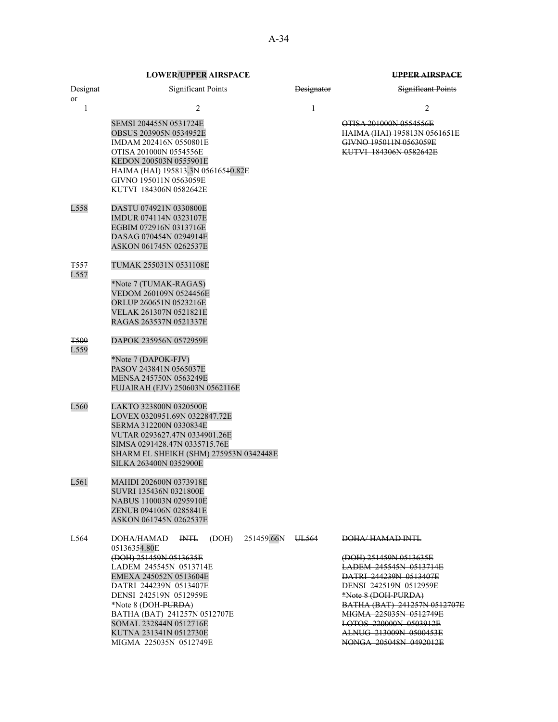|                         | LOWER/OI I ER AIRSI ACE                                                                                                                                                                                                                                                                                                 |                   |                                                                                                                                                                                                                                                                                        |
|-------------------------|-------------------------------------------------------------------------------------------------------------------------------------------------------------------------------------------------------------------------------------------------------------------------------------------------------------------------|-------------------|----------------------------------------------------------------------------------------------------------------------------------------------------------------------------------------------------------------------------------------------------------------------------------------|
| Designat<br><b>or</b>   | <b>Significant Points</b>                                                                                                                                                                                                                                                                                               | <b>Designator</b> | Significant Points                                                                                                                                                                                                                                                                     |
| 1                       | 2                                                                                                                                                                                                                                                                                                                       | $\ddagger$        | $\overline{2}$                                                                                                                                                                                                                                                                         |
|                         | SEMSI 204455N 0531724E<br><b>OBSUS 203905N 0534952E</b><br>IMDAM 202416N 0550801E<br>OTISA 201000N 0554556E<br>KEDON 200503N 0555901E<br>HAIMA (HAI) 195813.3N 05616510.82E<br>GIVNO 195011N 0563059E<br>KUTVI 184306N 0582642E                                                                                         |                   | OTISA 201000N 0554556E<br>HAIMA (HAI) 195813N 0561651E<br>GIVNO 195011N 0563059E<br>KUTVI 184306N 0582642E                                                                                                                                                                             |
| L558                    | DASTU 074921N 0330800E<br>IMDUR 074114N 0323107E<br>EGBIM 072916N 0313716E<br>DASAG 070454N 0294914E<br>ASKON 061745N 0262537E                                                                                                                                                                                          |                   |                                                                                                                                                                                                                                                                                        |
| <del>T557</del><br>L557 | TUMAK 255031N 0531108E                                                                                                                                                                                                                                                                                                  |                   |                                                                                                                                                                                                                                                                                        |
|                         | *Note 7 (TUMAK-RAGAS)<br>VEDOM 260109N 0524456E<br>ORLUP 260651N 0523216E<br>VELAK 261307N 0521821E<br>RAGAS 263537N 0521337E                                                                                                                                                                                           |                   |                                                                                                                                                                                                                                                                                        |
| <b>T509</b><br>L559     | DAPOK 235956N 0572959E                                                                                                                                                                                                                                                                                                  |                   |                                                                                                                                                                                                                                                                                        |
|                         | *Note 7 (DAPOK-FJV)<br>PASOV 243841N 0565037E<br>MENSA 245750N 0563249E<br>FUJAIRAH (FJV) 250603N 0562116E                                                                                                                                                                                                              |                   |                                                                                                                                                                                                                                                                                        |
| L560                    | LAKTO 323800N 0320500E<br>LOVEX 0320951.69N 0322847.72E<br>SERMA 312200N 0330834E<br>VUTAR 0293627.47N 0334901.26E<br>SIMSA 0291428.47N 0335715.76E<br>SHARM EL SHEIKH (SHM) 275953N 0342448E<br>SILKA 263400N 0352900E                                                                                                 |                   |                                                                                                                                                                                                                                                                                        |
| L561                    | MAHDI 202600N 0373918E<br>SUVRI 135436N 0321800E<br>NABUS 110003N 0295910E<br>ZENUB 094106N 0285841E<br>ASKON 061745N 0262537E                                                                                                                                                                                          |                   |                                                                                                                                                                                                                                                                                        |
| L564                    | DOHA/HAMAD<br>$H\!H\!H$<br>(DOH)<br>05136354.80E<br>(DOH) 251459N 0513635E<br>LADEM 245545N 0513714E<br>EMEXA 245052N 0513604E<br>DATRI 244239N 0513407E<br>DENSI 242519N 0512959E<br>*Note 8 (DOH-PURDA)<br>BATHA (BAT) 241257N 0512707E<br>SOMAL 232844N 0512716E<br>KUTNA 231341N 0512730E<br>MIGMA 225035N 0512749E | 251459.66N UL564  | DOHA/HAMAD INTL<br>(DOH) 251459N 0513635E<br>LADEM 245545N 0513714E<br>DATRI 244239N 0513407E<br>DENSI 242519N 0512959E<br>*Note 8 (DOH-PURDA)<br>BATHA (BAT) 241257N 0512707E<br>MIGMA 225035N 0512749E<br>LOTOS 220000N 0503912E<br>ALNUG 213009N 0500453E<br>NONGA 205048N 0492012E |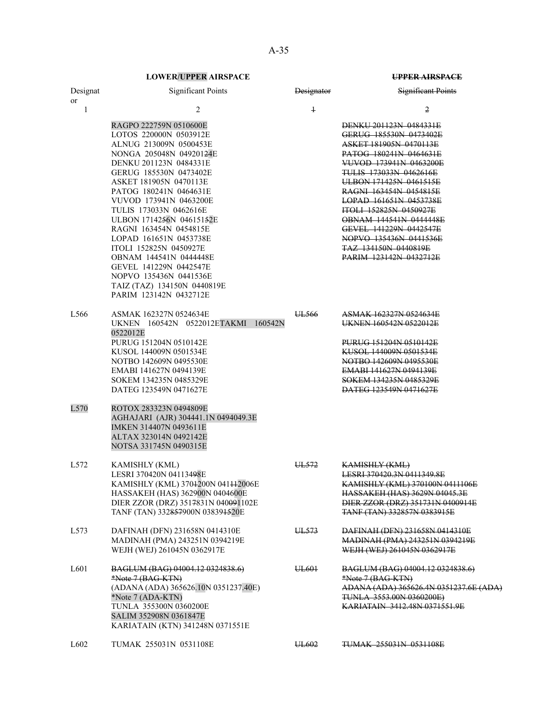| Designat<br>or    | <b>Significant Points</b>                                                                                                                                                                                                                                                                                                                                                                                                                                                                                                       | <b>Designator</b> | <b>Significant Points</b>                                                                                                                                                                                                                                                                                                                                                                                                                         |
|-------------------|---------------------------------------------------------------------------------------------------------------------------------------------------------------------------------------------------------------------------------------------------------------------------------------------------------------------------------------------------------------------------------------------------------------------------------------------------------------------------------------------------------------------------------|-------------------|---------------------------------------------------------------------------------------------------------------------------------------------------------------------------------------------------------------------------------------------------------------------------------------------------------------------------------------------------------------------------------------------------------------------------------------------------|
| 1                 | 2                                                                                                                                                                                                                                                                                                                                                                                                                                                                                                                               | $\ddagger$        | 2                                                                                                                                                                                                                                                                                                                                                                                                                                                 |
|                   | RAGPO 222759N 0510600E<br>LOTOS 220000N 0503912E<br>ALNUG 213009N 0500453E<br>NONGA 205048N 049201 <del>24</del> E<br>DENKU 201123N 0484331E<br>GERUG 185530N 0473402E<br>ASKET 181905N 0470113E<br>PATOG 180241N 0464631E<br>VUVOD 173941N 0463200E<br>TULIS 173033N 0462616E<br>ULBON 1714256N 04615152E<br>RAGNI 163454N 0454815E<br>LOPAD 161651N 0453738E<br>ITOLI 152825N 0450927E<br>OBNAM 144541N 0444448E<br>GEVEL 141229N 0442547E<br>NOPVO 135436N 0441536E<br>TAIZ (TAZ) 134150N 0440819E<br>PARIM 123142N 0432712E |                   | DENKU 201123N 0484331E<br>GERUG 185530N 0473402E<br>ASKET 181905N 0470113E<br><b>PATOG 180241N 0464631E</b><br>VUVOD 173941N 0463200E<br><b>TULIS 173033N 0462616E</b><br>ULBON 171425N 0461515E<br><b>RAGNI 163454N 0454815E</b><br>LOPAD 161651N 0453738E<br><b>ITOLI 152825N 0450927E</b><br><b>OBNAM 144541N 0444448E</b><br>GEVEL 141229N 0442547E<br>NOPVO 135436N 0441536E<br><b>TAZ 134150N 0440819E</b><br><b>PARIM 123142N 0432712E</b> |
| L566              | ASMAK 162327N 0524634E<br>UKNEN 160542N 0522012ETAKMI 160542N<br>0522012E<br>PURUG 151204N 0510142E<br>KUSOL 144009N 0501534E<br>NOTBO 142609N 0495530E<br>EMABI 141627N 0494139E<br>SOKEM 134235N 0485329E<br>DATEG 123549N 0471627E                                                                                                                                                                                                                                                                                           | UL <sub>566</sub> | ASMAK 162327N 0524634E<br>UKNEN 160542N 0522012E<br>PURUG 151204N 0510142E<br>KUSOL 144009N 0501534E<br>NOTBO 142609N 0495530E<br>EMABI 141627N 0494139E<br>SOKEM 134235N 0485329E<br>DATEG 123549N 0471627E                                                                                                                                                                                                                                      |
| L570              | ROTOX 283323N 0494809E<br>AGHAJARI (AJR) 304441.1N 0494049.3E<br>IMKEN 314407N 0493611E<br>ALTAX 323014N 0492142E<br>NOTSA 331745N 0490315E                                                                                                                                                                                                                                                                                                                                                                                     |                   |                                                                                                                                                                                                                                                                                                                                                                                                                                                   |
| L <sub>572</sub>  | KAMISHLY (KML)<br>LESRI 370420N 04113498E<br>KAMISHLY (KML) 3704200N 041442006E<br>HASSAKEH (HAS) 362900N 0404600E<br>DIER ZZOR (DRZ) 3517831N 040091102E<br>TANF (TAN) 332857900N 038391520E                                                                                                                                                                                                                                                                                                                                   | UL <sub>572</sub> | <b>KAMISHLY (KML)</b><br>LESRI 370420.3N 0411349.8E<br>KAMISHLY (KML) 370100N 0411106E<br><b>HASSAKEH (HAS) 3629N 04045.3E</b><br>DIER ZZOR (DRZ) 351731N 0400914E<br>TANE (TAN) 332857N 0383915E                                                                                                                                                                                                                                                 |
| L573              | DAFINAH (DFN) 231658N 0414310E<br>MADINAH (PMA) 243251N 0394219E<br>WEJH (WEJ) 261045N 0362917E                                                                                                                                                                                                                                                                                                                                                                                                                                 | UL573             | DAFINAH (DFN) 231658N 0414310E<br><b>MADINAH (PMA) 243251N 0394219E</b><br>WEJH (WEJ) 261045N 0362917E                                                                                                                                                                                                                                                                                                                                            |
| L601              | BAGLUM (BAG) 04004.12 0324838.6)<br>*Note 7 (BAG-KTN)<br>(ADANA (ADA) 365626.10N 0351237.40E)<br>*Note 7 (ADA-KTN)<br>TUNLA 355300N 0360200E<br>SALIM 352908N 0361847E<br>KARIATAIN (KTN) 341248N 0371551E                                                                                                                                                                                                                                                                                                                      | UL <sub>601</sub> | BAGLUM (BAG) 04004.12 0324838.6)<br>*Note 7 (BAG-KTN)<br>ADANA (ADA) 365626.4N 0351237.6E (ADA)<br><b>TUNLA 3553.00N 0360200E)</b><br>KARIATAIN 3412.48N 0371551.9E                                                                                                                                                                                                                                                                               |
| L <sub>6</sub> 02 | TUMAK 255031N 0531108E                                                                                                                                                                                                                                                                                                                                                                                                                                                                                                          | UL602             | TUMAK 255031N 0531108E                                                                                                                                                                                                                                                                                                                                                                                                                            |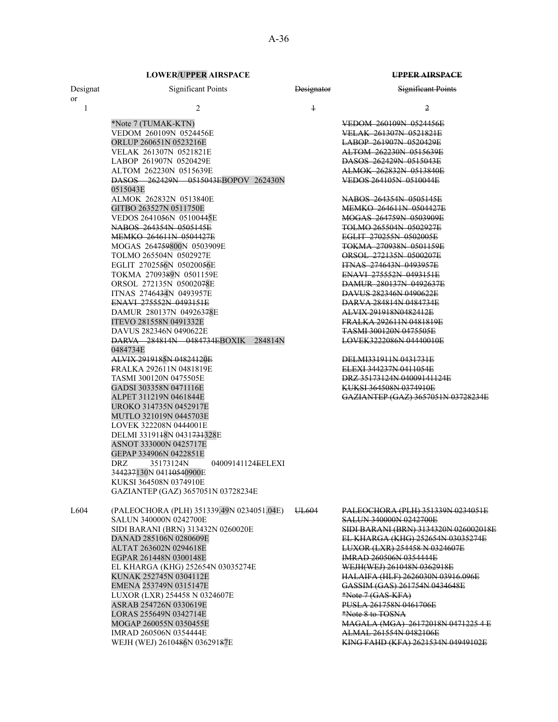| Designat     | <b>Significant Points</b>                                                                                                                                                                                                                                                                                                                                                                                                                                                                                                                                                                                                                   | <b>Designator</b> | <b>Significant Points</b>                                                                                                                                                                                                                                                                                                                                                                                                                                                                                                                                                                                            |
|--------------|---------------------------------------------------------------------------------------------------------------------------------------------------------------------------------------------------------------------------------------------------------------------------------------------------------------------------------------------------------------------------------------------------------------------------------------------------------------------------------------------------------------------------------------------------------------------------------------------------------------------------------------------|-------------------|----------------------------------------------------------------------------------------------------------------------------------------------------------------------------------------------------------------------------------------------------------------------------------------------------------------------------------------------------------------------------------------------------------------------------------------------------------------------------------------------------------------------------------------------------------------------------------------------------------------------|
| $\mathbf{1}$ | $\overline{c}$                                                                                                                                                                                                                                                                                                                                                                                                                                                                                                                                                                                                                              | $\mathbf{1}$      | $\overline{2}$                                                                                                                                                                                                                                                                                                                                                                                                                                                                                                                                                                                                       |
| or           | *Note 7 (TUMAK-KTN)<br>VEDOM 260109N 0524456E<br>ORLUP 260651N 0523216E<br>VELAK 261307N 0521821E<br>LABOP 261907N 0520429E<br>ALTOM 262230N 0515639E<br>DASOS 262429N 0515043EBOPOV 262430N<br>0515043E<br>ALMOK 262832N 0513840E<br>GITBO 263527N 0511750E<br>VEDOS 2641056N 05100445E<br><del>NABOS 264354N 0505145E</del><br><b>MEMKO 264611N 0504427E</b><br>MOGAS 264759800N 0503909E<br>TOLMO 265504N 0502927E<br>EGLIT 2702556N 05020056E<br>TOKMA 2709389N 0501159E<br>ORSOL 272135N 05002078E<br>ITNAS 2746434N 0493957E<br>ENAVI 275552N 0493151E<br>DAMUR 280137N 04926378E<br>ITEVO 281558N 0491332E<br>DAVUS 282346N 0490622E |                   | VEDOM 260109N 0524456E<br>VELAK 261307N 0521821E<br>LABOP 261907N 0520429E<br>ALTOM 262230N 0515639E<br>DASOS 262429N 0515043E<br>ALMOK 262832N 0513840E<br>VEDOS 264105N 0510044E<br>NABOS 264354N 0505145E<br><b>MEMKO 264611N 0504427E</b><br>MOGAS 264759N 0503909E<br><b>TOLMO 265504N 0502927E</b><br>EGLIT 270255N 0502005E<br>TOKMA 270938N 0501159E<br>ORSOL 272135N 0500207E<br><b>ITNAS 274643N 0493957E</b><br>ENAVI 275552N 0493151E<br>DAMUR 280137N 0492637E<br>DAVUS 282346N 0490622E<br>DARVA 284814N 0484734E<br>ALVIX 291918N0482412E<br>FRALKA 292611N 0481819E<br><b>TASMI 300120N 0475505E</b> |
|              | DARVA 284814N 0484734EBOXIK<br>284814N<br>0484734E<br>ALVIX 2919185N 04824120E<br>FRALKA 292611N 0481819E<br>TASMI 300120N 0475505E<br>GADSI 303358N 0471116E<br>ALPET 311219N 0461844E<br>UROKO 314735N 0452917E<br>MUTLO 321019N 0445703E<br>LOVEK 322208N 0444001E<br>DELMI 3319148N 0431734328E<br>ASNOT 333000N 0425717E<br>GEPAP 334906N 0422851E<br>35173124N<br>04009141124EELEXI<br>DRZ<br>344237130N 04110540900E<br>KUKSI 364508N 0374910E<br>GAZIANTEP (GAZ) 3657051N 03728234E                                                                                                                                                 |                   | LOVEK3222086N 04440010E<br>DELMI331911N 0431731E<br>ELEXI 344237N 0411054E<br>DRZ 35173124N 04009141124E<br><b>KUKSI 364508N 0374910E</b><br>GAZIANTEP (GAZ) 3657051N 03728234E                                                                                                                                                                                                                                                                                                                                                                                                                                      |
| L604         | (PALEOCHORA (PLH) 351339.49N 0234051.04E)<br>SALUN 340000N 0242700E<br>SIDI BARANI (BRN) 313432N 0260020E<br>DANAD 285106N 0280609E<br>ALTAT 263602N 0294618E<br>EGPAR 261448N 0300148E<br>EL KHARGA (KHG) 252654N 03035274E<br>KUNAK 252745N 0304112E<br>EMENA 253749N 0315147E<br>LUXOR (LXR) 254458 N 0324607E<br>ASRAB 254726N 0330619E<br>LORAS 255649N 0342714E<br>MOGAP 260055N 0350455E<br>IMRAD 260506N 0354444E<br>WEJH (WEJ) 2610486N 03629187E                                                                                                                                                                                  | UL <sub>604</sub> | PALEOCHORA (PLH) 351339N 0234051E<br><b>SALUN 340000N 0242700E</b><br>SIDI BARANI (BRN) 3134320N 026002018E<br>EL KHARGA (KHG) 252654N 03035274E<br>LUXOR (LXR) 254458 N 0324607E<br>IMRAD 260506N 0354444E<br>WEJH(WEJ) 261048N 0362918E<br>HALAIFA (HLF) 2626030N 03916.096E<br>GASSIM (GAS) 261754N 0434648E<br>*Note 7 (GAS-KFA)<br>PUSLA 261758N 0461706E<br>*Note 8 to TOSNA<br>MAGALA (MGA) 26172018N 0471225 4 E<br>ALMAL 261554N 0482106E<br>KING FAHD (KFA) 2621534N 04949102E                                                                                                                             |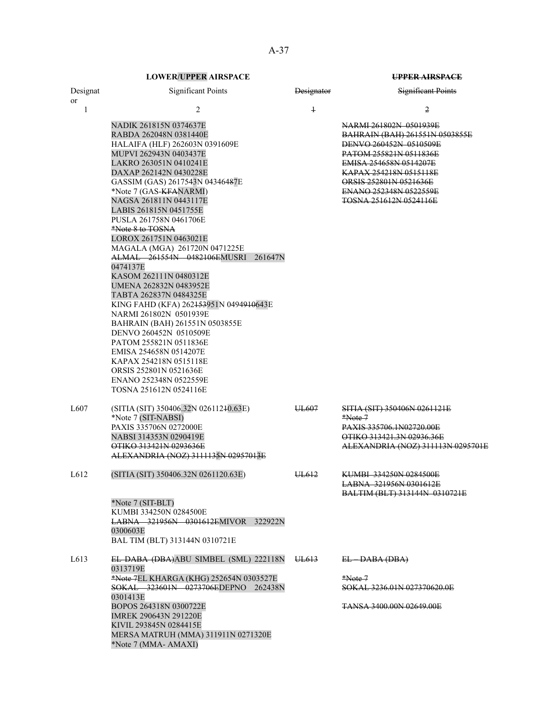| Designat          | <b>Significant Points</b>                                                                                                                                                                                                                                                                                                                                                                                                                                                                                                                                                                                                                                                                                                                                                                                               | Designator        | <b>Significant Points</b>                                                                                                                                                                                                                                    |
|-------------------|-------------------------------------------------------------------------------------------------------------------------------------------------------------------------------------------------------------------------------------------------------------------------------------------------------------------------------------------------------------------------------------------------------------------------------------------------------------------------------------------------------------------------------------------------------------------------------------------------------------------------------------------------------------------------------------------------------------------------------------------------------------------------------------------------------------------------|-------------------|--------------------------------------------------------------------------------------------------------------------------------------------------------------------------------------------------------------------------------------------------------------|
| or<br>1           | 2                                                                                                                                                                                                                                                                                                                                                                                                                                                                                                                                                                                                                                                                                                                                                                                                                       | $\ddagger$        | 2                                                                                                                                                                                                                                                            |
|                   | NADIK 261815N 0374637E<br>RABDA 262048N 0381440E<br>HALAIFA (HLF) 262603N 0391609E<br>MUPVI 262943N 0403437E<br>LAKRO 263051N 0410241E<br>DAXAP 262142N 0430228E<br>GASSIM (GAS) 2617543N 04346487E<br>*Note 7 (GAS-KFANARMI)<br>NAGSA 261811N 0443117E<br>LABIS 261815N 0451755E<br>PUSLA 261758N 0461706E<br>*Note 8 to TOSNA<br>LOROX 261751N 0463021E<br>MAGALA (MGA) 261720N 0471225E<br>ALMAL 261554N 0482106EMUSRI 261647N<br>0474137E<br>KASOM 262111N 0480312E<br>UMENA 262832N 0483952E<br>TABTA 262837N 0484325E<br>KING FAHD (KFA) 262453951N 0494910643E<br>NARMI 261802N 0501939E<br>BAHRAIN (BAH) 261551N 0503855E<br>DENVO 260452N 0510509E<br>PATOM 255821N 0511836E<br>EMISA 254658N 0514207E<br>KAPAX 254218N 0515118E<br>ORSIS 252801N 0521636E<br>ENANO 252348N 0522559E<br>TOSNA 251612N 0524116E |                   | NARMI 261802N 0501939E<br><b>BAHRAIN (BAH) 261551N 0503855E</b><br>DENVO 260452N 0510509E<br>PATOM 255821N 0511836E<br>EMISA 254658N 0514207E<br>KAPAX 254218N 0515118E<br>ORSIS 252801N 0521636E<br>ENANO 252348N 0522559E<br><b>TOSNA 251612N 0524116E</b> |
| L607              | (SITIA (SIT) 350406.32N 02611240.63E)<br>*Note 7 (SIT-NABSI)<br>PAXIS 335706N 0272000E<br>NABSI 314353N 0290419E<br>OTIKO 313421N 0293636E<br>ALEXANDRIA (NOZ) 3111135N 02957013E                                                                                                                                                                                                                                                                                                                                                                                                                                                                                                                                                                                                                                       | UL <sub>607</sub> | SITIA (SIT) 350406N 0261121E<br>$*Note.7$<br>PAXIS 335706.1N02720.00E<br>OTIKO 313421.3N 02936.36E<br>ALEXANDRIA (NOZ) 311113N 0295701E                                                                                                                      |
| L <sub>6</sub> 12 | (SITIA (SIT) 350406.32N 0261120.63E)                                                                                                                                                                                                                                                                                                                                                                                                                                                                                                                                                                                                                                                                                                                                                                                    | UL612             | <b>KUMBI 334250N 0284500E</b><br><b>LABNA 321956N 0301612E</b><br>BALTIM (BLT) 313144N 0310721E                                                                                                                                                              |
|                   | *Note 7 (SIT-BLT)<br>KUMBI 334250N 0284500E<br><b>LABNA 321956N 0301612EMIVOR 322922N</b><br>0300603E<br>BAL TIM (BLT) 313144N 0310721E                                                                                                                                                                                                                                                                                                                                                                                                                                                                                                                                                                                                                                                                                 |                   |                                                                                                                                                                                                                                                              |
| L <sub>6</sub> 13 | EL DABA (DBA)ABU SIMBEL (SML) 222118N<br>0313719E<br>*Note 7EL KHARGA (KHG) 252654N 0303527E<br>SOKAL 323601N 0273706EDEPNO 262438N<br>0301413E<br>BOPOS 264318N 0300722E<br>IMREK 290643N 291220E<br>KIVIL 293845N 0284415E<br>MERSA MATRUH (MMA) 311911N 0271320E<br>*Note 7 (MMA-AMAXI)                                                                                                                                                                                                                                                                                                                                                                                                                                                                                                                              | UL613             | EL DABA (DBA)<br>$*Note 7$<br>SOKAL 3236.01N 027370620.0E<br>TANSA 3400,00N 02649,00E                                                                                                                                                                        |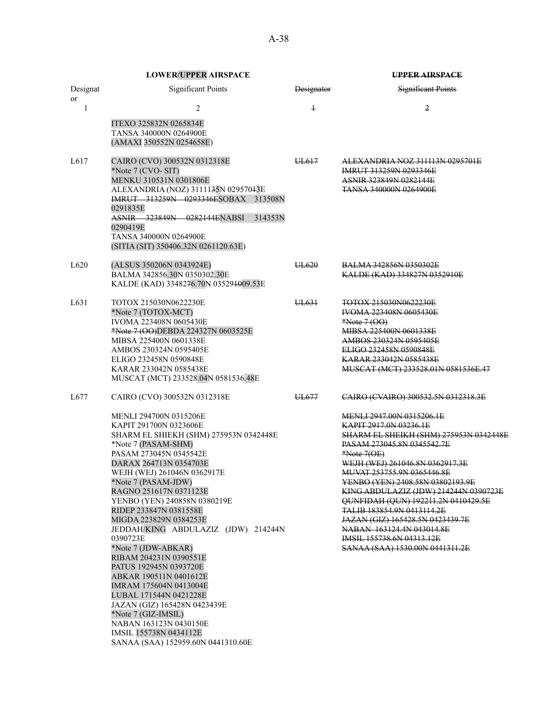|                  | <b>LOWER/UPPER AIRSPACE</b>                                                                                                                                                                                                                                                                                                                                                                                                                                                                                                                                                                                                                                                                                                                   |            | <b>UPPER AIRSPACE</b>                                                                                                                                                                                                                                                                                                                                                                                                                                                                                                                                             |  |
|------------------|-----------------------------------------------------------------------------------------------------------------------------------------------------------------------------------------------------------------------------------------------------------------------------------------------------------------------------------------------------------------------------------------------------------------------------------------------------------------------------------------------------------------------------------------------------------------------------------------------------------------------------------------------------------------------------------------------------------------------------------------------|------------|-------------------------------------------------------------------------------------------------------------------------------------------------------------------------------------------------------------------------------------------------------------------------------------------------------------------------------------------------------------------------------------------------------------------------------------------------------------------------------------------------------------------------------------------------------------------|--|
| Designat<br>or   | <b>Significant Points</b>                                                                                                                                                                                                                                                                                                                                                                                                                                                                                                                                                                                                                                                                                                                     | Designator | <b>Significant Points</b>                                                                                                                                                                                                                                                                                                                                                                                                                                                                                                                                         |  |
| $\mathbf{1}$     | 2<br>ITEXO 325832N 0265834E<br>TANSA 340000N 0264900E<br>(AMAXI 350552N 0254658E)                                                                                                                                                                                                                                                                                                                                                                                                                                                                                                                                                                                                                                                             | $\ddagger$ | 2                                                                                                                                                                                                                                                                                                                                                                                                                                                                                                                                                                 |  |
| L617             | CAIRO (CVO) 300532N 0312318E<br>*Note 7 (CVO-SIT)<br>MENKU 310531N 0301806E<br>ALEXANDRIA (NOZ) 3111135N 02957043E<br>IMRUT 313259N 0293346ESOBAX 313508N<br>0291835E<br>ASNIR 323849N 0282144ENABSI<br>314353N<br>0290419E<br><b>TANSA 340000N 0264900E</b><br>(SITIA (SIT) 350406.32N 0261120.63E)                                                                                                                                                                                                                                                                                                                                                                                                                                          | UL617      | ALEXANDRIA NOZ 311113N 0295701E<br>IMRUT 313259N 0293346E<br><b>ASNIR 323849N 0282144E</b><br><b>TANSA 340000N 0264900E</b>                                                                                                                                                                                                                                                                                                                                                                                                                                       |  |
| L <sub>620</sub> | (ALSUS 350206N 0343924E)<br>BALMA 342856.30N 0350302.30E<br>KALDE (KAD) 3348276.70N 035291009.53E                                                                                                                                                                                                                                                                                                                                                                                                                                                                                                                                                                                                                                             | UL620      | <b>BALMA 342856N 0350302E</b><br>KALDE (KAD) 334827N 0352910E                                                                                                                                                                                                                                                                                                                                                                                                                                                                                                     |  |
| L631             | TOTOX 215030N0622230E<br>*Note 7 (TOTOX-MCT)<br><b>IVOMA 223408N 0605430E</b><br>*Note 7 (OO)DEBDA 224327N 0603525E<br>MIBSA 225400N 0601338E<br>AMBOS 230324N 0595405E<br>ELIGO 232458N 0590848E<br>KARAR 233042N 0585438E<br>MUSCAT (MCT) 233528.04N 0581536.48E                                                                                                                                                                                                                                                                                                                                                                                                                                                                            | UL631      | <del>TOTOX 215030N0622230E</del><br><b>IVOMA 223408N 0605430E</b><br>*Note 7 (OO)<br>MIBSA 225400N 0601338E<br>AMBOS 230324N 0595405E<br>ELIGO 232458N 0590848E<br>KARAR 233042N 0585438E<br>MUSCAT (MCT) 233528.01N 0581536E.47                                                                                                                                                                                                                                                                                                                                  |  |
| L677             | CAIRO (CVO) 300532N 0312318E<br><b>MENLI 294700N 0315206E</b><br>KAPIT 291700N 0323606E<br>SHARM EL SHIEKH (SHM) 275953N 0342448E<br>*Note 7 (PASAM-SHM)<br>PASAM 273045N 0345542E<br>DARAX 264713N 0354703E<br>WEJH (WEJ) 261046N 0362917E<br>*Note 7 (PASAM-JDW)<br>RAGNO 251617N 0371123E<br>YENBO (YEN) 240858N 0380219E<br>RIDEP 233847N 0381558E<br>MIGDA 223829N 0384253E<br>JEDDAH/KING ABDULAZIZ (JDW) 214244N<br>0390723E<br>*Note 7 (JDW-ABKAR)<br>RIBAM 204231N 0390551E<br>PATUS 192945N 0393720E<br>ABKAR 190511N 0401612E<br>IMRAM 175604N 0413004E<br>LUBAL 171544N 0421228E<br>JAZAN (GIZ) 165428N 0423439E<br>*Note 7 (GIZ-IMSIL)<br>NABAN 163123N 0430150E<br>IMSIL 155738N 0434112E<br>SANAA (SAA) 152959.60N 0441310.60E | UL677      | CAIRO (CVAIRO) 300532.5N 0312318.3E<br><u>MENLI 2947.00N 0315206.1E</u><br>KAPIT 2917.0N 03236.1E<br><u>SHARM EL SHEIKH (SHM) 275953N 0342448E</u><br><b>PASAM 273045.8N 0345542.7E</b><br>*Note 7(OE)<br>WEJH (WEJ) 261046.8N 0362917.3E<br>MUVAT 253755.9N 0365446.8E<br>YENBO (YEN) 2408.58N 03802193.9E<br>KING ABDULAZIZ (JDW) 214244N 0390723E<br>QUNFIDAH (QUN) 192211.2N 0410429.5E<br>TALIB 183854.9N 0413114.2E<br>JAZAN (GIZ) 165428.5N 0423439.7E<br>NABAN 163124.4N 043014.8E<br><b>IMSIL 155738.6N 04313.12E</b><br>SANAA (SAA) 1530.00N 0441311.2E |  |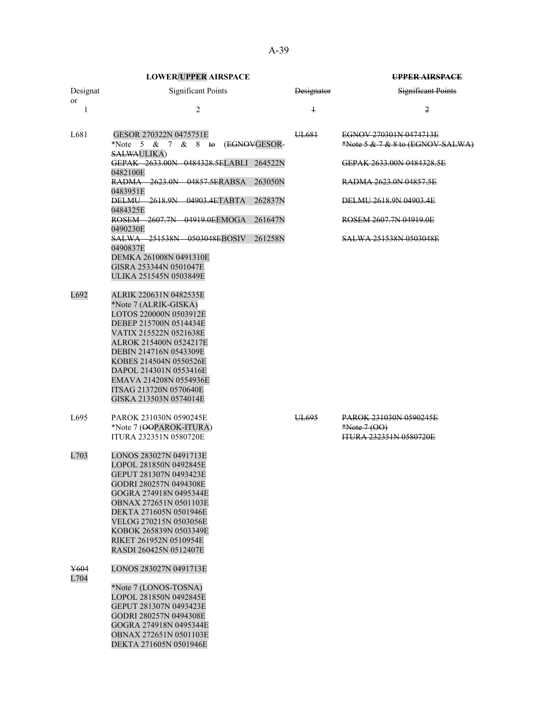|                | <b>LOWER/UPPER AIRSPACE</b>                                                                                                                                                                                                                                                                                         |              |                   | <b>UPPER AIRSPACE</b>                                                            |
|----------------|---------------------------------------------------------------------------------------------------------------------------------------------------------------------------------------------------------------------------------------------------------------------------------------------------------------------|--------------|-------------------|----------------------------------------------------------------------------------|
| Designat<br>or | <b>Significant Points</b>                                                                                                                                                                                                                                                                                           |              | <b>Designator</b> | <b>Significant Points</b>                                                        |
| $\mathbf{1}$   | 2                                                                                                                                                                                                                                                                                                                   |              | $\overline{1}$    | $\overline{2}$                                                                   |
| L681           | GESOR 270322N 0475751E<br>*Note 5 & 7<br>$& 8$ to<br><b>SALWAULIKA</b> )                                                                                                                                                                                                                                            | (EGNOVGESOR- | UL681             | EGNOV 270301N 0474713E<br>*Note 5 & 7 & 8 to (EGNOV-SALWA)                       |
|                | GEPAK 2633.00N 0484328.5ELABLI 264522N<br>0482100E                                                                                                                                                                                                                                                                  |              |                   | GEPAK 2633,00N 0484328.5E                                                        |
|                | RADMA 2623.0N 04857.5ERABSA<br>0483951E                                                                                                                                                                                                                                                                             | 263050N      |                   | RADMA 2623.0N 04857.5E                                                           |
|                | <b>DELMU 2618.9N 04903.4ETABTA</b><br>0484325E                                                                                                                                                                                                                                                                      | 262837N      |                   | DELMU 2618.9N 04903.4E                                                           |
|                | ROSEM 2607.7N 04919.0EEMOGA<br>0490230E                                                                                                                                                                                                                                                                             | 261647N      |                   | ROSEM 2607.7N 04919.0E                                                           |
|                | <b>SALWA 251538N 0503048EBOSIV</b><br>0490837E                                                                                                                                                                                                                                                                      | 261258N      |                   | <b>SALWA 251538N 0503048E</b>                                                    |
|                | DEMKA 261008N 0491310E<br>GISRA 253344N 0501047E<br>ULIKA 251545N 0503849E                                                                                                                                                                                                                                          |              |                   |                                                                                  |
| L692           | ALRIK 220631N 0482535E<br>*Note 7 (ALRIK-GISKA)<br>LOTOS 220000N 0503912E<br>DEBEP 215700N 0514434E<br>VATIX 215522N 0521638E<br>ALROK 215400N 0524217E<br>DEBIN 214716N 0543309E<br>KOBES 214504N 0550526E<br>DAPOL 214301N 0553416E<br>EMAVA 214208N 0554936E<br>ITSAG 213720N 0570640E<br>GISKA 213503N 0574014E |              |                   |                                                                                  |
| L695           | PAROK 231030N 0590245E<br>*Note 7 (OOPAROK-ITURA)<br><b>ITURA 232351N 0580720E</b>                                                                                                                                                                                                                                  |              | UL695             | <b>PAROK 231030N 0590245E</b><br>$*Note 7 (OO)$<br><b>ITURA 232351N 0580720E</b> |
| L703           | LONOS 283027N 0491713E<br>LOPOL 281850N 0492845E<br>GEPUT 281307N 0493423E<br>GODRI 280257N 0494308E<br>GOGRA 274918N 0495344E<br>OBNAX 272651N 0501103E<br>DEKTA 271605N 0501946E<br>VELOG 270215N 0503056E<br>KOBOK 265839N 0503349E<br>RIKET 261952N 0510954E<br>RASDI 260425N 0512407E                          |              |                   |                                                                                  |
| Y604<br>L704   | LONOS 283027N 0491713E                                                                                                                                                                                                                                                                                              |              |                   |                                                                                  |
|                | *Note 7 (LONOS-TOSNA)<br>LOPOL 281850N 0492845E<br>GEPUT 281307N 0493423E<br>GODRI 280257N 0494308E<br>GOGRA 274918N 0495344E<br>OBNAX 272651N 0501103E<br>DEKTA 271605N 0501946E                                                                                                                                   |              |                   |                                                                                  |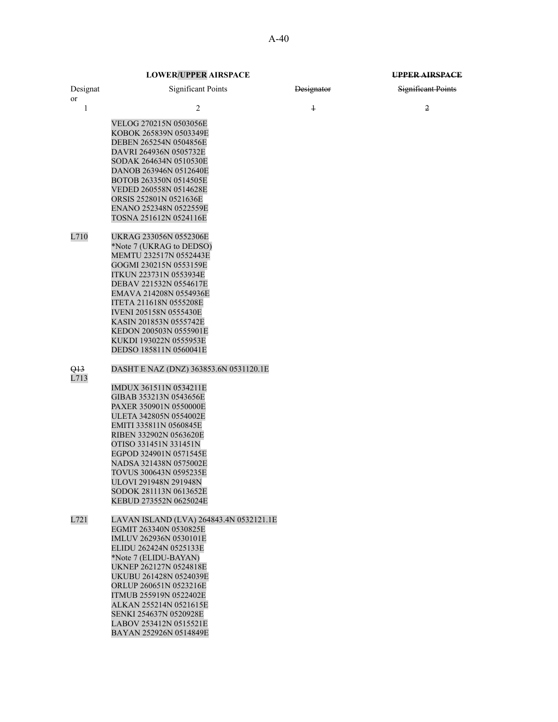|                | <b>LOWER/UPPER AIRSPACE</b>                             |            | UPPER AIRSPACE     |
|----------------|---------------------------------------------------------|------------|--------------------|
| Designat<br>or | <b>Significant Points</b>                               | Designator | Significant Points |
| $\mathbf{1}$   | $\overline{2}$                                          | $\ddagger$ | $\overline{2}$     |
|                | VELOG 270215N 0503056E                                  |            |                    |
|                | KOBOK 265839N 0503349E                                  |            |                    |
|                | DEBEN 265254N 0504856E                                  |            |                    |
|                | DAVRI 264936N 0505732E                                  |            |                    |
|                | SODAK 264634N 0510530E                                  |            |                    |
|                | DANOB 263946N 0512640E                                  |            |                    |
|                | BOTOB 263350N 0514505E                                  |            |                    |
|                | VEDED 260558N 0514628E<br>ORSIS 252801N 0521636E        |            |                    |
|                | ENANO 252348N 0522559E                                  |            |                    |
|                | TOSNA 251612N 0524116E                                  |            |                    |
| L710           | UKRAG 233056N 0552306E                                  |            |                    |
|                | *Note 7 (UKRAG to DEDSO)                                |            |                    |
|                | MEMTU 232517N 0552443E                                  |            |                    |
|                | GOGMI 230215N 0553159E<br><b>ITKUN 223731N 0553934E</b> |            |                    |
|                | DEBAV 221532N 0554617E                                  |            |                    |
|                | EMAVA 214208N 0554936E                                  |            |                    |
|                | ITETA 211618N 0555208E                                  |            |                    |
|                | <b>IVENI 205158N 0555430E</b>                           |            |                    |
|                | KASIN 201853N 0555742E                                  |            |                    |
|                | KEDON 200503N 0555901E<br>KUKDI 193022N 0555953E        |            |                    |
|                | DEDSO 185811N 0560041E                                  |            |                    |
| Q13<br>L713    | DASHT E NAZ (DNZ) 363853.6N 0531120.1E                  |            |                    |
|                | IMDUX 361511N 0534211E                                  |            |                    |
|                | GIBAB 353213N 0543656E                                  |            |                    |
|                | PAXER 350901N 0550000E                                  |            |                    |
|                | ULETA 342805N 0554002E<br>EMITI 335811N 0560845E        |            |                    |
|                | RIBEN 332902N 0563620E                                  |            |                    |
|                | OTISO 331451N 331451N                                   |            |                    |
|                | EGPOD 324901N 0571545E                                  |            |                    |
|                | NADSA 321438N 0575002E                                  |            |                    |
|                | TOVUS 300643N 0595235E                                  |            |                    |
|                | ULOVI 291948N 291948N<br>SODOK 281113N 0613652E         |            |                    |
|                | KEBUD 273552N 0625024E                                  |            |                    |
| L721           | LAVAN ISLAND (LVA) 264843.4N 0532121.1E                 |            |                    |
|                | EGMIT 263340N 0530825E                                  |            |                    |
|                | IMLUV 262936N 0530101E                                  |            |                    |
|                | ELIDU 262424N 0525133E<br>*Note 7 (ELIDU-BAYAN)         |            |                    |
|                | UKNEP 262127N 0524818E                                  |            |                    |
|                | UKUBU 261428N 0524039E                                  |            |                    |
|                | ORLUP 260651N 0523216E                                  |            |                    |
|                | ITMUB 255919N 0522402E                                  |            |                    |
|                | ALKAN 255214N 0521615E                                  |            |                    |
|                | SENKI 254637N 0520928E<br>LABOV 253412N 0515521E        |            |                    |
|                | BAYAN 252926N 0514849E                                  |            |                    |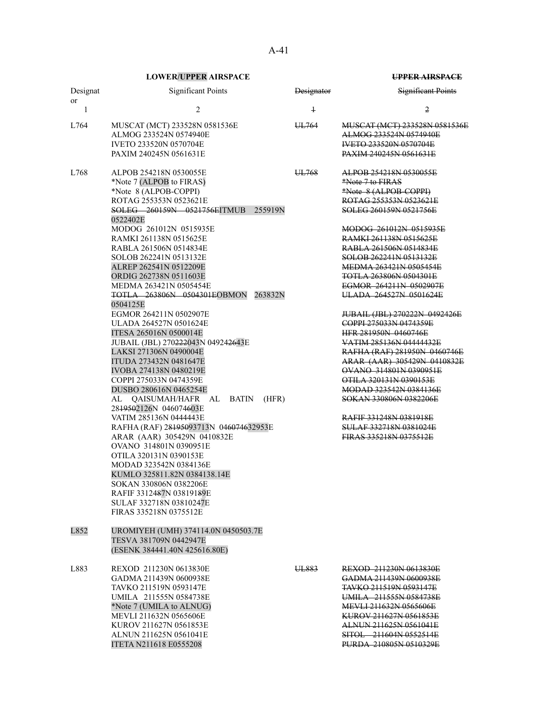| Designat<br>or | <b>Significant Points</b>                                                                                                                                                                                                                                                                                                                                                                                                                                                                                                                                                                                                                                                                                                                                                 |                             | <b>Designator</b> | Significant Points                                                                                                                                                                                                                                                                                                                                                                                                                                                                                                                                                                                                                                                          |
|----------------|---------------------------------------------------------------------------------------------------------------------------------------------------------------------------------------------------------------------------------------------------------------------------------------------------------------------------------------------------------------------------------------------------------------------------------------------------------------------------------------------------------------------------------------------------------------------------------------------------------------------------------------------------------------------------------------------------------------------------------------------------------------------------|-----------------------------|-------------------|-----------------------------------------------------------------------------------------------------------------------------------------------------------------------------------------------------------------------------------------------------------------------------------------------------------------------------------------------------------------------------------------------------------------------------------------------------------------------------------------------------------------------------------------------------------------------------------------------------------------------------------------------------------------------------|
| $\mathbf{1}$   | 2                                                                                                                                                                                                                                                                                                                                                                                                                                                                                                                                                                                                                                                                                                                                                                         |                             | $\ddagger$        | 2                                                                                                                                                                                                                                                                                                                                                                                                                                                                                                                                                                                                                                                                           |
| L764           | MUSCAT (MCT) 233528N 0581536E<br>ALMOG 233524N 0574940E<br>IVETO 233520N 0570704E<br>PAXIM 240245N 0561631E                                                                                                                                                                                                                                                                                                                                                                                                                                                                                                                                                                                                                                                               |                             | UL764             | MUSCAT (MCT) 233528N 0581536E<br>ALMOG 233524N 0574940E<br><b>IVETO 233520N 0570704E</b><br><b>PAXIM 240245N 0561631E</b>                                                                                                                                                                                                                                                                                                                                                                                                                                                                                                                                                   |
| L768           | ALPOB 254218N 0530055E<br>*Note 7 (ALPOB to FIRAS)<br>*Note 8 (ALPOB-COPPI)<br>ROTAG 255353N 0523621E<br>SOLEG 260159N 0521756EITMUB<br>0522402E<br>MODOG 261012N 0515935E<br>RAMKI 261138N 0515625E<br>RABLA 261506N 0514834E<br>SOLOB 262241N 0513132E<br>ALREP 262541N 0512209E<br>ORDIG 262738N 0511603E<br>MEDMA 263421N 0505454E<br><b>TOTLA 263806N 0504301EOBMON</b><br>0504125E<br>EGMOR 264211N 0502907E<br>ULADA 264527N 0501624E<br>ITESA 265016N 0500014E<br>JUBAIL (JBL) 270 <del>222</del> 043N 04924 <del>26</del> 43E<br>LAKSI 271306N 0490004E<br>ITUDA 273432N 0481647E<br>IVOBA 274138N 0480219E<br>COPPI 275033N 0474359E<br>DUSBO 280616N 0465254E<br>AL QAISUMAH/HAFR AL<br>BATIN<br>28 <del>1950</del> 2126N 046074603E<br>VATIM 285136N 0444443E | 255919N<br>263832N<br>(HFR) | UL768             | ALPOB 254218N 0530055E<br>*Note 7 to FIRAS<br>*Note 8 (ALPOB-COPPI)<br>ROTAG 255353N 0523621E<br>SOLEG 260159N 0521756E<br>MODOG 261012N 0515935E<br>RAMKI 261138N 0515625E<br><b>RABLA 261506N 0514834E</b><br>SOLOB 262241N 0513132E<br>MEDMA 263421N 0505454E<br>TOTLA 263806N 0504301E<br>EGMOR 264211N 0502907E<br>ULADA 264527N 0501624E<br>JUBAIL (JBL) 270222N 0492426E<br>COPPI 275033N 0474359E<br><b>HFR 281950N 0460746E</b><br>VATIM 285136N 04444432E<br>RAFHA (RAF) 281950N 0460746E<br>ARAR (AAR) 305429N 0410832E<br>OVANO 314801N 0390951E<br>OTILA 320131N 0390153E<br>MODAD 323542N 0384136E<br>SOKAN 330806N 0382206E<br><b>RAFIF 331248N 0381918E</b> |
|                | RAFHA (RAF) 28195093713N 046074632953E<br>ARAR (AAR) 305429N 0410832E<br>OVANO 314801N 0390951E<br>OTILA 320131N 0390153E<br>MODAD 323542N 0384136E<br>KUMLO 325811.82N 0384138.14E<br>SOKAN 330806N 0382206E<br>RAFIF 3312487N 03819189E<br>SULAF 332718N 03810247E<br>FIRAS 335218N 0375512E                                                                                                                                                                                                                                                                                                                                                                                                                                                                            |                             |                   | <b>SULAF 332718N 0381024E</b><br>FIRAS 335218N 0375512E                                                                                                                                                                                                                                                                                                                                                                                                                                                                                                                                                                                                                     |
| L852           | UROMIYEH (UMH) 374114.0N 0450503.7E<br>TESVA 381709N 0442947E<br>(ESENK 384441.40N 425616.80E)                                                                                                                                                                                                                                                                                                                                                                                                                                                                                                                                                                                                                                                                            |                             |                   |                                                                                                                                                                                                                                                                                                                                                                                                                                                                                                                                                                                                                                                                             |
| L883           | REXOD 211230N 0613830E<br>GADMA 211439N 0600938E<br>TAVKO 211519N 0593147E<br>UMILA 211555N 0584738E<br>*Note 7 (UMILA to ALNUG)<br>MEVLI 211632N 0565606E<br>KUROV 211627N 0561853E<br>ALNUN 211625N 0561041E<br>ITETA N211618 E0555208                                                                                                                                                                                                                                                                                                                                                                                                                                                                                                                                  |                             | UL883             | REXOD 211230N 0613830E<br>GADMA 211439N 0600938E<br><b>TAVKO 211519N 0593147E</b><br>UMILA 211555N 0584738E<br>MEVLI 211632N 0565606E<br>KUROV 211627N 0561853E<br>ALNUN 211625N 0561041E<br>SITOL 211604N 0552514E<br>PURDA 210805N 0510329E                                                                                                                                                                                                                                                                                                                                                                                                                               |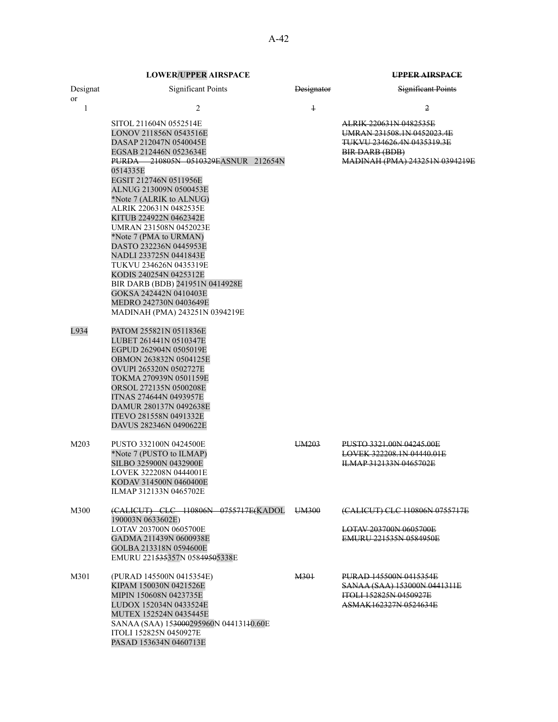| Designat<br><sub>or</sub> | <b>Significant Points</b>                                                                                                                                                                                                                                                                                                                                                                                                                                                                                                                                                        | <b>Designator</b> | Significant Points                                                                                                                                       |
|---------------------------|----------------------------------------------------------------------------------------------------------------------------------------------------------------------------------------------------------------------------------------------------------------------------------------------------------------------------------------------------------------------------------------------------------------------------------------------------------------------------------------------------------------------------------------------------------------------------------|-------------------|----------------------------------------------------------------------------------------------------------------------------------------------------------|
| $\mathbf{1}$              | $\overline{2}$                                                                                                                                                                                                                                                                                                                                                                                                                                                                                                                                                                   | $\ddagger$        | 2                                                                                                                                                        |
|                           | SITOL 211604N 0552514E<br>LONOV 211856N 0543516E<br>DASAP 212047N 0540045E<br>EGSAB 212446N 0523634E<br>PURDA 210805N 0510329EASNUR 212654N<br>0514335E<br>EGSIT 212746N 0511956E<br>ALNUG 213009N 0500453E<br>*Note 7 (ALRIK to ALNUG)<br>ALRIK 220631N 0482535E<br>KITUB 224922N 0462342E<br>UMRAN 231508N 0452023E<br>*Note 7 (PMA to URMAN)<br>DASTO 232236N 0445953E<br>NADLI 233725N 0441843E<br>TUKVU 234626N 0435319E<br>KODIS 240254N 0425312E<br>BIR DARB (BDB) 241951N 0414928E<br>GOKSA 242442N 0410403E<br>MEDRO 242730N 0403649E<br>MADINAH (PMA) 243251N 0394219E |                   | <del>ALRIK 220631N 0482535E</del><br><u>UMRAN 231508.1N 0452023.4E</u><br>TUKVU 234626.4N 0435319.3E<br>BIR DARB (BDB)<br>MADINAH (PMA) 243251N 0394219E |
| L934                      | PATOM 255821N 0511836E<br>LUBET 261441N 0510347E<br>EGPUD 262904N 0505019E<br>OBMON 263832N 0504125E<br>OVUPI 265320N 0502727E<br>TOKMA 270939N 0501159E<br>ORSOL 272135N 0500208E<br>ITNAS 274644N 0493957E<br>DAMUR 280137N 0492638E<br>ITEVO 281558N 0491332E<br>DAVUS 282346N 0490622E                                                                                                                                                                                                                                                                                       |                   |                                                                                                                                                          |
| M203                      | PUSTO 332100N 0424500E<br>*Note 7 (PUSTO to ILMAP)<br>SILBO 325900N 0432900E<br>LOVEK 322208N 0444001E<br>KODAV 314500N 0460400E<br>ILMAP 312133N 0465702E                                                                                                                                                                                                                                                                                                                                                                                                                       | UM <sub>203</sub> | PUSTO 3321.00N 04245.00E<br>LOVEK 322208.1N 04440.01E<br><b>ILMAP 312133N 0465702E</b>                                                                   |
| M300                      | (CALICUT) CLC 110806N 0755717E(KADOL<br>190003N 0633602E)<br>LOTAV 203700N 0605700E<br>GADMA 211439N 0600938E<br>GOLBA 213318N 0594600E<br>EMURU 221535357N 05849505338E                                                                                                                                                                                                                                                                                                                                                                                                         | UM300             | (CALICUT) CLC 110806N 0755717E<br>LOTAV 203700N 0605700E<br>EMURU 221535N 0584950E                                                                       |
| M301                      | (PURAD 145500N 0415354E)<br>KIPAM 150030N 0421526E<br>MIPIN 150608N 0423735E<br>LUDOX 152034N 0433524E<br><b>MUTEX 152524N 0435445E</b><br>SANAA (SAA) 153000295960N 04413140.60E<br>ITOLI 152825N 0450927E<br>PASAD 153634N 0460713E                                                                                                                                                                                                                                                                                                                                            | M301              | PURAD 145500N 0415354E<br>SANAA (SAA) 153000N 0441311E<br>ITOLI 152825N 0450927E<br><del>ASMAK162327N 0524634E</del>                                     |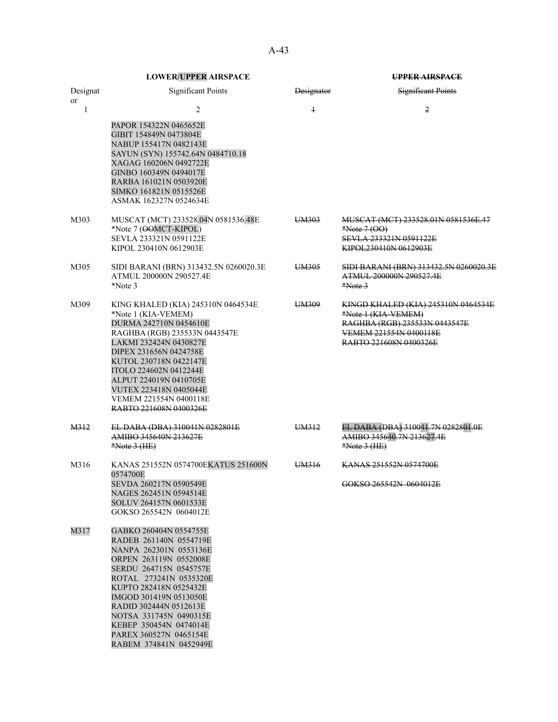|                           | <b>LOWER/UPPER AIRSPACE</b>                                                                                                                                                                                                                                                                                                                    |                   | <b>UPPER AIRSPACE</b>                                                                                                                           |
|---------------------------|------------------------------------------------------------------------------------------------------------------------------------------------------------------------------------------------------------------------------------------------------------------------------------------------------------------------------------------------|-------------------|-------------------------------------------------------------------------------------------------------------------------------------------------|
| Designat<br><sub>or</sub> | <b>Significant Points</b>                                                                                                                                                                                                                                                                                                                      | <b>Designator</b> | <b>Significant Points</b>                                                                                                                       |
| 1                         | $\overline{2}$<br>PAPOR 154322N 0465652E<br>GIBIT 154849N 0473804E<br>NABUP 155417N 0482143E<br>SAYUN (SYN) 155742.64N 0484710.18<br>XAGAG 160206N 0492722E<br>GINBO 160349N 0494017E<br>RARBA 161021N 0503920E<br>SIMKO 161821N 0515526E<br>ASMAK 162327N 0524634E                                                                            | $\ddagger$        | 2                                                                                                                                               |
| M303                      | MUSCAT (MCT) 233528.04N 0581536.48E<br>*Note 7 (OOMCT-KIPOL)<br>SEVLA 233321N 0591122E<br>KIPOL 230410N 0612903E                                                                                                                                                                                                                               | UM303             | MUSCAT (MCT) 233528.01N 0581536E.47<br>$*Note 7 (OO)$<br>SEVLA 233321N 0591122E<br>KIPOL230410N 0612903E                                        |
| M305                      | SIDI BARANI (BRN) 313432.5N 0260020.3E<br>ATMUL 200000N 290527.4E<br>*Note 3                                                                                                                                                                                                                                                                   | UM305             | SIDI BARANI (BRN) 313432.5N 0260020.3E<br>ATMUL 200000N 290527.4E<br>$*Note 3$                                                                  |
| M309                      | KING KHALED (KIA) 245310N 0464534E<br>*Note 1 (KIA-VEMEM)<br>DURMA 242710N 0454610E<br>RAGHBA (RGB) 235533N 0443547E<br>LAKMI 232424N 0430827E<br>DIPEX 231656N 0424758E<br>KUTOL 230718N 0422147E<br>ITOLO 224602N 0412244E<br>ALPUT 224019N 0410705E<br>VUTEX 223418N 0405044E<br>VEMEM 221554N 0400118E<br>RABTO 221608N 0400326E           | UM309             | KINGD KHALED (KIA) 245310N 0464534E<br>*Note 1 (KIA-VEMEM)<br>RAGHBA (RGB) 235533N 0443547E<br>VEMEM 221554N 0400118E<br>RABTO 221608N 0400326E |
| M312                      | EL DABA (DBA) 310041N 0282801E<br>AMIBO 345640N 213627E<br>$*Note 3 (HE)$                                                                                                                                                                                                                                                                      | UM312             | EL DABA (DBA) 310041.7N 0282801.0E<br>AMIBO 345640.7N 213627.4E<br>$*Note 3 (HE)$                                                               |
| M316                      | KANAS 251552N 0574700EKATUS 251600N<br>0574700E<br>SEVDA 260217N 0590549E<br>NAGES 262451N 0594514E<br>SOLUV 264157N 0601533E<br>GOKSO 265542N 0604012E                                                                                                                                                                                        | UM316             | KANAS 251552N 0574700E<br>GOKSO 265542N 0604012E                                                                                                |
| M317                      | GABKO 260404N 0554755E<br>RADEB 261140N 0554719E<br>NANPA 262301N 0553136E<br>ORPEN 263119N 0552008E<br>SERDU 264715N 0545757E<br>ROTAL 273241N 0535320E<br>KUPTO 282418N 0525432E<br>IMGOD 301419N 0513050E<br>RADID 302444N 0512613E<br>NOTSA 331745N 0490315E<br>KEBEP 350454N 0474014E<br>PAREX 360527N 0465154E<br>RABEM 374841N 0452949E |                   |                                                                                                                                                 |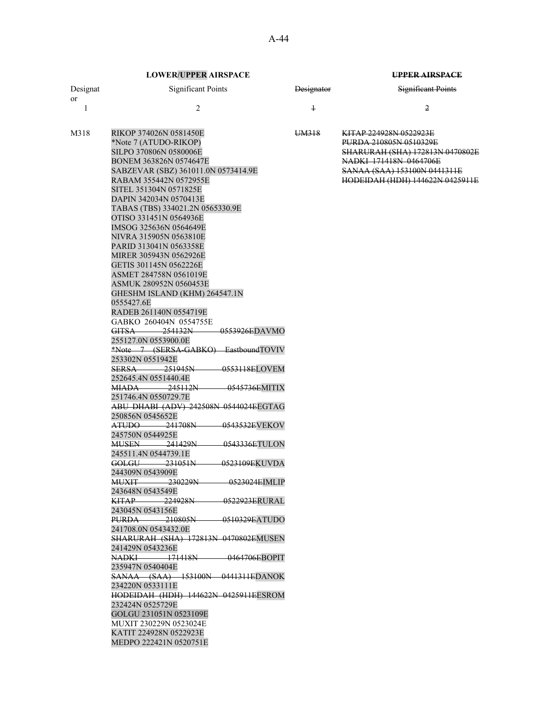| Designat  | Significant Points     | <b>Designator</b> | <b>Significant Points</b>               |
|-----------|------------------------|-------------------|-----------------------------------------|
| <b>or</b> |                        |                   |                                         |
|           |                        |                   | 2                                       |
|           |                        |                   |                                         |
| M318      | RIKOP 374026N 0581450E | UM318             | KITAD 224028N 0522023E                  |
|           | *Note 7 (ATUDO-RIKOP)  |                   | <b>PURDA 210805N 0510329E</b>           |
|           | SILPO 370806N 0580006E |                   | <b>CHA DURAH (CHA) 172813N 0470802E</b> |
|           | BONEM 363826N 0574647E |                   | NADKI 171418N 0464706E                  |

| SILPO 370806N 0580006E                              | <b>SHARURAH (SHA) 172813N 0470802E</b> |
|-----------------------------------------------------|----------------------------------------|
| BONEM 363826N 0574647E                              | NADKI 171418N 0464706E                 |
| SABZEVAR (SBZ) 361011.0N 0573414.9E                 | SANAA (SAA) 153100N 0441311E           |
| RABAM 355442N 0572955E                              | <u>HODEIDAH (HDH) 144622N 0425911E</u> |
| SITEL 351304N 0571825E                              |                                        |
| DAPIN 342034N 0570413E                              |                                        |
| TABAS (TBS) 334021.2N 0565330.9E                    |                                        |
| OTISO 331451N 0564936E                              |                                        |
| IMSOG 325636N 0564649E                              |                                        |
| NIVRA 315905N 0563810E                              |                                        |
| PARID 313041N 0563358E                              |                                        |
| MIRER 305943N 0562926E                              |                                        |
| GETIS 301145N 0562226E                              |                                        |
| ASMET 284758N 0561019E                              |                                        |
| ASMUK 280952N 0560453E                              |                                        |
| GHESHM ISLAND (KHM) 264547.1N                       |                                        |
| 0555427.6E                                          |                                        |
| RADEB 261140N 0554719E                              |                                        |
|                                                     |                                        |
| GABKO 260404N 0554755E                              |                                        |
| GITSA 254132N 0553926EDAVMO                         |                                        |
| 255127.0N 0553900.0E                                |                                        |
| *Note 7 (SERSA-GABKO) EastboundTOVIV                |                                        |
| 253302N 0551942E                                    |                                        |
| SERSA 251945N 0553118ELOVEM                         |                                        |
| 252645.4N 0551440.4E                                |                                        |
| MIADA 245112N 0545736EMITIX                         |                                        |
| 251746.4N 0550729.7E                                |                                        |
| ABU DHABI (ADV) 242508N 0544024EEGTAG               |                                        |
| 250856N 0545652E                                    |                                        |
| ATUDO 241708N<br><del>-0543532E</del> VEKOV         |                                        |
| 245750N 0544925E                                    |                                        |
| <b>MUSEN</b> 241429N<br>-0543336ETULON              |                                        |
| 245511.4N 0544739.1E                                |                                        |
| GOLGU 231051N 0523109EKUVDA                         |                                        |
| 244309N 0543909E                                    |                                        |
| <b>MUXIT</b><br><u>-230229N - </u><br>0523024EIMLIP |                                        |
| 243648N 0543549E                                    |                                        |
| <u>KITAP 224928N 0522923ERURAL</u>                  |                                        |
| 243045N 0543156E                                    |                                        |
| <b>PURDA 210805N 0510329EATUDO</b>                  |                                        |
| 241708.0N 0543432.0E                                |                                        |
| <b>SHARURAH (SHA) 172813N 0470802EMUSEN</b>         |                                        |
| 241429N 0543236E                                    |                                        |
| NADKI 171418N<br>0464706EBOPIT                      |                                        |
| 235947N 0540404E                                    |                                        |
| SANAA (SAA) 153100N 0441311EDANOK                   |                                        |
|                                                     |                                        |
| 234220N 0533111E                                    |                                        |
| HODEIDAH (HDH) 144622N 0425911EESROM                |                                        |
| 232424N 0525729E                                    |                                        |
| GOLGU 231051N 0523109E                              |                                        |
| MUXIT 230229N 0523024E                              |                                        |
| KATIT 224928N 0522923E                              |                                        |

MEDPO 222421N 0520751E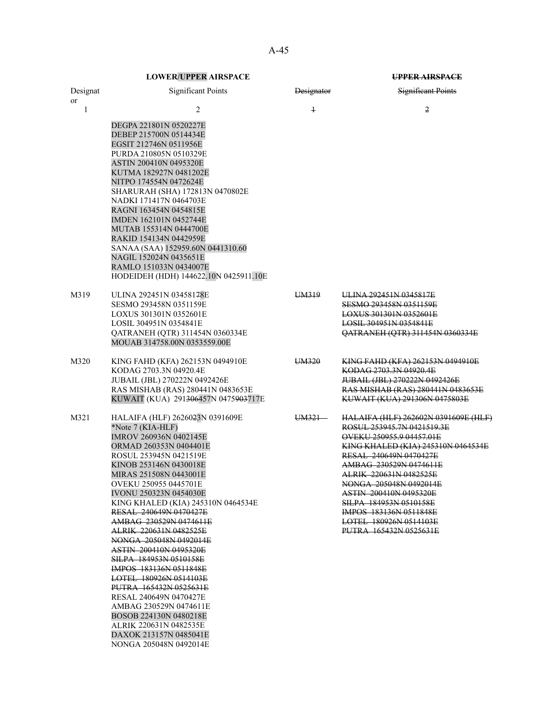A-45

|                           | <b>LOWER/UPPER AIRSPACE</b>                                                                                                                                                                                                                                                                                                                                                                                                                                                                                                                                                                                                                                                                                       | UPPER AIRSPACE    |                                                                                                                                                                                                                                                                                                                                                                                              |  |
|---------------------------|-------------------------------------------------------------------------------------------------------------------------------------------------------------------------------------------------------------------------------------------------------------------------------------------------------------------------------------------------------------------------------------------------------------------------------------------------------------------------------------------------------------------------------------------------------------------------------------------------------------------------------------------------------------------------------------------------------------------|-------------------|----------------------------------------------------------------------------------------------------------------------------------------------------------------------------------------------------------------------------------------------------------------------------------------------------------------------------------------------------------------------------------------------|--|
| Designat<br><sub>or</sub> | <b>Significant Points</b>                                                                                                                                                                                                                                                                                                                                                                                                                                                                                                                                                                                                                                                                                         | <b>Designator</b> | <b>Significant Points</b>                                                                                                                                                                                                                                                                                                                                                                    |  |
| 1                         | 2<br>DEGPA 221801N 0520227E<br>DEBEP 215700N 0514434E<br>EGSIT 212746N 0511956E<br>PURDA 210805N 0510329E<br><b>ASTIN 200410N 0495320E</b><br>KUTMA 182927N 0481202E<br>NITPO 174554N 0472624E<br>SHARURAH (SHA) 172813N 0470802E<br>NADKI 171417N 0464703E<br>RAGNI 163454N 0454815E<br>IMDEN 162101N 0452744E<br>MUTAB 155314N 0444700E<br>RAKID 154134N 0442959E<br>SANAA (SAA) 152959.60N 0441310.60<br>NAGIL 152024N 0435651E<br>RAMLO 151033N 0434007E<br>HODEIDEH (HDH) 144622.10N 0425911.10E                                                                                                                                                                                                             | $\overline{1}$    | 2                                                                                                                                                                                                                                                                                                                                                                                            |  |
| M319                      | ULINA 292451N 03458178E<br>SESMO 293458N 0351159E<br>LOXUS 301301N 0352601E<br>LOSIL 304951N 0354841E<br>OATRANEH (OTR) 311454N 0360334E<br>MOUAB 314758.00N 0353559.00E                                                                                                                                                                                                                                                                                                                                                                                                                                                                                                                                          | UM319             | ULINA 292451N 0345817E<br>SESMO 293458N 0351159E<br>LOXUS 301301N 0352601E<br>LOSIL 304951N 0354841E<br>QATRANEH (QTR) 311454N 0360334E                                                                                                                                                                                                                                                      |  |
| M320                      | KING FAHD (KFA) 262153N 0494910E<br>KODAG 2703.3N 04920.4E<br>JUBAIL (JBL) 270222N 0492426E<br>RAS MISHAB (RAS) 280441N 0483653E<br>KUWAIT (KUA) 291306457N 0475903717E                                                                                                                                                                                                                                                                                                                                                                                                                                                                                                                                           | UM320             | <u>KING FAHD (KFA) 262153N 0494910E</u><br>KODAG 2703.3N 04920.4E<br>JUBAIL (JBL) 270222N 0492426E<br>RAS MISHAB (RAS) 280441N 0483653E<br>KUWAIT (KUA) 291306N 0475803E                                                                                                                                                                                                                     |  |
| M321                      | HALAIFA (HLF) 2626023N 0391609E<br>*Note 7 (KIA-HLF)<br>IMROV 260936N 0402145E<br>ORMAD 260353N 0404401E<br>ROSUL 253945N 0421519E<br>KINOB 253146N 0430018E<br>MIRAS 251508N 0443001E<br>OVEKU 250955 0445701E<br><b>IVONU 250323N 0454030E</b><br>KING KHALED (KIA) 245310N 0464534E<br>RESAL 240649N 0470427E<br>AMBAG 230529N 0474611E<br>ALRIK 220631N 0482525E<br>NONGA 205048N 0492014E<br><b>ASTIN 200410N 0495320E</b><br>SILPA 184953N 0510158E<br><b>IMPOS</b> 183136N 0511848E<br>LOTEL 180926N 0514103E<br><b>PUTRA 165432N 0525631E</b><br>RESAL 240649N 0470427E<br>AMBAG 230529N 0474611E<br>BOSOB 224130N 0480218E<br>ALRIK 220631N 0482535E<br>DAXOK 213157N 0485041E<br>NONGA 205048N 0492014E | UM321-            | HALAIFA (HLF) 262602N 0391609E (HLF)<br>ROSUL 253945.7N 0421519.3E<br>OVEKU 250955.9 04457.01E<br><b>KING KHALED (KIA) 245310N 0464534E</b><br>RESAL 240649N 0470427E<br>AMBAG 230529N 0474611E<br>ALRIK 220631N 0482525E<br>NONGA 205048N 0492014E<br><b>ASTIN 200410N 0495320E</b><br>SILPA 184953N 0510158E<br>IMPOS 183136N 0511848E<br>LOTEL 180926N 0514103E<br>PUTRA 165432N 0525631E |  |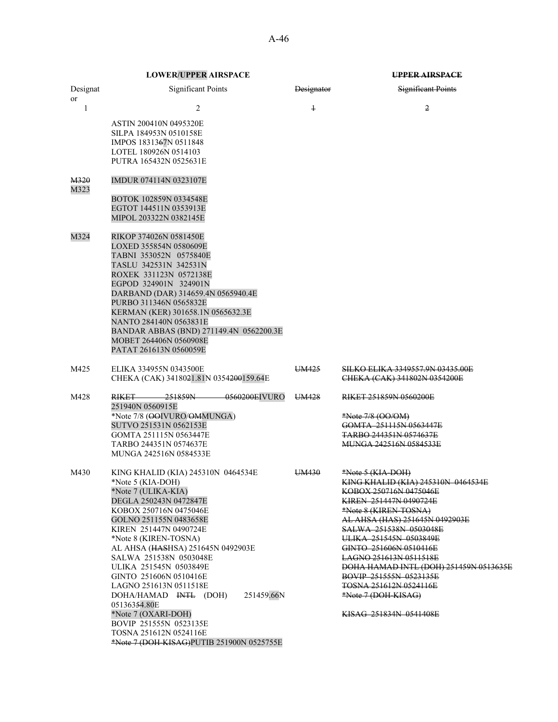| <b>LOWER/UPPER AIRSPACE</b> |
|-----------------------------|
|-----------------------------|

\*Note 7 (DOH-KISAG)PUTIB 251900N 0525755E

|                | <b>LOWER/UPPER AIRSPACE</b>                                                                                                                                                                                                                                                                                                                                                                                                                                                                    |                   | <b>UPPER AIRSPACE</b>                                                                                                                                                                                                                                                                                                                                                                                                                                     |
|----------------|------------------------------------------------------------------------------------------------------------------------------------------------------------------------------------------------------------------------------------------------------------------------------------------------------------------------------------------------------------------------------------------------------------------------------------------------------------------------------------------------|-------------------|-----------------------------------------------------------------------------------------------------------------------------------------------------------------------------------------------------------------------------------------------------------------------------------------------------------------------------------------------------------------------------------------------------------------------------------------------------------|
| Designat<br>or | <b>Significant Points</b>                                                                                                                                                                                                                                                                                                                                                                                                                                                                      | <b>Designator</b> | <b>Significant Points</b>                                                                                                                                                                                                                                                                                                                                                                                                                                 |
| $\mathbf{1}$   | 2<br><b>ASTIN 200410N 0495320E</b><br>SILPA 184953N 0510158E<br>IMPOS 1831367N 0511848<br>LOTEL 180926N 0514103<br>PUTRA 165432N 0525631E                                                                                                                                                                                                                                                                                                                                                      | $\ddagger$        | 2                                                                                                                                                                                                                                                                                                                                                                                                                                                         |
| M320<br>M323   | IMDUR 074114N 0323107E<br>BOTOK 102859N 0334548E<br>EGTOT 144511N 0353913E<br>MIPOL 203322N 0382145E                                                                                                                                                                                                                                                                                                                                                                                           |                   |                                                                                                                                                                                                                                                                                                                                                                                                                                                           |
| M324           | RIKOP 374026N 0581450E<br>LOXED 355854N 0580609E<br>TABNI 353052N 0575840E<br>TASLU 342531N 342531N<br>ROXEK 331123N 0572138E<br>EGPOD 324901N 324901N<br>DARBAND (DAR) 314659.4N 0565940.4E<br>PURBO 311346N 0565832E<br>KERMAN (KER) 301658.1N 0565632.3E<br>NANTO 284140N 0563831E<br>BANDAR ABBAS (BND) 271149.4N 0562200.3E<br>MOBET 264406N 0560908E<br>PATAT 261613N 0560059E                                                                                                           |                   |                                                                                                                                                                                                                                                                                                                                                                                                                                                           |
| M425           | ELIKA 334955N 0343500E<br>CHEKA (CAK) 3418021.81N 0354200159.64E                                                                                                                                                                                                                                                                                                                                                                                                                               | UM425             | SILKO ELIKA 3349557.9N 03435.00E<br>CHEKA (CAK) 341802N 0354200E                                                                                                                                                                                                                                                                                                                                                                                          |
| M428           | 251859N<br>-0560200EIVURO<br>RIKET——<br>251940N 0560915E<br>*Note 7/8 (OOIVURO/OMMUNGA)<br>SUTVO 251531N 0562153E<br>GOMTA 251115N 0563447E<br>TARBO 244351N 0574637E<br>MUNGA 242516N 0584533E                                                                                                                                                                                                                                                                                                | UM428             | RIKET 251859N 0560200E<br>*Note 7/8 (OO/OM)<br>GOMTA 251115N 0563447E<br><b>TARBO 244351N 0574637E</b><br><b>MUNGA 242516N 0584533E</b>                                                                                                                                                                                                                                                                                                                   |
| M430           | KING KHALID (KIA) 245310N 0464534E<br>*Note 5 (KIA-DOH)<br>*Note 7 (ULIKA-KIA)<br>DEGLA 250243N 0472847E<br>KOBOX 250716N 0475046E<br>GOLNO 251155N 0483658E<br>KIREN 251447N 0490724E<br>*Note 8 (KIREN-TOSNA)<br>AL AHSA (HASHSA) 251645N 0492903E<br>SALWA 251538N 0503048E<br>ULIKA 251545N 0503849E<br>GINTO 251606N 0510416E<br>LAGNO 251613N 0511518E<br>251459.66N<br>DOHA/HAMAD INTL (DOH)<br>05136354.80E<br>*Note 7 (OXARI-DOH)<br>BOVIP 251555N 0523135E<br>TOSNA 251612N 0524116E | UM430             | <u>*Note 5 (KIA-DOH)</u><br>KING KHALID (KIA) 245310N 0464534E<br>KOBOX 250716N 0475046E<br><b>KIREN 251447N 0490724E</b><br>*Note 8 (KIREN-TOSNA)<br>AL AHSA (HAS) 251645N 0492903E<br><b>SALWA 251538N 0503048E</b><br>ULIKA 251545N 0503849E<br>GINTO 251606N 0510416E<br><u>LAGNO 251613N 0511518E</u><br>DOHA HAMAD INTL (DOH) 251459N 0513635E<br>BOVIP 251555N 0523135E<br>TOSNA 251612N 0524116E<br>*Note 7 (DOH-KISAG)<br>KISAG 251834N 0541408E |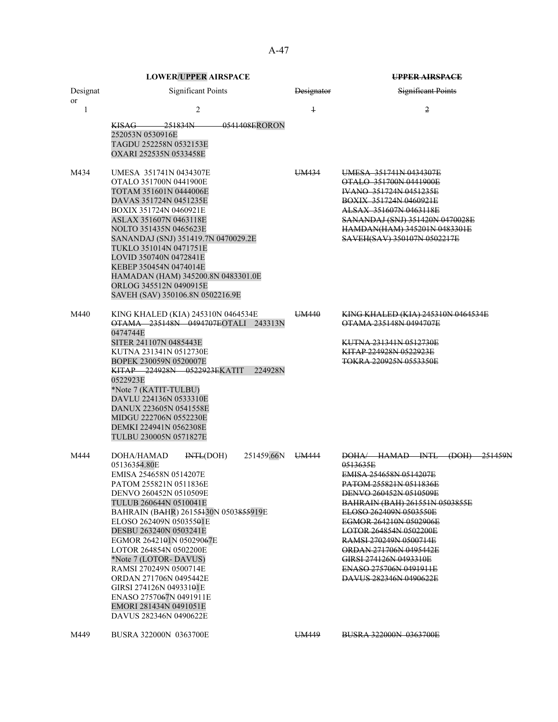A-47

|                | <b>LOWER/UPPER AIRSPACE</b> |                                                                                                                                                                                                                                                                                                                                                                                                                                                                   |                                                |            | <b>UPPER AIRSPACE</b>                                                                                                                                                                                                                                                                                                                                                                                |
|----------------|-----------------------------|-------------------------------------------------------------------------------------------------------------------------------------------------------------------------------------------------------------------------------------------------------------------------------------------------------------------------------------------------------------------------------------------------------------------------------------------------------------------|------------------------------------------------|------------|------------------------------------------------------------------------------------------------------------------------------------------------------------------------------------------------------------------------------------------------------------------------------------------------------------------------------------------------------------------------------------------------------|
| Designat<br>or |                             | <b>Significant Points</b>                                                                                                                                                                                                                                                                                                                                                                                                                                         |                                                | Designator | <b>Significant Points</b>                                                                                                                                                                                                                                                                                                                                                                            |
| $\mathbf{1}$   |                             | $\overline{c}$                                                                                                                                                                                                                                                                                                                                                                                                                                                    |                                                | $\ddagger$ | $\overline{2}$                                                                                                                                                                                                                                                                                                                                                                                       |
|                | 252053N 0530916E            | <del>KISAG 251834N</del><br>TAGDU 252258N 0532153E<br>OXARI 252535N 0533458E                                                                                                                                                                                                                                                                                                                                                                                      | <del>- 0541408E</del> RORON                    |            |                                                                                                                                                                                                                                                                                                                                                                                                      |
| M434           |                             | UMESA 351741N 0434307E<br>OTALO 351700N 0441900E<br>TOTAM 351601N 0444006E<br>DAVAS 351724N 0451235E<br>BOXIX 351724N 0460921E<br>ASLAX 351607N 0463118E<br>NOLTO 351435N 0465623E<br>SANANDAJ (SNJ) 351419.7N 0470029.2E<br>TUKLO 351014N 0471751E<br>LOVID 350740N 0472841E<br>KEBEP 350454N 0474014E<br>HAMADAN (HAM) 345200.8N 0483301.0E<br>ORLOG 345512N 0490915E<br>SAVEH (SAV) 350106.8N 0502216.9E                                                       |                                                | UM434      | UMESA 351741N 0434307E<br>OTALO 351700N 0441900E<br><b>IVANO 351724N 0451235E</b><br><b>BOXIX 351724N 0460921E</b><br>ALSAX 351607N 0463118E<br>SANANDAJ (SNJ) 351420N 0470028E<br>HAMDAN(HAM) 345201N 0483301E<br>SAVEH(SAV) 350107N 0502217E                                                                                                                                                       |
| M440           | 0474744E<br>0522923E        | KING KHALED (KIA) 245310N 0464534E<br>SITER 241107N 0485443E<br>KUTNA 231341N 0512730E<br>BOPEK 230059N 0520007E<br>KITAP 224928N 0522923EKATIT<br>*Note 7 (KATIT-TULBU)<br>DAVLU 224136N 0533310E<br>DANUX 223605N 0541558E<br>MIDGU 222706N 0552230E<br>DEMKI 224941N 0562308E<br>TULBU 230005N 0571827E                                                                                                                                                        | OTAMA 235148N 0494707EOTALI 243313N<br>224928N | UM440      | <b>KING KHALED (KIA) 245310N 0464534E</b><br>OTAMA 235148N 0494707E<br><del>KUTNA 231341N 0512730E</del><br>KITAP 224928N 0522923E<br>TOKRA 220925N 0553350E                                                                                                                                                                                                                                         |
| M444           | DOHA/HAMAD<br>05136354.80E  | $H\left($ DOH)<br>EMISA 254658N 0514207E<br>PATOM 255821N 0511836E<br>DENVO 260452N 0510509E<br>TULUB 260644N 0510041E<br>BAHRAIN (BAHR) 26155430N 0503855919E<br>ELOSO 262409N 05035501E<br>DESBU 263240N 0503241E<br>EGMOR 2642101N 05029067E<br>LOTOR 264854N 0502200E<br>*Note 7 (LOTOR- DAVUS)<br>RAMSI 270249N 0500714E<br>ORDAN 271706N 0495442E<br>GIRSI 274126N 04933101E<br>ENASO 2757067N 0491911E<br>EMORI 281434N 0491051E<br>DAVUS 282346N 0490622E | 251459.66N                                     | UM444      | DOHA HAMAD INTL<br><del>(DOH)</del><br>0513635E<br>EMISA 254658N 0514207E<br>PATOM 255821N 0511836E<br>DENVO 260452N 0510509E<br><b>BAHRAIN (BAH) 261551N 0503855E</b><br>ELOSO 262409N 0503550E<br>EGMOR 264210N 0502906E<br><b>LOTOR 264854N 0502200E</b><br>RAMSI 270249N 0500714E<br>ORDAN 271706N 0495442E<br>GIRSI 274126N 0493310E<br><b>ENASO 275706N 0491911E</b><br>DAVUS 282346N 0490622E |
| M449           |                             | BUSRA 322000N 0363700E                                                                                                                                                                                                                                                                                                                                                                                                                                            |                                                | UM449      | <b>BUSRA 322000N 0363700E</b>                                                                                                                                                                                                                                                                                                                                                                        |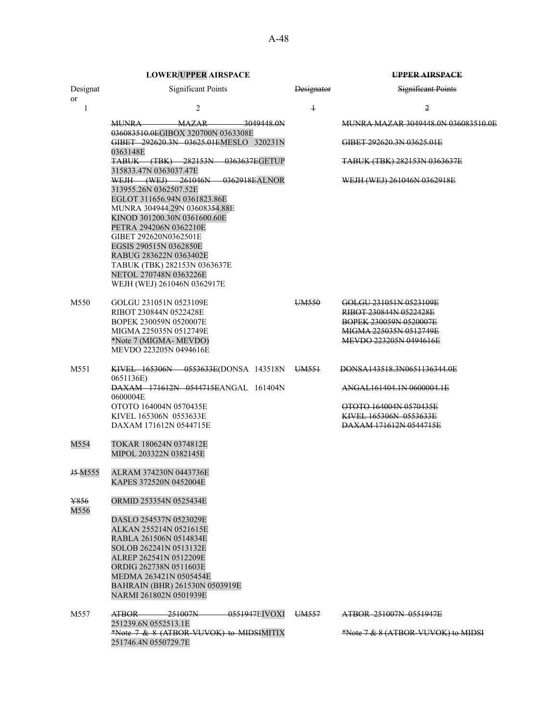| Significant Points<br><b>Significant Points</b><br><b>Designator</b><br>or<br>2<br>$\ddagger$<br>2<br>1<br><b>MAZAR</b><br>3049448.0N<br><b>MUNRA</b><br>MUNRA MAZAR 3049448.0N 036083510.0E<br>036083510.0EGIBOX 320700N 0363308E<br>GIBET 292620.3N 03625.01EMESLO 320231N<br>GIBET 292620.3N 03625.01E<br>0363148E<br>TABUK (TBK) 282153N 0363637EGETUP<br><b>TABUK (TBK) 282153N 0363637E</b><br>315833.47N 0363037.47E<br>WEJH (WEJ) 261046N 0362918EALNOR<br>WEJH (WEJ) 261046N 0362918E<br>313955.26N 0362507.52E<br>EGLOT 311656.94N 0361823.86E<br>MUNRA 304944.29N 036083 <del>54</del> .88E<br>KINOD 301200.30N 0361600.60E<br>PETRA 294206N 0362210E<br>GIBET 292620N0362501E<br>EGSIS 290515N 0362850E<br>RABUG 283622N 0363402E<br>TABUK (TBK) 282153N 0363637E<br>NETOL 270748N 0363226E<br>WEJH (WEJ) 261046N 0362917E<br>GOLGU 231051N 0523109E<br>UM <sub>550</sub><br>GOLGU 231051N 0523109E<br>RIBOT 230844N 0522428E<br>RIBOT 230844N 0522428E<br>BOPEK 230059N 0520007E<br><b>BOPEK 230059N 0520007E</b><br>MIGMA 225035N 0512749E<br>MIGMA 225035N 0512749E<br>*Note 7 (MIGMA-MEVDO)<br>MEVDO 223205N 0494616E<br>MEVDO 223205N 0494616E<br>KIVEL 165306N 0553633E(DONSA 143518N UM551<br>M551<br>DONSA143518.3N0651136344.0E<br>0651136E)<br>DAXAM 171612N 0544715EANGAL 161404N<br>ANGAL161404.1N 0600004.1E<br>0600004E<br>OTOTO 164004N 0570435E<br>OTOTO 164004N 0570435E<br>KIVEL 165306N 0553633E<br>KIVEL 165306N 0553633E<br>DAXAM 171612N 0544715E<br>DAXAM 171612N 0544715E<br>TOKAR 180624N 0374812E<br>MIPOL 203322N 0382145E<br>J <sub>5</sub> M <sub>555</sub><br>ALRAM 374230N 0443736E<br>KAPES 372520N 0452004E<br>ORMID 253354N 0525434E<br>M556<br>DASLO 254537N 0523029E<br>ALKAN 255214N 0521615E<br>RABLA 261506N 0514834E<br>SOLOB 262241N 0513132E<br>ALREP 262541N 0512209E<br>ORDIG 262738N 0511603E<br>MEDMA 263421N 0505454E<br>BAHRAIN (BHR) 261530N 0503919E<br>NARMI 261802N 0501939E<br>ATBOR 251007N<br>-0551947EIVOXI<br>M557<br>UM <sub>557</sub><br>ATBOR 251007N 0551947E<br>251239.6N 0552513.1E<br>*Note 7 & 8 (ATBOR-VUVOK) to MIDSIMITIX<br>*Note 7 & 8 (ATBOR-VUVOK) to MIDSI |          | LOWEIN 01 1 EN AINSI ACE | ----------------- |
|-------------------------------------------------------------------------------------------------------------------------------------------------------------------------------------------------------------------------------------------------------------------------------------------------------------------------------------------------------------------------------------------------------------------------------------------------------------------------------------------------------------------------------------------------------------------------------------------------------------------------------------------------------------------------------------------------------------------------------------------------------------------------------------------------------------------------------------------------------------------------------------------------------------------------------------------------------------------------------------------------------------------------------------------------------------------------------------------------------------------------------------------------------------------------------------------------------------------------------------------------------------------------------------------------------------------------------------------------------------------------------------------------------------------------------------------------------------------------------------------------------------------------------------------------------------------------------------------------------------------------------------------------------------------------------------------------------------------------------------------------------------------------------------------------------------------------------------------------------------------------------------------------------------------------------------------------------------------------------------------------------------------------------------------------------------------------------------------------------------------------------------------------|----------|--------------------------|-------------------|
|                                                                                                                                                                                                                                                                                                                                                                                                                                                                                                                                                                                                                                                                                                                                                                                                                                                                                                                                                                                                                                                                                                                                                                                                                                                                                                                                                                                                                                                                                                                                                                                                                                                                                                                                                                                                                                                                                                                                                                                                                                                                                                                                                 | Designat |                          |                   |
|                                                                                                                                                                                                                                                                                                                                                                                                                                                                                                                                                                                                                                                                                                                                                                                                                                                                                                                                                                                                                                                                                                                                                                                                                                                                                                                                                                                                                                                                                                                                                                                                                                                                                                                                                                                                                                                                                                                                                                                                                                                                                                                                                 |          |                          |                   |
|                                                                                                                                                                                                                                                                                                                                                                                                                                                                                                                                                                                                                                                                                                                                                                                                                                                                                                                                                                                                                                                                                                                                                                                                                                                                                                                                                                                                                                                                                                                                                                                                                                                                                                                                                                                                                                                                                                                                                                                                                                                                                                                                                 |          |                          |                   |
|                                                                                                                                                                                                                                                                                                                                                                                                                                                                                                                                                                                                                                                                                                                                                                                                                                                                                                                                                                                                                                                                                                                                                                                                                                                                                                                                                                                                                                                                                                                                                                                                                                                                                                                                                                                                                                                                                                                                                                                                                                                                                                                                                 |          |                          |                   |
|                                                                                                                                                                                                                                                                                                                                                                                                                                                                                                                                                                                                                                                                                                                                                                                                                                                                                                                                                                                                                                                                                                                                                                                                                                                                                                                                                                                                                                                                                                                                                                                                                                                                                                                                                                                                                                                                                                                                                                                                                                                                                                                                                 |          |                          |                   |
|                                                                                                                                                                                                                                                                                                                                                                                                                                                                                                                                                                                                                                                                                                                                                                                                                                                                                                                                                                                                                                                                                                                                                                                                                                                                                                                                                                                                                                                                                                                                                                                                                                                                                                                                                                                                                                                                                                                                                                                                                                                                                                                                                 |          |                          |                   |
|                                                                                                                                                                                                                                                                                                                                                                                                                                                                                                                                                                                                                                                                                                                                                                                                                                                                                                                                                                                                                                                                                                                                                                                                                                                                                                                                                                                                                                                                                                                                                                                                                                                                                                                                                                                                                                                                                                                                                                                                                                                                                                                                                 |          |                          |                   |
|                                                                                                                                                                                                                                                                                                                                                                                                                                                                                                                                                                                                                                                                                                                                                                                                                                                                                                                                                                                                                                                                                                                                                                                                                                                                                                                                                                                                                                                                                                                                                                                                                                                                                                                                                                                                                                                                                                                                                                                                                                                                                                                                                 |          |                          |                   |
|                                                                                                                                                                                                                                                                                                                                                                                                                                                                                                                                                                                                                                                                                                                                                                                                                                                                                                                                                                                                                                                                                                                                                                                                                                                                                                                                                                                                                                                                                                                                                                                                                                                                                                                                                                                                                                                                                                                                                                                                                                                                                                                                                 |          |                          |                   |
|                                                                                                                                                                                                                                                                                                                                                                                                                                                                                                                                                                                                                                                                                                                                                                                                                                                                                                                                                                                                                                                                                                                                                                                                                                                                                                                                                                                                                                                                                                                                                                                                                                                                                                                                                                                                                                                                                                                                                                                                                                                                                                                                                 |          |                          |                   |
|                                                                                                                                                                                                                                                                                                                                                                                                                                                                                                                                                                                                                                                                                                                                                                                                                                                                                                                                                                                                                                                                                                                                                                                                                                                                                                                                                                                                                                                                                                                                                                                                                                                                                                                                                                                                                                                                                                                                                                                                                                                                                                                                                 |          |                          |                   |
|                                                                                                                                                                                                                                                                                                                                                                                                                                                                                                                                                                                                                                                                                                                                                                                                                                                                                                                                                                                                                                                                                                                                                                                                                                                                                                                                                                                                                                                                                                                                                                                                                                                                                                                                                                                                                                                                                                                                                                                                                                                                                                                                                 |          |                          |                   |
|                                                                                                                                                                                                                                                                                                                                                                                                                                                                                                                                                                                                                                                                                                                                                                                                                                                                                                                                                                                                                                                                                                                                                                                                                                                                                                                                                                                                                                                                                                                                                                                                                                                                                                                                                                                                                                                                                                                                                                                                                                                                                                                                                 |          |                          |                   |
|                                                                                                                                                                                                                                                                                                                                                                                                                                                                                                                                                                                                                                                                                                                                                                                                                                                                                                                                                                                                                                                                                                                                                                                                                                                                                                                                                                                                                                                                                                                                                                                                                                                                                                                                                                                                                                                                                                                                                                                                                                                                                                                                                 |          |                          |                   |
|                                                                                                                                                                                                                                                                                                                                                                                                                                                                                                                                                                                                                                                                                                                                                                                                                                                                                                                                                                                                                                                                                                                                                                                                                                                                                                                                                                                                                                                                                                                                                                                                                                                                                                                                                                                                                                                                                                                                                                                                                                                                                                                                                 | M550     |                          |                   |
|                                                                                                                                                                                                                                                                                                                                                                                                                                                                                                                                                                                                                                                                                                                                                                                                                                                                                                                                                                                                                                                                                                                                                                                                                                                                                                                                                                                                                                                                                                                                                                                                                                                                                                                                                                                                                                                                                                                                                                                                                                                                                                                                                 |          |                          |                   |
|                                                                                                                                                                                                                                                                                                                                                                                                                                                                                                                                                                                                                                                                                                                                                                                                                                                                                                                                                                                                                                                                                                                                                                                                                                                                                                                                                                                                                                                                                                                                                                                                                                                                                                                                                                                                                                                                                                                                                                                                                                                                                                                                                 |          |                          |                   |
|                                                                                                                                                                                                                                                                                                                                                                                                                                                                                                                                                                                                                                                                                                                                                                                                                                                                                                                                                                                                                                                                                                                                                                                                                                                                                                                                                                                                                                                                                                                                                                                                                                                                                                                                                                                                                                                                                                                                                                                                                                                                                                                                                 |          |                          |                   |
|                                                                                                                                                                                                                                                                                                                                                                                                                                                                                                                                                                                                                                                                                                                                                                                                                                                                                                                                                                                                                                                                                                                                                                                                                                                                                                                                                                                                                                                                                                                                                                                                                                                                                                                                                                                                                                                                                                                                                                                                                                                                                                                                                 |          |                          |                   |
|                                                                                                                                                                                                                                                                                                                                                                                                                                                                                                                                                                                                                                                                                                                                                                                                                                                                                                                                                                                                                                                                                                                                                                                                                                                                                                                                                                                                                                                                                                                                                                                                                                                                                                                                                                                                                                                                                                                                                                                                                                                                                                                                                 |          |                          |                   |
|                                                                                                                                                                                                                                                                                                                                                                                                                                                                                                                                                                                                                                                                                                                                                                                                                                                                                                                                                                                                                                                                                                                                                                                                                                                                                                                                                                                                                                                                                                                                                                                                                                                                                                                                                                                                                                                                                                                                                                                                                                                                                                                                                 |          |                          |                   |
|                                                                                                                                                                                                                                                                                                                                                                                                                                                                                                                                                                                                                                                                                                                                                                                                                                                                                                                                                                                                                                                                                                                                                                                                                                                                                                                                                                                                                                                                                                                                                                                                                                                                                                                                                                                                                                                                                                                                                                                                                                                                                                                                                 |          |                          |                   |
|                                                                                                                                                                                                                                                                                                                                                                                                                                                                                                                                                                                                                                                                                                                                                                                                                                                                                                                                                                                                                                                                                                                                                                                                                                                                                                                                                                                                                                                                                                                                                                                                                                                                                                                                                                                                                                                                                                                                                                                                                                                                                                                                                 |          |                          |                   |
|                                                                                                                                                                                                                                                                                                                                                                                                                                                                                                                                                                                                                                                                                                                                                                                                                                                                                                                                                                                                                                                                                                                                                                                                                                                                                                                                                                                                                                                                                                                                                                                                                                                                                                                                                                                                                                                                                                                                                                                                                                                                                                                                                 |          |                          |                   |
|                                                                                                                                                                                                                                                                                                                                                                                                                                                                                                                                                                                                                                                                                                                                                                                                                                                                                                                                                                                                                                                                                                                                                                                                                                                                                                                                                                                                                                                                                                                                                                                                                                                                                                                                                                                                                                                                                                                                                                                                                                                                                                                                                 |          |                          |                   |
|                                                                                                                                                                                                                                                                                                                                                                                                                                                                                                                                                                                                                                                                                                                                                                                                                                                                                                                                                                                                                                                                                                                                                                                                                                                                                                                                                                                                                                                                                                                                                                                                                                                                                                                                                                                                                                                                                                                                                                                                                                                                                                                                                 | M554     |                          |                   |
|                                                                                                                                                                                                                                                                                                                                                                                                                                                                                                                                                                                                                                                                                                                                                                                                                                                                                                                                                                                                                                                                                                                                                                                                                                                                                                                                                                                                                                                                                                                                                                                                                                                                                                                                                                                                                                                                                                                                                                                                                                                                                                                                                 |          |                          |                   |
|                                                                                                                                                                                                                                                                                                                                                                                                                                                                                                                                                                                                                                                                                                                                                                                                                                                                                                                                                                                                                                                                                                                                                                                                                                                                                                                                                                                                                                                                                                                                                                                                                                                                                                                                                                                                                                                                                                                                                                                                                                                                                                                                                 |          |                          |                   |
|                                                                                                                                                                                                                                                                                                                                                                                                                                                                                                                                                                                                                                                                                                                                                                                                                                                                                                                                                                                                                                                                                                                                                                                                                                                                                                                                                                                                                                                                                                                                                                                                                                                                                                                                                                                                                                                                                                                                                                                                                                                                                                                                                 | ¥856     |                          |                   |
|                                                                                                                                                                                                                                                                                                                                                                                                                                                                                                                                                                                                                                                                                                                                                                                                                                                                                                                                                                                                                                                                                                                                                                                                                                                                                                                                                                                                                                                                                                                                                                                                                                                                                                                                                                                                                                                                                                                                                                                                                                                                                                                                                 |          |                          |                   |
|                                                                                                                                                                                                                                                                                                                                                                                                                                                                                                                                                                                                                                                                                                                                                                                                                                                                                                                                                                                                                                                                                                                                                                                                                                                                                                                                                                                                                                                                                                                                                                                                                                                                                                                                                                                                                                                                                                                                                                                                                                                                                                                                                 |          |                          |                   |
|                                                                                                                                                                                                                                                                                                                                                                                                                                                                                                                                                                                                                                                                                                                                                                                                                                                                                                                                                                                                                                                                                                                                                                                                                                                                                                                                                                                                                                                                                                                                                                                                                                                                                                                                                                                                                                                                                                                                                                                                                                                                                                                                                 |          |                          |                   |
|                                                                                                                                                                                                                                                                                                                                                                                                                                                                                                                                                                                                                                                                                                                                                                                                                                                                                                                                                                                                                                                                                                                                                                                                                                                                                                                                                                                                                                                                                                                                                                                                                                                                                                                                                                                                                                                                                                                                                                                                                                                                                                                                                 |          |                          |                   |
|                                                                                                                                                                                                                                                                                                                                                                                                                                                                                                                                                                                                                                                                                                                                                                                                                                                                                                                                                                                                                                                                                                                                                                                                                                                                                                                                                                                                                                                                                                                                                                                                                                                                                                                                                                                                                                                                                                                                                                                                                                                                                                                                                 |          |                          |                   |
|                                                                                                                                                                                                                                                                                                                                                                                                                                                                                                                                                                                                                                                                                                                                                                                                                                                                                                                                                                                                                                                                                                                                                                                                                                                                                                                                                                                                                                                                                                                                                                                                                                                                                                                                                                                                                                                                                                                                                                                                                                                                                                                                                 |          |                          |                   |
|                                                                                                                                                                                                                                                                                                                                                                                                                                                                                                                                                                                                                                                                                                                                                                                                                                                                                                                                                                                                                                                                                                                                                                                                                                                                                                                                                                                                                                                                                                                                                                                                                                                                                                                                                                                                                                                                                                                                                                                                                                                                                                                                                 |          |                          |                   |
|                                                                                                                                                                                                                                                                                                                                                                                                                                                                                                                                                                                                                                                                                                                                                                                                                                                                                                                                                                                                                                                                                                                                                                                                                                                                                                                                                                                                                                                                                                                                                                                                                                                                                                                                                                                                                                                                                                                                                                                                                                                                                                                                                 |          |                          |                   |
|                                                                                                                                                                                                                                                                                                                                                                                                                                                                                                                                                                                                                                                                                                                                                                                                                                                                                                                                                                                                                                                                                                                                                                                                                                                                                                                                                                                                                                                                                                                                                                                                                                                                                                                                                                                                                                                                                                                                                                                                                                                                                                                                                 |          |                          |                   |
|                                                                                                                                                                                                                                                                                                                                                                                                                                                                                                                                                                                                                                                                                                                                                                                                                                                                                                                                                                                                                                                                                                                                                                                                                                                                                                                                                                                                                                                                                                                                                                                                                                                                                                                                                                                                                                                                                                                                                                                                                                                                                                                                                 |          |                          |                   |
|                                                                                                                                                                                                                                                                                                                                                                                                                                                                                                                                                                                                                                                                                                                                                                                                                                                                                                                                                                                                                                                                                                                                                                                                                                                                                                                                                                                                                                                                                                                                                                                                                                                                                                                                                                                                                                                                                                                                                                                                                                                                                                                                                 |          | 251746.4N 0550729.7E     |                   |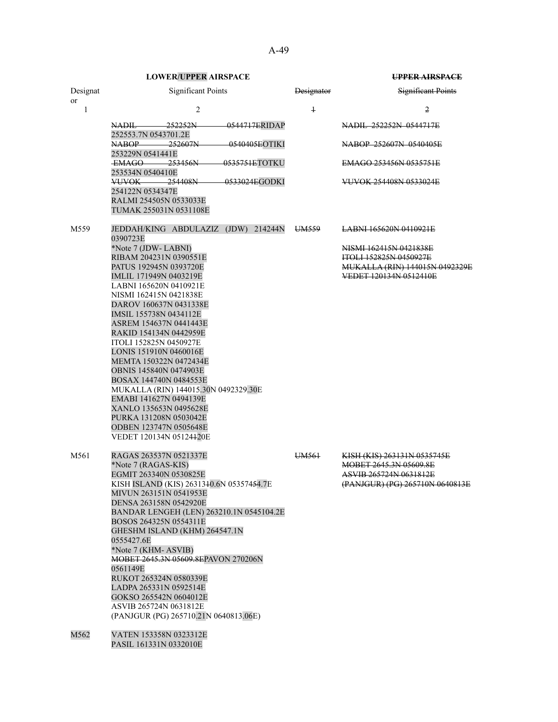|          | <b>LOWER/UPPER AIRSPACE</b>                                            |                   | <b>UPPER AIRSPACE</b>                                    |  |
|----------|------------------------------------------------------------------------|-------------------|----------------------------------------------------------|--|
| Designat | <b>Significant Points</b>                                              | <b>Designator</b> | Significant Points                                       |  |
| or<br>1  | $\overline{2}$                                                         | $\ddagger$        | 2                                                        |  |
|          | $-0.544717ERIDAP$<br>NADIL 252252N                                     |                   | NADIL 252252N 0544717E                                   |  |
|          | 252553.7N 0543701.2E<br>NABOP-<br>252607N<br><del>0540405E</del> OTIKI |                   | NABOP 252607N 0540405E                                   |  |
|          | 253229N 0541441E<br>EMAGO 253456N<br>0535751ETOTKU                     |                   | EMAGO 253456N 0535751E                                   |  |
|          | 253534N 0540410E<br>VUVOK——<br>254408N<br><del>- 0533024E</del> GODKI  |                   | VUVOK 254408N 0533024E                                   |  |
|          | 254122N 0534347E<br>RALMI 254505N 0533033E<br>TUMAK 255031N 0531108E   |                   |                                                          |  |
|          |                                                                        |                   |                                                          |  |
| M559     | JEDDAH/KING ABDULAZIZ (JDW) 214244N<br>0390723E                        | UM559             | LABNI 165620N 0410921E                                   |  |
|          | *Note 7 (JDW-LABNI)<br>RIBAM 204231N 0390551E                          |                   | NISMI 162415N 0421838E<br><b>ITOLL 152825N 0450927E</b>  |  |
|          | PATUS 192945N 0393720E<br>IMLIL 171949N 0403219E                       |                   | MUKALLA (RIN) 144015N 0492329E<br>VEDET 120134N 0512410E |  |
|          | LABNI 165620N 0410921E<br>NISMI 162415N 0421838E                       |                   |                                                          |  |
|          | DAROV 160637N 0431338E                                                 |                   |                                                          |  |
|          | IMSIL 155738N 0434112E<br>ASREM 154637N 0441443E                       |                   |                                                          |  |
|          | RAKID 154134N 0442959E                                                 |                   |                                                          |  |
|          | ITOLI 152825N 0450927E                                                 |                   |                                                          |  |
|          | LONIS 151910N 0460016E<br>MEMTA 150322N 0472434E                       |                   |                                                          |  |
|          | OBNIS 145840N 0474903E                                                 |                   |                                                          |  |
|          | BOSAX 144740N 0484553E                                                 |                   |                                                          |  |
|          | MUKALLA (RIN) 144015.30N 0492329.30E<br>EMABI 141627N 0494139E         |                   |                                                          |  |
|          | XANLO 135653N 0495628E                                                 |                   |                                                          |  |
|          | PURKA 131208N 0503042E                                                 |                   |                                                          |  |
|          | ODBEN 123747N 0505648E                                                 |                   |                                                          |  |
|          | VEDET 120134N 05124420E                                                |                   |                                                          |  |
| M561     | RAGAS 263537N 0521337E                                                 | UM <sub>561</sub> | KISH (KIS) 263131N 0535745E                              |  |
|          | *Note 7 (RAGAS-KIS)<br>EGMIT 263340N 0530825E                          |                   | MOBET 2645.3N 05609.8E<br>ASVIB 265724N 0631812E         |  |
|          | KISH ISLAND (KIS) 2631340.6N 05357454.7E                               |                   | (PANJGUR) (PG) 265710N 0640813E                          |  |
|          | MIVUN 263151N 0541953E                                                 |                   |                                                          |  |
|          | DENSA 263158N 0542920E<br>BANDAR LENGEH (LEN) 263210.1N 0545104.2E     |                   |                                                          |  |
|          | BOSOS 264325N 0554311E                                                 |                   |                                                          |  |
|          | GHESHM ISLAND (KHM) 264547.1N                                          |                   |                                                          |  |
|          | 0555427.6E<br>*Note 7 (KHM-ASVIB)                                      |                   |                                                          |  |
|          | MOBET 2645.3N 05609.8EPAVON 270206N                                    |                   |                                                          |  |
|          | 0561149E                                                               |                   |                                                          |  |
|          | RUKOT 265324N 0580339E                                                 |                   |                                                          |  |
|          | LADPA 265331N 0592514E<br>GOKSO 265542N 0604012E                       |                   |                                                          |  |
|          | ASVIB 265724N 0631812E                                                 |                   |                                                          |  |
|          | (PANJGUR (PG) 265710.21N 0640813.06E)                                  |                   |                                                          |  |
| M562     | VATEN 153358N 0323312E                                                 |                   |                                                          |  |

PASIL 161331N 0332010E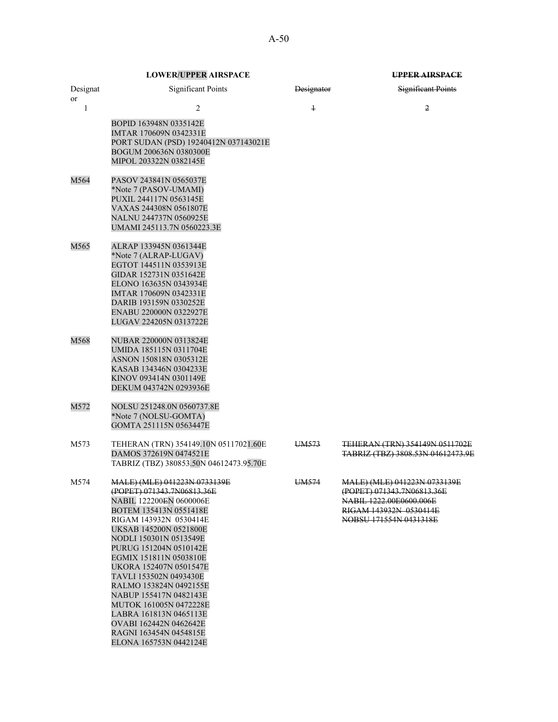| <b>LOWER/UPPER AIRSPACE</b> | <b>TIPPED AIDCDACE</b><br><del>unda airsmed</del> |
|-----------------------------|---------------------------------------------------|

| Designat<br>or | <b>Significant Points</b>                                                                                                                                                                                                                                                                                                                                                                                                                                                                          | <b>Designator</b> | <b>Significant Points</b>                                                                                                                 |
|----------------|----------------------------------------------------------------------------------------------------------------------------------------------------------------------------------------------------------------------------------------------------------------------------------------------------------------------------------------------------------------------------------------------------------------------------------------------------------------------------------------------------|-------------------|-------------------------------------------------------------------------------------------------------------------------------------------|
| 1              | 2                                                                                                                                                                                                                                                                                                                                                                                                                                                                                                  | $\ddagger$        | 2                                                                                                                                         |
|                | BOPID 163948N 0335142E<br>IMTAR 170609N 0342331E<br>PORT SUDAN (PSD) 19240412N 037143021E<br>BOGUM 200636N 0380300E<br>MIPOL 203322N 0382145E                                                                                                                                                                                                                                                                                                                                                      |                   |                                                                                                                                           |
| M564           | PASOV 243841N 0565037E<br>*Note 7 (PASOV-UMAMI)<br>PUXIL 244117N 0563145E<br>VAXAS 244308N 0561807E<br>NALNU 244737N 0560925E<br>UMAMI 245113.7N 0560223.3E                                                                                                                                                                                                                                                                                                                                        |                   |                                                                                                                                           |
| M565           | ALRAP 133945N 0361344E<br>*Note 7 (ALRAP-LUGAV)<br>EGTOT 144511N 0353913E<br>GIDAR 152731N 0351642E<br>ELONO 163635N 0343934E<br>IMTAR 170609N 0342331E<br>DARIB 193159N 0330252E<br>ENABU 220000N 0322927E<br>LUGAV 224205N 0313722E                                                                                                                                                                                                                                                              |                   |                                                                                                                                           |
| M568           | NUBAR 220000N 0313824E<br>UMIDA 185115N 0311704E<br>ASNON 150818N 0305312E<br>KASAB 134346N 0304233E<br>KINOV 093414N 0301149E<br>DEKUM 043742N 0293936E                                                                                                                                                                                                                                                                                                                                           |                   |                                                                                                                                           |
| M572           | NOLSU 251248.0N 0560737.8E<br>*Note 7 (NOLSU-GOMTA)<br>GOMTA 251115N 0563447E                                                                                                                                                                                                                                                                                                                                                                                                                      |                   |                                                                                                                                           |
| M573           | TEHERAN (TRN) 354149.10N 05117021.60E<br>DAMOS 372619N 0474521E<br>TABRIZ (TBZ) 380853.50N 04612473.95.70E                                                                                                                                                                                                                                                                                                                                                                                         | UM573             | TEHERAN (TRN) 354149N 0511702E<br><b>TABRIZ (TBZ) 3808.53N 04612473.9E</b>                                                                |
| M574           | <u>MALE) (MLE) 041223N 0733139E</u><br>(POPET) 071343.7N06813.36E<br>NABIL 122200EN 0600006E<br>BOTEM 135413N 0551418E<br>RIGAM 143932N 0530414E<br>UKSAB 145200N 0521800E<br>NODLI 150301N 0513549E<br>PURUG 151204N 0510142E<br>EGMIX 151811N 0503810E<br>UKORA 152407N 0501547E<br>TAVLI 153502N 0493430E<br>RALMO 153824N 0492155E<br>NABUP 155417N 0482143E<br>MUTOK 161005N 0472228E<br>LABRA 161813N 0465113E<br>OVABI 162442N 0462642E<br>RAGNI 163454N 0454815E<br>ELONA 165753N 0442124E | UM <sub>574</sub> | MALE) (MLE) 041223N 0733139E<br>(POPET) 071343.7N06813.36E<br>NABIL 1222.00E0600.006E<br>RIGAM 143932N 0530414E<br>NOBSU 171554N 0431318E |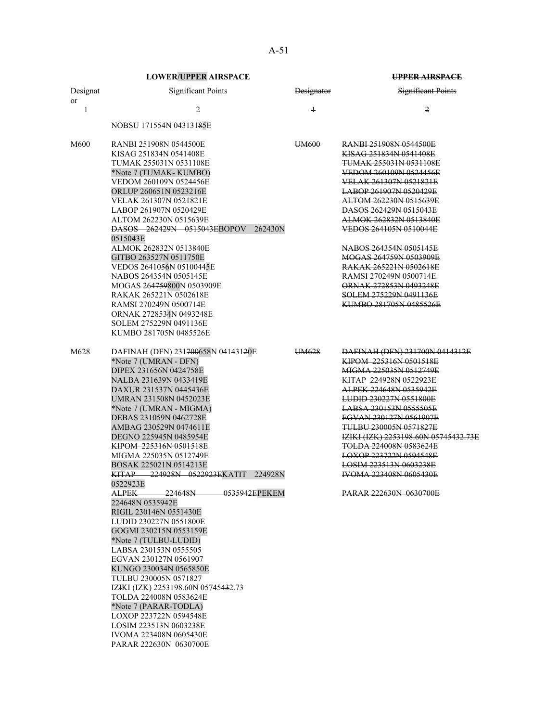|                | <b>LOWER/UPPER AIRSPACE</b>                                                                                                                                                                                                                                                                                                                                                                                                                                                                                                                                                                                                                                                                                                                                                          |                   | <b>UPPER AIRSPACE</b>                                                                                                                                                                                                                                                                                                                                                                                                                                                              |  |
|----------------|--------------------------------------------------------------------------------------------------------------------------------------------------------------------------------------------------------------------------------------------------------------------------------------------------------------------------------------------------------------------------------------------------------------------------------------------------------------------------------------------------------------------------------------------------------------------------------------------------------------------------------------------------------------------------------------------------------------------------------------------------------------------------------------|-------------------|------------------------------------------------------------------------------------------------------------------------------------------------------------------------------------------------------------------------------------------------------------------------------------------------------------------------------------------------------------------------------------------------------------------------------------------------------------------------------------|--|
| Designat<br>or | <b>Significant Points</b>                                                                                                                                                                                                                                                                                                                                                                                                                                                                                                                                                                                                                                                                                                                                                            | Designator        | <b>Significant Points</b>                                                                                                                                                                                                                                                                                                                                                                                                                                                          |  |
| 1              | 2                                                                                                                                                                                                                                                                                                                                                                                                                                                                                                                                                                                                                                                                                                                                                                                    | $\ddagger$        | 2                                                                                                                                                                                                                                                                                                                                                                                                                                                                                  |  |
|                | NOBSU 171554N 04313185E                                                                                                                                                                                                                                                                                                                                                                                                                                                                                                                                                                                                                                                                                                                                                              |                   |                                                                                                                                                                                                                                                                                                                                                                                                                                                                                    |  |
| M600           | RANBI 251908N 0544500E<br>KISAG 251834N 0541408E<br>TUMAK 255031N 0531108E<br>*Note 7 (TUMAK-KUMBO)<br>VEDOM 260109N 0524456E<br>ORLUP 260651N 0523216E<br>VELAK 261307N 0521821E<br>LABOP 261907N 0520429E<br>ALTOM 262230N 0515639E<br>DASOS 262429N 0515043EBOPOV<br>262430N<br>0515043E<br>ALMOK 262832N 0513840E<br>GITBO 263527N 0511750E<br>VEDOS 2641056N 05100445E<br>NABOS 264354N 0505145E<br>MOGAS 264759800N 0503909E<br>RAKAK 265221N 0502618E<br>RAMSI 270249N 0500714E                                                                                                                                                                                                                                                                                               | UM600             | <b>RANBI 251908N 0544500E</b><br>KISAG 251834N 0541408E<br><b>TUMAK 255031N 0531108E</b><br>VEDOM 260109N 0524456E<br>VELAK 261307N 0521821E<br><b>LABOP 261907N 0520429E</b><br>ALTOM 262230N 0515639E<br>DASOS 262429N 0515043E<br>ALMOK 262832N 0513840E<br>VEDOS 264105N 0510044E<br>NABOS 264354N 0505145E<br>MOGAS 264759N 0503909E<br>RAKAK 265221N 0502618E<br>RAMSI 270249N 0500714E<br><b>ORNAK 272853N 0493248E</b><br>SOLEM 275229N 0491136E<br>KUMBO 281705N 0485526E |  |
|                | ORNAK 2728534N 0493248E<br>SOLEM 275229N 0491136E<br>KUMBO 281705N 0485526E                                                                                                                                                                                                                                                                                                                                                                                                                                                                                                                                                                                                                                                                                                          |                   |                                                                                                                                                                                                                                                                                                                                                                                                                                                                                    |  |
| M628           | DAFINAH (DFN) 231700658N 04143120E<br>*Note 7 (UMRAN - DFN)<br>DIPEX 231656N 0424758E<br>NALBA 231639N 0433419E<br>DAXUR 231537N 0445436E<br>UMRAN 231508N 0452023E<br>*Note 7 (UMRAN - MIGMA)<br>DEBAS 231059N 0462728E<br>AMBAG 230529N 0474611E<br>DEGNO 225945N 0485954E<br>KIPOM 225316N 0501518E<br>MIGMA 225035N 0512749E<br>BOSAK 225021N 0514213E<br>224928N 0522923EKATIT<br>224928N<br>KITAP.<br>0522923E<br>ALPEK—<br>224648N<br>0535942EPEKEM<br>224648N 0535942E<br>RIGIL 230146N 0551430E<br>LUDID 230227N 0551800E<br>GOGMI 230215N 0553159E<br>*Note 7 (TULBU-LUDID)<br>LABSA 230153N 0555505<br>EGVAN 230127N 0561907<br>KUNGO 230034N 0565850E<br>TULBU 230005N 0571827<br>IZIKI (IZK) 2253198.60N 05745432.73<br>TOLDA 224008N 0583624E<br>*Note 7 (PARAR-TODLA) | UM <sub>628</sub> | DAFINAH (DFN) 231700N 0414312E<br>KIPOM 225316N 0501518E<br>MIGMA 225035N 0512749E<br>KITAP 224928N 0522923E<br>ALPEK 224648N 0535942E<br><b>LUDID 230227N 0551800E</b><br><b>LABSA 230153N 0555505E</b><br>EGVAN 230127N 0561907E<br><b>TULBU 230005N 0571827E</b><br>IZIKI (IZK) 2253198.60N 05745432.73E<br><b>TOLDA 224008N 0583624E</b><br>LOXOP 223722N 0594548E<br>LOSIM 223513N 0603238E<br><b>IVOMA 223408N 0605430E</b><br><b>PARAR 222630N 0630700E</b>                 |  |
|                | LOXOP 223722N 0594548E<br>LOSIM 223513N 0603238E<br>IVOMA 223408N 0605430E<br>PARAR 222630N 0630700E                                                                                                                                                                                                                                                                                                                                                                                                                                                                                                                                                                                                                                                                                 |                   |                                                                                                                                                                                                                                                                                                                                                                                                                                                                                    |  |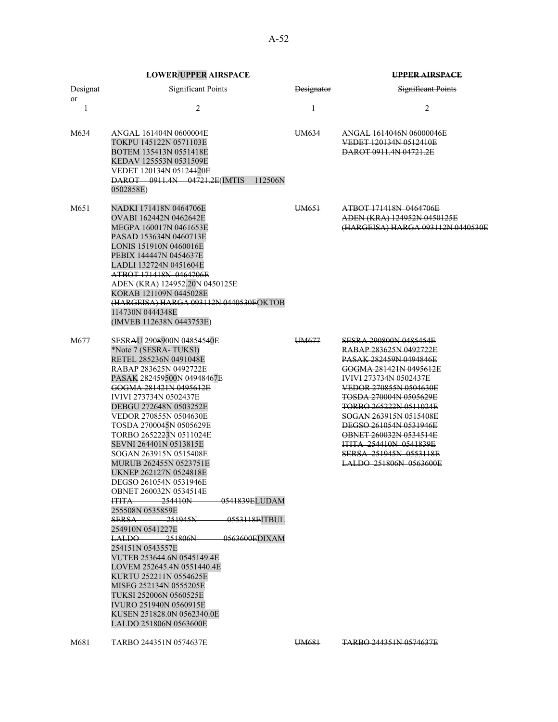|                | <b>LOWER/UPPER AIRSPACE</b>                                                                                                                                                                                                                                                                                                                                                                                                                                                                                                                                                                                                                                                                                                                                                                                                                                                                                             |            | <b>UPPER AIRSPACE</b>                                                                                                                                                                                                                                                                                                                                                                                              |  |
|----------------|-------------------------------------------------------------------------------------------------------------------------------------------------------------------------------------------------------------------------------------------------------------------------------------------------------------------------------------------------------------------------------------------------------------------------------------------------------------------------------------------------------------------------------------------------------------------------------------------------------------------------------------------------------------------------------------------------------------------------------------------------------------------------------------------------------------------------------------------------------------------------------------------------------------------------|------------|--------------------------------------------------------------------------------------------------------------------------------------------------------------------------------------------------------------------------------------------------------------------------------------------------------------------------------------------------------------------------------------------------------------------|--|
| Designat<br>or | <b>Significant Points</b>                                                                                                                                                                                                                                                                                                                                                                                                                                                                                                                                                                                                                                                                                                                                                                                                                                                                                               | Designator | <b>Significant Points</b>                                                                                                                                                                                                                                                                                                                                                                                          |  |
| 1              | $\overline{c}$                                                                                                                                                                                                                                                                                                                                                                                                                                                                                                                                                                                                                                                                                                                                                                                                                                                                                                          | $\ddagger$ | 2                                                                                                                                                                                                                                                                                                                                                                                                                  |  |
| M634           | ANGAL 161404N 0600004E<br>TOKPU 145122N 0571103E<br>BOTEM 135413N 0551418E<br>KEDAV 125553N 0531509E<br>VEDET 120134N 05124420E<br>DAROT 0911.4N 04721.2E(IMTIS<br>112506N<br>0502858E)                                                                                                                                                                                                                                                                                                                                                                                                                                                                                                                                                                                                                                                                                                                                 | UM634      | ANGAL 1614046N 06000046E<br>VEDET 120134N 0512410E<br>DAROT 0911.4N 04721.2E                                                                                                                                                                                                                                                                                                                                       |  |
| M651           | NADKI 171418N 0464706E<br>OVABI 162442N 0462642E<br>MEGPA 160017N 0461653E<br>PASAD 153634N 0460713E<br>LONIS 151910N 0460016E<br>PEBIX 144447N 0454637E<br>LADLI 132724N 0451604E<br>ATBOT 171418N 0464706E<br>ADEN (KRA) 124952.20N 0450125E<br>KORAB 121109N 0445028E<br>(HARGEISA) HARGA 093112N 0440530EOKTOB<br>114730N 0444348E<br>(IMVEB 112638N 0443753E)                                                                                                                                                                                                                                                                                                                                                                                                                                                                                                                                                      | UM651      | ATBOT 171418N 0464706E<br>ADEN (KRA) 124952N 0450125E<br>(HARGEISA) HARGA 093112N 0440530E                                                                                                                                                                                                                                                                                                                         |  |
| M677           | SESRAU 2908900N 04854540E<br>*Note 7 (SESRA-TUKSI)<br>RETEL 285236N 0491048E<br>RABAP 283625N 0492722E<br>PASAK 282459500N 04948467E<br>GOGMA 281421N 0495612E<br><b>IVIVI 273734N 0502437E</b><br>DEBGU 272648N 0503252E<br>VEDOR 270855N 0504630E<br>TOSDA 2700045N 0505629E<br>TORBO 2652223N 0511024E<br>SEVNI 264401N 0513815E<br>SOGAN 263915N 0515408E<br>MURUB 262455N 0523751E<br>UKNEP 262127N 0524818E<br>DEGSO 261054N 0531946E<br><b>OBNET 260032N 0534514E</b><br><b>ITITA</b><br>-254410N<br>0541839ELUDAM<br>255508N 0535859E<br>$-251945N$<br><del>0553118E</del> ITBUL<br><b>SERSA</b><br>254910N 0541227E<br>$\text{LALDO}$ 251806N<br>0563600EDIXAM<br>254151N 0543557E<br>VUTEB 253644.6N 0545149.4E<br>LOVEM 252645.4N 0551440.4E<br>KURTU 252211N 0554625E<br>MISEG 252134N 0555205E<br>TUKSI 252006N 0560525E<br>IVURO 251940N 0560915E<br>KUSEN 251828.0N 0562340.0E<br>LALDO 251806N 0563600E | UM677      | SESRA 290800N 0485454E<br>RABAP 283625N 0492722E<br><b>PASAK 282459N 0494846E</b><br>GOGMA 281421N 0495612E<br><b>IVIVI 273734N 0502437E</b><br>VEDOR 270855N 0504630E<br><b>TOSDA 270004N 0505629E</b><br><b>TORBO 265222N 0511024E</b><br>SOGAN 263915N 0515408E<br>DEGSO 261054N 0531946E<br>OBNET 260032N 0534514E<br><b>ITITA 254410N 0541839E</b><br><b>SERSA 251945N 0553118E</b><br>LALDO 251806N 0563600E |  |

M681 TARBO 244351N 0574637E UM681 TARBO 244351N 0574637E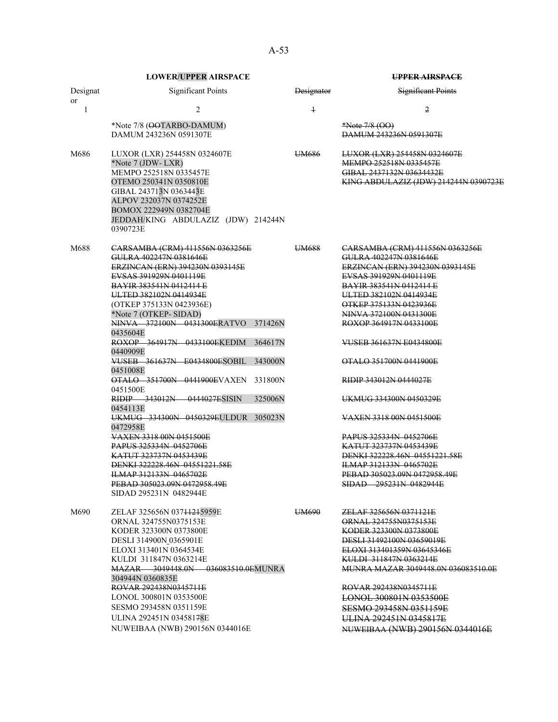| <b>LOWER/UPPER AIRSPACE</b>                                                                                                                                                                                                                                                                                                                                                                                                                                                                                                                                                                                                                                         |                                                                 | <b>UPPER AIRSPACE</b>                                                                                                                                                                                                                                                                                                                                                                                                                                                                                                                                                           |  |  |
|---------------------------------------------------------------------------------------------------------------------------------------------------------------------------------------------------------------------------------------------------------------------------------------------------------------------------------------------------------------------------------------------------------------------------------------------------------------------------------------------------------------------------------------------------------------------------------------------------------------------------------------------------------------------|-----------------------------------------------------------------|---------------------------------------------------------------------------------------------------------------------------------------------------------------------------------------------------------------------------------------------------------------------------------------------------------------------------------------------------------------------------------------------------------------------------------------------------------------------------------------------------------------------------------------------------------------------------------|--|--|
| <b>Significant Points</b>                                                                                                                                                                                                                                                                                                                                                                                                                                                                                                                                                                                                                                           | Designator                                                      | <b>Significant Points</b>                                                                                                                                                                                                                                                                                                                                                                                                                                                                                                                                                       |  |  |
| 2                                                                                                                                                                                                                                                                                                                                                                                                                                                                                                                                                                                                                                                                   | $\overline{1}$                                                  | 2                                                                                                                                                                                                                                                                                                                                                                                                                                                                                                                                                                               |  |  |
| *Note 7/8 (OOTARBO-DAMUM)<br>DAMUM 243236N 0591307E                                                                                                                                                                                                                                                                                                                                                                                                                                                                                                                                                                                                                 |                                                                 | $*Note 7/8 (OO)$<br>DAMUM 243236N 0591307E                                                                                                                                                                                                                                                                                                                                                                                                                                                                                                                                      |  |  |
| LUXOR (LXR) 254458N 0324607E<br>*Note 7 (JDW- LXR)<br>MEMPO 252518N 0335457E<br>OTEMO 250341N 0350810E<br>GIBAL 243713N 0363443E<br>ALPOV 232037N 0374252E<br>BOMOX 222949N 0382704E<br>0390723E                                                                                                                                                                                                                                                                                                                                                                                                                                                                    | UM <sub>686</sub>                                               | LUXOR (LXR) 254458N 0324607E<br>MEMPO 252518N 0335457E<br>GIBAL 2437132N 03634432E<br>KING ABDULAZIZ (JDW) 214244N 0390723E                                                                                                                                                                                                                                                                                                                                                                                                                                                     |  |  |
| CARSAMBA (CRM) 411556N 0363256E<br>GULRA 402247N 0381646E<br>ERZINCAN (ERN) 394230N 0393145E<br>EVSAS 391929N 0401119E<br><b>BAYIR 383541N 0412414 E</b><br>ULTED 382102N 0414934E<br>(OTKEP 375133N 0423936E)<br>*Note 7 (OTKEP- SIDAD)<br>NINVA 372100N 0431300ERATVO<br>0435604E<br>ROXOP 364917N 0433100EKEDIM<br>0440909E<br>VUSEB 361637N E0434800ESOBIL<br>0451008E<br><b>OTALO 351700N 0441900EVAXEN</b><br>0451500E<br>RIDIP 343012N 0444027ESISIN<br>0454113E<br>UKMUG 334300N 0450329EULDUR<br>0472958E<br>VAXEN 3318 00N 0451500E<br>PAPUS 325334N 0452706E<br>KATUT 323737N 0453439E<br>DENKI 322228.46N 04551221.58E<br><b>ILMAP 312133N 0465702E</b> | UM688                                                           | CARSAMBA (CRM) 411556N 0363256E<br>GULRA 402247N 0381646E<br>ERZINCAN (ERN) 394230N 0393145E<br>EVSAS 391929N 0401119E<br><b>BAYIR 383541N 0412414 E</b><br>ULTED 382102N 0414934E<br>OTKEP 375133N 0423936E<br>NINVA 372100N 0431300E<br>ROXOP 364917N 0433100E<br><b>VUSEB 361637N E0434800E</b><br>OTALO 351700N 0441900E<br>RIDIP 343012N 0444027E<br>UKMUG 334300N 0450329E<br><b>VAXEN 3318 00N 0451500E</b><br>PAPUS 325334N 0452706E<br><b>KATUT 323737N 0453439E</b><br>DENKI 322228.46N 04551221.58E<br><b>ILMAP 312133N 0465702E</b><br>PEBAD 305023,09N 0472958,49E |  |  |
| SIDAD 295231N 0482944E<br>ZELAF 325656N 03711215959E<br>ORNAL 324755N0375153E<br>KODER 323300N 0373800E<br>DESLI 314900N_0365901E<br>ELOXI 313401N 0364534E<br>KULDI 311847N 0363214E<br>304944N 0360835E<br>ROVAR 292438N0345711E<br>LONOL 300801N 0353500E<br>SESMO 293458N 0351159E<br>ULINA 292451N 03458178E                                                                                                                                                                                                                                                                                                                                                   | UM690                                                           | SIDAD 295231N 0482944E<br>ZELAF 325656N 0371121E<br>ORNAL 324755N0375153E<br>KODER 323300N 0373800E<br>DESLI 31492100N 03659019E<br>ELOXI 313401359N 03645346E<br>KULDI 311847N 0363214E<br><b>MUNRA MAZAR 3049448.0N 036083510.0E</b><br>ROVAR 292438N0345711E<br>LONOL 300801N 0353500E<br>SESMO 293458N 0351159E<br><b>ULINA 292451N 0345817E</b><br>NUWEIBAA (NWB) 290156N 0344016E                                                                                                                                                                                         |  |  |
|                                                                                                                                                                                                                                                                                                                                                                                                                                                                                                                                                                                                                                                                     | PEBAD 305023.09N 0472958.49E<br>NUWEIBAA (NWB) 290156N 0344016E | JEDDAH/KING ABDULAZIZ (JDW) 214244N<br>371426N<br>364617N<br>343000N<br>331800N<br>325006N<br>305023N<br>MAZAR 3049448.0N 036083510.0EMUNRA                                                                                                                                                                                                                                                                                                                                                                                                                                     |  |  |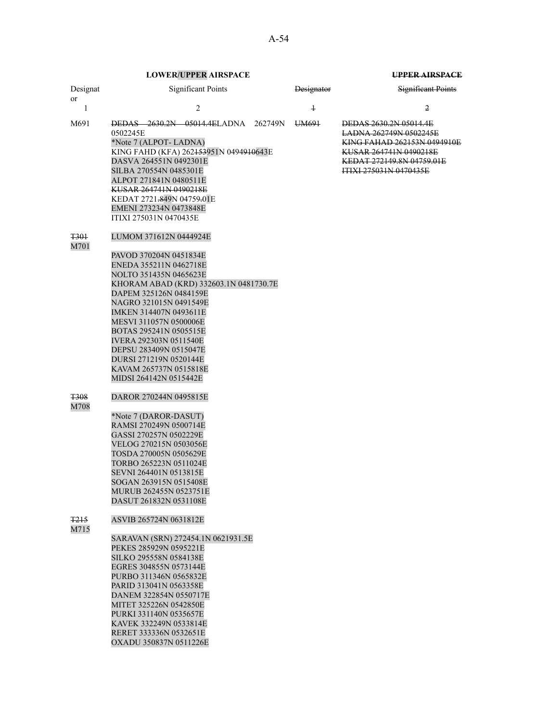| Designat                      |                                                                                                                                                                                                                                                                                                                                                                                                                           | <b>Significant Points</b> | <b>Designator</b> | Significant Points                                                                                                                                                                    |
|-------------------------------|---------------------------------------------------------------------------------------------------------------------------------------------------------------------------------------------------------------------------------------------------------------------------------------------------------------------------------------------------------------------------------------------------------------------------|---------------------------|-------------------|---------------------------------------------------------------------------------------------------------------------------------------------------------------------------------------|
| <sub>or</sub><br>$\mathbf{1}$ |                                                                                                                                                                                                                                                                                                                                                                                                                           | 2                         | $\ddagger$        | 2                                                                                                                                                                                     |
| M691                          | <b>DEDAS</b> 2630.2N 05014.4ELADNA 262749N<br>0502245E<br>*Note 7 (ALPOT-LADNA)<br>KING FAHD (KFA) 262453951N 0494910643E<br>DASVA 264551N 0492301E<br>SILBA 270554N 0485301E<br>ALPOT 271841N 0480511E<br>KUSAR 264741N 0490218E<br>KEDAT 2721,849N 04759,01E<br>EMENI 273234N 0473848E<br>ITIXI 275031N 0470435E                                                                                                        |                           | UM691             | <b>DEDAS 2630.2N 05014.4E</b><br><b>LADNA 262749N 0502245E</b><br>KING FAHAD 262153N 0494910E<br>KUSAR 264741N 0490218E<br>KEDAT 272149.8N 04759.01E<br><b>ITIXI 275031N 0470435E</b> |
| <del>T301</del><br>M701       | LUMOM 371612N 0444924E<br>PAVOD 370204N 0451834E<br>ENEDA 355211N 0462718E<br>NOLTO 351435N 0465623E<br>KHORAM ABAD (KRD) 332603.1N 0481730.7E<br>DAPEM 325126N 0484159E<br>NAGRO 321015N 0491549E<br>IMKEN 314407N 0493611E<br>MESVI 311057N 0500006E<br>BOTAS 295241N 0505515E<br><b>IVERA 292303N 0511540E</b><br>DEPSU 283409N 0515047E<br>DURSI 271219N 0520144E<br>KAVAM 265737N 0515818E<br>MIDSI 264142N 0515442E |                           |                   |                                                                                                                                                                                       |
| <b>T308</b><br>M708           | DAROR 270244N 0495815E<br>*Note 7 (DAROR-DASUT)<br>RAMSI 270249N 0500714E<br>GASSI 270257N 0502229E<br>VELOG 270215N 0503056E<br>TOSDA 270005N 0505629E<br>TORBO 265223N 0511024E<br>SEVNI 264401N 0513815E<br>SOGAN 263915N 0515408E<br>MURUB 262455N 0523751E<br>DASUT 261832N 0531108E                                                                                                                                 |                           |                   |                                                                                                                                                                                       |
| T <sub>215</sub><br>M715      | ASVIB 265724N 0631812E<br>SARAVAN (SRN) 272454.1N 0621931.5E<br>PEKES 285929N 0595221E<br>SILKO 295558N 0584138E<br>EGRES 304855N 0573144E<br>PURBO 311346N 0565832E<br>PARID 313041N 0563358E<br>DANEM 322854N 0550717E<br>MITET 325226N 0542850E<br>PURKI 331140N 0535657E<br>KAVEK 332249N 0533814E<br>RERET 333336N 0532651E<br>OXADU 350837N 0511226E                                                                |                           |                   |                                                                                                                                                                                       |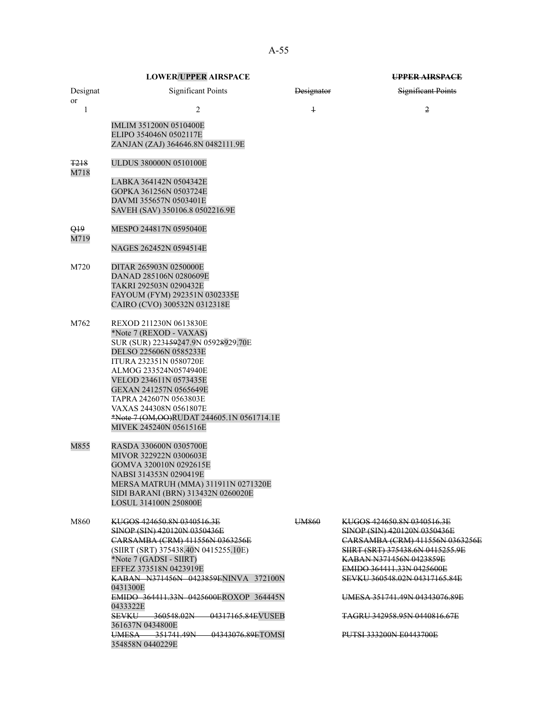|                | <b>LOWER/UPPER AIRSPACE</b>                                               |                   | UPPER AIRSPACE                                             |
|----------------|---------------------------------------------------------------------------|-------------------|------------------------------------------------------------|
| Designat<br>or | <b>Significant Points</b>                                                 | <b>Designator</b> | Significant Points                                         |
| 1              | 2                                                                         | $\overline{1}$    | 2                                                          |
|                | <b>IMLIM 351200N 0510400E</b>                                             |                   |                                                            |
|                | ELIPO 354046N 0502117E                                                    |                   |                                                            |
|                | ZANJAN (ZAJ) 364646.8N 0482111.9E                                         |                   |                                                            |
| <b>T218</b>    | <b>ULDUS 380000N 0510100E</b>                                             |                   |                                                            |
| M718           | LABKA 364142N 0504342E                                                    |                   |                                                            |
|                | GOPKA 361256N 0503724E                                                    |                   |                                                            |
|                | DAVMI 355657N 0503401E                                                    |                   |                                                            |
|                | SAVEH (SAV) 350106.8 0502216.9E                                           |                   |                                                            |
| Q19            | MESPO 244817N 0595040E                                                    |                   |                                                            |
| M719           | NAGES 262452N 0594514E                                                    |                   |                                                            |
| M720           | DITAR 265903N 0250000E                                                    |                   |                                                            |
|                | DANAD 285106N 0280609E                                                    |                   |                                                            |
|                | TAKRI 292503N 0290432E                                                    |                   |                                                            |
|                | FAYOUM (FYM) 292351N 0302335E                                             |                   |                                                            |
|                | CAIRO (CVO) 300532N 0312318E                                              |                   |                                                            |
| M762           | REXOD 211230N 0613830E                                                    |                   |                                                            |
|                | *Note 7 (REXOD - VAXAS)                                                   |                   |                                                            |
|                | SUR (SUR) 223159247.9N 05928929.70E<br>DELSO 225606N 0585233E             |                   |                                                            |
|                | ITURA 232351N 0580720E                                                    |                   |                                                            |
|                | ALMOG 233524N0574940E                                                     |                   |                                                            |
|                | VELOD 234611N 0573435E                                                    |                   |                                                            |
|                | GEXAN 241257N 0565649E                                                    |                   |                                                            |
|                | TAPRA 242607N 0563803E                                                    |                   |                                                            |
|                | VAXAS 244308N 0561807E<br>*Note 7 (OM, OO)RUDAT 244605.1N 0561714.1E      |                   |                                                            |
|                | MIVEK 245240N 0561516E                                                    |                   |                                                            |
| M855           | RASDA 330600N 0305700E                                                    |                   |                                                            |
|                | MIVOR 322922N 0300603E                                                    |                   |                                                            |
|                | GOMVA 320010N 0292615E                                                    |                   |                                                            |
|                | NABSI 314353N 0290419E                                                    |                   |                                                            |
|                | MERSA MATRUH (MMA) 311911N 0271320E<br>SIDI BARANI (BRN) 313432N 0260020E |                   |                                                            |
|                | <b>LOSUL 314100N 250800E</b>                                              |                   |                                                            |
| M860           | KUGOS 424650.8N 0340516.3E                                                | UM860             | KUGOS 424650.8N 0340516.3E                                 |
|                | SINOP (SIN) 420120N 0350436E                                              |                   | SINOP (SIN) 420120N 0350436E                               |
|                | CARSAMBA (CRM) 411556N 0363256E                                           |                   | CARSAMBA (CRM) 411556N 0363256E                            |
|                | (SIIRT (SRT) 375438.40N 0415255.10E)<br>*Note 7 (GADSI - SIIRT)           |                   | SHRT (SRT) 375438.6N 0415255.9E<br>KABAN N371456N 0423859E |
|                | EFFEZ 373518N 0423919E                                                    |                   | <b>EMIDO 364411.33N 0425600E</b>                           |
|                | KABAN N371456N 0423859ENINVA 372100N                                      |                   | SEVKU 360548.02N 04317165.84E                              |
|                | 0431300E                                                                  |                   |                                                            |
|                | EMIDO 364411.33N 0425600EROXOP 364445N<br>0433322E                        |                   | <b>UMESA 351741.49N 04343076.89E</b>                       |
|                | SEVKU 360548.02N 04317165.84EVUSEB<br>361637N 0434800E                    |                   | <del>TAGRU 342958.95N 0440816.67E</del>                    |
|                | UMESA 351741.49N 04343076.89ETOMSI<br>354858N 0440229E                    |                   | <b>PUTSI 333200N E0443700E</b>                             |
|                |                                                                           |                   |                                                            |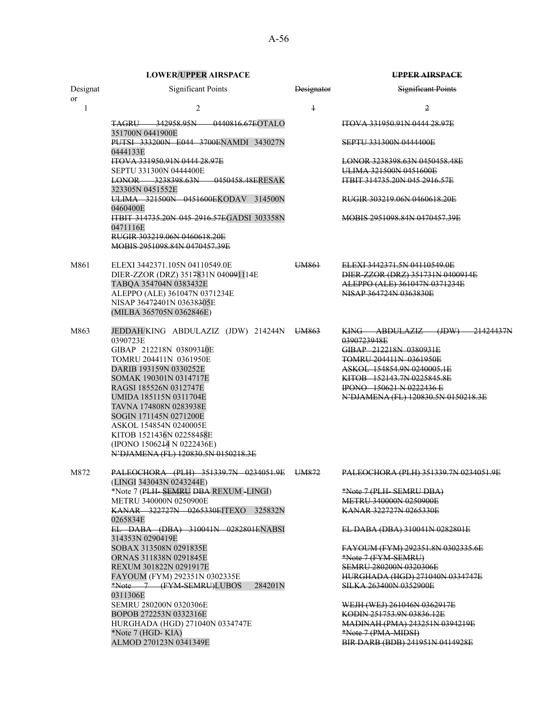|                           | <b>LOWER/UPPER AIRSPACE</b>                                             |            | <b>UPPER AIRSPACE</b>                                             |
|---------------------------|-------------------------------------------------------------------------|------------|-------------------------------------------------------------------|
| Designat<br><sub>or</sub> | <b>Significant Points</b>                                               | Designator | <b>Significant Points</b>                                         |
| 1                         | $\overline{2}$                                                          | $\ddagger$ | 2                                                                 |
|                           | <b>TAGRU 342958.95N 0440816.67EOTALO</b><br>351700N 0441900E            |            | <b>ITOVA 331950.91N 0444 28.97E</b>                               |
|                           | PUTSI 333200N E044 3700ENAMDI 343027N<br>0444133E                       |            | <b>SEPTU 331300N 0444400E</b>                                     |
|                           | ITOVA 331950.91N 0444 28.97E                                            |            | LONOR 3238398.63N 0450458.48E                                     |
|                           | <b>SEPTU 331300N 0444400E</b><br>LONOR 3238398.63N 0450458.48ERESAK     |            | ULIMA 321500N 0451600E<br><b>ITBIT 314735,20N 045 2916,57E</b>    |
|                           | 323305N 0451552E                                                        |            |                                                                   |
|                           | ULIMA 321500N 0451600EKODAV 314500N<br>0460400E                         |            | RUGIR 303219.06N 0460618.20E                                      |
|                           | ITBIT 314735.20N 045 2916.57EGADSI 303358N<br>0471116E                  |            | MOBIS 2951098.84N 0470457.39E                                     |
|                           | RUGIR 303219.06N 0460618.20E<br>MOBIS 2951098.84N 0470457.39E           |            |                                                                   |
| M861                      | ELEXI 3442371.105N 04110549.0E                                          | UM861      | ELEXI 3442371.5N 04110549.0E                                      |
|                           | DIER-ZZOR (DRZ) 3517831N 040091114E<br>TABQA 354704N 0383432E           |            | DIER-ZZOR (DRZ) 351731N 0400914E<br>ALEPPO (ALE) 361047N 0371234E |
|                           | ALEPPO (ALE) 361047N 0371234E                                           |            | NISAP 364724N 0363830E                                            |
|                           | NISAP 36472401N 03638305E<br>(MILBA 365705N 0362846E)                   |            |                                                                   |
|                           |                                                                         |            |                                                                   |
| M863                      | JEDDAH/KING ABDULAZIZ (JDW) 214244N UM863                               |            | <u>KING ABDULAZIZ (JDW)</u><br>21424437N                          |
|                           | 0390723E<br>GIBAP 212218N 03809340E                                     |            | 0390723948E<br>GIBAP 212218N 0380931E                             |
|                           | TOMRU 204411N 0361950E                                                  |            | TOMRU 204411N 0361950E                                            |
|                           | DARIB 193159N 0330252E                                                  |            | ASKOL 154854.9N 0240005.1E                                        |
|                           | SOMAK 190301N 0314717E<br>RAGSI 185526N 0312747E                        |            | KITOB 152143.7N 0225845.8E<br><b>IPONO</b> 150621 N 0222436 E     |
|                           | UMIDA 185115N 0311704E                                                  |            | N'DJAMENA (FL) 120830.5N 0150218.3E                               |
|                           | TAVNA 174808N 0283938E                                                  |            |                                                                   |
|                           | SOGIN 171145N 0271200E                                                  |            |                                                                   |
|                           | ASKOL 154854N 0240005E<br>KITOB 1521436N 02258458E                      |            |                                                                   |
|                           | (IPONO 1506244 N 0222436E)                                              |            |                                                                   |
|                           | N'DJAMENA (FL) 120830.5N 0150218.3E                                     |            |                                                                   |
| M872                      | PALEOCHORA (PLH) 351339.7N 0234051.9E UM872<br>(LINGI 343043N 0243244E) |            | PALEOCHORA (PLH) 351339.7N 0234051.9E                             |
|                           | *Note 7 (PLH-SEMRU DBA REXUM-LINGI)                                     |            | *Note 7 (PLH-SEMRU DBA)                                           |
|                           | METRU 340000N 0250900E<br><b>KANAR 322727N 0265330EITEXO 325832N</b>    |            | METRU 340000N 0250900E<br>KANAR 322727N 0265330E                  |
|                           | 0265834E                                                                |            |                                                                   |
|                           | EL DABA (DBA) 310041N 0282801ENABSI<br>314353N 0290419E                 |            | EL DABA (DBA) 310041N 0282801E                                    |
|                           | SOBAX 313508N 0291835E                                                  |            | FAYOUM (FYM) 292351.8N 0302335.6E                                 |
|                           | ORNAS 311838N 0291845E                                                  |            | *Note 7 (FYM-SEMRU)<br><b>SEMRU 280200N 0320306E</b>              |
|                           | REXUM 301822N 0291917E<br>FAYOUM (FYM) 292351N 0302335E                 |            | <u>HURGHADA (HGD) 271040N 0334747E</u>                            |
|                           | *Note 7 (FYM-SEMRU)LUBOS<br>284201N                                     |            | SILKA 263400N 0352900E                                            |
|                           | 0311306E<br>SEMRU 280200N 0320306E                                      |            | WEJH (WEJ) 261046N 0362917E                                       |
|                           | BOPOB 272253N 0332316E                                                  |            | KODIN 251753.9N 03836.12E                                         |
|                           | HURGHADA (HGD) 271040N 0334747E                                         |            | MADINAH (PMA) 243251N 0394219E                                    |
|                           | *Note 7 (HGD-KIA)                                                       |            | *Note 7 (PMA-MIDSI)                                               |
|                           | ALMOD 270123N 0341349E                                                  |            | BIR DARB (BDB) 241951N 0414928E                                   |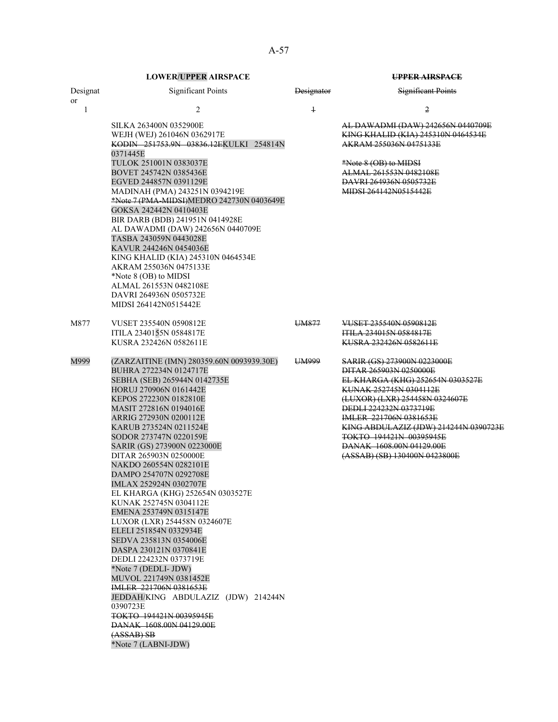|                | <b>LOWER/UPPER AIRSPACE</b>                                                                                                                                                                                                                                                                                                                                                                                                                                                                                                                                                                                                                                                              |                   | UPPER AIRSPACE                                                                                                                                                                                                                                                                                                                                           |
|----------------|------------------------------------------------------------------------------------------------------------------------------------------------------------------------------------------------------------------------------------------------------------------------------------------------------------------------------------------------------------------------------------------------------------------------------------------------------------------------------------------------------------------------------------------------------------------------------------------------------------------------------------------------------------------------------------------|-------------------|----------------------------------------------------------------------------------------------------------------------------------------------------------------------------------------------------------------------------------------------------------------------------------------------------------------------------------------------------------|
| Designat<br>or | <b>Significant Points</b>                                                                                                                                                                                                                                                                                                                                                                                                                                                                                                                                                                                                                                                                | <b>Designator</b> | <b>Significant Points</b>                                                                                                                                                                                                                                                                                                                                |
| 1              | 2                                                                                                                                                                                                                                                                                                                                                                                                                                                                                                                                                                                                                                                                                        | $\ddagger$        | 2                                                                                                                                                                                                                                                                                                                                                        |
|                | SILKA 263400N 0352900E<br>WEJH (WEJ) 261046N 0362917E<br>KODIN 251753.9N 03836.12EKULKI 254814N<br>0371445E                                                                                                                                                                                                                                                                                                                                                                                                                                                                                                                                                                              |                   | AL DAWADMI (DAW) 242656N 0440709E<br>KING KHALID (KIA) 245310N 0464534E<br>AKRAM 255036N 0475133E                                                                                                                                                                                                                                                        |
|                | TULOK 251001N 0383037E<br>BOVET 245742N 0385436E<br>EGVED 244857N 0391129E                                                                                                                                                                                                                                                                                                                                                                                                                                                                                                                                                                                                               |                   | *Note 8 (OB) to MIDSI<br>ALMAL 261553N 0482108E<br>DAVRI 264936N 0505732E                                                                                                                                                                                                                                                                                |
|                | MADINAH (PMA) 243251N 0394219E<br>*Note 7 (PMA-MIDSI)MEDRO 242730N 0403649E<br>GOKSA 242442N 0410403E<br>BIR DARB (BDB) 241951N 0414928E                                                                                                                                                                                                                                                                                                                                                                                                                                                                                                                                                 |                   | MIDSI 264142N0515442E                                                                                                                                                                                                                                                                                                                                    |
|                | AL DAWADMI (DAW) 242656N 0440709E<br>TASBA 243059N 0443028E<br>KAVUR 244246N 0454036E<br>KING KHALID (KIA) 245310N 0464534E                                                                                                                                                                                                                                                                                                                                                                                                                                                                                                                                                              |                   |                                                                                                                                                                                                                                                                                                                                                          |
|                | AKRAM 255036N 0475133E<br>*Note 8 (OB) to MIDSI<br>ALMAL 261553N 0482108E<br>DAVRI 264936N 0505732E                                                                                                                                                                                                                                                                                                                                                                                                                                                                                                                                                                                      |                   |                                                                                                                                                                                                                                                                                                                                                          |
|                | MIDSI 264142N0515442E                                                                                                                                                                                                                                                                                                                                                                                                                                                                                                                                                                                                                                                                    |                   |                                                                                                                                                                                                                                                                                                                                                          |
| M877           | VUSET 235540N 0590812E<br>ITILA 2340155N 0584817E<br>KUSRA 232426N 0582611E                                                                                                                                                                                                                                                                                                                                                                                                                                                                                                                                                                                                              | UM877             | VUSET 235540N 0590812E<br><b>ITILA 234015N 0584817E</b><br>KUSRA 232426N 0582611E                                                                                                                                                                                                                                                                        |
|                |                                                                                                                                                                                                                                                                                                                                                                                                                                                                                                                                                                                                                                                                                          |                   |                                                                                                                                                                                                                                                                                                                                                          |
| M999           | (ZARZAITINE (IMN) 280359.60N 0093939.30E)<br>BUHRA 272234N 0124717E<br>SEBHA (SEB) 265944N 0142735E<br>HORUJ 270906N 0161442E<br>KEPOS 272230N 0182810E<br>MASIT 272816N 0194016E<br>ARRIG 272930N 0200112E<br>KARUB 273524N 0211524E<br>SODOR 273747N 0220159E<br>SARIR (GS) 273900N 0223000E<br>DITAR 265903N 0250000E<br>NAKDO 260554N 0282101E<br>DAMPO 254707N 0292708E<br>IMLAX 252924N 0302707E<br>EL KHARGA (KHG) 252654N 0303527E<br>KUNAK 252745N 0304112E<br>EMENA 253749N 0315147E<br>LUXOR (LXR) 254458N 0324607E<br>ELELI 251854N 0332934E<br>SEDVA 235813N 0354006E<br>DASPA 230121N 0370841E<br>DEDLI 224232N 0373719E<br>*Note 7 (DEDLI- JDW)<br>MUVOL 221749N 0381452E | UM999             | <u>SARIR (GS) 273900N 0223000E</u><br>DITAR 265903N 0250000E<br>EL KHARGA (KHG) 252654N 0303527E<br>KUNAK 252745N 0304112E<br>(LUXOR) (LXR) 254458N 0324607E<br><b>DEDLI 224232N 0373719E</b><br>IMLER 221706N 0381653E<br>KING ABDULAZIZ (JDW) 214244N 0390723E<br>TOKTO 194421N 00395945E<br>DANAK 1608.00N 04129.00E<br>(ASSAB) (SB) 130400N 0423800E |
|                | IMLER 221706N 0381653E<br>JEDDAH/KING ABDULAZIZ (JDW) 214244N<br>0390723E<br>TOKTO 194421N 00395945E                                                                                                                                                                                                                                                                                                                                                                                                                                                                                                                                                                                     |                   |                                                                                                                                                                                                                                                                                                                                                          |
|                | DANAK 1608.00N 04129.00E<br>$(ASSAB)$ SB<br>*Note 7 (LABNI-JDW)                                                                                                                                                                                                                                                                                                                                                                                                                                                                                                                                                                                                                          |                   |                                                                                                                                                                                                                                                                                                                                                          |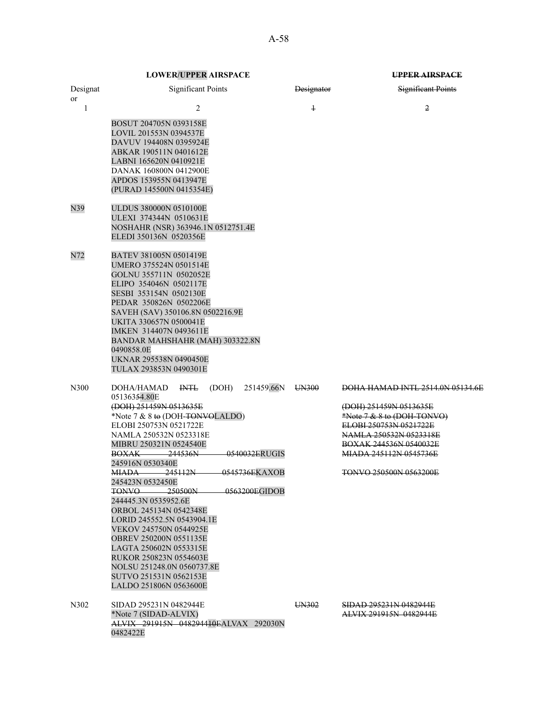| Designat<br>or | <b>Significant Points</b>                                                                                                                                                                                                                                                                                                                                                                                                                                                                                                                                                                                                                                                          | Designator | <b>Significant Points</b>                                                                                                                                                                                                                       |
|----------------|------------------------------------------------------------------------------------------------------------------------------------------------------------------------------------------------------------------------------------------------------------------------------------------------------------------------------------------------------------------------------------------------------------------------------------------------------------------------------------------------------------------------------------------------------------------------------------------------------------------------------------------------------------------------------------|------------|-------------------------------------------------------------------------------------------------------------------------------------------------------------------------------------------------------------------------------------------------|
| 1              | 2                                                                                                                                                                                                                                                                                                                                                                                                                                                                                                                                                                                                                                                                                  | $\ddagger$ | $\overline{2}$                                                                                                                                                                                                                                  |
|                | BOSUT 204705N 0393158E<br>LOVIL 201553N 0394537E<br>DAVUV 194408N 0395924E<br>ABKAR 190511N 0401612E<br>LABNI 165620N 0410921E<br>DANAK 160800N 0412900E<br>APDOS 153955N 0413947E<br>(PURAD 145500N 0415354E)                                                                                                                                                                                                                                                                                                                                                                                                                                                                     |            |                                                                                                                                                                                                                                                 |
| N39            | ULDUS 380000N 0510100E<br>ULEXI 374344N 0510631E<br>NOSHAHR (NSR) 363946.1N 0512751.4E<br>ELEDI 350136N 0520356E                                                                                                                                                                                                                                                                                                                                                                                                                                                                                                                                                                   |            |                                                                                                                                                                                                                                                 |
| N72            | BATEV 381005N 0501419E<br>UMERO 375524N 0501514E<br>GOLNU 355711N 0502052E<br>ELIPO 354046N 0502117E<br>SESBI 353154N 0502130E<br>PEDAR 350826N 0502206E<br>SAVEH (SAV) 350106.8N 0502216.9E<br>UKITA 330657N 0500041E<br>IMKEN 314407N 0493611E<br>BANDAR MAHSHAHR (MAH) 303322.8N<br>0490858.0E<br>UKNAR 295538N 0490450E<br>TULAX 293853N 0490301E                                                                                                                                                                                                                                                                                                                              |            |                                                                                                                                                                                                                                                 |
| N300           | 251459.66N<br>DOHA/HAMAD<br>$H\!N\!T\!L$<br>(DOH)<br>05136354.80E<br>(DOH) 251459N 0513635E<br>*Note 7 & 8 to (DOH-TONVOLALDO)<br>ELOBI 250753N 0521722E<br>NAMLA 250532N 0523318E<br>MIBRU 250321N 0524540E<br>0540032ERUGIS<br><b>BOXAK</b> 244536N<br>245916N 0530340E<br><del>-245112N</del><br><del>0545736E</del> KAXOB<br>MIADA —<br>245423N 0532450E<br>250500N<br>0563200EGIDOB<br><b>TONVO</b><br>244445.3N 0535952.6E<br>ORBOL 245134N 0542348E<br>LORID 245552.5N 0543904.1E<br>VEKOV 245750N 0544925E<br>OBREV 250200N 0551135E<br>LAGTA 250602N 0553315E<br>RUKOR 250823N 0554603E<br>NOLSU 251248.0N 0560737.8E<br>SUTVO 251531N 0562153E<br>LALDO 251806N 0563600E | UN300      | <b>DOHA HAMAD INTL 2514.0N 05134.6E</b><br>(DOH) 251459N 0513635E<br>*Note 7 & 8 to (DOH-TONVO)<br>ELOBI 250753N 0521722E<br>NAMLA 250532N 0523318E<br><b>BOXAK 244536N 0540032E</b><br>MIADA 245112N 0545736E<br><b>TONVO 250500N 0563200E</b> |
| N302           | SIDAD 295231N 0482944E<br>*Note 7 (SIDAD-ALVIX)<br>ALVIX 291915N 048294410EALVAX 292030N<br>0482422E                                                                                                                                                                                                                                                                                                                                                                                                                                                                                                                                                                               | UN302      | <b>SIDAD 295231N 0482944E</b><br><b>ALVIX 291915N 0482944E</b>                                                                                                                                                                                  |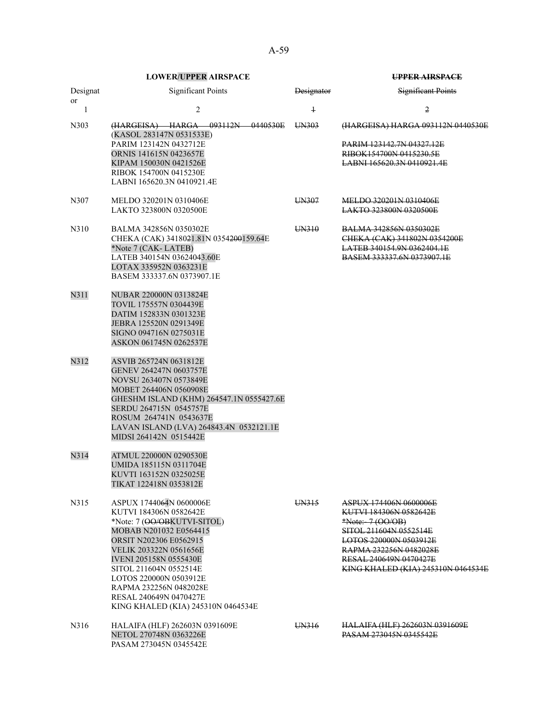|                       | <b>LOWER/UPPER AIRSPACE</b>                                                                                                                                                                                                                                                                                                                                |            | <b>UPPER AIRSPACE</b>                                                                                                                                                                                                     |
|-----------------------|------------------------------------------------------------------------------------------------------------------------------------------------------------------------------------------------------------------------------------------------------------------------------------------------------------------------------------------------------------|------------|---------------------------------------------------------------------------------------------------------------------------------------------------------------------------------------------------------------------------|
| Designat<br><b>or</b> | <b>Significant Points</b>                                                                                                                                                                                                                                                                                                                                  | Designator | <b>Significant Points</b>                                                                                                                                                                                                 |
| 1                     | $\overline{2}$                                                                                                                                                                                                                                                                                                                                             | $\ddagger$ | 2                                                                                                                                                                                                                         |
| N303                  | (HARGEISA) HARGA 093112N 0440530E<br>(KASOL 283147N 0531533E)<br>PARIM 123142N 0432712E<br>ORNIS 141615N 0423657E<br>KIPAM 150030N 0421526E<br>RIBOK 154700N 0415230E<br>LABNI 165620.3N 0410921.4E                                                                                                                                                        | UN303      | (HARGEISA) HARGA 093112N 0440530E<br>PARIM 123142.7N 04327.12E<br>RIBOK154700N 0415230.5E<br>LABNI 165620.3N 0410921.4E                                                                                                   |
| N307                  | MELDO 320201N 0310406E<br>LAKTO 323800N 0320500E                                                                                                                                                                                                                                                                                                           | UN307      | MELDO 320201N 0310406E<br>LAKTO 323800N 0320500E                                                                                                                                                                          |
| N310                  | BALMA 342856N 0350302E<br>CHEKA (CAK) 3418021.81N 0354200159.64E<br>*Note 7 (CAK-LATEB)<br>LATEB 340154N 03624043.60E<br>LOTAX 335952N 0363231E<br>BASEM 333337.6N 0373907.1E                                                                                                                                                                              | UN310      | <b>BALMA 342856N 0350302E</b><br>CHEKA (CAK) 341802N 0354200E<br><b>LATEB 340154.9N 0362404.1E</b><br>BASEM 333337.6N 0373907.1E                                                                                          |
| N311                  | NUBAR 220000N 0313824E<br>TOVIL 175557N 0304439E<br>DATIM 152833N 0301323E<br>JEBRA 125520N 0291349E<br>SIGNO 094716N 0275031E<br>ASKON 061745N 0262537E                                                                                                                                                                                                   |            |                                                                                                                                                                                                                           |
| N312                  | ASVIB 265724N 0631812E<br>GENEV 264247N 0603757E<br>NOVSU 263407N 0573849E<br>MOBET 264406N 0560908E<br>GHESHM ISLAND (KHM) 264547.1N 0555427.6E<br>SERDU 264715N 0545757E<br>ROSUM 264741N 0543637E<br>LAVAN ISLAND (LVA) 264843.4N 0532121.1E<br>MIDSI 264142N 0515442E                                                                                  |            |                                                                                                                                                                                                                           |
| N314                  | ATMUL 220000N 0290530E<br>UMIDA 185115N 0311704E<br>KUVTI 163152N 0325025E<br>TIKAT 122418N 0353812E                                                                                                                                                                                                                                                       |            |                                                                                                                                                                                                                           |
| N315                  | ASPUX 1744064N 0600006E<br>KUTVI 184306N 0582642E<br>*Note: 7 ( <del>OO/OB</del> KUTVI-SITOL)<br>MOBAB N201032 E0564415<br>ORSIT N202306 E0562915<br>VELIK 203322N 0561656E<br><b>IVENI 205158N 0555430E</b><br>SITOL 211604N 0552514E<br>LOTOS 220000N 0503912E<br>RAPMA 232256N 0482028E<br>RESAL 240649N 0470427E<br>KING KHALED (KIA) 245310N 0464534E | UN315      | ASPUX 174406N 0600006E<br>KUTVI 184306N 0582642E<br>*Note:-7 (OO/OB)<br>SITOL 211604N 0552514E<br>LOTOS 220000N 0503912E<br>RAPMA 232256N 0482028E<br>RESAL 240649N 0470427E<br><b>KING KHALED (KIA) 245310N 0464534E</b> |
| N316                  | HALAIFA (HLF) 262603N 0391609E<br>NETOL 270748N 0363226E<br>PASAM 273045N 0345542E                                                                                                                                                                                                                                                                         | UN316      | <b>HALAIFA (HLF) 262603N 0391609E</b><br><b>PASAM 273045N 0345542E</b>                                                                                                                                                    |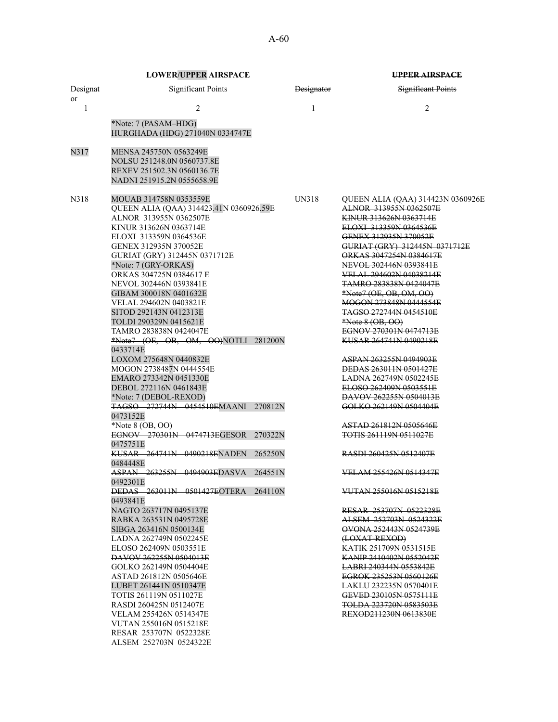A-60

|                | <b>LOWER/UPPER AIRSPACE</b>                                                                                                                                                                                                                                                                                                                                                                                                                                                                                                                                                                                                                                                                                                                                                                                                                                                                                                                                                                                                                                                                                                                                                                                                                                                                                                          |                   | UPPER AIRSPACE                                                                                                                                                                                                                                                                                                                                                                                                                                                                                                                                                                                                                                                                                                                                                                                                                                                                                                                                                                                                                                                                                             |  |
|----------------|--------------------------------------------------------------------------------------------------------------------------------------------------------------------------------------------------------------------------------------------------------------------------------------------------------------------------------------------------------------------------------------------------------------------------------------------------------------------------------------------------------------------------------------------------------------------------------------------------------------------------------------------------------------------------------------------------------------------------------------------------------------------------------------------------------------------------------------------------------------------------------------------------------------------------------------------------------------------------------------------------------------------------------------------------------------------------------------------------------------------------------------------------------------------------------------------------------------------------------------------------------------------------------------------------------------------------------------|-------------------|------------------------------------------------------------------------------------------------------------------------------------------------------------------------------------------------------------------------------------------------------------------------------------------------------------------------------------------------------------------------------------------------------------------------------------------------------------------------------------------------------------------------------------------------------------------------------------------------------------------------------------------------------------------------------------------------------------------------------------------------------------------------------------------------------------------------------------------------------------------------------------------------------------------------------------------------------------------------------------------------------------------------------------------------------------------------------------------------------------|--|
| Designat<br>or | <b>Significant Points</b>                                                                                                                                                                                                                                                                                                                                                                                                                                                                                                                                                                                                                                                                                                                                                                                                                                                                                                                                                                                                                                                                                                                                                                                                                                                                                                            | <b>Designator</b> | <b>Significant Points</b>                                                                                                                                                                                                                                                                                                                                                                                                                                                                                                                                                                                                                                                                                                                                                                                                                                                                                                                                                                                                                                                                                  |  |
| $\mathbf{1}$   | 2                                                                                                                                                                                                                                                                                                                                                                                                                                                                                                                                                                                                                                                                                                                                                                                                                                                                                                                                                                                                                                                                                                                                                                                                                                                                                                                                    | $\ddagger$        | 2                                                                                                                                                                                                                                                                                                                                                                                                                                                                                                                                                                                                                                                                                                                                                                                                                                                                                                                                                                                                                                                                                                          |  |
|                | *Note: 7 (PASAM-HDG)<br>HURGHADA (HDG) 271040N 0334747E                                                                                                                                                                                                                                                                                                                                                                                                                                                                                                                                                                                                                                                                                                                                                                                                                                                                                                                                                                                                                                                                                                                                                                                                                                                                              |                   |                                                                                                                                                                                                                                                                                                                                                                                                                                                                                                                                                                                                                                                                                                                                                                                                                                                                                                                                                                                                                                                                                                            |  |
| N317           | MENSA 245750N 0563249E<br>NOLSU 251248.0N 0560737.8E<br>REXEV 251502.3N 0560136.7E<br>NADNI 251915.2N 0555658.9E                                                                                                                                                                                                                                                                                                                                                                                                                                                                                                                                                                                                                                                                                                                                                                                                                                                                                                                                                                                                                                                                                                                                                                                                                     |                   |                                                                                                                                                                                                                                                                                                                                                                                                                                                                                                                                                                                                                                                                                                                                                                                                                                                                                                                                                                                                                                                                                                            |  |
| N318           | MOUAB 314758N 0353559E<br>QUEEN ALIA (QAA) 314423.41N 0360926.59E<br>ALNOR 313955N 0362507E<br>KINUR 313626N 0363714E<br>ELOXI 313359N 0364536E<br>GENEX 312935N 370052E<br>GURIAT (GRY) 312445N 0371712E<br>*Note: 7 (GRY-ORKAS)<br>ORKAS 304725N 0384617 E<br>NEVOL 302446N 0393841E<br>GIBAM 300018N 0401632E<br>VELAL 294602N 0403821E<br>SITOD 292143N 0412313E<br>TOLDI 290329N 0415621E<br>TAMRO 283838N 0424047E<br>$*Note7$ (OE, OB, OM, OO)NOTLI 281200N<br>0433714E<br>LOXOM 275648N 0440832E<br>MOGON 2738487N 0444554E<br>EMARO 273342N 0451330E<br>DEBOL 272116N 0461843E<br>*Note: 7 (DEBOL-REXOD)<br><b>TAGSO 272744N 0454510EMAANI</b><br>270812N<br>0473152E<br>*Note 8 (OB, OO)<br>EGNOV 270301N 0474713EGESOR<br>270322N<br>0475751E<br>KUSAR 264741N 0490218ENADEN<br>265250N<br>0484448E<br>ASPAN 263255N 0494903EDASVA<br>264551N<br>0492301E<br><b>DEDAS</b> 263011N 0501427EOTERA 264110N<br>0493841E<br>NAGTO 263717N 0495137E<br>RABKA 263531N 0495728E<br>SIBGA 263416N 0500134E<br>LADNA 262749N 0502245E<br>ELOSO 262409N 0503551E<br>DAVOV 262255N 0504013E<br>GOLKO 262149N 0504404E<br>ASTAD 261812N 0505646E<br>LUBET 261441N 0510347E<br>TOTIS 261119N 0511027E<br>RASDI 260425N 0512407E<br>VELAM 255426N 0514347E<br>VUTAN 255016N 0515218E<br>RESAR 253707N 0522328E<br>ALSEM 252703N 0524322E | UN318             | QUEEN ALIA (QAA) 314423N 0360926E<br>ALNOR 313955N 0362507E<br>KINUR 313626N 0363714E<br>ELOXI 313359N 0364536E<br>GENEX 312935N 370052E<br>GURIAT (GRY) 312445N 0371712E<br>ORKAS 3047254N 0384617E<br>NEVOL 302446N 0393841E<br>VELAL 294602N 04038214E<br><b>TAMRO 283838N 0424047E</b><br>*Note7 (OE, OB, OM, OO)<br>MOGON 273848N 0444554E<br><b>TAGSO 272744N 0454510E</b><br>$*Note 8 (OB, OO)$<br>EGNOV 270301N 0474713E<br>KUSAR 264741N 0490218E<br>ASPAN 263255N 0494903E<br>DEDAS 263011N 0501427E<br>LADNA 262749N 0502245E<br>ELOSO 262409N 0503551E<br>DAVOV 262255N 0504013E<br>GOLKO 262149N 0504404E<br>ASTAD 261812N 0505646E<br><b>TOTIS 261119N 0511027E</b><br>RASDI 260425N 0512407E<br><b>VELAM 255426N 0514347E</b><br>VUTAN 255016N 0515218E<br><b>RESAR 253707N 0522328E</b><br>ALSEM 252703N 0524322E<br>QVONA 252443N 0524739E<br>(LOXAT-REXOD)<br>KATIK 251709N 0531515E<br>KANIP 2410402N 0552042E<br>LABRI 240344N 0553842E<br>EGROK 235253N 0560126E<br><b>LAKLU 232235N 0570401E</b><br>GEVED 230105N 0575111E<br><b>TOLDA 223720N 0583503E</b><br>REXOD211230N 0613830E |  |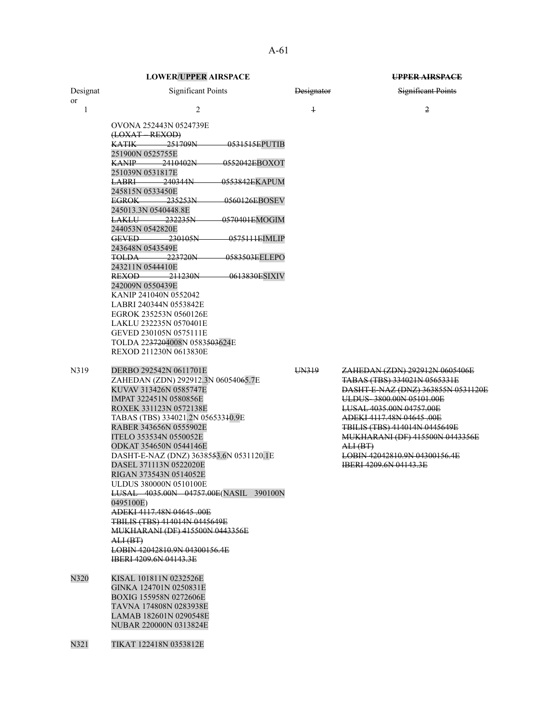|          | <b>LOWER/UPPER AIRSPACE</b>                                                                                                                                                                                                                                                                                                                                                                                                                                                                                                                                                                                                                                                                                                                                          |                   | UPPER AIRSPACE                                                                                                                                                                                                                                                                                                |
|----------|----------------------------------------------------------------------------------------------------------------------------------------------------------------------------------------------------------------------------------------------------------------------------------------------------------------------------------------------------------------------------------------------------------------------------------------------------------------------------------------------------------------------------------------------------------------------------------------------------------------------------------------------------------------------------------------------------------------------------------------------------------------------|-------------------|---------------------------------------------------------------------------------------------------------------------------------------------------------------------------------------------------------------------------------------------------------------------------------------------------------------|
| Designat | <b>Significant Points</b>                                                                                                                                                                                                                                                                                                                                                                                                                                                                                                                                                                                                                                                                                                                                            | <b>Designator</b> | <b>Significant Points</b>                                                                                                                                                                                                                                                                                     |
| or       |                                                                                                                                                                                                                                                                                                                                                                                                                                                                                                                                                                                                                                                                                                                                                                      |                   |                                                                                                                                                                                                                                                                                                               |
| 1        | $\overline{2}$                                                                                                                                                                                                                                                                                                                                                                                                                                                                                                                                                                                                                                                                                                                                                       | $\overline{1}$    | 2                                                                                                                                                                                                                                                                                                             |
| N319     | OVONA 252443N 0524739E<br>(LOXAT REXOD)<br><b>KATIK</b><br>251709N<br>-0531515EPUTIB<br>251900N 0525755E<br><b>KANIP</b> 2410402N<br>0552042EBOXOT<br>251039N 0531817E<br>–240344N–<br>0553842EKAPUM<br>LABRI —<br>245815N 0533450E<br>EGROK 235253N<br>0560126EBOSEV<br>245013.3N 0540448.8E<br>-232235N<br>0570401EMOGIM<br><del>LAKLU –</del><br>244053N 0542820E<br>GEVED 230105N<br>0575111EIMLIP<br>243648N 0543549E<br>223720N<br>0583503EELEPO<br>TOLDA<br>243211N 0544410E<br>REXOD<br>–211230N–<br>0613830ESIXIV<br>242009N 0550439E<br>KANIP 241040N 0552042<br>LABRI 240344N 0553842E<br>EGROK 235253N 0560126E<br>LAKLU 232235N 0570401E<br>GEVED 230105N 0575111E<br>TOLDA 2237204008N 0583503624E<br>REXOD 211230N 0613830E<br>DERBO 292542N 0611701E | UN319             | ZAHEDAN (ZDN) 292912N 0605406E                                                                                                                                                                                                                                                                                |
|          | ZAHEDAN (ZDN) 292912.3N 06054065.7E<br>KUVAV 313426N 0585747E<br>IMPAT 322451N 0580856E<br>ROXEK 331123N 0572138E<br>TABAS (TBS) 334021.2N 05653310.9E<br>RABER 343656N 0555902E<br>ITELO 353534N 0550052E<br>ODKAT 354650N 0544146E<br>DASHT-E-NAZ (DNZ) 3638553.6N 0531120.1E<br>DASEL 371113N 0522020E<br>RIGAN 373543N 0514052E<br>ULDUS 380000N 0510100E<br>LUSAL 4035.00N 04757.00E(NASIL 390100N<br>0495100E)<br>ADEKI 4117.48N 04645,00E<br>TBILIS (TBS) 414014N 0445649E<br><b>MUKHARANI (DF) 415500N 0443356E</b><br>A <sub>H</sub> (BT)<br>LOBIN 42042810.9N 04300156.4E<br><b>IBERI 4209.6N 04143.3E</b>                                                                                                                                                 |                   | TABAS (TBS) 334021N 0565331E<br>DASHT-E-NAZ (DNZ) 363855N 0531120E<br>ULDUS-3800.00N 05101.00E<br>LUSAL 4035.00N 04757.00E<br>ADEKI 4117.48N 04645 .00E<br>TBILIS (TBS) 414014N 0445649E<br>MUKHARANI (DF) 415500N 0443356E<br>A <sub>H</sub> (BT)<br>LOBIN 42042810.9N 04300156.4E<br>IBERI 4209.6N 04143.3E |
| N320     | KISAL 101811N 0232526E<br>GINKA 124701N 0250831E<br>BOXIG 155958N 0272606E<br>TAVNA 174808N 0283938E<br>LAMAB 182601N 0290548E<br>NUBAR 220000N 0313824E                                                                                                                                                                                                                                                                                                                                                                                                                                                                                                                                                                                                             |                   |                                                                                                                                                                                                                                                                                                               |
| N321     | TIKAT 122418N 0353812E                                                                                                                                                                                                                                                                                                                                                                                                                                                                                                                                                                                                                                                                                                                                               |                   |                                                                                                                                                                                                                                                                                                               |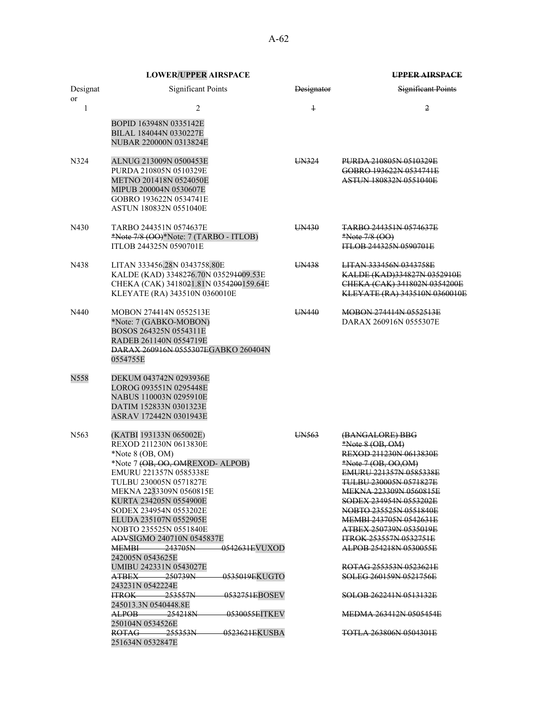|                  | <b>LOWER/UPPER AIRSPACE</b>                                                                                                                                                                                                                                                                                                                                                                                                                                                                                                                                                                                                                              |                       | <b>UPPER AIRSPACE</b>                                                                                                                                                                                                                                                                                                                                                                                                                                                                 |
|------------------|----------------------------------------------------------------------------------------------------------------------------------------------------------------------------------------------------------------------------------------------------------------------------------------------------------------------------------------------------------------------------------------------------------------------------------------------------------------------------------------------------------------------------------------------------------------------------------------------------------------------------------------------------------|-----------------------|---------------------------------------------------------------------------------------------------------------------------------------------------------------------------------------------------------------------------------------------------------------------------------------------------------------------------------------------------------------------------------------------------------------------------------------------------------------------------------------|
| Designat         | <b>Significant Points</b>                                                                                                                                                                                                                                                                                                                                                                                                                                                                                                                                                                                                                                | <del>Designator</del> | Significant Points                                                                                                                                                                                                                                                                                                                                                                                                                                                                    |
| or<br>1          | 2                                                                                                                                                                                                                                                                                                                                                                                                                                                                                                                                                                                                                                                        | $\ddagger$            | 2                                                                                                                                                                                                                                                                                                                                                                                                                                                                                     |
|                  | BOPID 163948N 0335142E<br>BILAL 184044N 0330227E<br>NUBAR 220000N 0313824E                                                                                                                                                                                                                                                                                                                                                                                                                                                                                                                                                                               |                       |                                                                                                                                                                                                                                                                                                                                                                                                                                                                                       |
| N324             | ALNUG 213009N 0500453E<br>PURDA 210805N 0510329E<br>METNO 201418N 0524050E<br>MIPUB 200004N 0530607E<br>GOBRO 193622N 0534741E<br>ASTUN 180832N 0551040E                                                                                                                                                                                                                                                                                                                                                                                                                                                                                                 | UN324                 | PURDA 210805N 0510329E<br>GOBRO 193622N 0534741E<br><b>ASTUN 180832N 0551040E</b>                                                                                                                                                                                                                                                                                                                                                                                                     |
| N430             | TARBO 244351N 0574637E<br>*Note 7/8 (OO)*Note: 7 (TARBO - ITLOB)<br>ITLOB 244325N 0590701E                                                                                                                                                                                                                                                                                                                                                                                                                                                                                                                                                               | UN430                 | <del>TARBO 244351N 0574637E</del><br>*Note 7/8 (OO)<br><b>ITLOB 244325N 0590701E</b>                                                                                                                                                                                                                                                                                                                                                                                                  |
| N438             | LITAN 333456.28N 0343758.80E<br>KALDE (KAD) 3348276.70N 035291009.53E<br>CHEKA (CAK) 3418021.81N 0354200159.64E<br>KLEYATE (RA) 343510N 0360010E                                                                                                                                                                                                                                                                                                                                                                                                                                                                                                         | UN438                 | <b>LITAN 333456N 0343758E</b><br>KALDE (KAD)334827N 0352910E<br>CHEKA (CAK) 341802N 0354200E<br>KLEYATE (RA) 343510N 0360010E                                                                                                                                                                                                                                                                                                                                                         |
| N440             | MOBON 274414N 0552513E<br>*Note: 7 (GABKO-MOBON)<br>BOSOS 264325N 0554311E<br>RADEB 261140N 0554719E<br><b>DARAX 260916N 0555307EGABKO 260404N</b><br>0554755E                                                                                                                                                                                                                                                                                                                                                                                                                                                                                           | UN440                 | <b>MOBON 274414N 0552513E</b><br>DARAX 260916N 0555307E                                                                                                                                                                                                                                                                                                                                                                                                                               |
| N558             | DEKUM 043742N 0293936E<br>LOROG 093551N 0295448E<br>NABUS 110003N 0295910E<br>DATIM 152833N 0301323E<br>ASRAV 172442N 0301943E                                                                                                                                                                                                                                                                                                                                                                                                                                                                                                                           |                       |                                                                                                                                                                                                                                                                                                                                                                                                                                                                                       |
| N <sub>563</sub> | (KATBI 193133N 065002E)<br>REXOD 211230N 0613830E<br>*Note $8$ (OB, OM)<br>*Note 7 (OB, OO, OMREXOD- ALPOB)<br>EMURU 221357N 0585338E<br>TULBU 230005N 0571827E<br>MEKNA 2233309N 0560815E<br>KURTA 234205N 0554900E<br>SODEX 234954N 0553202E<br>ELUDA 235107N 0552905E<br>NOBTO 235525N 0551840E<br>ADVSIGMO 240710N 0545837E<br>$MEMBI$ 243705N<br><del>0542631E</del> VUXOD<br>242005N 0543625E<br>UMIBU 242331N 0543027E<br>ATBEX<br>250739N<br>0535019EKUGTO<br>243231N 0542224E<br>$HROK$ 253557N<br><del>-0532751E</del> BOSEV<br>245013.3N 0540448.8E<br>ALPOB 254218N<br>-0530055EITKEV<br>250104N 0534526E<br>$ROTAG \longrightarrow 255353N$ | UN563                 | (BANGALORE) BBG<br>*Note 8 (OB, OM)<br>REXOD 211230N 0613830E<br>*Note 7 (OB, OO,OM)<br>EMURU 221357N 0585338E<br>TULBU 230005N 0571827E<br><b>MEKNA 223309N 0560815E</b><br>SODEX 234954N 0553202E<br>NOBTO 235525N 0551840E<br>MEMBI 243705N 0542631E<br>ATBEX 250739N 0535019E<br><b>ITROK 253557N 0532751E</b><br>ALPOB 254218N 0530055E<br>ROTAG 255353N 0523621E<br>SOLEG 260159N 0521756E<br>SOLOB 262241N 0513132E<br>MEDMA 263412N 0505454F<br><b>TOTLA 263806N 0504301E</b> |
|                  | 251634N 0532847E                                                                                                                                                                                                                                                                                                                                                                                                                                                                                                                                                                                                                                         |                       |                                                                                                                                                                                                                                                                                                                                                                                                                                                                                       |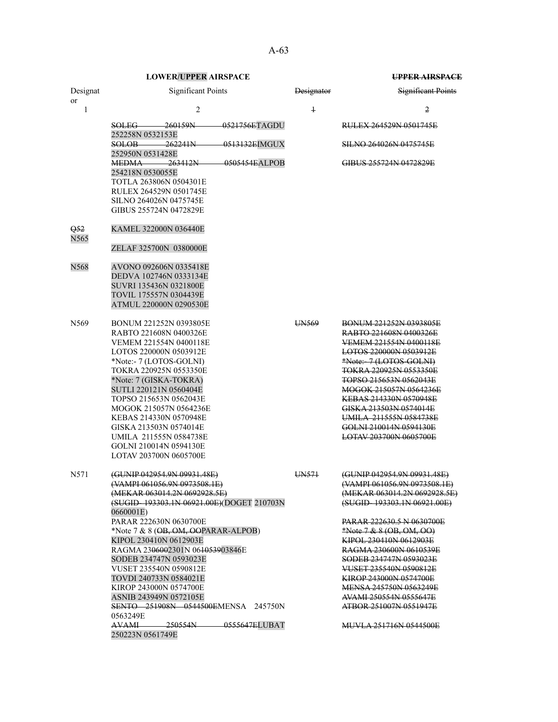Designat or

Q52 N565

0563249E

250223N 0561749E

AVAMI 250554N 0555647ELUBAT

|                         | <b>LOWER/UPPER AIRSPACE</b>                                     |                   | <b>UPPER AIRSPACE</b>            |
|-------------------------|-----------------------------------------------------------------|-------------------|----------------------------------|
| Designat<br>or          | <b>Significant Points</b>                                       | <b>Designator</b> | <b>Significant Points</b>        |
| $\mathbf{1}$            | $\overline{2}$                                                  | $\overline{1}$    | $\overline{2}$                   |
|                         | $-0521756ETAGDU$<br>SOLEG 260159N<br>252258N 0532153E           |                   | <b>RULEX 264529N 0501745E</b>    |
|                         | $-262241N$<br>0513132EIMGUX<br>SOLOB—                           |                   | <b>SILNO 264026N 0475745E</b>    |
|                         | 252950N 0531428E<br>$-0505454EALPOB$<br><b>MEDMA</b><br>263412N |                   | GIBUS 255724N 0472829E           |
|                         | 254218N 0530055E<br>TOTLA 263806N 0504301E                      |                   |                                  |
|                         | RULEX 264529N 0501745E                                          |                   |                                  |
|                         | SILNO 264026N 0475745E                                          |                   |                                  |
|                         | GIBUS 255724N 0472829E                                          |                   |                                  |
| Q52<br>N <sub>565</sub> | KAMEL 322000N 036440E                                           |                   |                                  |
|                         | ZELAF 325700N 0380000E                                          |                   |                                  |
| N568                    | AVONO 092606N 0335418E                                          |                   |                                  |
|                         | DEDVA 102746N 0333134E                                          |                   |                                  |
|                         | SUVRI 135436N 0321800E                                          |                   |                                  |
|                         | TOVIL 175557N 0304439E                                          |                   |                                  |
|                         | ATMUL 220000N 0290530E                                          |                   |                                  |
| N569                    | BONUM 221252N 0393805E                                          | UN569             | <b>BONUM 221252N 0393805E</b>    |
|                         | RABTO 221608N 0400326E                                          |                   | RABTO 221608N 0400326E           |
|                         | VEMEM 221554N 0400118E                                          |                   | VEMEM 221554N 0400118E           |
|                         | LOTOS 220000N 0503912E                                          |                   | LOTOS 220000N 0503912E           |
|                         | *Note:- 7 (LOTOS-GOLNI)                                         |                   | *Note:-7 (LOTOS-GOLNI)           |
|                         | TOKRA 220925N 0553350E                                          |                   | TOKRA 220925N 0553350E           |
|                         | *Note: 7 (GISKA-TOKRA)                                          |                   | <b>TOPSO 215653N 0562043E</b>    |
|                         | SUTLI 220121N 0560404E                                          |                   | MOGOK 215057N 0564236E           |
|                         | TOPSO 215653N 0562043E                                          |                   | <b>KEBAS 214330N 0570948E</b>    |
|                         | MOGOK 215057N 0564236E                                          |                   | GISKA 213503N 0574014E           |
|                         | KEBAS 214330N 0570948E                                          |                   | UMILA 211555N 0584738E           |
|                         | GISKA 213503N 0574014E                                          |                   | GOLNI 210014N 0594130E           |
|                         | UMILA 211555N 0584738E                                          |                   | <b>LOTAV 203700N 0605700E</b>    |
|                         | GOLNI 210014N 0594130E<br>LOTAV 203700N 0605700E                |                   |                                  |
|                         |                                                                 |                   |                                  |
| N571                    | (GUNIP 042954.9N 09931.48E)                                     | UN <sub>571</sub> | (GUNIP 042954.9N 09931.48E)      |
|                         | (VAMPI 061056.9N 0973508.1E)                                    |                   | (VAMPI 061056.9N 0973508.1E)     |
|                         | (MEKAR 063014.2N 0692928.5E)                                    |                   | (MEKAR 063014.2N 0692928.5E)     |
|                         | (SUGID-193303.1N 06921.00E)(DOGET 210703N                       |                   | (SUGID-193303.1N 06921.00E)      |
|                         | 0660001E)                                                       |                   |                                  |
|                         | PARAR 222630N 0630700E                                          |                   | <b>PARAR 222630.5 N 0630700E</b> |
|                         | *Note 7 & 8 (OB, OM, OOPARAR-ALPOB)                             |                   | *Note 7 & 8 $(OB, OM, OO)$       |
|                         | KIPOL 230410N 0612903E                                          |                   | KIPOL 230410N 0612903E           |
|                         | RAGMA 2306002301N 06 <del>10539</del> 03846E                    |                   | RAGMA 230600N 0610539E           |
|                         | SODEB 234747N 0593023E                                          |                   | SODEB 234747N 0593023E           |
|                         | VUSET 235540N 0590812E                                          |                   | VUSET 235540N 0590812E           |
|                         | TOVDI 240733N 0584021E                                          |                   | <b>KIROP 243000N 0574700E</b>    |
|                         | KIROP 243000N 0574700E                                          |                   | MENSA 245750N 0563249E           |
|                         | ASNIB 243949N 0572105E                                          |                   | AVAMI 250554N 0555647E           |
|                         | SENTO 251908N 0544500EMENSA 245750N                             |                   | ATBOR 251007N 0551947E           |

MUVLA 251716N 0544500E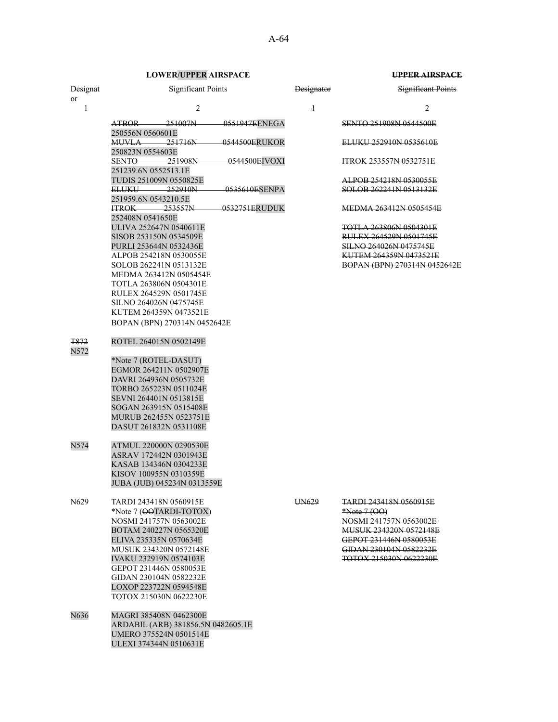| Designat<br><sub>or</sub> | <b>Significant Points</b>                                                                                                                                                                                                                                                                                            | <b>Designator</b> | <b>Significant Points</b>                                                                                                                                                                           |
|---------------------------|----------------------------------------------------------------------------------------------------------------------------------------------------------------------------------------------------------------------------------------------------------------------------------------------------------------------|-------------------|-----------------------------------------------------------------------------------------------------------------------------------------------------------------------------------------------------|
| 1                         | 2                                                                                                                                                                                                                                                                                                                    | $\ddagger$        | 2                                                                                                                                                                                                   |
|                           | 0551947EENEGA<br>ATBOR 251007N<br>250556N 0560601E                                                                                                                                                                                                                                                                   |                   | <b>SENTO 251908N 0544500E</b>                                                                                                                                                                       |
|                           | $MUVLA$ 251716N<br>0544500ERUKOR<br>250823N 0554603E                                                                                                                                                                                                                                                                 |                   | ELUKU 252910N 0535610E                                                                                                                                                                              |
|                           | SENTO<br>-251908N<br>0544500EIVOXI<br>251239.6N 0552513.1E                                                                                                                                                                                                                                                           |                   | <b>ITROK 253557N 0532751E</b>                                                                                                                                                                       |
|                           | TUDIS 251009N 0550825E<br>0535610ESENPA<br>ELUKU 252910N                                                                                                                                                                                                                                                             |                   | ALPOB 254218N 0530055E<br>SOLOB 262241N 0513132E                                                                                                                                                    |
|                           | 251959.6N 0543210.5E<br>$HROK - 253557N$<br>0532751ERUDUK                                                                                                                                                                                                                                                            |                   | <b>MEDMA 263412N 0505454E</b>                                                                                                                                                                       |
|                           | 252408N 0541650E<br>ULIVA 252647N 0540611E<br>SISOB 253150N 0534509E<br>PURLI 253644N 0532436E<br>ALPOB 254218N 0530055E<br>SOLOB 262241N 0513132E<br>MEDMA 263412N 0505454E<br>TOTLA 263806N 0504301E<br>RULEX 264529N 0501745E<br>SILNO 264026N 0475745E<br>KUTEM 264359N 0473521E<br>BOPAN (BPN) 270314N 0452642E |                   | <b>TOTLA 263806N 0504301E</b><br>RULEX 264529N 0501745E<br>SILNO 264026N 0475745E<br>KUTEM 264359N 0473521E<br>BOPAN (BPN) 270314N 0452642E                                                         |
| <b>T872</b><br>N572       | ROTEL 264015N 0502149E<br>*Note 7 (ROTEL-DASUT)<br>EGMOR 264211N 0502907E<br>DAVRI 264936N 0505732E<br>TORBO 265223N 0511024E<br>SEVNI 264401N 0513815E<br>SOGAN 263915N 0515408E<br>MURUB 262455N 0523751E<br>DASUT 261832N 0531108E                                                                                |                   |                                                                                                                                                                                                     |
| N574                      | ATMUL 220000N 0290530E<br>ASRAV 172442N 0301943E<br>KASAB 134346N 0304233E<br>KISOV 100955N 0310359E<br>JUBA (JUB) 045234N 0313559E                                                                                                                                                                                  |                   |                                                                                                                                                                                                     |
| N <sub>6</sub> 29         | TARDI 243418N 0560915E<br>*Note 7 (OOTARDI-TOTOX)<br>NOSMI 241757N 0563002E<br>BOTAM 240227N 0565320E<br>ELIVA 235335N 0570634E<br>MUSUK 234320N 0572148E<br><b>IVAKU 232919N 0574103E</b><br>GEPOT 231446N 0580053E<br>GIDAN 230104N 0582232E<br>LOXOP 223722N 0594548E<br>TOTOX 215030N 0622230E                   | HN629             | <del>TARDI 243418N 0560915E</del><br>$*Note 7 (OO)$<br>NOSMI 241757N 0563002E<br><b>MUSUK 234320N 0572148E</b><br>GEPOT 231446N 0580053E<br>GIDAN 230104N 0582232E<br><b>TOTOX 215030N 0622230E</b> |
| N636                      | MAGRI 385408N 0462300E<br>ARDABIL (ARB) 381856.5N 0482605.1E<br>UMERO 375524N 0501514E<br>ULEXI 374344N 0510631E                                                                                                                                                                                                     |                   |                                                                                                                                                                                                     |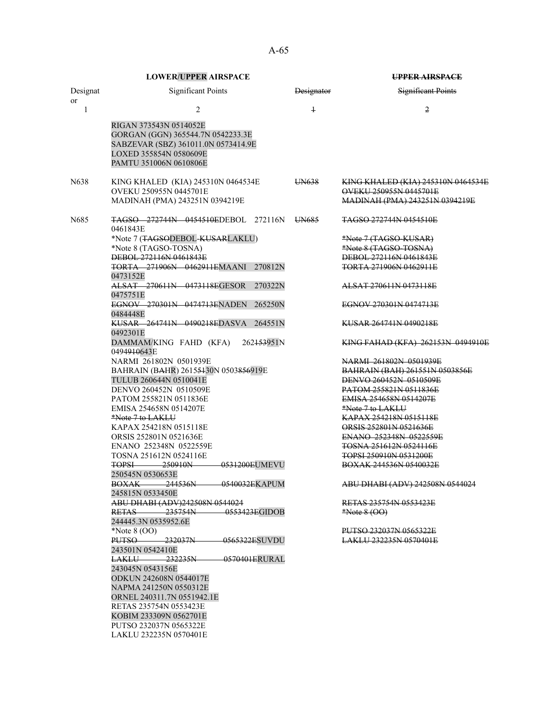|                       | <b>LOWER/UPPER AIRSPACE</b>                                                                                                                            |                   | <b>UPPER AIRSPACE</b>                                        |
|-----------------------|--------------------------------------------------------------------------------------------------------------------------------------------------------|-------------------|--------------------------------------------------------------|
| Designat<br><b>or</b> | <b>Significant Points</b>                                                                                                                              | <b>Designator</b> | <b>Significant Points</b>                                    |
| $\mathbf{1}$          | $\overline{2}$                                                                                                                                         | $\overline{1}$    | $\overline{2}$                                               |
|                       | RIGAN 373543N 0514052E<br>GORGAN (GGN) 365544.7N 0542233.3E<br>SABZEVAR (SBZ) 361011.0N 0573414.9E<br>LOXED 355854N 0580609E<br>PAMTU 351006N 0610806E |                   |                                                              |
| N <sub>6</sub> 38     | KING KHALED (KIA) 245310N 0464534E<br>OVEKU 250955N 0445701E                                                                                           | UN638             | KING KHALED (KIA) 245310N 0464534E<br>OVEKU 250955N 0445701E |
|                       | MADINAH (PMA) 243251N 0394219E                                                                                                                         |                   | MADINAH (PMA) 243251N 0394219E                               |
| N <sub>6</sub> 85     | TAGSO 272744N 0454510EDEBOL 272116N<br>0461843E                                                                                                        | UN685             | <del>TAGSO 272744N 0454510E</del>                            |
|                       | *Note 7 (TAGSODEBOL-KUSARLAKLU)                                                                                                                        |                   | *Note 7 (TAGSO-KUSAR)                                        |
|                       | *Note 8 (TAGSO-TOSNA)<br><b>DEBOL 272116N 0461843E</b>                                                                                                 |                   | *Note 8 (TAGSO-TOSNA)<br>DEBOL 272116N 0461843E              |
|                       | TORTA 271906N 0462911EMAANI 270812N                                                                                                                    |                   | <b>TORTA 271906N 0462911E</b>                                |
|                       | 0473152E                                                                                                                                               |                   |                                                              |
|                       | ALSAT 270611N 0473118EGESOR<br>270322N<br>0475751E                                                                                                     |                   | ALSAT 270611N 0473118E                                       |
|                       | EGNOV 270301N 0474713ENADEN<br>265250N<br>0484448E                                                                                                     |                   | EGNOV 270301N 0474713E                                       |
|                       | KUSAR 264741N 0490218EDASVA<br>264551N<br>0492301E                                                                                                     |                   | KUSAR 264741N 0490218E                                       |
|                       | DAMMAM/KING FAHD (KFA)<br>262153951N<br>0494 <del>910</del> 643E                                                                                       |                   | KING FAHAD (KFA) 262153N 0494910E                            |
|                       | NARMI 261802N 0501939E                                                                                                                                 |                   | NARMI 261802N 0501939E                                       |
|                       | BAHRAIN (BAHR) 26155430N 0503856919E                                                                                                                   |                   | BAHRAIN (BAH) 261551N 0503856E                               |
|                       | TULUB 260644N 0510041E<br>DENVO 260452N 0510509E                                                                                                       |                   | DENVO 260452N 0510509E<br><b>PATOM 255821N 0511836E</b>      |
|                       | PATOM 255821N 0511836E                                                                                                                                 |                   | EMISA 254658N 0514207E                                       |
|                       | EMISA 254658N 0514207E                                                                                                                                 |                   | <u>*Note 7 to LAKLU</u>                                      |
|                       | *Note 7 to LAKLU                                                                                                                                       |                   | KAPAX 254218N 0515118E                                       |
|                       | KAPAX 254218N 0515118E                                                                                                                                 |                   | ORSIS 252801N 0521636E                                       |
|                       | ORSIS 252801N 0521636E                                                                                                                                 |                   | ENANO 252348N 0522559E                                       |
|                       | ENANO 252348N 0522559E<br>TOSNA 251612N 0524116E                                                                                                       |                   | TOSNA 251612N 0524116E<br>TOPSI 250910N 0531200E             |
|                       | 0531200EUMEVU<br><b>TOPSI</b> 250910N                                                                                                                  |                   | BOXAK 244536N 0540032E                                       |
|                       | 250545N 0530653E                                                                                                                                       |                   |                                                              |
|                       | BOXAK 244536N 0540032EKAPUM<br>245815N 0533450E                                                                                                        |                   | ABU DHABI (ADV) 242508N 0544024                              |
|                       | ABU DHABI (ADV)242508N 0544024                                                                                                                         |                   | RETAS 235754N 0553423E                                       |
|                       | RETAS 235754N<br>0553423EGIDOB<br>244445.3N 0535952.6E                                                                                                 |                   | $*Note 8 (OO)$                                               |
|                       | *Note $8(00)$                                                                                                                                          |                   | PUTSO 232037N 0565322E                                       |
|                       | <b>PUTSO 232037N</b><br>0565322ESUVDU                                                                                                                  |                   | LAKLU 232235N 0570401E                                       |
|                       | 243501N 0542410E<br>LAKLU 232235N<br>$-0570401ERURAL$                                                                                                  |                   |                                                              |
|                       | 243045N 0543156E                                                                                                                                       |                   |                                                              |
|                       | <b>ODKUN 242608N 0544017E</b>                                                                                                                          |                   |                                                              |
|                       | NAPMA 241250N 0550312E                                                                                                                                 |                   |                                                              |
|                       | ORNEL 240311.7N 0551942.1E                                                                                                                             |                   |                                                              |
|                       | RETAS 235754N 0553423E                                                                                                                                 |                   |                                                              |
|                       | KOBIM 233309N 0562701E                                                                                                                                 |                   |                                                              |
|                       | PUTSO 232037N 0565322E                                                                                                                                 |                   |                                                              |
|                       | LAKLU 232235N 0570401E                                                                                                                                 |                   |                                                              |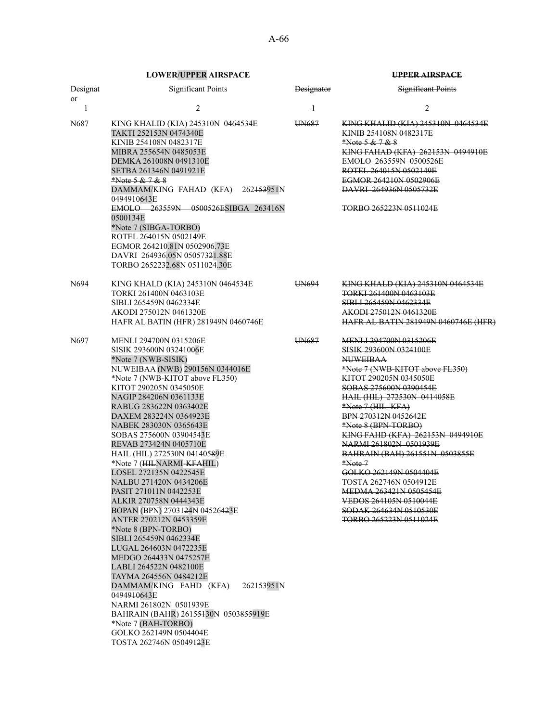| Designat<br>or | <b>Significant Points</b>                                                                                                                                                                                                                                                                                                                                                                                                                                                                                                                                                                                                                                                                                                                                                                                                                                                                                                                         | Designator | <b>Significant Points</b>                                                                                                                                                                                                                                                                                                                                                                                                                                                                                                                                          |
|----------------|---------------------------------------------------------------------------------------------------------------------------------------------------------------------------------------------------------------------------------------------------------------------------------------------------------------------------------------------------------------------------------------------------------------------------------------------------------------------------------------------------------------------------------------------------------------------------------------------------------------------------------------------------------------------------------------------------------------------------------------------------------------------------------------------------------------------------------------------------------------------------------------------------------------------------------------------------|------------|--------------------------------------------------------------------------------------------------------------------------------------------------------------------------------------------------------------------------------------------------------------------------------------------------------------------------------------------------------------------------------------------------------------------------------------------------------------------------------------------------------------------------------------------------------------------|
| 1              | $\overline{c}$                                                                                                                                                                                                                                                                                                                                                                                                                                                                                                                                                                                                                                                                                                                                                                                                                                                                                                                                    | $\ddagger$ | 2                                                                                                                                                                                                                                                                                                                                                                                                                                                                                                                                                                  |
| N687           | KING KHALID (KIA) 245310N 0464534E<br>TAKTI 252153N 0474340E<br>KINIB 254108N 0482317E<br>MIBRA 255654N 0485053E<br>DEMKA 261008N 0491310E<br>SETBA 261346N 0491921E<br>*Note 5 & 7 & 8<br>DAMMAM/KING FAHAD (KFA) 262 <del>153</del> 951N<br>0494 <del>910</del> 643E<br>EMOLO 263559N 0500526ESIBGA 263416N<br>0500134E<br>*Note 7 (SIBGA-TORBO)<br>ROTEL 264015N 0502149E<br>EGMOR 264210.81N 0502906.73E<br>DAVRI 264936.05N 05057321.88E<br>TORBO 2652232.68N 0511024.30E                                                                                                                                                                                                                                                                                                                                                                                                                                                                    | UN687      | KING KHALID (KIA) 245310N 0464534E<br>KINIB 254108N 0482317E<br>*Note 5 & 7 & 8<br>KING FAHAD (KFA) 262153N 0494910E<br>EMOLO 263559N 0500526E<br>ROTEL 264015N 0502149E<br>EGMOR 264210N 0502906E<br><b>DAVRI</b> 264936N 0505732E<br>TORBO 265223N 0511024E                                                                                                                                                                                                                                                                                                      |
| N694           | KING KHALD (KIA) 245310N 0464534E<br>TORKI 261400N 0463103E<br>SIBLI 265459N 0462334E<br>AKODI 275012N 0461320E<br>HAFR AL BATIN (HFR) 281949N 0460746E                                                                                                                                                                                                                                                                                                                                                                                                                                                                                                                                                                                                                                                                                                                                                                                           | UN694      | <b>KING KHALD (KIA) 245310N 0464534E</b><br>TORKI 261400N 0463103E<br>SIBLI 265459N 0462334E<br><b>AKODI 275012N 0461320E</b><br><b>HAFR AL BATIN 281949N 0460746E (HFR)</b>                                                                                                                                                                                                                                                                                                                                                                                       |
| N697           | MENLI 294700N 0315206E<br>SISIK 293600N 03241006E<br>*Note 7 (NWB-SISIK)<br>NUWEIBAA (NWB) 290156N 0344016E<br>*Note 7 (NWB-KITOT above FL350)<br>KITOT 290205N 0345050E<br>NAGIP 284206N 0361133E<br>RABUG 283622N 0363402E<br>DAXEM 283224N 0364923E<br>NABEK 283030N 0365643E<br>SOBAS 275600N 03904543E<br>REVAB 273424N 0405710E<br>HAIL (HIL) 272530N 04140589E<br>*Note 7 (HILNARMI-KFAHIL)<br>LOSEL 272135N 0422545E<br>NALBU 271420N 0434206E<br>PASIT 271011N 0442253E<br>ALKIR 270758N 0444343E<br>BOPAN (BPN) 2703124N 04526423E<br>ANTER 270212N 0453359E<br>*Note 8 (BPN-TORBO)<br>SIBLI 265459N 0462334E<br>LUGAL 264603N 0472235E<br>MEDGO 264433N 0475257E<br>LABLI 264522N 0482100E<br>TAYMA 264556N 0484212E<br>DAMMAM/KING FAHD (KFA)<br>262153951N<br>0494910643E<br>NARMI 261802N 0501939E<br>BAHRAIN (BAHR) 26155430N 0503855919E<br>*Note 7 (BAH-TORBO)<br>GOLKO 262149N 0504404E<br>TOSTA 262746N 050491 <del>2</del> 3E | UN687      | <b>MENLI 294700N 0315206E</b><br><b>SISIK 293600N 0324100E</b><br><b>NUWEIBAA</b><br>*Note 7 (NWB-KITOT above FL350)<br><b>KITOT 290205N 0345050E</b><br>SOBAS 275600N 0390454E<br>HAIL (HIL) 272530N 0414058E<br>*Note 7 (HIL KFA)<br>BPN 270312N 0452642E<br>*Note 8 (BPN-TORBO)<br>KING FAHD (KFA) 262153N 0494910E<br>NARMI 261802N 0501939E<br>BAHRAIN (BAH) 261551N 0503855E<br>$*Note.7$<br>GOLKO 262149N 0504404E<br><b>TOSTA 262746N 0504912E</b><br>MEDMA 263421N 0505454E<br>VEDOS 264105N 0510044E<br>SODAK 264634N 0510530E<br>TORBO 265223N 0511024E |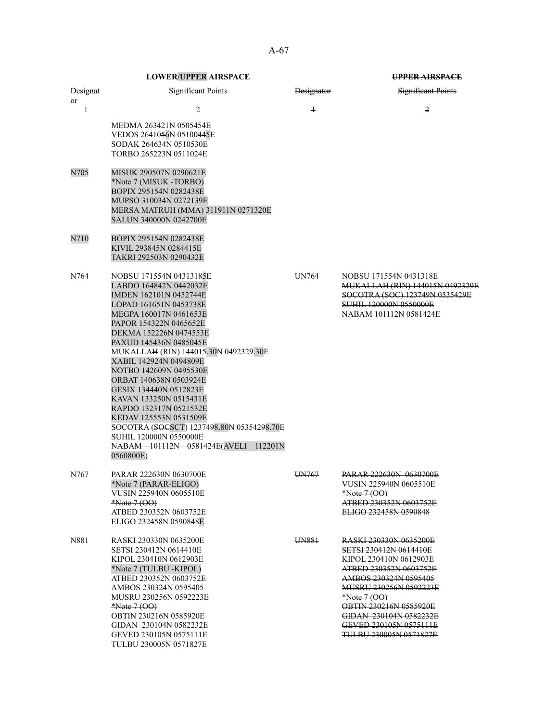A-67

|          | <b>LOWER/UPPER AIRSPACE</b>                                                                                                                                                                                                                                                                                                                                                                                                                                                                                                                                              |                   | <b>UPPER AIRSPACE</b>                                                                                                                                                                                                                                                                           |  |
|----------|--------------------------------------------------------------------------------------------------------------------------------------------------------------------------------------------------------------------------------------------------------------------------------------------------------------------------------------------------------------------------------------------------------------------------------------------------------------------------------------------------------------------------------------------------------------------------|-------------------|-------------------------------------------------------------------------------------------------------------------------------------------------------------------------------------------------------------------------------------------------------------------------------------------------|--|
| Designat | <b>Significant Points</b>                                                                                                                                                                                                                                                                                                                                                                                                                                                                                                                                                | <b>Designator</b> | <b>Significant Points</b>                                                                                                                                                                                                                                                                       |  |
| or<br>1  | $\overline{2}$<br>MEDMA 263421N 0505454E<br>VEDOS 2641056N 05100445E<br>SODAK 264634N 0510530E<br>TORBO 265223N 0511024E                                                                                                                                                                                                                                                                                                                                                                                                                                                 | $\overline{1}$    | 2                                                                                                                                                                                                                                                                                               |  |
| N705     | MISUK 290507N 0290621E<br>*Note 7 (MISUK -TORBO)<br>BOPIX 295154N 0282438E<br>MUPSO 310034N 0272139E<br>MERSA MATRUH (MMA) 311911N 0271320E<br><b>SALUN 340000N 0242700E</b>                                                                                                                                                                                                                                                                                                                                                                                             |                   |                                                                                                                                                                                                                                                                                                 |  |
| N710     | BOPIX 295154N 0282438E<br>KIVIL 293845N 0284415E<br>TAKRI 292503N 0290432E                                                                                                                                                                                                                                                                                                                                                                                                                                                                                               |                   |                                                                                                                                                                                                                                                                                                 |  |
| N764     | NOBSU 171554N 04313185E<br>LABDO 164842N 0442032E<br>IMDEN 162101N 0452744E<br>LOPAD 161651N 0453738E<br>MEGPA 160017N 0461653E<br>PAPOR 154322N 0465652E<br>DEKMA 152226N 0474553E<br>PAXUD 145436N 0485045E<br>MUKALLAH (RIN) 144015.30N 0492329.30E<br>XABIL 142924N 0494809E<br>NOTBO 142609N 0495530E<br>ORBAT 140638N 0503924E<br>GESIX 134440N 0512823E<br>KAVAN 133250N 0515431E<br>RAPDO 132317N 0521532E<br>KEDAV 125553N 0531509E<br>SOCOTRA (SOCSCT) 1237498.80N 05354298.70E<br>SUHIL 120000N 0550000E<br>NABAM 101112N 0581424E(AVELI 112201N<br>0560800E) | UN764             | NOBSU 171554N 0431318E<br>MUKALLAH (RIN) 144015N 0492329E<br>SOCOTRA (SOC) 123749N 0535429E<br>SUHIL 120000N 0550000E<br>NABAM 101112N 0581424E                                                                                                                                                 |  |
| N767     | PARAR 222630N 0630700E<br>*Note 7 (PARAR-ELIGO)<br>VUSIN 225940N 0605510E<br>$*Note 7 (OO)$<br>ATBED 230352N 0603752E<br>ELIGO 232458N 0590848E                                                                                                                                                                                                                                                                                                                                                                                                                          | UN767             | <b>PARAR 222630N 0630700E</b><br>VUSIN 225940N 0605510E<br>$*Note 7 (OO)$<br>ATBED 230352N 0603752E<br>ELIGO 232458N 0590848                                                                                                                                                                    |  |
| N881     | RASKI 230330N 0635200E<br>SETSI 230412N 0614410E<br>KIPOL 230410N 0612903E<br>*Note 7 (TULBU -KIPOL)<br>ATBED 230352N 0603752E<br>AMBOS 230324N 0595405<br>MUSRU 230256N 0592223E<br>$*Note 7 (OO)$<br>OBTIN 230216N 0585920E<br>GIDAN 230104N 0582232E<br>GEVED 230105N 0575111E<br>TULBU 230005N 0571827E                                                                                                                                                                                                                                                              | UN881             | RASKI 230330N 0635200E<br><b>SETSI 230412N 0614410E</b><br>KIPOL 230410N 0612903E<br>ATBED 230352N 0603752E<br>AMBOS 230324N 0595405<br>MUSRU 230256N 0592223E<br>$*Note 7 (OO)$<br>OBTIN 230216N 0585920E<br>GIDAN 230104N 0582232E<br>GEVED 230105N 0575111E<br><b>TULBU 230005N 0571827E</b> |  |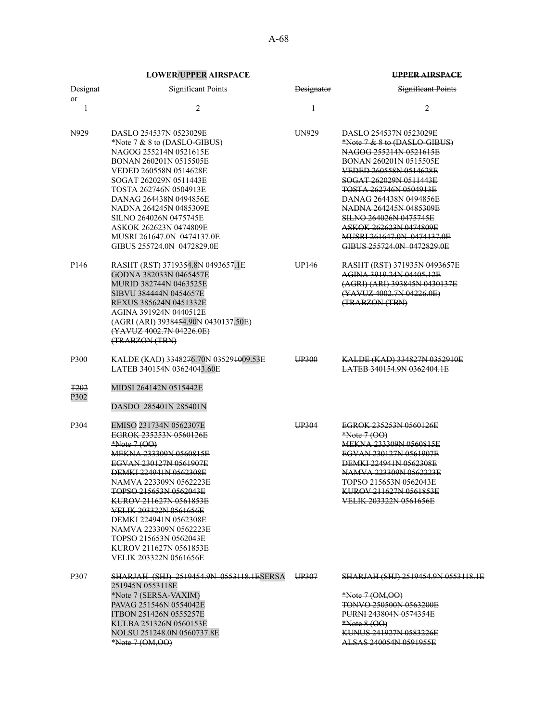| Designat<br>or      | <b>Significant Points</b>                                                                                                                                                                                                                                                                                                                                                                         | <b>Designator</b> | <b>Significant Points</b>                                                                                                                                                                                                                                                                                                                                                      |
|---------------------|---------------------------------------------------------------------------------------------------------------------------------------------------------------------------------------------------------------------------------------------------------------------------------------------------------------------------------------------------------------------------------------------------|-------------------|--------------------------------------------------------------------------------------------------------------------------------------------------------------------------------------------------------------------------------------------------------------------------------------------------------------------------------------------------------------------------------|
| 1                   | $\overline{c}$                                                                                                                                                                                                                                                                                                                                                                                    | $\ddagger$        | 2                                                                                                                                                                                                                                                                                                                                                                              |
| N929                | DASLO 254537N 0523029E<br>*Note $7 & 8$ to (DASLO-GIBUS)<br>NAGOG 255214N 0521615E<br>BONAN 260201N 0515505E<br>VEDED 260558N 0514628E<br>SOGAT 262029N 0511443E<br>TOSTA 262746N 0504913E<br>DANAG 264438N 0494856E<br>NADNA 264245N 0485309E<br>SILNO 264026N 0475745E<br>ASKOK 262623N 0474809E<br>MUSRI 261647.0N 0474137.0E<br>GIBUS 255724.0N 0472829.0E                                    | UN929             | DASLO 254537N 0523029E<br>*Note 7 & 8 to (DASLO-GIBUS)<br>NAGOG 255214N 0521615E<br>BONAN 260201N 0515505E<br>VEDED 260558N 0514628E<br>SOGAT 262029N 0511443E<br>TOSTA 262746N 0504913E<br>DANAG 264438N 0494856E<br>NADNA 264245N 0485309E<br><b>SILNO 264026N 0475745E</b><br><del>ASKOK 262623N 0474809E</del><br>MUSRI 261647.0N 0474137.0E<br>GIBUS 255724.0N 0472829.0E |
| P146                | RASHT (RST) 3719354.8N 0493657.1E<br>GODNA 382033N 0465457E<br>MURID 382744N 0463525E<br>SIBVU 384444N 0454657E<br>REXUS 385624N 0451332E<br>AGINA 391924N 0440512E<br>(AGRI (ARI) 3938454.90N 0430137.50E)<br>(YAVUZ 4002.7N 04226.0E)<br>(TRABZON (TBN)                                                                                                                                         | UP <sub>146</sub> | RASHT (RST) 371935N 0493657E<br>AGINA 3919.24N 04405.12E<br>(AGRI) (ARI) 393845N 0430137E<br>(YAVUZ 4002.7N 04226.0E)<br>(TRABZON (TBN)                                                                                                                                                                                                                                        |
| P300                | KALDE (KAD) 3348276.70N 035291009.53E<br>LATEB 340154N 03624043.60E                                                                                                                                                                                                                                                                                                                               | UP300             | KALDE (KAD) 334827N 0352910E<br>LATEB 340154.9N 0362404.1E                                                                                                                                                                                                                                                                                                                     |
| <b>T202</b><br>P302 | MIDSI 264142N 0515442E<br>DASDO 285401N 285401N                                                                                                                                                                                                                                                                                                                                                   |                   |                                                                                                                                                                                                                                                                                                                                                                                |
| P304                | EMISO 231734N 0562307E<br>EGROK 235253N 0560126E<br>$*Note 7 (OO)$<br>MEKNA 233309N 0560815E<br>EGVAN 230127N 0561907E<br><b>DEMKI 224941N 0562308E</b><br>NAMVA 223309N 0562223E<br>TOPSO 215653N 0562043E<br>KUROV 211627N 0561853E<br>VELIK 203322N 0561656E<br>DEMKI 224941N 0562308E<br>NAMVA 223309N 0562223E<br>TOPSO 215653N 0562043E<br>KUROV 211627N 0561853E<br>VELIK 203322N 0561656E | UP304             | EGROK 235253N 0560126E<br>$*Note 7 (OO)$<br><b>MEKNA 233309N 0560815E</b><br>EGVAN 230127N 0561907E<br>DEMKI 224941N 0562308E<br>NAMVA 223309N 0562223E<br>TOPSO 215653N 0562043E<br>KUROV 211627N 0561853E<br>VELIK 203322N 0561656E                                                                                                                                          |
| P307                | SHARJAH (SHJ) 2519454.9N 0553118.1ESERSA<br>251945N 0553118E<br>*Note 7 (SERSA-VAXIM)<br>PAVAG 251546N 0554042E<br><b>ITBON 251426N 0555257E</b><br>KULBA 251326N 0560153E<br>NOLSU 251248.0N 0560737.8E<br>*Note 7 (OM, OO)                                                                                                                                                                      | UP307             | SHARJAH (SHJ) 2519454.9N 0553118.1E<br>$*Note 7 (OM, OO)$<br><b>TONVO 250500N 0563200E</b><br><b>PURNI 243804N 0574354E</b><br>$*Note 8 (OO)$<br>KUNUS 241927N 0583226E<br>ALSAS 240054N 0591955E                                                                                                                                                                              |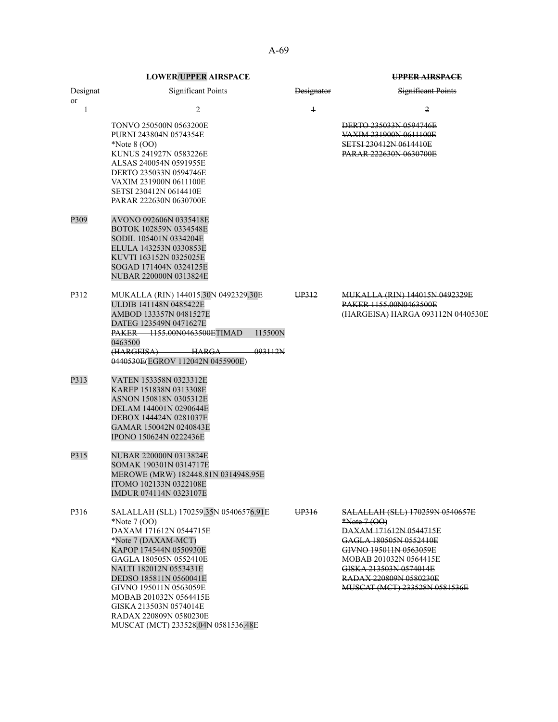| Designat<br>or | <b>Significant Points</b>                                                                                                                                                                                                                                                                                                                                       | Designator | <b>Significant Points</b>                                                                                                                                                                                                                      |
|----------------|-----------------------------------------------------------------------------------------------------------------------------------------------------------------------------------------------------------------------------------------------------------------------------------------------------------------------------------------------------------------|------------|------------------------------------------------------------------------------------------------------------------------------------------------------------------------------------------------------------------------------------------------|
| 1              | 2                                                                                                                                                                                                                                                                                                                                                               | $\ddagger$ | 2                                                                                                                                                                                                                                              |
|                | <b>TONVO 250500N 0563200E</b><br>PURNI 243804N 0574354E<br>*Note $8(00)$<br>KUNUS 241927N 0583226E<br>ALSAS 240054N 0591955E<br>DERTO 235033N 0594746E<br>VAXIM 231900N 0611100E<br>SETSI 230412N 0614410E<br>PARAR 222630N 0630700E                                                                                                                            |            | DERTO 235033N 0594746E<br>VAXIM 231900N 0611100E<br><b>SETSI 230412N 0614410E</b><br><b>PARAR 222630N 0630700E</b>                                                                                                                             |
| P309           | AVONO 092606N 0335418E<br>BOTOK 102859N 0334548E<br>SODIL 105401N 0334204E<br>ELULA 143253N 0330853E<br>KUVTI 163152N 0325025E<br>SOGAD 171404N 0324125E<br>NUBAR 220000N 0313824E                                                                                                                                                                              |            |                                                                                                                                                                                                                                                |
| P312           | MUKALLA (RIN) 144015.30N 0492329.30E<br>ULDIB 141148N 0485422E<br>AMBOD 133357N 0481527E<br>DATEG 123549N 0471627E<br>115500N<br>PAKER 1155.00N0463500ETIMAD<br>0463500<br>(HARGEISA) HARGA<br>093112N<br>0440530E(EGROV 112042N 0455900E)                                                                                                                      | UP312      | <u>MUKALLA (RIN) 144015N 0492329E</u><br>PAKER 1155,00N0463500E<br>(HARGEISA) HARGA 093112N 0440530E                                                                                                                                           |
| P313           | VATEN 153358N 0323312E<br>KAREP 151838N 0313308E<br>ASNON 150818N 0305312E<br>DELAM 144001N 0290644E<br>DEBOX 144424N 0281037E<br>GAMAR 150042N 0240843E<br>IPONO 150624N 0222436E                                                                                                                                                                              |            |                                                                                                                                                                                                                                                |
| P315           | NUBAR 220000N 0313824E<br>SOMAK 190301N 0314717E<br>MEROWE (MRW) 182448.81N 0314948.95E<br>ITOMO 102133N 0322108E<br>IMDUR 074114N 0323107E                                                                                                                                                                                                                     |            |                                                                                                                                                                                                                                                |
| P316           | SALALLAH (SLL) 170259.35N 05406576.91E<br>*Note $7(00)$<br>DAXAM 171612N 0544715E<br>*Note 7 (DAXAM-MCT)<br>KAPOP 174544N 0550930E<br>GAGLA 180505N 0552410E<br>NALTI 182012N 0553431E<br>DEDSO 185811N 0560041E<br>GIVNO 195011N 0563059E<br>MOBAB 201032N 0564415E<br>GISKA 213503N 0574014E<br>RADAX 220809N 0580230E<br>MUSCAT (MCT) 233528.04N 0581536.48E | UP316      | SALALLAH (SLL) 170259N 0540657E<br>$*Note 7 (OO)$<br>DAXAM 171612N 0544715E<br>GAGLA 180505N 0552410E<br>GIVNO 195011N 0563059E<br>MOBAB 201032N 0564415E<br>GISKA 213503N 0574014E<br>RADAX 220809N 0580230E<br>MUSCAT (MCT) 233528N 0581536E |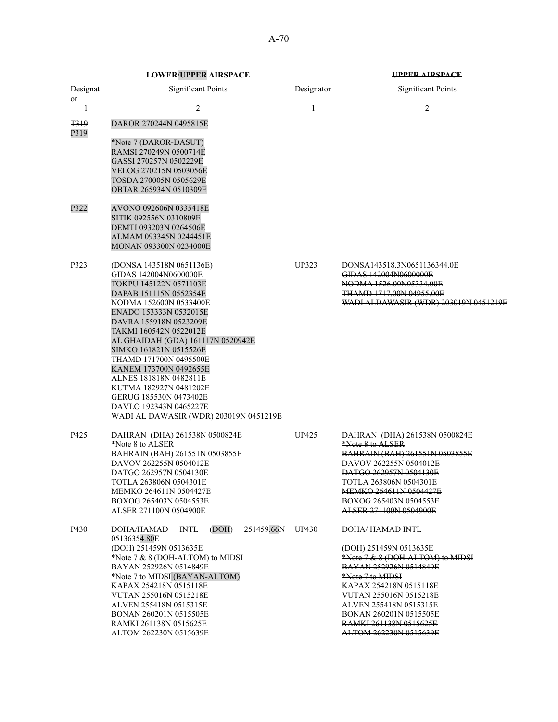|                         | <b>LOWER/UPPER AIRSPACE</b>                                                                                                                                                                                                                                                                                                                                                                                                                                                        |                   | <b>UPPER AIRSPACE</b>                                                                                                                                                                                                                                  |
|-------------------------|------------------------------------------------------------------------------------------------------------------------------------------------------------------------------------------------------------------------------------------------------------------------------------------------------------------------------------------------------------------------------------------------------------------------------------------------------------------------------------|-------------------|--------------------------------------------------------------------------------------------------------------------------------------------------------------------------------------------------------------------------------------------------------|
| Designat<br>or          | <b>Significant Points</b>                                                                                                                                                                                                                                                                                                                                                                                                                                                          | <b>Designator</b> | <b>Significant Points</b>                                                                                                                                                                                                                              |
| 1                       | 2                                                                                                                                                                                                                                                                                                                                                                                                                                                                                  | $\ddagger$        | $\overline{2}$                                                                                                                                                                                                                                         |
| <del>T319</del><br>P319 | DAROR 270244N 0495815E                                                                                                                                                                                                                                                                                                                                                                                                                                                             |                   |                                                                                                                                                                                                                                                        |
|                         | *Note 7 (DAROR-DASUT)<br>RAMSI 270249N 0500714E<br>GASSI 270257N 0502229E<br>VELOG 270215N 0503056E<br>TOSDA 270005N 0505629E<br>OBTAR 265934N 0510309E                                                                                                                                                                                                                                                                                                                            |                   |                                                                                                                                                                                                                                                        |
| P322                    | AVONO 092606N 0335418E<br>SITIK 092556N 0310809E<br>DEMTI 093203N 0264506E<br>ALMAM 093345N 0244451E<br>MONAN 093300N 0234000E                                                                                                                                                                                                                                                                                                                                                     |                   |                                                                                                                                                                                                                                                        |
| P323                    | (DONSA 143518N 0651136E)<br>GIDAS 142004N0600000E<br>TOKPU 145122N 0571103E<br>DAPAB 151115N 0552354E<br>NODMA 152600N 0533400E<br>ENADO 153333N 0532015E<br>DAVRA 155918N 0523209E<br>TAKMI 160542N 0522012E<br>AL GHAIDAH (GDA) 161117N 0520942E<br>SIMKO 161821N 0515526E<br>THAMD 171700N 0495500E<br>KANEM 173700N 0492655E<br>ALNES 181818N 0482811E<br>KUTMA 182927N 0481202E<br>GERUG 185530N 0473402E<br>DAVLO 192343N 0465227E<br>WADI AL DAWASIR (WDR) 203019N 0451219E | UP323             | DONSA143518.3N0651136344.0E<br>GIDAS 142004N0600000E<br>NODMA 1526.00N05334.00E<br>THAMD 1717.00N 04955.00E<br>WADI ALDAWASIR (WDR) 203019N 0451219E                                                                                                   |
| P425                    | DAHRAN (DHA) 261538N 0500824E<br>*Note 8 to ALSER<br>BAHRAIN (BAH) 261551N 0503855E<br>DAVOV 262255N 0504012E<br>DATGO 262957N 0504130E<br>TOTLA 263806N 0504301E<br>MEMKO 264611N 0504427E<br>BOXOG 265403N 0504553E<br>ALSER 271100N 0504900E                                                                                                                                                                                                                                    | UP425             | DAHRAN (DHA) 261538N 0500824E<br>*Note 8 to ALSER<br><b>BAHRAIN (BAH) 261551N 0503855E</b><br>DAVOV 262255N 0504012E<br>DATGO 262957N 0504130E<br>TOTLA 263806N 0504301E<br>MEMKO 264611N 0504427E<br>BOXOG 265403N 0504553E<br>ALSER 271100N 0504900E |
| P430                    | (DOH)<br>251459.66N<br>DOHA/HAMAD<br><b>INTL</b><br>05136354.80E<br>(DOH) 251459N 0513635E<br>*Note 7 & 8 (DOH-ALTOM) to MIDSI<br>BAYAN 252926N 0514849E<br>*Note 7 to MIDSI (BAYAN-ALTOM)<br>KAPAX 254218N 0515118E                                                                                                                                                                                                                                                               | UP430             | DOHA/HAMAD INTL<br>(DOH) 251459N 0513635E<br>*Note 7 & 8 (DOH-ALTOM) to MIDSI<br>BAYAN 252926N 0514849E<br>*Note 7 to MIDSI<br>KAPAX 254218N 0515118E                                                                                                  |
|                         | VUTAN 255016N 0515218E<br>ALVEN 255418N 0515315E<br>BONAN 260201N 0515505E<br>RAMKI 261138N 0515625E<br>ALTOM 262230N 0515639E                                                                                                                                                                                                                                                                                                                                                     |                   | VUTAN 255016N 0515218E<br>ALVEN 255418N 0515315E<br>BONAN 260201N 0515505E<br>RAMKI 261138N 0515625E<br>ALTOM 262230N 0515639E                                                                                                                         |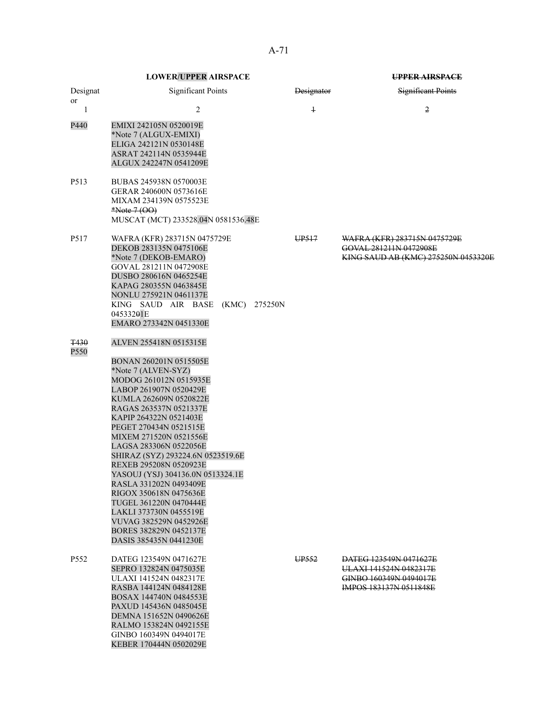|                     | <b>LOWER/UPPER AIRSPACE</b>                                                                                                                                                                                                                                                                                                                                                                                                                                                                                                                             |                   | UPPER AIRSPACE                                                                                              |
|---------------------|---------------------------------------------------------------------------------------------------------------------------------------------------------------------------------------------------------------------------------------------------------------------------------------------------------------------------------------------------------------------------------------------------------------------------------------------------------------------------------------------------------------------------------------------------------|-------------------|-------------------------------------------------------------------------------------------------------------|
| Designat<br>or      | <b>Significant Points</b>                                                                                                                                                                                                                                                                                                                                                                                                                                                                                                                               | <b>Designator</b> | <b>Significant Points</b>                                                                                   |
| 1                   | 2                                                                                                                                                                                                                                                                                                                                                                                                                                                                                                                                                       | $\overline{1}$    | 2                                                                                                           |
| P440                | EMIXI 242105N 0520019E<br>*Note 7 (ALGUX-EMIXI)<br>ELIGA 242121N 0530148E<br>ASRAT 242114N 0535944E<br>ALGUX 242247N 0541209E                                                                                                                                                                                                                                                                                                                                                                                                                           |                   |                                                                                                             |
| P <sub>5</sub> 13   | BUBAS 245938N 0570003E<br>GERAR 240600N 0573616E<br>MIXAM 234139N 0575523E<br>$*Note 7 (OO)$<br>MUSCAT (MCT) 233528.04N 0581536.48E                                                                                                                                                                                                                                                                                                                                                                                                                     |                   |                                                                                                             |
| P517                | WAFRA (KFR) 283715N 0475729E<br>DEKOB 283135N 0475106E<br>*Note 7 (DEKOB-EMARO)<br>GOVAL 281211N 0472908E<br>DUSBO 280616N 0465254E<br>KAPAG 280355N 0463845E<br>NONLU 275921N 0461137E<br>KING SAUD AIR BASE<br>(KMC) 275250N<br>04533201E<br>EMARO 273342N 0451330E                                                                                                                                                                                                                                                                                   | UP <sub>517</sub> | WAFRA (KFR) 283715N 0475729E<br>GOVAL 281211N 0472908E<br>KING SAUD AB (KMC) 275250N 0453320E               |
| <b>T430</b><br>P550 | ALVEN 255418N 0515315E                                                                                                                                                                                                                                                                                                                                                                                                                                                                                                                                  |                   |                                                                                                             |
|                     | BONAN 260201N 0515505E<br>*Note 7 (ALVEN-SYZ)<br>MODOG 261012N 0515935E<br>LABOP 261907N 0520429E<br>KUMLA 262609N 0520822E<br>RAGAS 263537N 0521337E<br>KAPIP 264322N 0521403E<br>PEGET 270434N 0521515E<br>MIXEM 271520N 0521556E<br>LAGSA 283306N 0522056E<br>SHIRAZ (SYZ) 293224.6N 0523519.6E<br>REXEB 295208N 0520923E<br>YASOUJ (YSJ) 304136.0N 0513324.1E<br>RASLA 331202N 0493409E<br>RIGOX 350618N 0475636E<br>TUGEL 361220N 0470444E<br>LAKLI 373730N 0455519E<br>VUVAG 382529N 0452926E<br>BORES 382829N 0452137E<br>DASIS 385435N 0441230E |                   |                                                                                                             |
| P <sub>552</sub>    | DATEG 123549N 0471627E<br>SEPRO 132824N 0475035E<br>ULAXI 141524N 0482317E<br>RASBA 144124N 0484128E<br>BOSAX 144740N 0484553E<br>PAXUD 145436N 0485045E<br>DEMNA 151652N 0490626E<br>RALMO 153824N 0492155E<br>GINBO 160349N 0494017E<br>KEBER 170444N 0502029E                                                                                                                                                                                                                                                                                        | UP <sub>552</sub> | DATEG 123549N 0471627E<br>ULAXI 141524N 0482317E<br>GINBO 160349N 0494017E<br><b>IMPOS 183137N 0511848E</b> |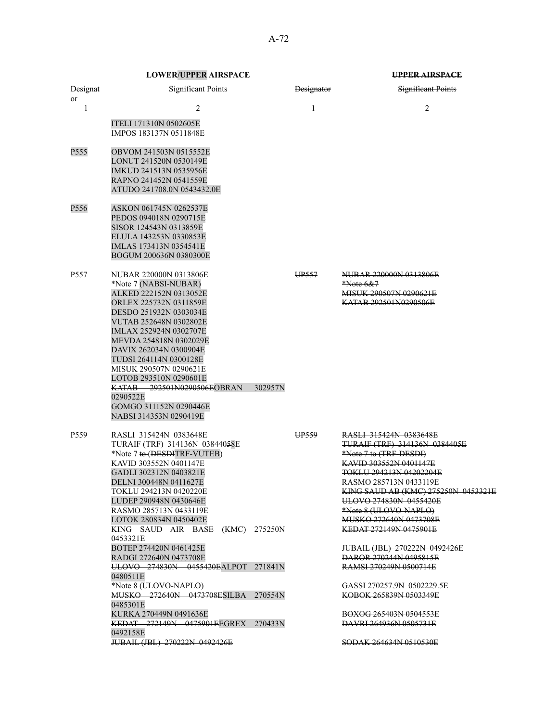|                  | <b>LOWER/UPPER AIRSPACE</b>                                                                                                                                                                                                                                                                                                                                                                                                                                                                              |         |                   | UPPER AIRSPACE                                                                                                                                                                                                                                                                                                                                                                                                                                                                |
|------------------|----------------------------------------------------------------------------------------------------------------------------------------------------------------------------------------------------------------------------------------------------------------------------------------------------------------------------------------------------------------------------------------------------------------------------------------------------------------------------------------------------------|---------|-------------------|-------------------------------------------------------------------------------------------------------------------------------------------------------------------------------------------------------------------------------------------------------------------------------------------------------------------------------------------------------------------------------------------------------------------------------------------------------------------------------|
| Designat<br>or   | <b>Significant Points</b>                                                                                                                                                                                                                                                                                                                                                                                                                                                                                |         | <b>Designator</b> | Significant Points                                                                                                                                                                                                                                                                                                                                                                                                                                                            |
| 1                | 2<br>ITELI 171310N 0502605E<br>IMPOS 183137N 0511848E                                                                                                                                                                                                                                                                                                                                                                                                                                                    |         | $\ddagger$        | 2                                                                                                                                                                                                                                                                                                                                                                                                                                                                             |
| P555             | OBVOM 241503N 0515552E<br>LONUT 241520N 0530149E<br>IMKUD 241513N 0535956E<br>RAPNO 241452N 0541559E<br>ATUDO 241708.0N 0543432.0E                                                                                                                                                                                                                                                                                                                                                                       |         |                   |                                                                                                                                                                                                                                                                                                                                                                                                                                                                               |
| P556             | ASKON 061745N 0262537E<br>PEDOS 094018N 0290715E<br>SISOR 124543N 0313859E<br>ELULA 143253N 0330853E<br>IMLAS 173413N 0354541E<br>BOGUM 200636N 0380300E                                                                                                                                                                                                                                                                                                                                                 |         |                   |                                                                                                                                                                                                                                                                                                                                                                                                                                                                               |
| P <sub>557</sub> | NUBAR 220000N 0313806E<br>*Note 7 (NABSI-NUBAR)<br>ALKED 222152N 0313052E<br>ORLEX 225732N 0311859E<br>DESDO 251932N 0303034E<br>VUTAB 252648N 0302802E<br>IMLAX 252924N 0302707E<br>MEVDA 254818N 0302029E<br>DAVIX 262034N 0300904E<br>TUDSI 264114N 0300128E<br>MISUK 290507N 0290621E<br>LOTOB 293510N 0290601E<br>KATAB 292501N0290506EOBRAN<br>0290522E<br>GOMGO 311152N 0290446E<br>NABSI 314353N 0290419E                                                                                        | 302957N | UP <sub>557</sub> | NUBAR 220000N 0313806E<br>$*$ Note 6&7<br>MISUK 290507N 0290621E<br>KATAB 292501N0290506E                                                                                                                                                                                                                                                                                                                                                                                     |
| P <sub>559</sub> | RASLI 315424N 0383648E<br>TURAIF (TRF) 314136N 03844058E<br>*Note 7 to (DESDITRF-VUTEB)<br>KAVID 303552N 0401147E<br>GADLI 302312N 0403821E<br>DELNI 300448N 0411627E<br>TOKLU 294213N 0420220E<br>LUDEP 290948N 0430646E<br>RASMO 285713N 0433119E<br>LOTOK 280834N 0450402E<br>KING SAUD AIR BASE (KMC) 275250N<br>0453321E<br>BOTEP 274420N 0461425E<br>RADGI 272640N 0473708E<br>ULOVO 274830N 0455420EALPOT 271841N<br>0480511E<br>*Note 8 (ULOVO-NAPLO)<br>MUSKO 272640N 0473708ESILBA<br>0485301E | 270554N | UP559             | RASLI 315424N 0383648E<br>TURAIF (TRF) 314136N 0384405E<br>*Note 7 to (TRF-DESDI)<br><b>KAVID 303552N 0401147E</b><br><del>TOKLU 294213N 04202204E</del><br>RASMO 285713N 0433119E<br>KING SAUD AB (KMC) 275250N 0453321E<br>ULOVO 274830N 0455420E<br>*Note 8 (ULOVO-NAPLO)<br>MUSKO 272640N 0473708E<br>KEDAT 272149N 0475901E<br>JUBAIL (JBL) 270222N 0492426E<br>DAROR 270244N 0495815E<br>RAMSI 270249N 0500714E<br>GASSI 270257.9N 0502229.5E<br>KOBOK 265839N 0503349E |
|                  | KURKA 270449N 0491636E<br>KEDAT 272149N 0475901EEGREX 270433N<br>0492158E<br>JUBAIL (JBL) 270222N 0492426E                                                                                                                                                                                                                                                                                                                                                                                               |         |                   | BOXOG 265403N 0504553E<br>DAVRI 264936N 0505731E<br><del>SODAK 264634N 0510530E</del>                                                                                                                                                                                                                                                                                                                                                                                         |
|                  |                                                                                                                                                                                                                                                                                                                                                                                                                                                                                                          |         |                   |                                                                                                                                                                                                                                                                                                                                                                                                                                                                               |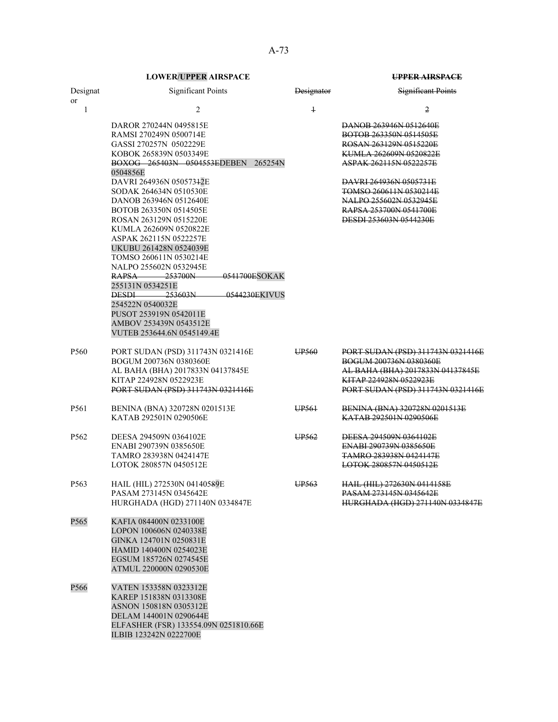| Designat<br>or   | <b>Significant Points</b>                                                                                                                                                                                                                                                                                                                                                                                                                                                                                                                                                                                                                    | <b>Designator</b> | <b>Significant Points</b>                                                                                                                                                                                                                                                          |
|------------------|----------------------------------------------------------------------------------------------------------------------------------------------------------------------------------------------------------------------------------------------------------------------------------------------------------------------------------------------------------------------------------------------------------------------------------------------------------------------------------------------------------------------------------------------------------------------------------------------------------------------------------------------|-------------------|------------------------------------------------------------------------------------------------------------------------------------------------------------------------------------------------------------------------------------------------------------------------------------|
| $\mathbf{1}$     | 2                                                                                                                                                                                                                                                                                                                                                                                                                                                                                                                                                                                                                                            | $\overline{1}$    | 2                                                                                                                                                                                                                                                                                  |
|                  | DAROR 270244N 0495815E<br>RAMSI 270249N 0500714E<br>GASSI 270257N 0502229E<br>KOBOK 265839N 0503349E<br>BOXOG 265403N 0504553EDEBEN<br>265254N<br>0504856E<br>DAVRI 264936N 05057342E<br>SODAK 264634N 0510530E<br>DANOB 263946N 0512640E<br>BOTOB 263350N 0514505E<br>ROSAN 263129N 0515220E<br>KUMLA 262609N 0520822E<br>ASPAK 262115N 0522257E<br>UKUBU 261428N 0524039E<br>TOMSO 260611N 0530214E<br>NALPO 255602N 0532945E<br>$RAPSA$ 253700N<br>0541700ESOKAK<br>255131N 0534251E<br>$-253603N$<br>0544230EKIVUS<br><b>DESDI</b><br>254522N 0540032E<br>PUSOT 253919N 0542011E<br>AMBOV 253439N 0543512E<br>VUTEB 253644.6N 0545149.4E |                   | DANOB 263946N 0512640E<br>BOTOB 263350N 0514505E<br>ROSAN 263129N 0515220E<br>KUMLA 262609N 0520822E<br><del>ASPAK 262115N 0522257E</del><br>DAVRI 264936N 0505731E<br>TOMSO 260611N 0530214E<br>NALPO 255602N 0532945E<br>RAPSA 253700N 0541700E<br><b>DESDI 253603N 0544230E</b> |
| P560             | PORT SUDAN (PSD) 311743N 0321416E<br>BOGUM 200736N 0380360E<br>AL BAHA (BHA) 2017833N 04137845E<br>KITAP 224928N 0522923E<br>PORT SUDAN (PSD) 311743N 0321416E                                                                                                                                                                                                                                                                                                                                                                                                                                                                               | UP <sub>560</sub> | PORT SUDAN (PSD) 311743N 0321416E<br><b>BOGUM 200736N 0380360E</b><br>AL BAHA (BHA) 2017833N 04137845E<br>KITAP 224928N 0522923E<br>PORT SUDAN (PSD) 311743N 0321416E                                                                                                              |
| P561             | BENINA (BNA) 320728N 0201513E<br>KATAB 292501N 0290506E                                                                                                                                                                                                                                                                                                                                                                                                                                                                                                                                                                                      | UP <sub>561</sub> | BENINA (BNA) 320728N 0201513E<br>KATAB 292501N 0290506E                                                                                                                                                                                                                            |
| P <sub>562</sub> | DEESA 294509N 0364102E<br>ENABI 290739N 0385650E<br>TAMRO 283938N 0424147E<br>LOTOK 280857N 0450512E                                                                                                                                                                                                                                                                                                                                                                                                                                                                                                                                         | UP <sub>562</sub> | DEESA 294509N 0364102E<br>ENABI 290739N 0385650E<br><b>TAMRO 283938N 0424147E</b><br>LOTOK 280857N 0450512E                                                                                                                                                                        |
| P <sub>563</sub> | HAIL (HIL) 272530N 04140589E<br>PASAM 273145N 0345642E<br>HURGHADA (HGD) 271140N 0334847E                                                                                                                                                                                                                                                                                                                                                                                                                                                                                                                                                    | UP <sub>563</sub> | HAIL (HIL) 272630N 0414158E<br>PASAM 273145N 0345642E<br>HURGHADA (HGD) 271140N 0334847E                                                                                                                                                                                           |
| P <sub>565</sub> | KAFIA 084400N 0233100E<br>LOPON 100606N 0240338E<br>GINKA 124701N 0250831E<br>HAMID 140400N 0254023E<br>EGSUM 185726N 0274545E<br>ATMUL 220000N 0290530E                                                                                                                                                                                                                                                                                                                                                                                                                                                                                     |                   |                                                                                                                                                                                                                                                                                    |
| P566             | VATEN 153358N 0323312E<br>KAREP 151838N 0313308E<br>ASNON 150818N 0305312E<br>DELAM 144001N 0290644E<br>ELFASHER (FSR) 133554.09N 0251810.66E<br>ILBIB 123242N 0222700E                                                                                                                                                                                                                                                                                                                                                                                                                                                                      |                   |                                                                                                                                                                                                                                                                                    |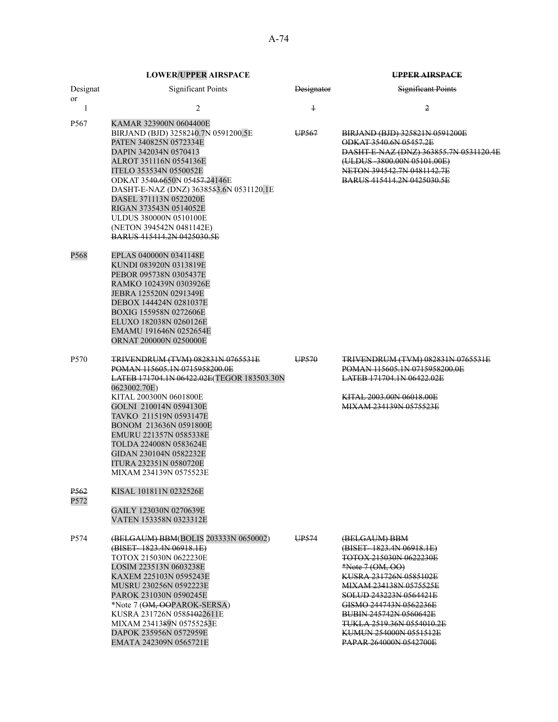| Designat<br>or           | <b>Significant Points</b>                                                                                                                                                                                                                                                                                                                                                                       | <b>Designator</b> | <b>Significant Points</b>                                                                                                                                                                                                                                                                                                       |
|--------------------------|-------------------------------------------------------------------------------------------------------------------------------------------------------------------------------------------------------------------------------------------------------------------------------------------------------------------------------------------------------------------------------------------------|-------------------|---------------------------------------------------------------------------------------------------------------------------------------------------------------------------------------------------------------------------------------------------------------------------------------------------------------------------------|
| 1                        | 2                                                                                                                                                                                                                                                                                                                                                                                               | $\ddagger$        | 2                                                                                                                                                                                                                                                                                                                               |
| P567                     | KAMAR 323900N 0604400E<br>BIRJAND (BJD) 3258240.7N 0591200.5E<br>PATEN 340825N 0572334E<br>DAPIN 342034N 0570413<br>ALROT 351116N 0554136E<br>ITELO 353534N 0550052E<br>ODKAT 3540.6650N 05457.24146E<br>DASHT-E-NAZ (DNZ) 3638553.6N 0531120.1E<br>DASEL 371113N 0522020E<br>RIGAN 373543N 0514052E<br>ULDUS 380000N 0510100E<br>(NETON 394542N 0481142E)<br><b>BARUS 415414.2N 0425030.5E</b> | UP <sub>567</sub> | BIRJAND (BJD) 325821N 0591200E<br>ODKAT 3540.6N 05457.2E<br>DASHT-E-NAZ (DNZ) 363855.7N 0531120.4E<br>(ULDUS-3800.00N 05101.00E)<br>NETON 394542.7N 0481142.7E<br><b>BARUS 415414.2N 0425030.5E</b>                                                                                                                             |
| P568                     | EPLAS 040000N 0341148E<br>KUNDI 083920N 0313819E<br>PEBOR 095738N 0305437E<br>RAMKO 102439N 0303926E<br>JEBRA 125520N 0291349E<br>DEBOX 144424N 0281037E<br>BOXIG 155958N 0272606E<br>ELUXO 182038N 0260126E<br>EMAMU 191646N 0252654E<br>ORNAT 200000N 0250000E                                                                                                                                |                   |                                                                                                                                                                                                                                                                                                                                 |
| P <sub>570</sub>         | <b>TRIVENDRUM (TVM) 082831N 0765531E</b><br>POMAN 115605.1N 0715958200.0E<br>LATEB 171704.1N 06422.02E(TEGOR 183503.30N<br>0623002.70E)<br>KITAL 200300N 0601800E<br>GOLNI 210014N 0594130E<br>TAVKO 211519N 0593147E<br>BONOM 213636N 0591800E<br>EMURU 221357N 0585338E<br>TOLDA 224008N 0583624E<br>GIDAN 230104N 0582232E<br><b>ITURA 232351N 0580720E</b><br>MIXAM 234139N 0575523E        | UP <sub>570</sub> | <del>TRIVENDRUM (TVM) 082831N 0765531E</del><br>POMAN 115605.1N 0715958200.0E<br><b>LATEB 171704.1N 06422.02E</b><br>KITAL 2003.00N 06018.00E<br><u>MIXAM 234139N 0575523E</u>                                                                                                                                                  |
| P <sub>562</sub><br>P572 | KISAL 101811N 0232526E<br>GAILY 123030N 0270639E<br>VATEN 153358N 0323312E                                                                                                                                                                                                                                                                                                                      |                   |                                                                                                                                                                                                                                                                                                                                 |
| P <sub>574</sub>         | (BELGAUM) BBM(BOLIS 203333N 0650002)<br>(BISET-1823.4N 06918.1E)<br>TOTOX 215030N 0622230E<br>LOSIM 223513N 0603238E<br>KAXEM 225103N 0595243E<br>MUSRU 230256N 0592223E<br>PAROK 231030N 0590245E<br>*Note 7 (OM, OOPAROK-SERSA)<br>KUSRA 231726N 05851022611E<br>MIXAM 2341389N 05755253E<br>DAPOK 235956N 0572959E<br>EMATA 242309N 0565721E                                                 | UP <sub>574</sub> | (BELGAUM) BBM<br>(BISET-1823.4N 06918.1E)<br>TOTOX 215030N 0622230E<br>*Note 7 (OM, OO)<br>KUSRA 231726N 0585102E<br>MIXAM 234138N 0575525E<br>SOLUD 243223N 0564421E<br>GISMO 244743N 0562236E<br><b>BUBIN 245742N 0560642E</b><br><b>TUKLA 2519.36N 0554010.2E</b><br>KUMUN 254000N 0551512E<br><b>PAPAR 264000N 0542700E</b> |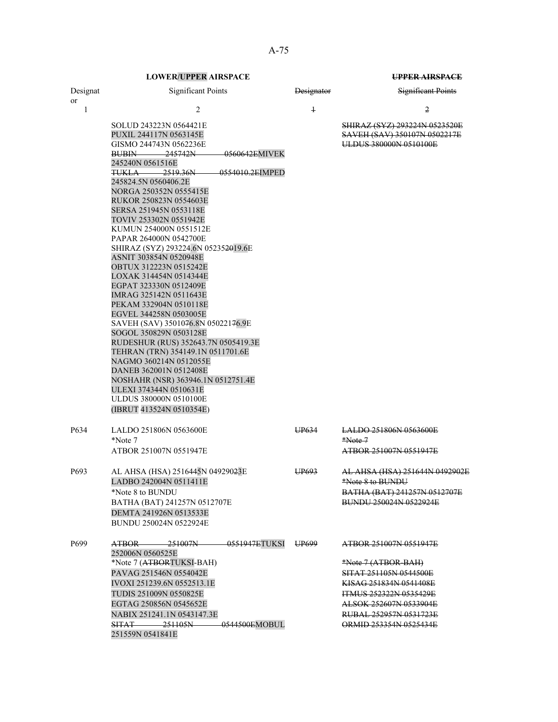| Designat           | <b>Significant Points</b>                                                                                                                                                                                                                                                                                                                                                                                                                                                                                                                                                                                                                                                                                                                                                                                                                                                                                                                               | <b>Designator</b> | Significant Points                                                                                                                                                                                               |
|--------------------|---------------------------------------------------------------------------------------------------------------------------------------------------------------------------------------------------------------------------------------------------------------------------------------------------------------------------------------------------------------------------------------------------------------------------------------------------------------------------------------------------------------------------------------------------------------------------------------------------------------------------------------------------------------------------------------------------------------------------------------------------------------------------------------------------------------------------------------------------------------------------------------------------------------------------------------------------------|-------------------|------------------------------------------------------------------------------------------------------------------------------------------------------------------------------------------------------------------|
| <sub>or</sub><br>1 | 2                                                                                                                                                                                                                                                                                                                                                                                                                                                                                                                                                                                                                                                                                                                                                                                                                                                                                                                                                       | $\ddagger$        | 2                                                                                                                                                                                                                |
|                    | SOLUD 243223N 0564421E<br>PUXIL 244117N 0563145E<br>GISMO 244743N 0562236E<br>245742N<br><del>0560642E</del> MIVEK<br><b>BUBIN</b><br>245240N 0561516E<br>2519.36N<br>0554010.2EIMPED<br><del>TUKLA</del><br>245824.5N 0560406.2E<br>NORGA 250352N 0555415E<br>RUKOR 250823N 0554603E<br>SERSA 251945N 0553118E<br>TOVIV 253302N 0551942E<br>KUMUN 254000N 0551512E<br>PAPAR 264000N 0542700E<br>SHIRAZ (SYZ) 293224.6N 052352019.6E<br>ASNIT 303854N 0520948E<br>OBTUX 312223N 0515242E<br>LOXAK 314454N 0514344E<br>EGPAT 323330N 0512409E<br>IMRAG 325142N 0511643E<br>PEKAM 332904N 0510118E<br>EGVEL 344258N 0503005E<br>SAVEH (SAV) 3501076.8N 05022176.9E<br>SOGOL 350829N 0503128E<br>RUDESHUR (RUS) 352643.7N 0505419.3E<br>TEHRAN (TRN) 354149.1N 0511701.6E<br>NAGMO 360214N 0512055E<br>DANEB 362001N 0512408E<br>NOSHAHR (NSR) 363946.1N 0512751.4E<br>ULEXI 374344N 0510631E<br><b>ULDUS 380000N 0510100E</b><br>(IBRUT 413524N 0510354E) |                   | <b>SHIRAZ (SYZ) 293224N 0523520E</b><br>SAVEH (SAV) 350107N 0502217E<br>ULDUS 380000N 0510100E                                                                                                                   |
| P634               | LALDO 251806N 0563600E<br>*Note 7<br>ATBOR 251007N 0551947E                                                                                                                                                                                                                                                                                                                                                                                                                                                                                                                                                                                                                                                                                                                                                                                                                                                                                             | UP <sub>634</sub> | <b>LALDO 251806N 0563600E</b><br>$*Note 7$<br>ATBOR 251007N 0551947E                                                                                                                                             |
| P693               | AL AHSA (HSA) 2516445N 049290 <del>2</del> 3E<br>LADBO 242004N 0511411E<br>*Note 8 to BUNDU<br>BATHA (BAT) 241257N 0512707E<br>DEMTA 241926N 0513533E<br>BUNDU 250024N 0522924E                                                                                                                                                                                                                                                                                                                                                                                                                                                                                                                                                                                                                                                                                                                                                                         | UP <sub>693</sub> | <del>AL AHSA (HSA) 251644N 0492902E</del><br>*Note 8 to BUNDU<br>BATHA (BAT) 241257N 0512707E<br>BUNDU 250024N 0522924E                                                                                          |
| P699               | <del>- 0551947E</del> TUKSI<br>ATBOR 251007N<br>252006N 0560525E<br>*Note 7 (ATBORTUKSI-BAH)<br>PAVAG 251546N 0554042E<br><b>IVOXI 251239.6N 0552513.1E</b><br>TUDIS 251009N 0550825E<br>EGTAG 250856N 0545652E<br>NABIX 251241.1N 0543147.3E<br>$SITAT$ 251105N<br><del>- 0544500E</del> MOBUL<br>251559N 0541841E                                                                                                                                                                                                                                                                                                                                                                                                                                                                                                                                                                                                                                     | UP <sub>699</sub> | ATBOR 251007N 0551947E<br>*Note 7 (ATBOR-BAH)<br>SITAT 251105N 0544500E<br>KISAG 251834N 0541408E<br><b>ITMUS 252322N 0535429E</b><br>ALSOK 252607N 0533904E<br>RUBAL 252957N 0531723E<br>ORMID 253354N 0525434E |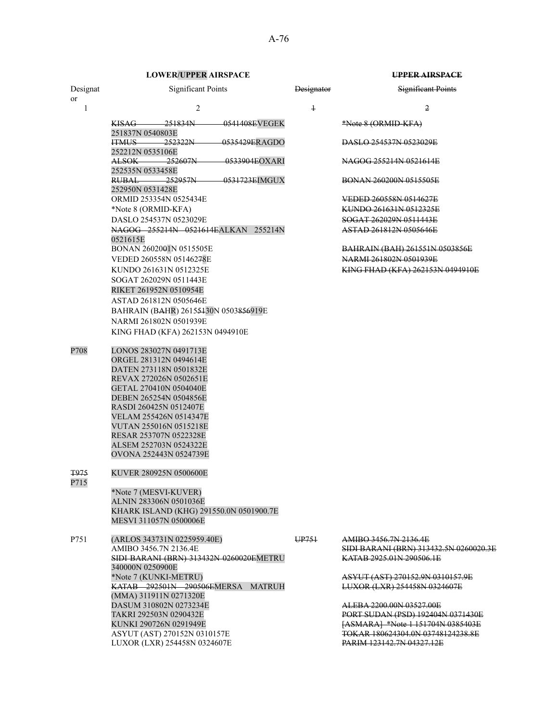|                | <b>LOWER/UPPER AIRSPACE</b>                                                      |                   | UPPER AIRSPACE                                                |
|----------------|----------------------------------------------------------------------------------|-------------------|---------------------------------------------------------------|
| Designat<br>or | <b>Significant Points</b>                                                        | <b>Designator</b> | <b>Significant Points</b>                                     |
| 1              | 2                                                                                | $\ddagger$        | $\overline{2}$                                                |
|                | $KISAG \longrightarrow 251834N$<br><del>0541408E</del> VEGEK<br>251837N 0540803E |                   | *Note 8 (ORMID-KFA)                                           |
|                | 252322N<br>0535429ERAGDO<br><b>ITMUS</b><br>252212N 0535106E                     |                   | DASLO 254537N 0523029E                                        |
|                | ALSOK 252607N<br>0533904EOXARI<br>252535N 0533458E                               |                   | NAGOG 255214N 0521614E                                        |
|                | 252957N<br>0531723EIMGUX<br>RUBAL.<br>252950N 0531428E                           |                   | BONAN 260200N 0515505E                                        |
|                | ORMID 253354N 0525434E                                                           |                   | VEDED 260558N 0514627E                                        |
|                | *Note 8 (ORMID-KFA)                                                              |                   | <del>KUNDO 261631N 0512325E</del>                             |
|                | DASLO 254537N 0523029E                                                           |                   | SOGAT 262029N 0511443E                                        |
|                | NAGOG 255214N 0521614EALKAN 255214N<br>0521615E                                  |                   | ASTAD 261812N 0505646E                                        |
|                | BONAN 2602001N 0515505E                                                          |                   | <b>BAHRAIN (BAH) 261551N 0503856E</b>                         |
|                | VEDED 260558N 05146278E                                                          |                   | NARMI 261802N 0501939E                                        |
|                | KUNDO 261631N 0512325E                                                           |                   | KING FHAD (KFA) 262153N 0494910E                              |
|                | SOGAT 262029N 0511443E<br>RIKET 261952N 0510954E                                 |                   |                                                               |
|                | ASTAD 261812N 0505646E                                                           |                   |                                                               |
|                | BAHRAIN (BAHR) 26155430N 0503856919E                                             |                   |                                                               |
|                | NARMI 261802N 0501939E<br>KING FHAD (KFA) 262153N 0494910E                       |                   |                                                               |
|                |                                                                                  |                   |                                                               |
| P708           | LONOS 283027N 0491713E                                                           |                   |                                                               |
|                | ORGEL 281312N 0494614E<br>DATEN 273118N 0501832E                                 |                   |                                                               |
|                | REVAX 272026N 0502651E                                                           |                   |                                                               |
|                | GETAL 270410N 0504040E                                                           |                   |                                                               |
|                | DEBEN 265254N 0504856E                                                           |                   |                                                               |
|                | RASDI 260425N 0512407E                                                           |                   |                                                               |
|                | VELAM 255426N 0514347E                                                           |                   |                                                               |
|                | VUTAN 255016N 0515218E                                                           |                   |                                                               |
|                | RESAR 253707N 0522328E                                                           |                   |                                                               |
|                | ALSEM 252703N 0524322E                                                           |                   |                                                               |
|                | OVONA 252443N 0524739E                                                           |                   |                                                               |
| T975<br>P715   | KUVER 280925N 0500600E                                                           |                   |                                                               |
|                | *Note 7 (MESVI-KUVER)                                                            |                   |                                                               |
|                | ALNIN 283306N 0501036E                                                           |                   |                                                               |
|                | KHARK ISLAND (KHG) 291550.0N 0501900.7E<br>MESVI 311057N 0500006E                |                   |                                                               |
|                |                                                                                  |                   |                                                               |
| P751           | (ARLOS 343731N 0225959.40E)                                                      | UP751             | AMIBO 3456.7N 2136.4E                                         |
|                | AMIBO 3456.7N 2136.4E                                                            |                   | SIDI BARANI (BRN) 313432.5N 0260020.3E                        |
|                | SIDI BARANI (BRN) 313432N 0260020EMETRU<br>340000N 0250900E                      |                   | KATAB 2925.01N 290506.1E                                      |
|                | *Note 7 (KUNKI-METRU)                                                            |                   | ASYUT (AST) 270152.9N 0310157.9E                              |
|                | KATAB 292501N 290506EMERSA MATRUH                                                |                   | LUXOR (LXR) 254458N 0324607E                                  |
|                | (MMA) 311911N 0271320E                                                           |                   |                                                               |
|                | DASUM 310802N 0273234E<br>TAKRI 292503N 0290432E                                 |                   | ALEBA 2200.00N 03527.00E<br>PORT SUDAN (PSD) 192404N 0371430E |
|                | KUNKI 290726N 0291949E                                                           |                   | [ASMARA] *Note 1 151704N 0385403E                             |
|                | ASYUT (AST) 270152N 0310157E                                                     |                   | TOKAR 180624304.0N 03748124238.8E                             |
|                | LUXOR (LXR) 254458N 0324607E                                                     |                   | PARIM 123142.7N 04327.12E                                     |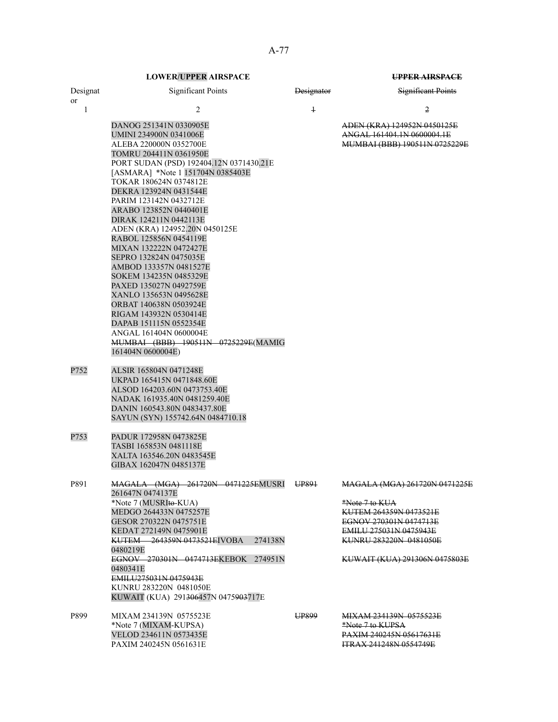|                | <b>LOWER/UPPER AIRSPACE</b>                                                                                                                                                                                                                                                                                                                                                                                                                                                                                                                                                                                                                                                                                               |                   | UPPER AIRSPACE                                                                                                                                                                                  |
|----------------|---------------------------------------------------------------------------------------------------------------------------------------------------------------------------------------------------------------------------------------------------------------------------------------------------------------------------------------------------------------------------------------------------------------------------------------------------------------------------------------------------------------------------------------------------------------------------------------------------------------------------------------------------------------------------------------------------------------------------|-------------------|-------------------------------------------------------------------------------------------------------------------------------------------------------------------------------------------------|
| Designat<br>or | <b>Significant Points</b>                                                                                                                                                                                                                                                                                                                                                                                                                                                                                                                                                                                                                                                                                                 | <b>Designator</b> | <b>Significant Points</b>                                                                                                                                                                       |
| 1              | 2                                                                                                                                                                                                                                                                                                                                                                                                                                                                                                                                                                                                                                                                                                                         | $\overline{1}$    | 2                                                                                                                                                                                               |
|                | DANOG 251341N 0330905E<br>UMINI 234900N 0341006E<br>ALEBA 220000N 0352700E<br>TOMRU 204411N 0361950E<br>PORT SUDAN (PSD) 192404.12N 0371430.21E<br>[ASMARA] *Note 1 151704N 0385403E<br>TOKAR 180624N 0374812E<br>DEKRA 123924N 0431544E<br>PARIM 123142N 0432712E<br>ARABO 123852N 0440401E<br>DIRAK 124211N 0442113E<br>ADEN (KRA) 124952.20N 0450125E<br>RABOL 125856N 0454119E<br>MIXAN 132222N 0472427E<br>SEPRO 132824N 0475035E<br>AMBOD 133357N 0481527E<br>SOKEM 134235N 0485329E<br>PAXED 135027N 0492759E<br>XANLO 135653N 0495628E<br><b>ORBAT 140638N 0503924E</b><br>RIGAM 143932N 0530414E<br>DAPAB 151115N 0552354E<br>ANGAL 161404N 0600004E<br>MUMBAI (BBB) 190511N 0725229E(MAMIG<br>161404N 0600004E) |                   | ADEN (KRA) 124952N 0450125E<br>ANGAL 161404.1N 0600004.1E<br>MUMBAI (BBB) 190511N 0725229E                                                                                                      |
| P752           | ALSIR 165804N 0471248E<br>UKPAD 165415N 0471848.60E<br>ALSOD 164203.60N 0473753.40E<br>NADAK 161935.40N 0481259.40E<br>DANIN 160543.80N 0483437.80E<br>SAYUN (SYN) 155742.64N 0484710.18                                                                                                                                                                                                                                                                                                                                                                                                                                                                                                                                  |                   |                                                                                                                                                                                                 |
| P753           | PADUR 172958N 0473825E<br>TASBI 165853N 0481118E<br>XALTA 163546.20N 0483545E<br>GIBAX 162047N 0485137E                                                                                                                                                                                                                                                                                                                                                                                                                                                                                                                                                                                                                   |                   |                                                                                                                                                                                                 |
| P891           | MAGALA (MGA) 261720N 0471225EMUSRI UP891<br>261647N 0474137E<br>*Note 7 (MUSRIto-KUA)<br>MEDGO 264433N 0475257E<br>GESOR 270322N 0475751E<br>KEDAT 272149N 0475901E<br><b>KUTEM 264359N 0473521EJVOBA</b><br>274138N<br>0480219E<br>EGNOV 270301N 0474713EKEBOK<br>274951N<br>0480341E<br>EMILU275031N 0475943E<br>KUNRU 283220N 0481050E<br>KUWAIT (KUA) 291306457N 0475903717E                                                                                                                                                                                                                                                                                                                                          |                   | MAGALA (MGA) 261720N 0471225E<br>*Note 7 to KUA<br>KUTEM 264359N 0473521E<br>EGNOV 270301N 0474713E<br><b>EMILU 275031N 0475943E</b><br>KUNRU 283220N 0481050E<br>KUWAIT (KUA) 291306N 0475803E |
| P899           | MIXAM 234139N 0575523E<br>*Note 7 (MIXAM-KUPSA)<br>VELOD 234611N 0573435E<br>PAXIM 240245N 0561631E                                                                                                                                                                                                                                                                                                                                                                                                                                                                                                                                                                                                                       | UP899             | <b>MIXAM 234139N 0575523E</b><br>*Note 7 to KUPSA<br><b>PAXIM 240245N 05617631E</b><br><b>ITRAX 241248N 0554749E</b>                                                                            |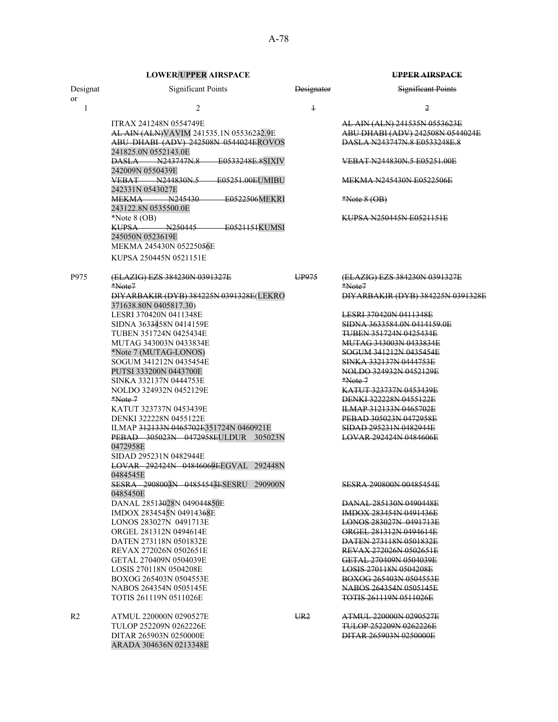|                | <b>LOWER/UPPER AIRSPACE</b>                                                                                                                |                   | <b>UPPER AIRSPACE</b>                                                                                    |
|----------------|--------------------------------------------------------------------------------------------------------------------------------------------|-------------------|----------------------------------------------------------------------------------------------------------|
| Designat<br>or | <b>Significant Points</b>                                                                                                                  | <b>Designator</b> | <b>Significant Points</b>                                                                                |
| 1              | $\overline{2}$                                                                                                                             | $\ddagger$        | 2                                                                                                        |
|                | <b>ITRAX 241248N 0554749E</b><br>AL AIN (ALN) VAVIM 241535.1N 05536232.9E<br>ABU DHABI (ADV) 242508N 0544024EROVOS<br>241825.0N 0552143.0E |                   | AL AIN (ALN) 241535N 0553623E<br>ABU DHABI (ADV) 242508N 0544024E<br><b>DASLA N243747N.8 E0533248E.8</b> |
|                | <b>DASLA N243747N.8 E0533248E.8SIXIV</b><br>242009N 0550439E                                                                               |                   | VEBAT N244830N.5 E05251.00E                                                                              |
|                | VEBAT N244830N.5<br>E05251.00EUMIBU<br>242331N 0543027E                                                                                    |                   | MEKMA N245430N E0522506E                                                                                 |
|                | <b>MEKMA</b> N245430<br>E0522506MEKRI<br>243122.8N 0535500.0E                                                                              |                   | $*Note 8 (OB)$                                                                                           |
|                | *Note $8$ (OB)<br>KUPSA N250445<br><del>- E0521151</del> KUMSI<br>245050N 0523619E<br>MEKMA 245430N 05225056E                              |                   | KUPSA N250445N E0521151E                                                                                 |
|                | KUPSA 250445N 0521151E                                                                                                                     |                   |                                                                                                          |
| P975           | (ELAZIG) EZS 384230N 0391327E<br>*Note7                                                                                                    | UP975             | (ELAZIG) EZS 384230N 0391327E<br>*Note7                                                                  |
|                | DIYARBAKIR (DYB) 384225N 0391328E (LEKRO<br>371638.80N 0405817.30)                                                                         |                   | DIYARBAKIR (DYB) 384225N 0391328E                                                                        |
|                | LESRI 370420N 0411348E                                                                                                                     |                   | <u>LESRI 370420N 0411348E</u>                                                                            |
|                | SIDNA 3633458N 0414159E                                                                                                                    |                   | SIDNA 3633584.0N 0414159.0E<br><b>TUBEN 351724N 0425434E</b>                                             |
|                | TUBEN 351724N 0425434E<br>MUTAG 343003N 0433834E                                                                                           |                   | MUTAG 343003N 0433834E                                                                                   |
|                | *Note 7 (MUTAG-LONOS)                                                                                                                      |                   | SOGUM 341212N 0435454E                                                                                   |
|                | SOGUM 341212N 0435454E<br>PUTSI 333200N 0443700E                                                                                           |                   | SINKA 332137N 0444753E<br>NOLDO 324932N 0452129E                                                         |
|                | SINKA 332137N 0444753E<br>NOLDO 324932N 0452129E                                                                                           |                   | *Note 7<br><del>KATUT 323737N 0453439E</del>                                                             |
|                | $*Note 7$                                                                                                                                  |                   | <b>DENKI 322228N 0455122E</b>                                                                            |
|                | KATUT 323737N 0453439E                                                                                                                     |                   | <b>ILMAP 312133N 0465702E</b>                                                                            |
|                | DENKI 322228N 0455122E                                                                                                                     |                   | PEBAD 305023N 0472958E                                                                                   |
|                | ILMAP 312133N 0465702E351724N 0460921E<br>PEBAD 305023N 0472958EULDUR 305023N                                                              |                   | SIDAD 295231N 0482944E<br>LOVAR 292424N 0484606E                                                         |
|                | 0472958E<br>SIDAD 295231N 0482944E                                                                                                         |                   |                                                                                                          |
|                | LOVAR 292424N 04846069EEGVAL 292448N<br>0484545E                                                                                           |                   |                                                                                                          |
|                | SESRA 2908003N 04854543ESESRU 290900N<br>0485450E                                                                                          |                   | SESRA 290800N 00485454E                                                                                  |
|                | DANAL 28513028N 049044850E                                                                                                                 |                   | DANAL 285130N 0490448E                                                                                   |
|                | IMDOX 2834545N 04914368E<br>LONOS 283027N 0491713E                                                                                         |                   | <b>IMDOX 283454N 0491436E</b><br>LONOS 283027N 0491713E                                                  |
|                | ORGEL 281312N 0494614E                                                                                                                     |                   | ORGEL 281312N 0494614E                                                                                   |
|                | DATEN 273118N 0501832E                                                                                                                     |                   | <b>DATEN 273118N 0501832E</b>                                                                            |
|                | REVAX 272026N 0502651E                                                                                                                     |                   | REVAX 272026N 0502651E                                                                                   |
|                | GETAL 270409N 0504039E                                                                                                                     |                   | GETAL 270409N 0504039E                                                                                   |
|                | LOSIS 270118N 0504208E<br>BOXOG 265403N 0504553E                                                                                           |                   | LOSIS 270118N 0504208E<br>BOXOG 265403N 0504553E                                                         |
|                | NABOS 264354N 0505145E                                                                                                                     |                   | NABOS 264354N 0505145E                                                                                   |
|                | TOTIS 261119N 0511026E                                                                                                                     |                   | TOTIS 261119N 0511026E                                                                                   |
| R <sub>2</sub> | ATMUL 220000N 0290527E                                                                                                                     | UR2               | <del>ATMUL 220000N 0290527E</del>                                                                        |
|                | TULOP 252209N 0262226E                                                                                                                     |                   | TULOP 252209N 0262226E                                                                                   |
|                | DITAR 265903N 0250000E<br>ARADA 304636N 0213348E                                                                                           |                   | DITAR 265903N 0250000E                                                                                   |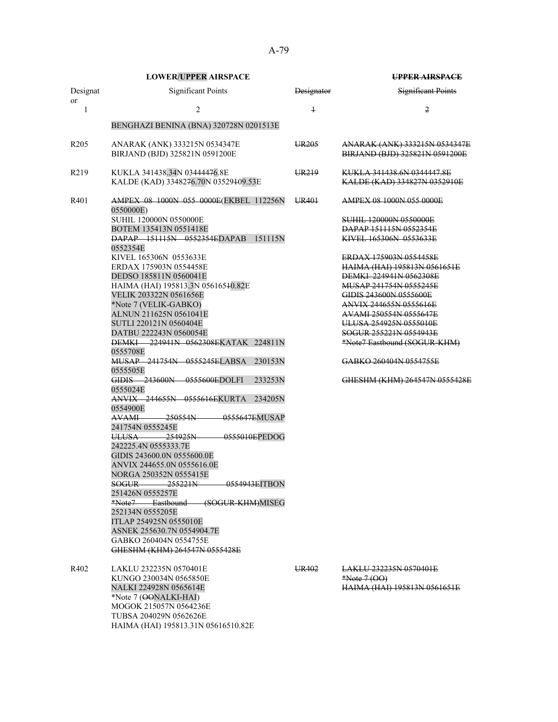|                       | <b>LOWER/UPPER AIRSPACE</b>                                                                                                                                                                                                                                                                                                                                                                                                                                                                                                                                                                                                                                                                                                                           |                   | <b>UPPER AIRSPACE</b>                                                                                                                                                                                                                                                                                                                                                                                                                                           |
|-----------------------|-------------------------------------------------------------------------------------------------------------------------------------------------------------------------------------------------------------------------------------------------------------------------------------------------------------------------------------------------------------------------------------------------------------------------------------------------------------------------------------------------------------------------------------------------------------------------------------------------------------------------------------------------------------------------------------------------------------------------------------------------------|-------------------|-----------------------------------------------------------------------------------------------------------------------------------------------------------------------------------------------------------------------------------------------------------------------------------------------------------------------------------------------------------------------------------------------------------------------------------------------------------------|
| Designat<br><b>or</b> | <b>Significant Points</b>                                                                                                                                                                                                                                                                                                                                                                                                                                                                                                                                                                                                                                                                                                                             | <b>Designator</b> | <b>Significant Points</b>                                                                                                                                                                                                                                                                                                                                                                                                                                       |
| 1                     | $\overline{2}$                                                                                                                                                                                                                                                                                                                                                                                                                                                                                                                                                                                                                                                                                                                                        | $\ddagger$        | 2                                                                                                                                                                                                                                                                                                                                                                                                                                                               |
|                       | BENGHAZI BENINA (BNA) 320728N 0201513E                                                                                                                                                                                                                                                                                                                                                                                                                                                                                                                                                                                                                                                                                                                |                   |                                                                                                                                                                                                                                                                                                                                                                                                                                                                 |
| R <sub>205</sub>      | ANARAK (ANK) 333215N 0534347E<br>BIRJAND (BJD) 325821N 0591200E                                                                                                                                                                                                                                                                                                                                                                                                                                                                                                                                                                                                                                                                                       | UR <sub>205</sub> | ANARAK (ANK) 333215N 0534347E<br>BIRJAND (BJD) 325821N 0591200E                                                                                                                                                                                                                                                                                                                                                                                                 |
| R <sub>2</sub> 19     | KUKLA 341438.34N 03444476.8E<br>KALDE (KAD) 3348276.70N 03529409.53E                                                                                                                                                                                                                                                                                                                                                                                                                                                                                                                                                                                                                                                                                  | UR <sub>219</sub> | KUKLA 341438.6N 0344447.8E<br>KALDE (KAD) 334827N 0352910E                                                                                                                                                                                                                                                                                                                                                                                                      |
| R401                  | AMPEX 08 1000N 055 0000E(EKBEL 112256N<br>0550000E)<br>SUHIL 120000N 0550000E<br>BOTEM 135413N 0551418E<br>DAPAP 151115N 0552354EDAPAB<br>151115N<br>0552354E<br>KIVEL 165306N 0553633E<br>ERDAX 175903N 0554458E<br>DEDSO 185811N 0560041E<br>HAIMA (HAI) 195813.3N 05616540.82E<br>VELIK 203322N 0561656E<br>*Note 7 (VELIK-GABKO)<br>ALNUN 211625N 0561041E<br>SUTLI 220121N 0560404E<br>DATBU 222243N 0560054E<br><b>DEMKI</b> 224941N 0562308EKATAK 224811N<br>0555708E<br>MUSAP 241754N 0555245ELABSA<br>230153N<br>0555505E<br>GIDIS 243600N 0555600EDOLFI<br>233253N<br>0555024E<br>ANVIX 244655N 0555616EKURTA<br>234205N<br>0554900E<br><b>AVAMI</b><br>–250554N<br>0555647EMUSAP<br>241754N 0555245E<br>254925N<br>0555010EPEDOG<br>ULUSA- | UR <sub>401</sub> | AMPEX 08 1000N 055 0000E<br><b>SUHIL 120000N 0550000E</b><br>DAPAP 151115N 0552354E<br>KIVEL 165306N 0553633E<br>ERDAX 175903N 0554458E<br>HAIMA (HAI) 195813N 0561651E<br>DEMKI 224941N 0562308E<br>MUSAP 241754N 0555245E<br>GIDIS 243600N 0555600E<br><b>ANVIX 244655N 0555616E</b><br>AVAMI 250554N 0555647E<br>ULUSA 254925N 0555010E<br>SOGUR 255221N 0554943E<br>*Note7 Eastbound (SOGUR-KHM)<br>GABKO 260404N 0554755E<br>GHESHM (KHM) 264547N 0555428E |
|                       | 242225.4N 0555333.7E<br>GIDIS 243600.0N 0555600.0E<br>ANVIX 244655.0N 0555616.0E<br>NORGA 250352N 0555415E<br>SOGUR 255221N 0554943EITBON<br>251426N 0555257E                                                                                                                                                                                                                                                                                                                                                                                                                                                                                                                                                                                         |                   |                                                                                                                                                                                                                                                                                                                                                                                                                                                                 |
|                       | *Note7 Eastbound (SOGUR-KHM)MISEG<br>252134N 0555205E<br>ITLAP 254925N 0555010E<br>ASNEK 255630.7N 0554904.7E<br>GABKO 260404N 0554755E<br>GHESHM (KHM) 264547N 0555428E                                                                                                                                                                                                                                                                                                                                                                                                                                                                                                                                                                              |                   |                                                                                                                                                                                                                                                                                                                                                                                                                                                                 |
| R402                  | LAKLU 232235N 0570401E<br>KUNGO 230034N 0565850E<br>NALKI 224928N 0565614E<br>*Note 7 (OONALKI-HAI)                                                                                                                                                                                                                                                                                                                                                                                                                                                                                                                                                                                                                                                   | UR402             | LAKLU 232235N 0570401E<br>$*Note 7 (OO)$<br><b>HAIMA (HAI) 195813N 0561651E</b>                                                                                                                                                                                                                                                                                                                                                                                 |

MOGOK 215057N 0564236E TUBSA 204029N 0562626E

HAIMA (HAI) 195813.31N 05616510.82E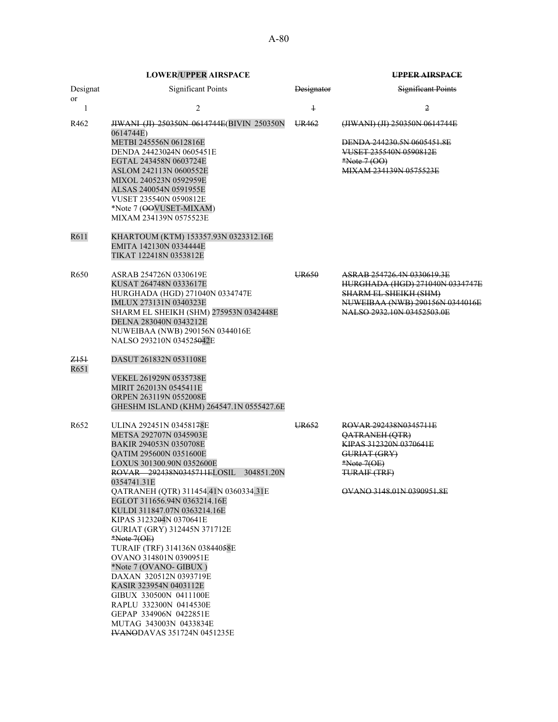**LOWER/UPPER AIRSPACE UPPER AIRSPACE** Significant Points

|       | -------------------------                                                                                   |                       | .                                                                                                                                                  |
|-------|-------------------------------------------------------------------------------------------------------------|-----------------------|----------------------------------------------------------------------------------------------------------------------------------------------------|
| ıgnat | Significant Points                                                                                          | <del>Designator</del> | <del>Significant Points</del>                                                                                                                      |
|       |                                                                                                             |                       |                                                                                                                                                    |
|       | <b>HWANI (JI) 250350N 0614744E (BIVIN 250350N</b><br>0614744E)                                              | UR462                 | (JIWANI) (JI) 250350N 0614744E                                                                                                                     |
|       | METBI 245556N 0612816E<br>DENDA 24423024N 0605451E<br>EGTAL 243458N 0603724E<br>ASLOM 242113N 0600552E<br>, |                       | <b>DENDA 244230.5N 0605451.8E</b><br>VUSET 235540N 0590812E<br>$*Note 7 (00)$<br>MIY AM 224120N 0575522E<br>11/3/33 12/2 12/2 13 32/2 12/2 12/2 12 |

R611 KHARTOUM (KTM) 153357.93N 0323312.16E EMITA 142130N 0334444E TIKAT 122418N 0353812E

R462 **JIWANI (JI) 250350N 0614744E(BIVIN** 

METBI 245556N 0612816E DENDA 24423024N 0605451E EGTAL 243458N 0603724E ASLOM 242113N 0600552E MIXOL 240523N 0592959E ALSAS 240054N 0591955E VUSET 235540N 0590812E \*Note 7 (OOVUSET-MIXAM) MIXAM 234139N 0575523E

- R650 ASRAB 254726N 0330619E UR650 ASRAB 254726.4N 0330619.3E KUSAT 264748N 0333617E HURGHADA (HGD) 271040N 0334747E HURGHADA (HGD) 271040N 0334747E SHARM EL SHEIKH (SHM) IMLUX 273131N 0340323E<br>SHARM EL SHEIKH (SHM) 275953N 0342448E<br>NALSO 2932.10N 03452503.0E SHARM EL SHEIKH (SHM) 275953N 0342448E DELNA 283040N 0343212E NUWEIBAA (NWB) 290156N 0344016E NALSO 293210N 034525042E
- Z151 DASUT 261832N 0531108E

Designat or

- R651 VEKEL 261929N 0535738E MIRIT 262013N 0545411E ORPEN 263119N 0552008E GHESHM ISLAND (KHM) 264547.1N 0555427.6E
- R652 ULINA 292451N 03458178E UR652 ROVAR 292438N0345711E<br>METSA 292707N 0345903E QATRANEH (QTR) METSA 292707N 0345903E QATRANEH (QTR) BAKIR 294053N 0350708E<br>QATIM 295600N 0351600E KIPAS 312320N GURIAT (GRY) QATIM 295600N 0351600E GURIAT (GRY) LOXUS 301300.90N 0352600E ROVAR 292438N0345711ELOSIL 304851.20N 0354741.31E QATRANEH (QTR) 311454.41N 0360334.31E OVANO 3148.01N 0390951.8E EGLOT 311656.94N 0363214.16E KULDI 311847.07N 0363214.16E KIPAS 3123204N 0370641E GURIAT (GRY) 312445N 371712E \*Note 7(OE) TURAIF (TRF) 314136N 03844058E OVANO 314801N 0390951E \*Note 7 (OVANO- GIBUX ) DAXAN 320512N 0393719E KASIR 323954N 0403112E GIBUX 330500N 0411100E RAPLU 332300N 0414530E GEPAP 334906N 0422851E MUTAG 343003N 0433834E IVANODAVAS 351724N 0451235E
- TURAIF (TRF)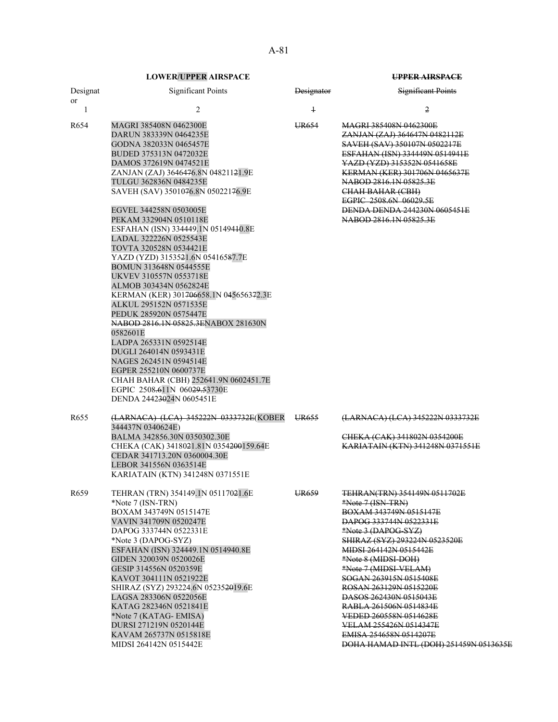or

## Designat Significant Points **Designator** Designator Significant Points 1  $2$   $1$   $2$ R654 MAGRI 385408N 0462300E UR654 MAGRI 385408N 0462300E DARUN 383339N 0464235E ZANJAN (ZAJ) 364647N 0482112E GODNA 382033N 0465457E SAVEH (SAV) 350107N 0502217E BUDED 375313N 0472032E **ESFAHAN (ISN) 334449N 0514941E** DAMOS 372619N 0474521E YAZD (YZD) 315352N 0541658E ZANJAN (ZAJ) 3646476.8N 048211<del>21.9E</del> KERMAN (KER) 301706N-8<br>TULGU 362836N 0484235E TULGU 362836N 0484235E NABOD 2816.1N 05825.3E SAVEH (SAV) 3501076.8N 05022176.9E EGPIC 2508.6N 06029.5E EGVEL 344258N 0503005E 2020 2021 2022 DENDA DENDA 244230N 0605451E PEKAM 332904N 0510118E 2816.1N 05825.3E ESFAHAN (ISN) 334449.1N 05149410.8E LADAL 322226N 0525543E TOVTA 320528N 0534421E YAZD (YZD) 3153521.6N 05416587.7E BOMUN 313648N 0544555E UKVEV 310557N 0553718E ALMOB 303434N 0562824E KERMAN (KER) 301706658.1N 045656372.3E ALKUL 295152N 0571535E PEDUK 285920N 0575447E NABOD 2816.1N 05825.3ENABOX 281630N 0582601E LADPA 265331N 0592514E DUGLI 264014N 0593431E NAGES 262451N 0594514E EGPER 255210N 0600737E CHAH BAHAR (CBH) 252641.9N 0602451.7E EGPIC 2508.611N 06029.53730E DENDA 24423024N 0605451E R655 (LARNACA) (LCA) 345222N 0333732E(KOBER 344437N 0340624E) UR655 (LARNACA) (LCA) 345222N 0333732E BALMA 342856.30N 0350302.30E CHEKA (CAK) 341802N 0354200E CHEKA (CAK) 3418021.81N 0354200159.64E CEDAR 341713.20N 0360004.30E LEBOR 341556N 0363514E KARIATAIN (KTN) 341248N 0371551E R659 TEHRAN (TRN) 354149.1N 05117021.6E UR659 TEHRAN(TRN) 354149N 0511702E \*Note 7 (ISN-TRN)  $*$ Note 7 (ISN-TRN) BOXAM 343749N 0515147E BOXAM 343749N 0515147E VAVIN 341709N 0520247E<br>DAPOG 333744N 0522331E<br>BAPOG 333744N 0522331E DAPOG 333744N 0522331E \*Note 3 (DAPOG-SYZ) SHIRAZ (SYZ) 293224N 0523520E ESFAHAN (ISN) 324449.1N 0514940.8E MIDSI 264142N 0515442E GIDEN 320039N 0520026E \*Note 8 (MIDSI-DOH) GESIP 314556N 0520359E \*Note 7 (MIDSI-VELAM) KAVOT 304111N 0521922E SOGAN 263915N 0515408E SHIRAZ (SYZ) 293224.6N 05235<del>20</del>19.6E ROSAN 263129N 0515220E LAGSA 283306N 0522056E DASOS 262430N 0515043E KATAG 282346N 0521841E RABLA 261506N 0514834E \*Note 7 (KATAG- EMISA) VEDED 260558N 0514628E DURSI 271219N 0520144E 2010 2020 2020 2020 2020 2020 2020 2031 271219N 0520144E KAVAM 265737N 0515818E **EMISA 254658N 0514207E**

MIDSI 264142N 0515442E **DOHA HAMAD INTL (DOH) 251459N 0513635E**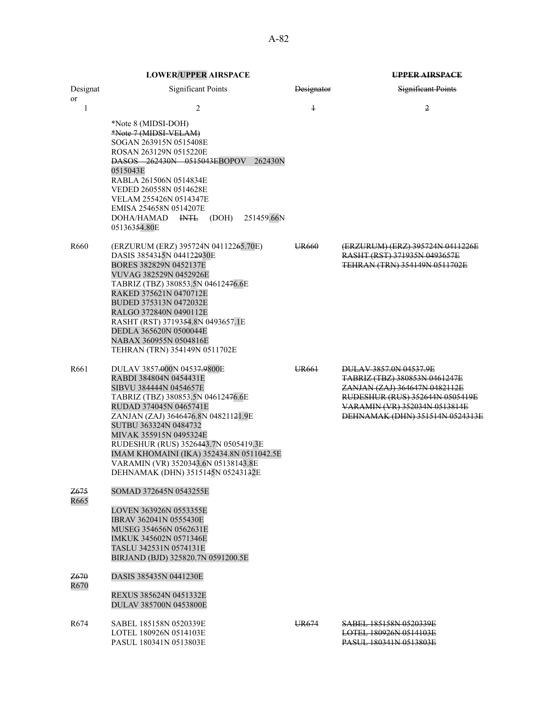|--|

|                         | <b>LOWER/UPPER AIRSPACE</b>                                                                                                                                                                                                                                                                                                                                                                               |                   | UPPER AIRSPACE                                                                                                                                                                                  |  |
|-------------------------|-----------------------------------------------------------------------------------------------------------------------------------------------------------------------------------------------------------------------------------------------------------------------------------------------------------------------------------------------------------------------------------------------------------|-------------------|-------------------------------------------------------------------------------------------------------------------------------------------------------------------------------------------------|--|
| Designat<br>or          | <b>Significant Points</b>                                                                                                                                                                                                                                                                                                                                                                                 | <b>Designator</b> | <b>Significant Points</b>                                                                                                                                                                       |  |
| $\mathbf{1}$            | $\overline{c}$<br>*Note 8 (MIDSI-DOH)<br>*Note 7 (MIDSI-VELAM)<br>SOGAN 263915N 0515408E<br>ROSAN 263129N 0515220E<br><b>DASOS 262430N 0515043EBOPOV</b><br>262430N<br>0515043E<br>RABLA 261506N 0514834E<br>VEDED 260558N 0514628E<br>VELAM 255426N 0514347E<br>EMISA 254658N 0514207E<br>$I\!\!N\!T\!L$<br>251459.66N<br>DOHA/HAMAD<br>(DOH)<br>05136354.80E                                            | $\ddagger$        | $\overline{2}$                                                                                                                                                                                  |  |
| R660                    | (ERZURUM (ERZ) 395724N 04112265.70E)<br>DASIS 3854315N 044122930E<br>BORES 382829N 0452137E<br>VUVAG 382529N 0452926E<br>TABRIZ (TBZ) 380853.5N 04612476.6E<br>RAKED 375621N 0470712E<br>BUDED 375313N 0472032E<br>RALGO 372840N 0490112E<br>RASHT (RST) 3719354.8N 0493657.1E<br>DEDLA 365620N 0500044E<br>NABAX 360955N 0504816E<br>TEHRAN (TRN) 354149N 0511702E                                       | UR <sub>660</sub> | (ERZURUM) (ERZ) 395724N 0411226E<br>RASHT (RST) 371935N 0493657E<br>TEHRAN (TRN) 354149N 0511702E                                                                                               |  |
| R661                    | DULAV 3857.000N 04537.9800E<br>RABDI 384804N 0454431E<br>SIBVU 384444N 0454657E<br>TABRIZ (TBZ) 380853.5N 04612476.6E<br>RUDAD 374045N 0465741E<br>ZANJAN (ZAJ) 3646476.8N 04821121.9E<br>SUTBU 363324N 0484732<br>MIVAK 355915N 0495324E<br>RUDESHUR (RUS) 3526443.7N 0505419.3E<br>IMAM KHOMAINI (IKA) 352434.8N 0511042.5E<br>VARAMIN (VR) 3520343.6N 05138143.8E<br>DEHNAMAK (DHN) 3515145N 05243132E | UR <sub>661</sub> | DULAV 3857.0N 04537.9E<br>TABRIZ (TBZ) 380853N 0461247E<br>ZANJAN (ZAJ) 364647N 0482112E<br>RUDESHUR (RUS) 352644N 0505419E<br>VARAMIN (VR) 352034N 0513814E<br>DEHNAMAK (DHN) 351514N 0524313E |  |
| <del>Z675</del><br>R665 | SOMAD 372645N 0543255E<br>LOVEN 363926N 0553355E<br><b>IBRAV 362041N 0555430E</b><br>MUSEG 354656N 0562631E<br>IMKUK 345602N 0571346E<br>TASLU 342531N 0574131E<br>BIRJAND (BJD) 325820.7N 0591200.5E                                                                                                                                                                                                     |                   |                                                                                                                                                                                                 |  |
| Z670<br>R670            | DASIS 385435N 0441230E<br>REXUS 385624N 0451332E<br>DULAV 385700N 0453800E                                                                                                                                                                                                                                                                                                                                |                   |                                                                                                                                                                                                 |  |
| R674                    | SABEL 185158N 0520339E<br>LOTEL 180926N 0514103E<br>PASUL 180341N 0513803E                                                                                                                                                                                                                                                                                                                                | UR674             | SABEL 185158N 0520339E<br><b>LOTEL 180926N 0514103E</b><br>PASUL 180341N 0513803E                                                                                                               |  |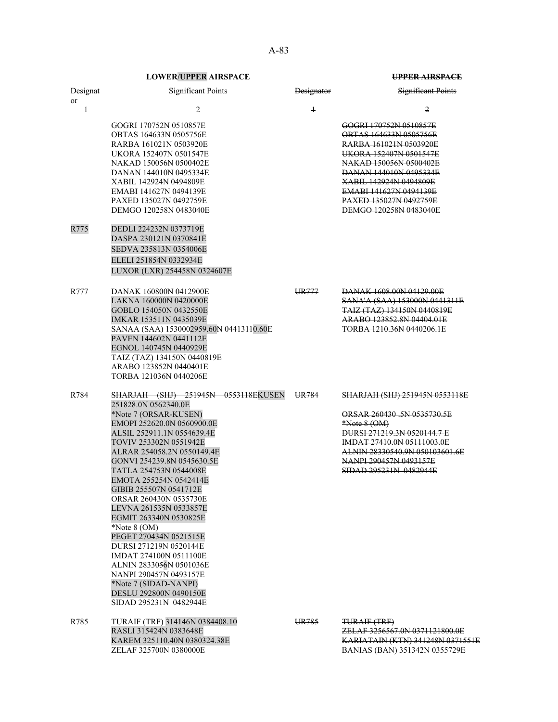| Designat<br><b>or</b> | <b>Significant Points</b>                                                                                                                                                                                                                                                                                                                                                                                                                                                                                                                                                                                                             | Designator        | <b>Significant Points</b>                                                                                                                                                                                                                                                      |
|-----------------------|---------------------------------------------------------------------------------------------------------------------------------------------------------------------------------------------------------------------------------------------------------------------------------------------------------------------------------------------------------------------------------------------------------------------------------------------------------------------------------------------------------------------------------------------------------------------------------------------------------------------------------------|-------------------|--------------------------------------------------------------------------------------------------------------------------------------------------------------------------------------------------------------------------------------------------------------------------------|
| $\mathbf{1}$          | 2                                                                                                                                                                                                                                                                                                                                                                                                                                                                                                                                                                                                                                     | $\boldsymbol{1}$  | $\overline{2}$                                                                                                                                                                                                                                                                 |
|                       | GOGRI 170752N 0510857E<br>OBTAS 164633N 0505756E<br>RARBA 161021N 0503920E<br><b>UKORA 152407N 0501547E</b><br>NAKAD 150056N 0500402E<br>DANAN 144010N 0495334E<br>XABIL 142924N 0494809E<br>EMABI 141627N 0494139E<br>PAXED 135027N 0492759E<br>DEMGO 120258N 0483040E                                                                                                                                                                                                                                                                                                                                                               |                   | GOGRI 170752N 0510857E<br>OBTAS 164633N 0505756E<br>RARBA 161021N 0503920E<br>UKORA 152407N 0501547E<br>NAKAD 150056N 0500402E<br><b>DANAN 144010N 0495334E</b><br>XABIL 142924N 0494809E<br>EMABI 141627N 0494139E<br><b>PAXED 135027N 0492759E</b><br>DEMGO 120258N 0483040E |
| R775                  | DEDLI 224232N 0373719E<br>DASPA 230121N 0370841E<br>SEDVA 235813N 0354006E<br>ELELI 251854N 0332934E<br>LUXOR (LXR) 254458N 0324607E                                                                                                                                                                                                                                                                                                                                                                                                                                                                                                  |                   |                                                                                                                                                                                                                                                                                |
| R777                  | DANAK 160800N 0412900E<br>LAKNA 160000N 0420000E<br>GOBLO 154050N 0432550E<br>IMKAR 153511N 0435039E<br>SANAA (SAA) 1530002959.60N 04413140.60E<br>PAVEN 144602N 0441112E<br>EGNOL 140745N 0440929E<br>TAIZ (TAZ) 134150N 0440819E<br>ARABO 123852N 0440401E<br>TORBA 121036N 0440206E                                                                                                                                                                                                                                                                                                                                                | UR <sub>777</sub> | DANAK 1608,00N 04129,00E<br>SANA'A (SAA) 153000N 0441311E<br>TAIZ (TAZ) 134150N 0440819E<br>ARABO 123852.8N 04404.01E<br>TORBA 1210.36N 0440206.1E                                                                                                                             |
| R784                  | SHARJAH (SHJ) 251945N 0553118EKUSEN<br>251828.0N 0562340.0E<br>*Note 7 (ORSAR-KUSEN)<br>EMOPI 252620.0N 0560900.0E<br>ALSIL 252911.1N 0554639.4E<br>TOVIV 253302N 0551942E<br>ALRAR 254058.2N 0550149.4E<br>GONVI 254239.8N 0545630.5E<br>TATLA 254753N 0544008E<br>EMOTA 255254N 0542414E<br>GIBIB 255507N 0541712E<br>ORSAR 260430N 0535730E<br>LEVNA 261535N 0533857E<br>EGMIT 263340N 0530825E<br>$*$ Note 8 (OM)<br>PEGET 270434N 0521515E<br>DURSI 271219N 0520144E<br>IMDAT 274100N 0511100E<br>ALNIN 2833056N 0501036E<br>NANPI 290457N 0493157E<br>*Note 7 (SIDAD-NANPI)<br>DESLU 292800N 0490150E<br>SIDAD 295231N 0482944E | UR784             | <b>SHARJAH (SHJ) 251945N 0553118E</b><br>ORSAR 260430 .5N 0535730.5E<br>$*Note 8 (OM)$<br>DURSI 271219.3N 0520144.7 E<br>IMDAT 27410.0N 05111003.0E<br>ALNIN 28330540.9N 050103601.6E<br>NANPI 290457N 0493157E<br>SIDAD 295231N 0482944E                                      |
| R785                  | TURAIF (TRF) 314146N 0384408.10<br>RASLI 315424N 0383648E<br>KAREM 325110.40N 0380324.38E<br>ZELAF 325700N 0380000E                                                                                                                                                                                                                                                                                                                                                                                                                                                                                                                   | UR785             | TURAIF (TRF)<br>ZELAF 3256567.0N 0371121800.0E<br><b>KARIATAIN (KTN) 341248N 0371551E</b><br><b>BANIAS (BAN) 351342N 0355729E</b>                                                                                                                                              |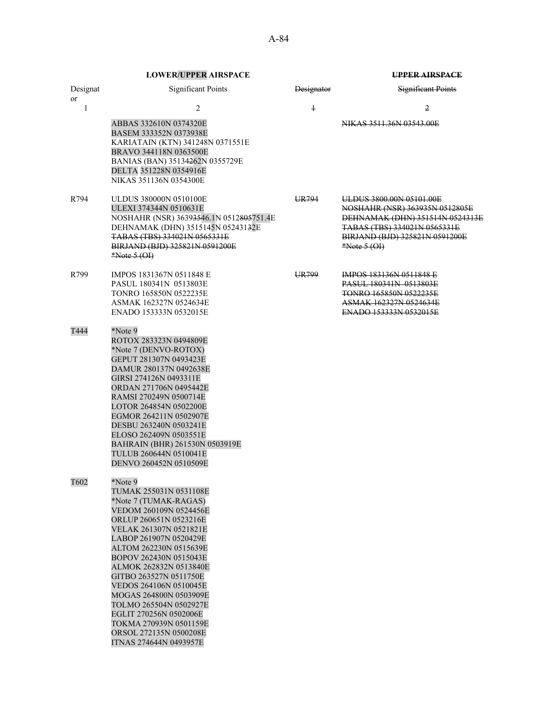|                           | <b>LOWER/UPPER AIRSPACE</b>                                                                                                                                                                                                                                                                                                                                                                                                                                      |                   | <b>UPPER AIRSPACE</b>                                                                                                                                                             |
|---------------------------|------------------------------------------------------------------------------------------------------------------------------------------------------------------------------------------------------------------------------------------------------------------------------------------------------------------------------------------------------------------------------------------------------------------------------------------------------------------|-------------------|-----------------------------------------------------------------------------------------------------------------------------------------------------------------------------------|
| Designat<br><sub>or</sub> | <b>Significant Points</b>                                                                                                                                                                                                                                                                                                                                                                                                                                        | <b>Designator</b> | <b>Significant Points</b>                                                                                                                                                         |
| 1                         | 2                                                                                                                                                                                                                                                                                                                                                                                                                                                                | $\ddagger$        | 2                                                                                                                                                                                 |
|                           | ABBAS 332610N 0374320E<br>BASEM 333352N 0373938E<br>KARIATAIN (KTN) 341248N 0371551E<br>BRAVO 344118N 0363500E<br>BANIAS (BAN) 35134262N 0355729E<br>DELTA 351228N 0354916E<br>NIKAS 351136N 0354300E                                                                                                                                                                                                                                                            |                   | NIKAS 3511.36N 03543.00E                                                                                                                                                          |
| R794                      | ULDUS 380000N 0510100E<br>ULEXI 374344N 0510631E<br>NOSHAHR (NSR) 36393546.1N 0512805751.4E<br>DEHNAMAK (DHN) 3515145N 05243132E<br>TABAS (TBS) 334021N 0565331E<br>BIRJAND (BJD) 325821N 0591200E<br>$*Note 5 (OH)$                                                                                                                                                                                                                                             | UR <sub>794</sub> | ULDUS 3800.00N 05101.00E<br>NOSHAHR (NSR) 363935N 0512805E<br>DEHNAMAK (DHN) 351514N 0524313E<br>TABAS (TBS) 334021N 0565331E<br>BIRJAND (BJD) 325821N 0591200E<br>$*Note 5 (OP)$ |
| R799                      | IMPOS 1831367N 0511848 E<br>PASUL 180341N 0513803E<br>TONRO 165850N 0522235E<br>ASMAK 162327N 0524634E<br>ENADO 153333N 0532015E                                                                                                                                                                                                                                                                                                                                 | UR799             | <b>IMPOS 183136N 0511848 E</b><br><b>PASUL 180341N 0513803E</b><br>TONRO 165850N 0522235E<br>ASMAK 162327N 0524634E<br>ENADO 153333N 0532015E                                     |
| T444                      | *Note 9<br>ROTOX 283323N 0494809E<br>*Note 7 (DENVO-ROTOX)<br>GEPUT 281307N 0493423E<br>DAMUR 280137N 0492638E<br>GIRSI 274126N 0493311E<br>ORDAN 271706N 0495442E<br>RAMSI 270249N 0500714E<br>LOTOR 264854N 0502200E<br>EGMOR 264211N 0502907E<br>DESBU 263240N 0503241E<br>ELOSO 262409N 0503551E<br>BAHRAIN (BHR) 261530N 0503919E<br>TULUB 260644N 0510041E<br>DENVO 260452N 0510509E                                                                       |                   |                                                                                                                                                                                   |
| T602                      | *Note 9<br>TUMAK 255031N 0531108E<br>*Note 7 (TUMAK-RAGAS)<br>VEDOM 260109N 0524456E<br>ORLUP 260651N 0523216E<br>VELAK 261307N 0521821E<br>LABOP 261907N 0520429E<br>ALTOM 262230N 0515639E<br>BOPOV 262430N 0515043E<br>ALMOK 262832N 0513840E<br>GITBO 263527N 0511750E<br>VEDOS 264106N 0510045E<br>MOGAS 264800N 0503909E<br>TOLMO 265504N 0502927E<br>EGLIT 270256N 0502006E<br>TOKMA 270939N 0501159E<br>ORSOL 272135N 0500208E<br>ITNAS 274644N 0493957E |                   |                                                                                                                                                                                   |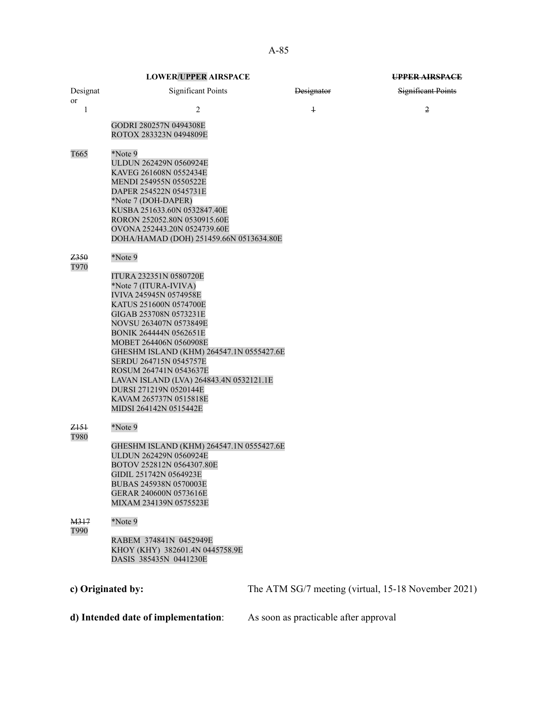|                                     | <b>LOWER/UPPER AIRSPACE</b>                                                                                                                                                                                                                                                       |                                                     | UPPER AIRSPACE            |
|-------------------------------------|-----------------------------------------------------------------------------------------------------------------------------------------------------------------------------------------------------------------------------------------------------------------------------------|-----------------------------------------------------|---------------------------|
| Designat                            | <b>Significant Points</b>                                                                                                                                                                                                                                                         | <b>Designator</b>                                   | <b>Significant Points</b> |
| or<br>$\mathbf{1}$                  | 2                                                                                                                                                                                                                                                                                 | $\overline{1}$                                      | 2                         |
|                                     | GODRI 280257N 0494308E<br>ROTOX 283323N 0494809E                                                                                                                                                                                                                                  |                                                     |                           |
| T665                                | *Note 9<br>ULDUN 262429N 0560924E<br>KAVEG 261608N 0552434E<br>MENDI 254955N 0550522E<br>DAPER 254522N 0545731E<br>*Note 7 (DOH-DAPER)<br>KUSBA 251633.60N 0532847.40E<br>RORON 252052.80N 0530915.60E<br>OVONA 252443.20N 0524739.60E<br>DOHA/HAMAD (DOH) 251459.66N 0513634.80E |                                                     |                           |
| Z350<br>T970                        | *Note 9<br>ITURA 232351N 0580720E<br>*Note 7 (ITURA-IVIVA)<br>IVIVA 245945N 0574958E<br>KATUS 251600N 0574700E<br>GIGAB 253708N 0573231E<br>NOVSU 263407N 0573849E                                                                                                                |                                                     |                           |
|                                     | BONIK 264444N 0562651E<br>MOBET 264406N 0560908E<br>GHESHM ISLAND (KHM) 264547.1N 0555427.6E<br>SERDU 264715N 0545757E<br>ROSUM 264741N 0543637E<br>LAVAN ISLAND (LVA) 264843.4N 0532121.1E<br>DURSI 271219N 0520144E<br>KAVAM 265737N 0515818E<br>MIDSI 264142N 0515442E         |                                                     |                           |
| <del>Z151</del><br>T980             | *Note 9                                                                                                                                                                                                                                                                           |                                                     |                           |
|                                     | GHESHM ISLAND (KHM) 264547.1N 0555427.6E<br>ULDUN 262429N 0560924E<br>BOTOV 252812N 0564307.80E<br>GIDIL 251742N 0564923E<br>BUBAS 245938N 0570003E<br>GERAR 240600N 0573616E<br>MIXAM 234139N 0575523E                                                                           |                                                     |                           |
| <del>M317</del><br>T990             | *Note 9                                                                                                                                                                                                                                                                           |                                                     |                           |
|                                     | RABEM 374841N 0452949E<br>KHOY (KHY) 382601.4N 0445758.9E<br>DASIS 385435N 0441230E                                                                                                                                                                                               |                                                     |                           |
|                                     | c) Originated by:                                                                                                                                                                                                                                                                 | The ATM SG/7 meeting (virtual, 15-18 November 2021) |                           |
| d) Intended date of implementation: |                                                                                                                                                                                                                                                                                   | As soon as practicable after approval               |                           |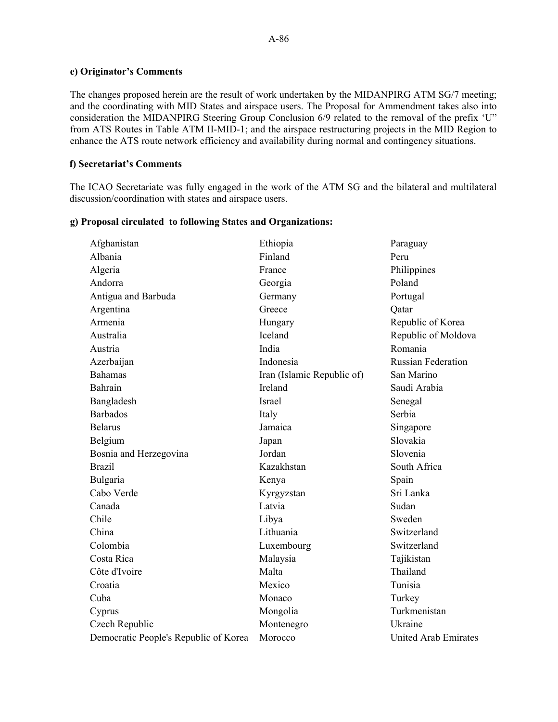## **e) Originator's Comments**

The changes proposed herein are the result of work undertaken by the MIDANPIRG ATM SG/7 meeting; and the coordinating with MID States and airspace users. The Proposal for Ammendment takes also into consideration the MIDANPIRG Steering Group Conclusion 6/9 related to the removal of the prefix 'U" from ATS Routes in Table ATM II-MID-1; and the airspace restructuring projects in the MID Region to enhance the ATS route network efficiency and availability during normal and contingency situations.

## **f) Secretariat's Comments**

The ICAO Secretariate was fully engaged in the work of the ATM SG and the bilateral and multilateral discussion/coordination with states and airspace users.

| Afghanistan                           | Ethiopia                   | Paraguay                  |
|---------------------------------------|----------------------------|---------------------------|
| Albania                               | Finland                    | Peru                      |
| Algeria                               | France                     | Philippines               |
| Andorra                               | Georgia                    | Poland                    |
| Antigua and Barbuda                   | Germany                    | Portugal                  |
| Argentina                             | Greece                     | Qatar                     |
| Armenia                               | Hungary                    | Republic of Korea         |
| Australia                             | Iceland                    | Republic of Moldova       |
| Austria                               | India                      | Romania                   |
| Azerbaijan                            | Indonesia                  | <b>Russian Federation</b> |
| <b>Bahamas</b>                        | Iran (Islamic Republic of) | San Marino                |
| Bahrain                               | Ireland                    | Saudi Arabia              |
| Bangladesh                            | <b>Israel</b>              | Senegal                   |
| <b>Barbados</b>                       | Italy                      | Serbia                    |
| <b>Belarus</b>                        | Jamaica                    | Singapore                 |
| Belgium                               | Japan                      | Slovakia                  |
| Bosnia and Herzegovina                | Jordan                     | Slovenia                  |
| <b>Brazil</b>                         | Kazakhstan                 | South Africa              |
| Bulgaria                              | Kenya                      | Spain                     |
| Cabo Verde                            | Kyrgyzstan                 | Sri Lanka                 |
| Canada                                | Latvia                     | Sudan                     |
| Chile                                 | Libya                      | Sweden                    |
| China                                 | Lithuania                  | Switzerland               |
| Colombia                              | Luxembourg                 | Switzerland               |
| Costa Rica                            | Malaysia                   | Tajikistan                |
| Côte d'Ivoire                         | Malta                      | Thailand                  |
| Croatia                               | Mexico                     | Tunisia                   |
| Cuba                                  | Monaco                     | Turkey                    |
| Cyprus                                | Mongolia                   | Turkmenistan              |
| Czech Republic                        | Montenegro                 | Ukraine                   |
| Democratic People's Republic of Korea | Morocco                    | United Arab Emirates      |

## **g) Proposal circulated to following States and Organizations:**